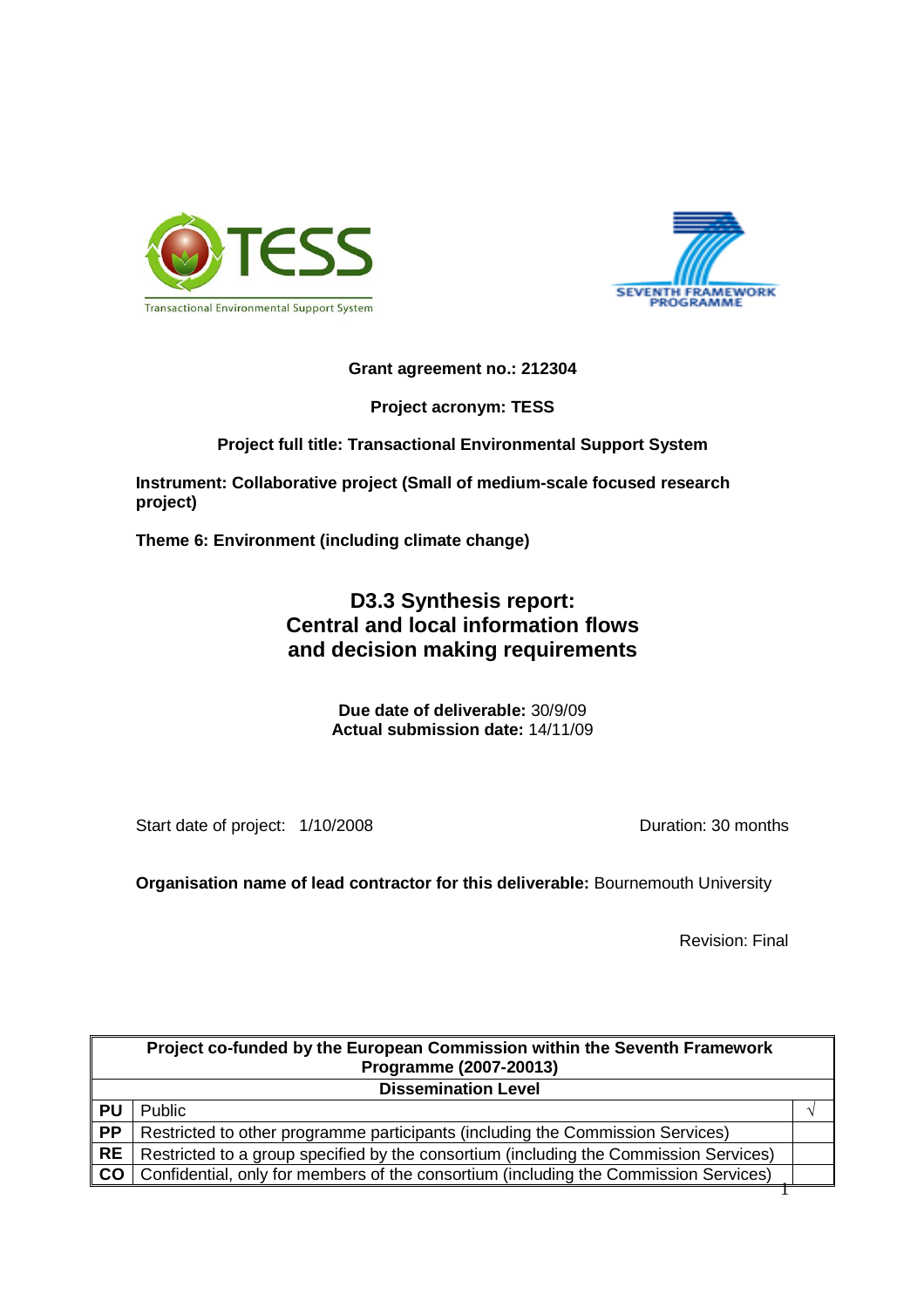



## **Grant agreement no.: 212304**

**Project acronym: TESS** 

## **Project full title: Transactional Environmental Support System**

**Instrument: Collaborative project (Small of medium-scale focused research project)** 

**Theme 6: Environment (including climate change)** 

## **D3.3 Synthesis report: Central and local information flows and decision making requirements**

**Due date of deliverable:** 30/9/09 **Actual submission date:** 14/11/09

Start date of project:  $1/10/2008$  Duration: 30 months

**Organisation name of lead contractor for this deliverable:** Bournemouth University

Revision: Final

| Project co-funded by the European Commission within the Seventh Framework<br>Programme (2007-20013) |                                                                                       |  |  |
|-----------------------------------------------------------------------------------------------------|---------------------------------------------------------------------------------------|--|--|
| <b>Dissemination Level</b>                                                                          |                                                                                       |  |  |
| <b>PU</b>                                                                                           | Public                                                                                |  |  |
| <b>PP</b>                                                                                           | Restricted to other programme participants (including the Commission Services)        |  |  |
| <b>RE</b>                                                                                           | Restricted to a group specified by the consortium (including the Commission Services) |  |  |
| CO                                                                                                  | Confidential, only for members of the consortium (including the Commission Services)  |  |  |
|                                                                                                     |                                                                                       |  |  |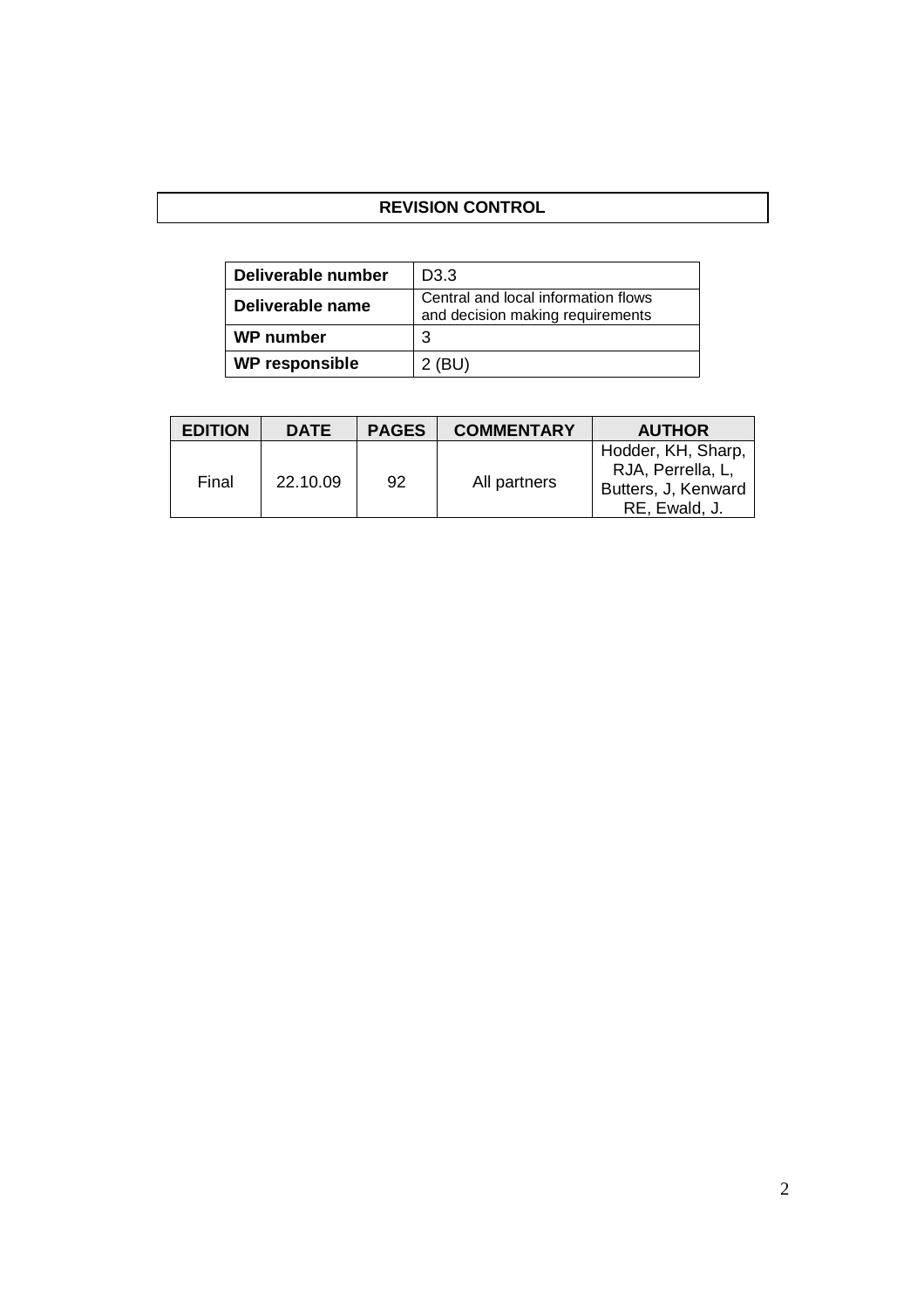## **REVISION CONTROL**

| Deliverable number    | D <sub>3</sub> .3                                                       |  |
|-----------------------|-------------------------------------------------------------------------|--|
| Deliverable name      | Central and local information flows<br>and decision making requirements |  |
| <b>WP</b> number      | З                                                                       |  |
| <b>WP responsible</b> | 2 (BU)                                                                  |  |

| <b>EDITION</b> | <b>DATE</b> | <b>PAGES</b> | <b>COMMENTARY</b> | <b>AUTHOR</b>                                                                   |
|----------------|-------------|--------------|-------------------|---------------------------------------------------------------------------------|
| Final          | 22.10.09    | 92           | All partners      | Hodder, KH, Sharp,<br>RJA, Perrella, L,<br>Butters, J, Kenward<br>RE, Ewald, J. |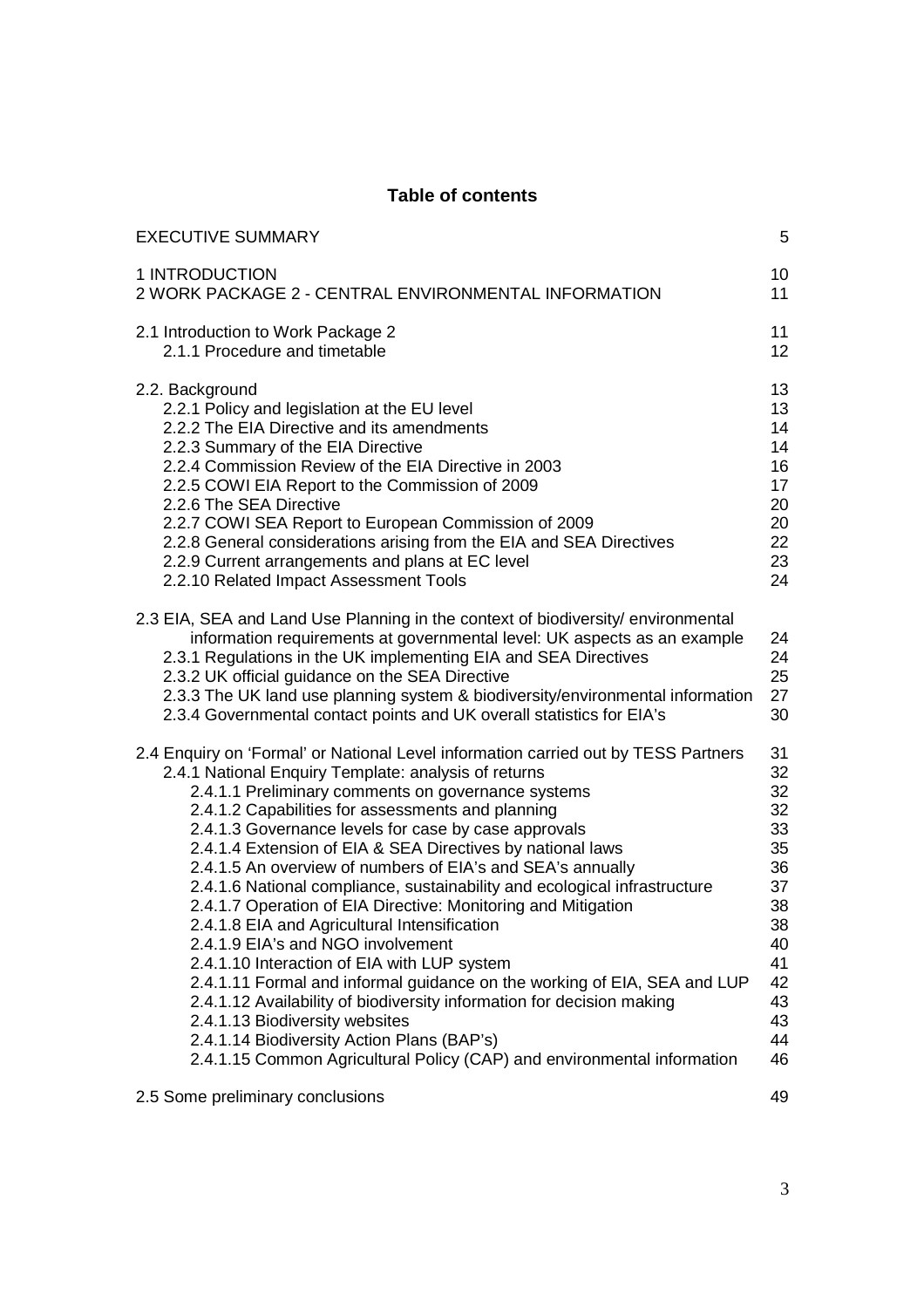## **Table of contents**

| <b>EXECUTIVE SUMMARY</b>                                                                                                                                                                                                                                                                                                                                                                                                                      | 5                          |
|-----------------------------------------------------------------------------------------------------------------------------------------------------------------------------------------------------------------------------------------------------------------------------------------------------------------------------------------------------------------------------------------------------------------------------------------------|----------------------------|
| 1 INTRODUCTION                                                                                                                                                                                                                                                                                                                                                                                                                                | 10                         |
| 2 WORK PACKAGE 2 - CENTRAL ENVIRONMENTAL INFORMATION                                                                                                                                                                                                                                                                                                                                                                                          | 11                         |
| 2.1 Introduction to Work Package 2                                                                                                                                                                                                                                                                                                                                                                                                            | 11                         |
| 2.1.1 Procedure and timetable                                                                                                                                                                                                                                                                                                                                                                                                                 | 12                         |
| 2.2. Background                                                                                                                                                                                                                                                                                                                                                                                                                               | 13                         |
| 2.2.1 Policy and legislation at the EU level                                                                                                                                                                                                                                                                                                                                                                                                  | 13                         |
| 2.2.2 The EIA Directive and its amendments                                                                                                                                                                                                                                                                                                                                                                                                    | 14                         |
| 2.2.3 Summary of the EIA Directive                                                                                                                                                                                                                                                                                                                                                                                                            | 14                         |
| 2.2.4 Commission Review of the EIA Directive in 2003                                                                                                                                                                                                                                                                                                                                                                                          | 16                         |
| 2.2.5 COWI EIA Report to the Commission of 2009                                                                                                                                                                                                                                                                                                                                                                                               | 17                         |
| 2.2.6 The SEA Directive                                                                                                                                                                                                                                                                                                                                                                                                                       | 20                         |
| 2.2.7 COWI SEA Report to European Commission of 2009                                                                                                                                                                                                                                                                                                                                                                                          | 20                         |
| 2.2.8 General considerations arising from the EIA and SEA Directives                                                                                                                                                                                                                                                                                                                                                                          | 22                         |
| 2.2.9 Current arrangements and plans at EC level                                                                                                                                                                                                                                                                                                                                                                                              | 23                         |
| 2.2.10 Related Impact Assessment Tools                                                                                                                                                                                                                                                                                                                                                                                                        | 24                         |
| 2.3 EIA, SEA and Land Use Planning in the context of biodiversity/ environmental<br>information requirements at governmental level: UK aspects as an example<br>2.3.1 Regulations in the UK implementing EIA and SEA Directives<br>2.3.2 UK official guidance on the SEA Directive<br>2.3.3 The UK land use planning system & biodiversity/environmental information<br>2.3.4 Governmental contact points and UK overall statistics for EIA's | 24<br>24<br>25<br>27<br>30 |
| 2.4 Enquiry on 'Formal' or National Level information carried out by TESS Partners                                                                                                                                                                                                                                                                                                                                                            | 31                         |
| 2.4.1 National Enquiry Template: analysis of returns                                                                                                                                                                                                                                                                                                                                                                                          | 32                         |
| 2.4.1.1 Preliminary comments on governance systems                                                                                                                                                                                                                                                                                                                                                                                            | 32                         |
| 2.4.1.2 Capabilities for assessments and planning                                                                                                                                                                                                                                                                                                                                                                                             | 32                         |
| 2.4.1.3 Governance levels for case by case approvals                                                                                                                                                                                                                                                                                                                                                                                          | 33                         |
| 2.4.1.4 Extension of EIA & SEA Directives by national laws                                                                                                                                                                                                                                                                                                                                                                                    | 35                         |
| 2.4.1.5 An overview of numbers of EIA's and SEA's annually                                                                                                                                                                                                                                                                                                                                                                                    | 36                         |
| 2.4.1.6 National compliance, sustainability and ecological infrastructure                                                                                                                                                                                                                                                                                                                                                                     | 37                         |
| 2.4.1.7 Operation of EIA Directive: Monitoring and Mitigation                                                                                                                                                                                                                                                                                                                                                                                 | 38                         |
| 2.4.1.8 EIA and Agricultural Intensification                                                                                                                                                                                                                                                                                                                                                                                                  | 38                         |
| 2.4.1.9 EIA's and NGO involvement                                                                                                                                                                                                                                                                                                                                                                                                             | 40                         |
| 2.4.1.10 Interaction of EIA with LUP system                                                                                                                                                                                                                                                                                                                                                                                                   | 41                         |
| 2.4.1.11 Formal and informal guidance on the working of EIA, SEA and LUP                                                                                                                                                                                                                                                                                                                                                                      | 42                         |
| 2.4.1.12 Availability of biodiversity information for decision making                                                                                                                                                                                                                                                                                                                                                                         | 43                         |
| 2.4.1.13 Biodiversity websites                                                                                                                                                                                                                                                                                                                                                                                                                | 43                         |
| 2.4.1.14 Biodiversity Action Plans (BAP's)                                                                                                                                                                                                                                                                                                                                                                                                    | 44                         |
| 2.4.1.15 Common Agricultural Policy (CAP) and environmental information                                                                                                                                                                                                                                                                                                                                                                       | 46                         |
| 2.5 Some preliminary conclusions                                                                                                                                                                                                                                                                                                                                                                                                              | 49                         |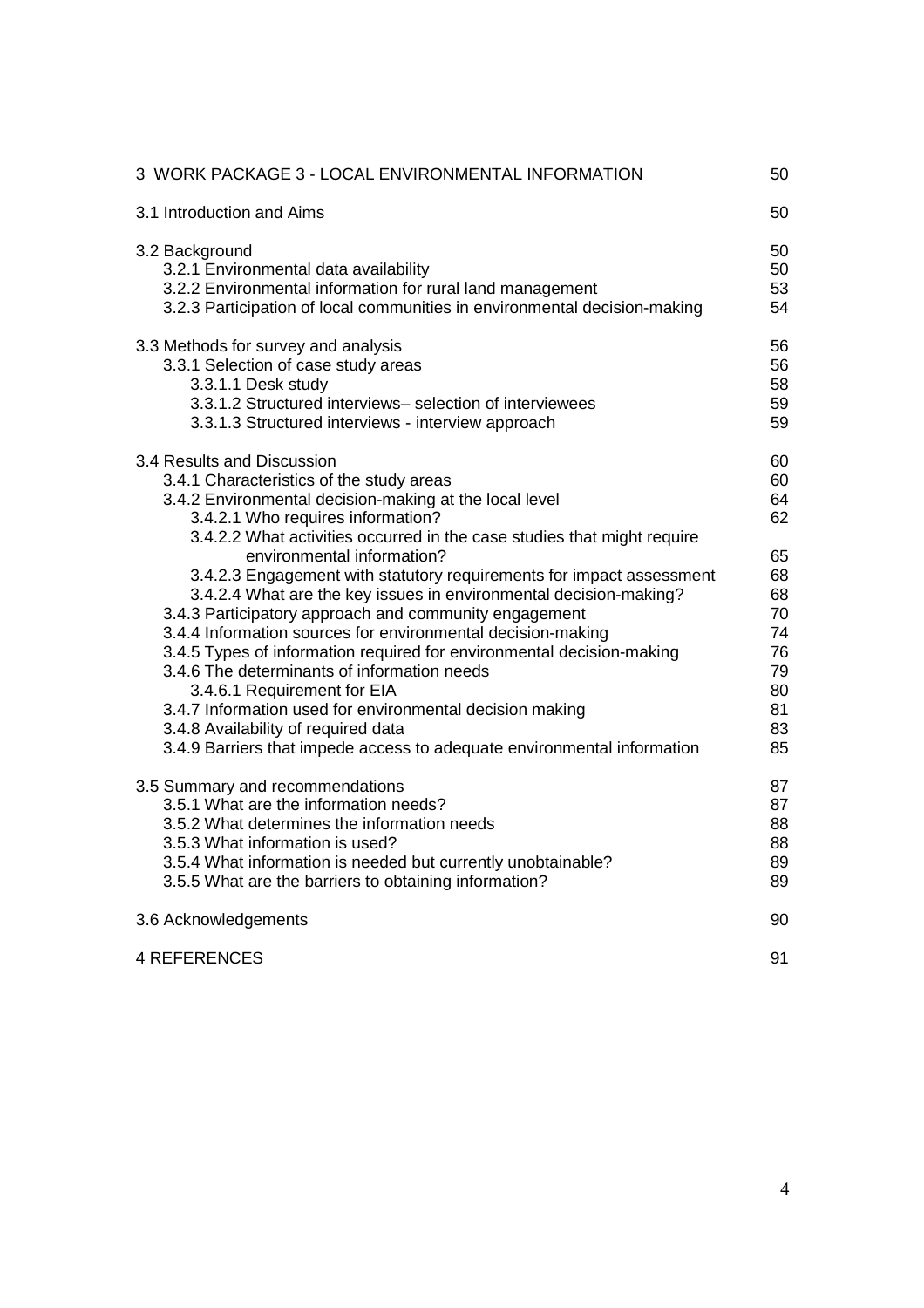| 3 WORK PACKAGE 3 - LOCAL ENVIRONMENTAL INFORMATION                                                                                                                                                                                                                                                                                                                                                                                                                                                                                                                                                                                   | 50                                                             |
|--------------------------------------------------------------------------------------------------------------------------------------------------------------------------------------------------------------------------------------------------------------------------------------------------------------------------------------------------------------------------------------------------------------------------------------------------------------------------------------------------------------------------------------------------------------------------------------------------------------------------------------|----------------------------------------------------------------|
| 3.1 Introduction and Aims                                                                                                                                                                                                                                                                                                                                                                                                                                                                                                                                                                                                            | 50                                                             |
| 3.2 Background<br>3.2.1 Environmental data availability<br>3.2.2 Environmental information for rural land management<br>3.2.3 Participation of local communities in environmental decision-making                                                                                                                                                                                                                                                                                                                                                                                                                                    | 50<br>50<br>53<br>54                                           |
| 3.3 Methods for survey and analysis<br>3.3.1 Selection of case study areas<br>3.3.1.1 Desk study<br>3.3.1.2 Structured interviews- selection of interviewees<br>3.3.1.3 Structured interviews - interview approach                                                                                                                                                                                                                                                                                                                                                                                                                   | 56<br>56<br>58<br>59<br>59                                     |
| 3.4 Results and Discussion<br>3.4.1 Characteristics of the study areas<br>3.4.2 Environmental decision-making at the local level<br>3.4.2.1 Who requires information?<br>3.4.2.2 What activities occurred in the case studies that might require                                                                                                                                                                                                                                                                                                                                                                                     | 60<br>60<br>64<br>62                                           |
| environmental information?<br>3.4.2.3 Engagement with statutory requirements for impact assessment<br>3.4.2.4 What are the key issues in environmental decision-making?<br>3.4.3 Participatory approach and community engagement<br>3.4.4 Information sources for environmental decision-making<br>3.4.5 Types of information required for environmental decision-making<br>3.4.6 The determinants of information needs<br>3.4.6.1 Requirement for EIA<br>3.4.7 Information used for environmental decision making<br>3.4.8 Availability of required data<br>3.4.9 Barriers that impede access to adequate environmental information | 65<br>68<br>68<br>70<br>74<br>76<br>79<br>80<br>81<br>83<br>85 |
| 3.5 Summary and recommendations<br>3.5.1 What are the information needs?<br>3.5.2 What determines the information needs<br>3.5.3 What information is used?<br>3.5.4 What information is needed but currently unobtainable?<br>3.5.5 What are the barriers to obtaining information?                                                                                                                                                                                                                                                                                                                                                  | 87<br>87<br>88<br>88<br>89<br>89                               |
| 3.6 Acknowledgements                                                                                                                                                                                                                                                                                                                                                                                                                                                                                                                                                                                                                 | 90                                                             |
| <b>4 REFERENCES</b>                                                                                                                                                                                                                                                                                                                                                                                                                                                                                                                                                                                                                  | 91                                                             |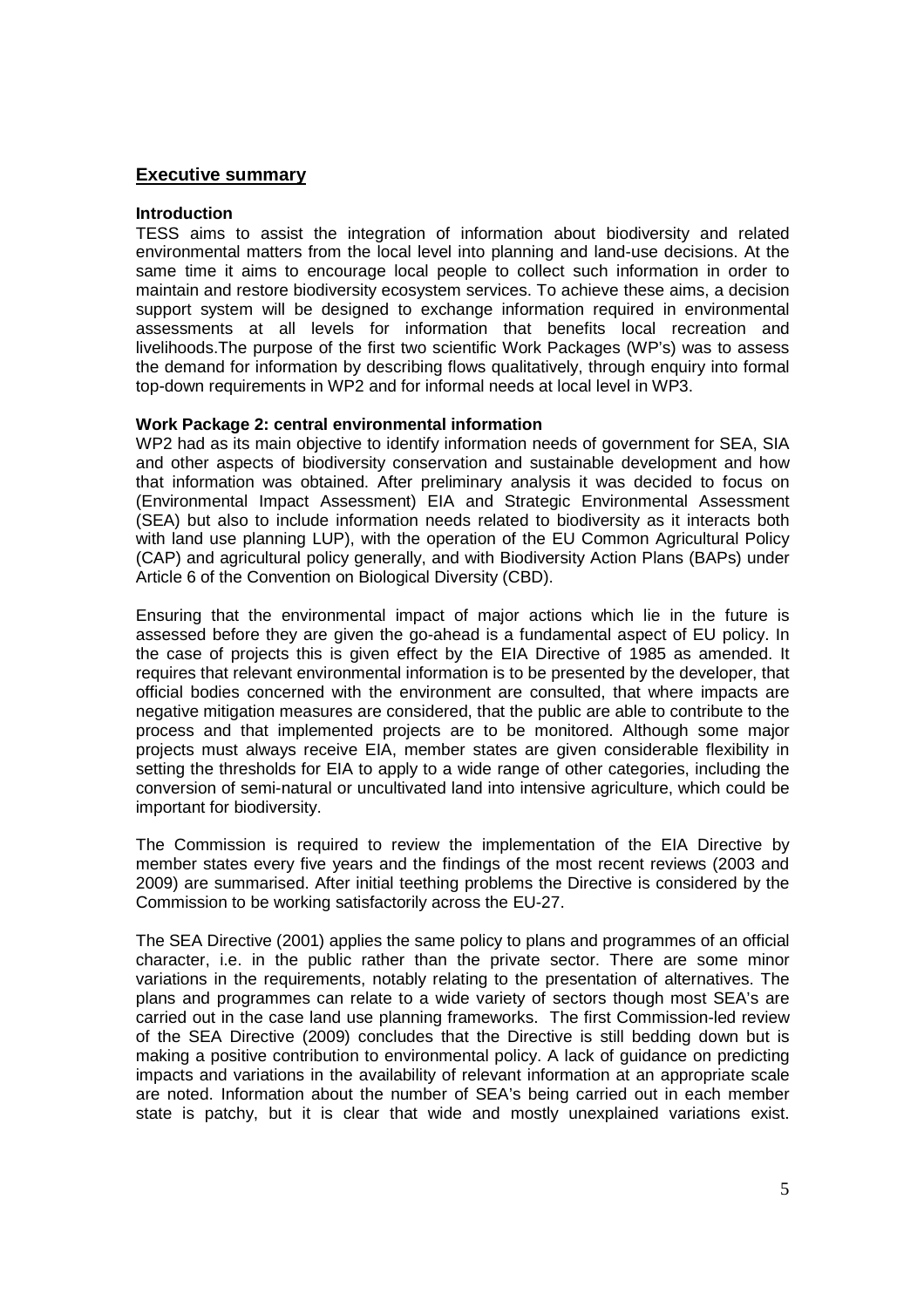#### **Executive summary**

#### **Introduction**

TESS aims to assist the integration of information about biodiversity and related environmental matters from the local level into planning and land-use decisions. At the same time it aims to encourage local people to collect such information in order to maintain and restore biodiversity ecosystem services. To achieve these aims, a decision support system will be designed to exchange information required in environmental assessments at all levels for information that benefits local recreation and livelihoods.The purpose of the first two scientific Work Packages (WP's) was to assess the demand for information by describing flows qualitatively, through enquiry into formal top-down requirements in WP2 and for informal needs at local level in WP3.

#### **Work Package 2: central environmental information**

WP2 had as its main objective to identify information needs of government for SEA, SIA and other aspects of biodiversity conservation and sustainable development and how that information was obtained. After preliminary analysis it was decided to focus on (Environmental Impact Assessment) EIA and Strategic Environmental Assessment (SEA) but also to include information needs related to biodiversity as it interacts both with land use planning LUP), with the operation of the EU Common Agricultural Policy (CAP) and agricultural policy generally, and with Biodiversity Action Plans (BAPs) under Article 6 of the Convention on Biological Diversity (CBD).

Ensuring that the environmental impact of major actions which lie in the future is assessed before they are given the go-ahead is a fundamental aspect of EU policy. In the case of projects this is given effect by the EIA Directive of 1985 as amended. It requires that relevant environmental information is to be presented by the developer, that official bodies concerned with the environment are consulted, that where impacts are negative mitigation measures are considered, that the public are able to contribute to the process and that implemented projects are to be monitored. Although some major projects must always receive EIA, member states are given considerable flexibility in setting the thresholds for EIA to apply to a wide range of other categories, including the conversion of semi-natural or uncultivated land into intensive agriculture, which could be important for biodiversity.

The Commission is required to review the implementation of the EIA Directive by member states every five years and the findings of the most recent reviews (2003 and 2009) are summarised. After initial teething problems the Directive is considered by the Commission to be working satisfactorily across the EU-27.

The SEA Directive (2001) applies the same policy to plans and programmes of an official character, i.e. in the public rather than the private sector. There are some minor variations in the requirements, notably relating to the presentation of alternatives. The plans and programmes can relate to a wide variety of sectors though most SEA's are carried out in the case land use planning frameworks. The first Commission-led review of the SEA Directive (2009) concludes that the Directive is still bedding down but is making a positive contribution to environmental policy. A lack of guidance on predicting impacts and variations in the availability of relevant information at an appropriate scale are noted. Information about the number of SEA's being carried out in each member state is patchy, but it is clear that wide and mostly unexplained variations exist.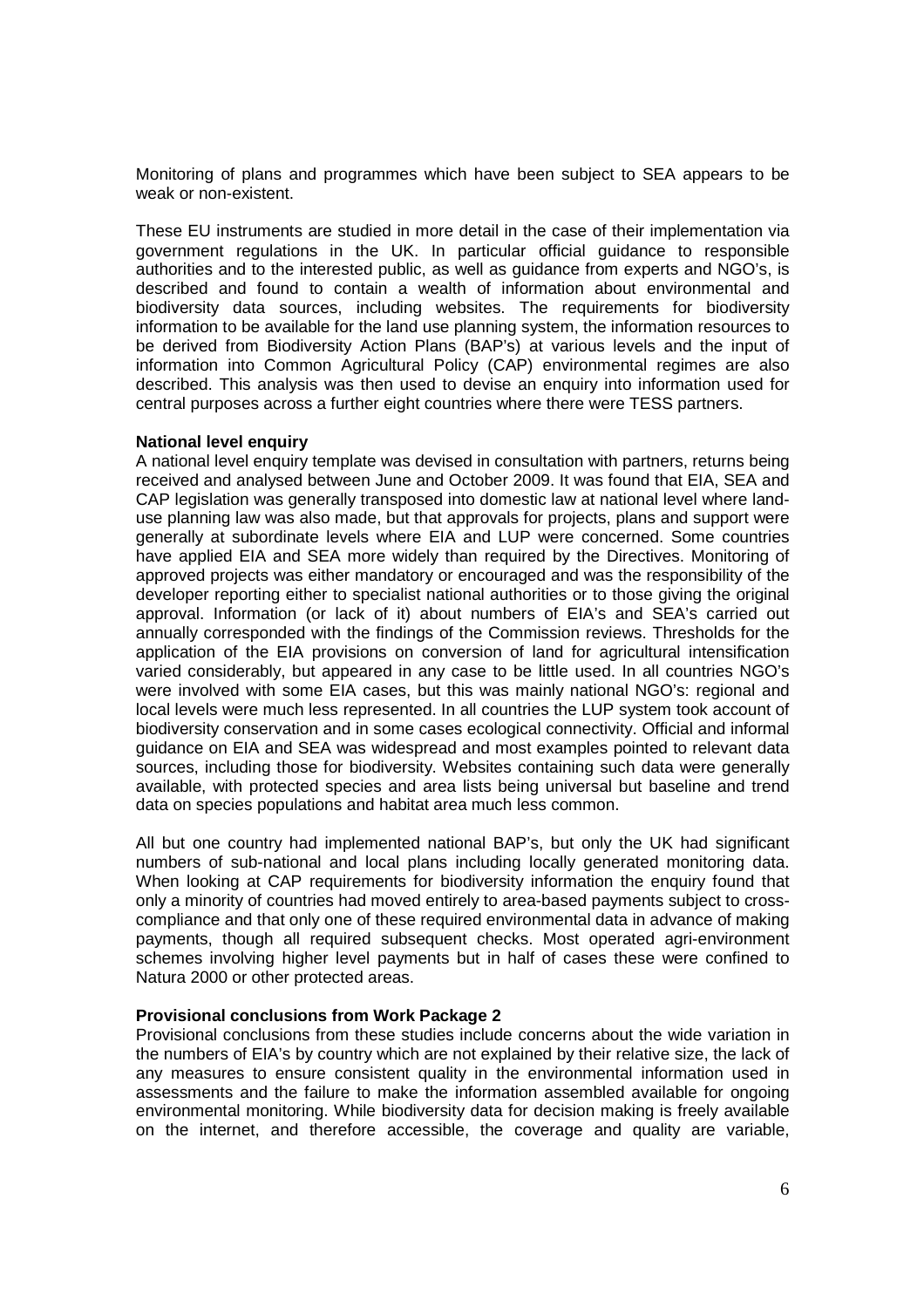Monitoring of plans and programmes which have been subject to SEA appears to be weak or non-existent.

These EU instruments are studied in more detail in the case of their implementation via government regulations in the UK. In particular official guidance to responsible authorities and to the interested public, as well as guidance from experts and NGO's, is described and found to contain a wealth of information about environmental and biodiversity data sources, including websites. The requirements for biodiversity information to be available for the land use planning system, the information resources to be derived from Biodiversity Action Plans (BAP's) at various levels and the input of information into Common Agricultural Policy (CAP) environmental regimes are also described. This analysis was then used to devise an enquiry into information used for central purposes across a further eight countries where there were TESS partners.

#### **National level enquiry**

A national level enquiry template was devised in consultation with partners, returns being received and analysed between June and October 2009. It was found that EIA, SEA and CAP legislation was generally transposed into domestic law at national level where landuse planning law was also made, but that approvals for projects, plans and support were generally at subordinate levels where EIA and LUP were concerned. Some countries have applied EIA and SEA more widely than required by the Directives. Monitoring of approved projects was either mandatory or encouraged and was the responsibility of the developer reporting either to specialist national authorities or to those giving the original approval. Information (or lack of it) about numbers of EIA's and SEA's carried out annually corresponded with the findings of the Commission reviews. Thresholds for the application of the EIA provisions on conversion of land for agricultural intensification varied considerably, but appeared in any case to be little used. In all countries NGO's were involved with some EIA cases, but this was mainly national NGO's: regional and local levels were much less represented. In all countries the LUP system took account of biodiversity conservation and in some cases ecological connectivity. Official and informal guidance on EIA and SEA was widespread and most examples pointed to relevant data sources, including those for biodiversity. Websites containing such data were generally available, with protected species and area lists being universal but baseline and trend data on species populations and habitat area much less common.

All but one country had implemented national BAP's, but only the UK had significant numbers of sub-national and local plans including locally generated monitoring data. When looking at CAP requirements for biodiversity information the enquiry found that only a minority of countries had moved entirely to area-based payments subject to crosscompliance and that only one of these required environmental data in advance of making payments, though all required subsequent checks. Most operated agri-environment schemes involving higher level payments but in half of cases these were confined to Natura 2000 or other protected areas.

#### **Provisional conclusions from Work Package 2**

Provisional conclusions from these studies include concerns about the wide variation in the numbers of EIA's by country which are not explained by their relative size, the lack of any measures to ensure consistent quality in the environmental information used in assessments and the failure to make the information assembled available for ongoing environmental monitoring. While biodiversity data for decision making is freely available on the internet, and therefore accessible, the coverage and quality are variable,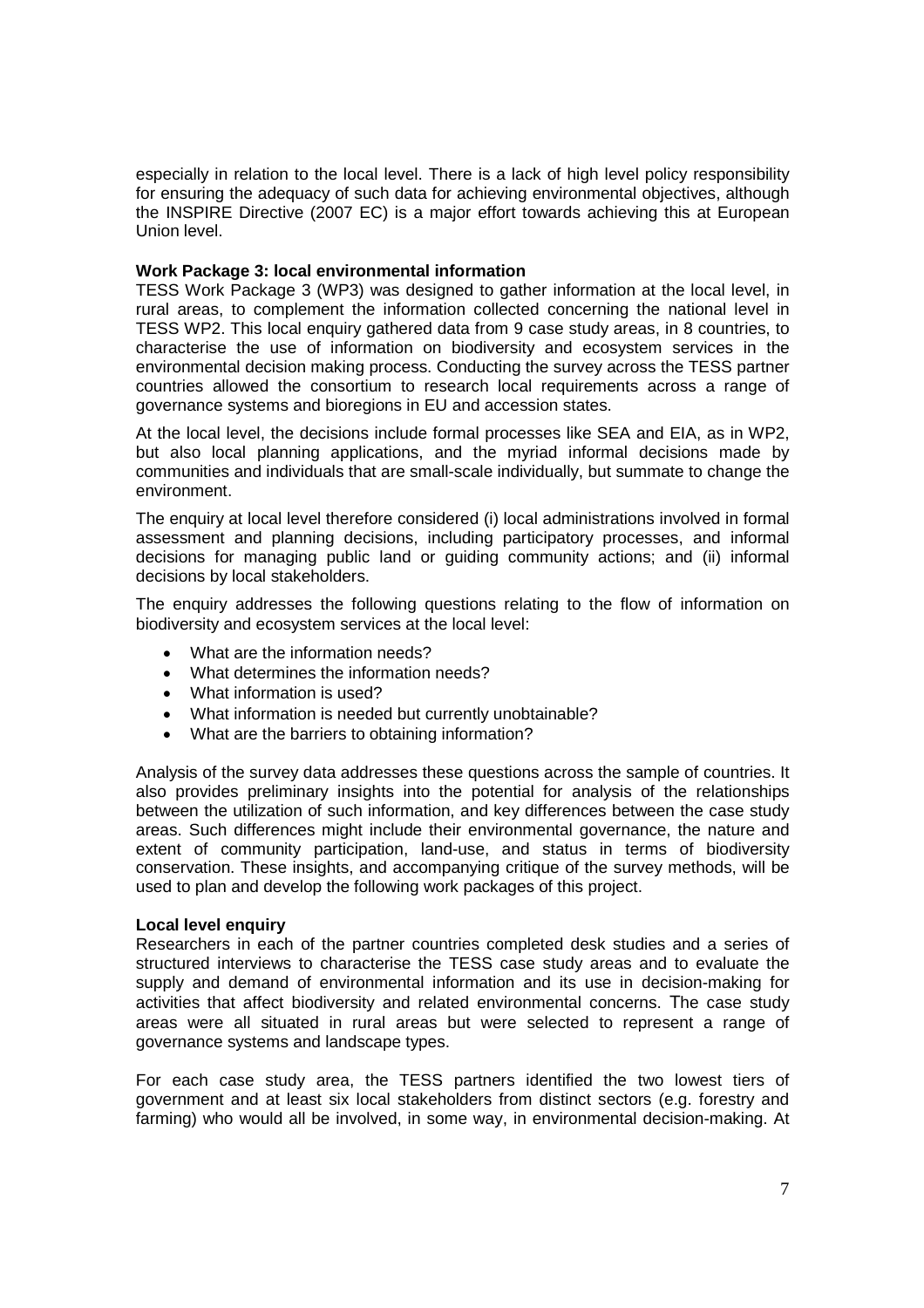especially in relation to the local level. There is a lack of high level policy responsibility for ensuring the adequacy of such data for achieving environmental objectives, although the INSPIRE Directive (2007 EC) is a major effort towards achieving this at European Union level.

#### **Work Package 3: local environmental information**

TESS Work Package 3 (WP3) was designed to gather information at the local level, in rural areas, to complement the information collected concerning the national level in TESS WP2. This local enquiry gathered data from 9 case study areas, in 8 countries, to characterise the use of information on biodiversity and ecosystem services in the environmental decision making process. Conducting the survey across the TESS partner countries allowed the consortium to research local requirements across a range of governance systems and bioregions in EU and accession states.

At the local level, the decisions include formal processes like SEA and EIA, as in WP2, but also local planning applications, and the myriad informal decisions made by communities and individuals that are small-scale individually, but summate to change the environment.

The enquiry at local level therefore considered (i) local administrations involved in formal assessment and planning decisions, including participatory processes, and informal decisions for managing public land or guiding community actions; and (ii) informal decisions by local stakeholders.

The enquiry addresses the following questions relating to the flow of information on biodiversity and ecosystem services at the local level:

- What are the information needs?
- What determines the information needs?
- What information is used?
- What information is needed but currently unobtainable?
- What are the barriers to obtaining information?

Analysis of the survey data addresses these questions across the sample of countries. It also provides preliminary insights into the potential for analysis of the relationships between the utilization of such information, and key differences between the case study areas. Such differences might include their environmental governance, the nature and extent of community participation, land-use, and status in terms of biodiversity conservation. These insights, and accompanying critique of the survey methods, will be used to plan and develop the following work packages of this project.

#### **Local level enquiry**

Researchers in each of the partner countries completed desk studies and a series of structured interviews to characterise the TESS case study areas and to evaluate the supply and demand of environmental information and its use in decision-making for activities that affect biodiversity and related environmental concerns. The case study areas were all situated in rural areas but were selected to represent a range of governance systems and landscape types.

For each case study area, the TESS partners identified the two lowest tiers of government and at least six local stakeholders from distinct sectors (e.g. forestry and farming) who would all be involved, in some way, in environmental decision-making. At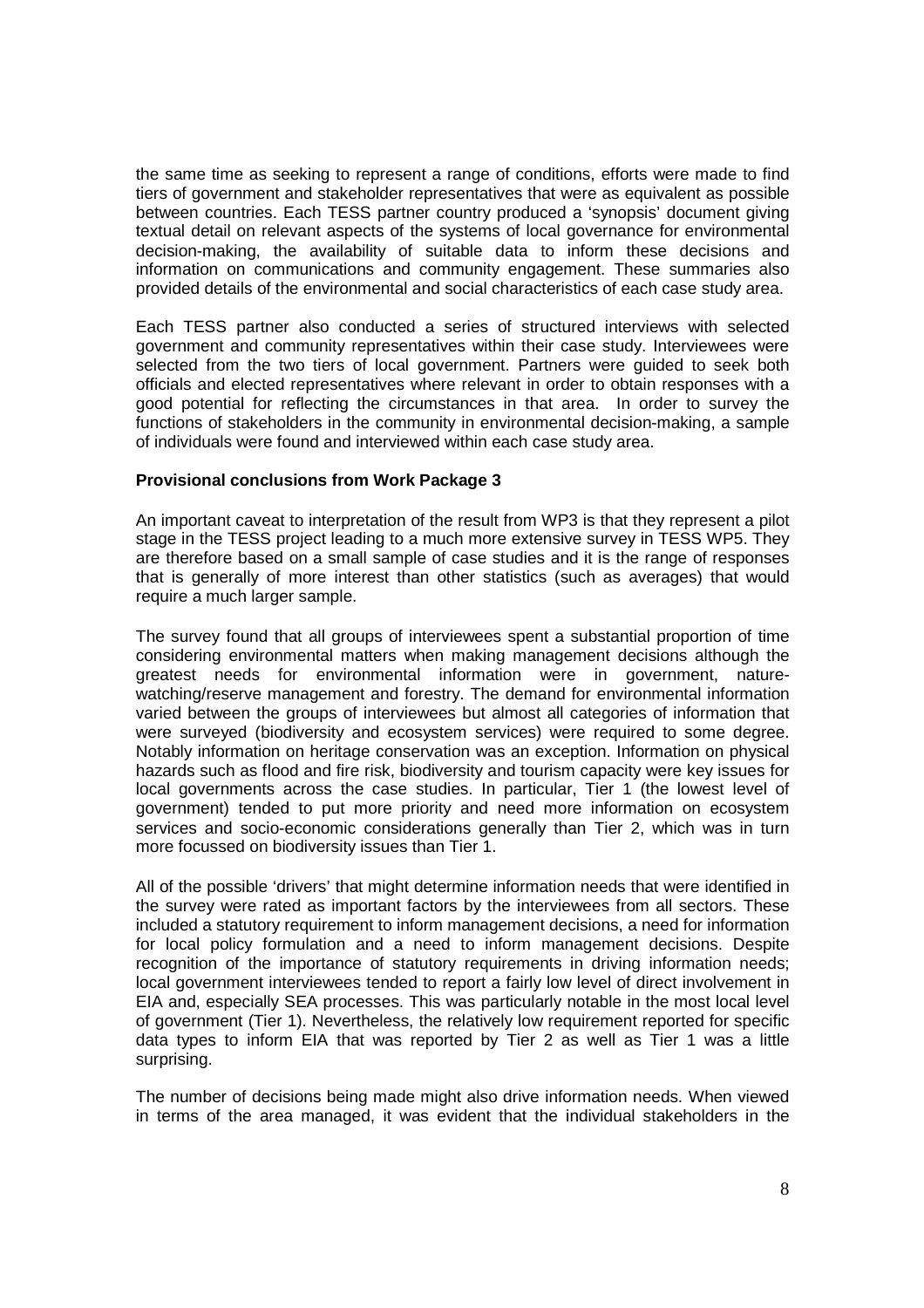the same time as seeking to represent a range of conditions, efforts were made to find tiers of government and stakeholder representatives that were as equivalent as possible between countries. Each TESS partner country produced a 'synopsis' document giving textual detail on relevant aspects of the systems of local governance for environmental decision-making, the availability of suitable data to inform these decisions and information on communications and community engagement. These summaries also provided details of the environmental and social characteristics of each case study area.

Each TESS partner also conducted a series of structured interviews with selected government and community representatives within their case study. Interviewees were selected from the two tiers of local government. Partners were guided to seek both officials and elected representatives where relevant in order to obtain responses with a good potential for reflecting the circumstances in that area. In order to survey the functions of stakeholders in the community in environmental decision-making, a sample of individuals were found and interviewed within each case study area.

#### **Provisional conclusions from Work Package 3**

An important caveat to interpretation of the result from WP3 is that they represent a pilot stage in the TESS project leading to a much more extensive survey in TESS WP5. They are therefore based on a small sample of case studies and it is the range of responses that is generally of more interest than other statistics (such as averages) that would require a much larger sample.

The survey found that all groups of interviewees spent a substantial proportion of time considering environmental matters when making management decisions although the greatest needs for environmental information were in government, naturewatching/reserve management and forestry. The demand for environmental information varied between the groups of interviewees but almost all categories of information that were surveyed (biodiversity and ecosystem services) were required to some degree. Notably information on heritage conservation was an exception. Information on physical hazards such as flood and fire risk, biodiversity and tourism capacity were key issues for local governments across the case studies. In particular, Tier 1 (the lowest level of government) tended to put more priority and need more information on ecosystem services and socio-economic considerations generally than Tier 2, which was in turn more focussed on biodiversity issues than Tier 1.

All of the possible 'drivers' that might determine information needs that were identified in the survey were rated as important factors by the interviewees from all sectors. These included a statutory requirement to inform management decisions, a need for information for local policy formulation and a need to inform management decisions. Despite recognition of the importance of statutory requirements in driving information needs; local government interviewees tended to report a fairly low level of direct involvement in EIA and, especially SEA processes. This was particularly notable in the most local level of government (Tier 1). Nevertheless, the relatively low requirement reported for specific data types to inform EIA that was reported by Tier 2 as well as Tier 1 was a little surprising.

The number of decisions being made might also drive information needs. When viewed in terms of the area managed, it was evident that the individual stakeholders in the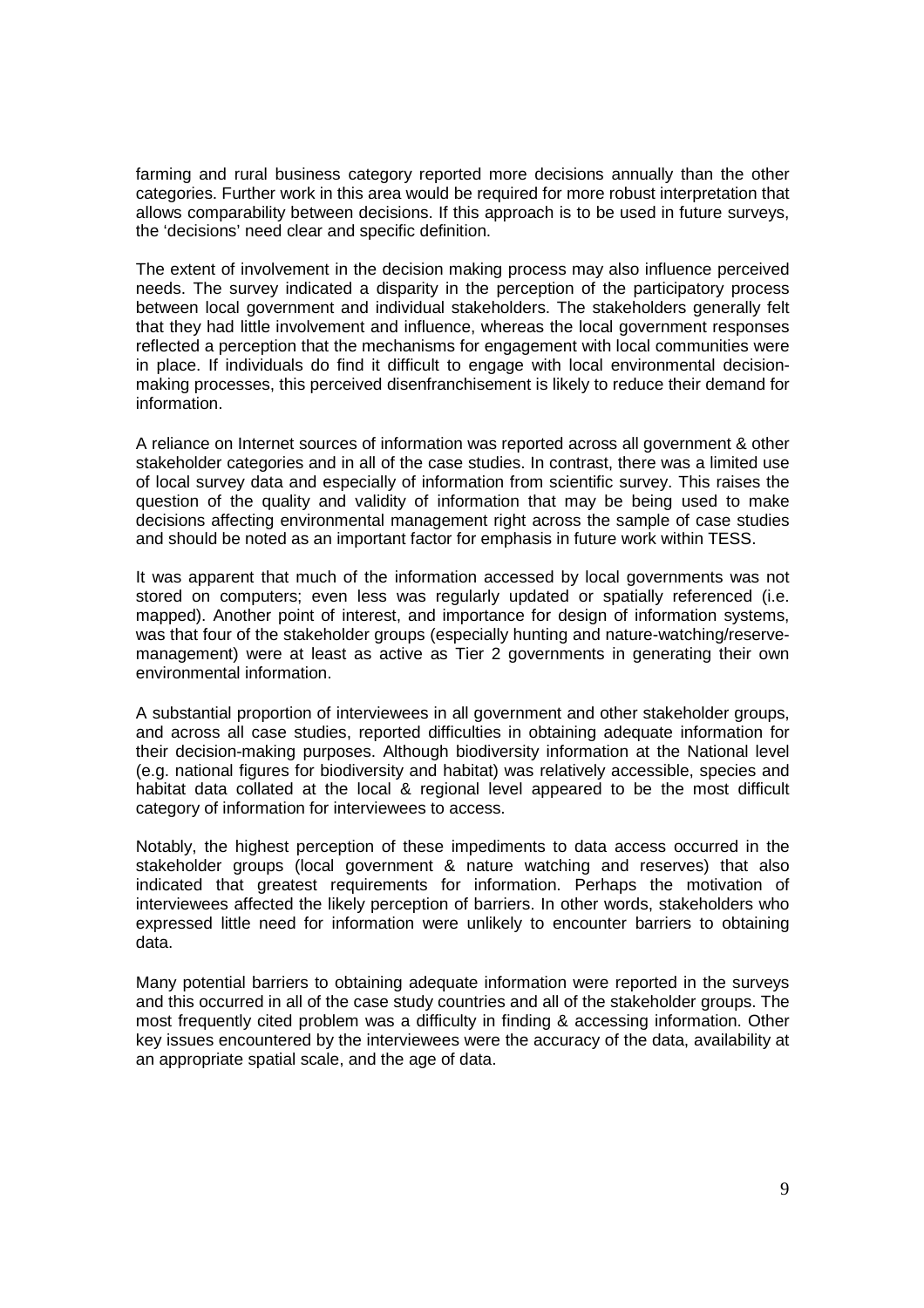farming and rural business category reported more decisions annually than the other categories. Further work in this area would be required for more robust interpretation that allows comparability between decisions. If this approach is to be used in future surveys, the 'decisions' need clear and specific definition.

The extent of involvement in the decision making process may also influence perceived needs. The survey indicated a disparity in the perception of the participatory process between local government and individual stakeholders. The stakeholders generally felt that they had little involvement and influence, whereas the local government responses reflected a perception that the mechanisms for engagement with local communities were in place. If individuals do find it difficult to engage with local environmental decisionmaking processes, this perceived disenfranchisement is likely to reduce their demand for information.

A reliance on Internet sources of information was reported across all government & other stakeholder categories and in all of the case studies. In contrast, there was a limited use of local survey data and especially of information from scientific survey. This raises the question of the quality and validity of information that may be being used to make decisions affecting environmental management right across the sample of case studies and should be noted as an important factor for emphasis in future work within TESS.

It was apparent that much of the information accessed by local governments was not stored on computers; even less was regularly updated or spatially referenced (i.e. mapped). Another point of interest, and importance for design of information systems, was that four of the stakeholder groups (especially hunting and nature-watching/reservemanagement) were at least as active as Tier 2 governments in generating their own environmental information.

A substantial proportion of interviewees in all government and other stakeholder groups, and across all case studies, reported difficulties in obtaining adequate information for their decision-making purposes. Although biodiversity information at the National level (e.g. national figures for biodiversity and habitat) was relatively accessible, species and habitat data collated at the local & regional level appeared to be the most difficult category of information for interviewees to access.

Notably, the highest perception of these impediments to data access occurred in the stakeholder groups (local government & nature watching and reserves) that also indicated that greatest requirements for information. Perhaps the motivation of interviewees affected the likely perception of barriers. In other words, stakeholders who expressed little need for information were unlikely to encounter barriers to obtaining data.

Many potential barriers to obtaining adequate information were reported in the surveys and this occurred in all of the case study countries and all of the stakeholder groups. The most frequently cited problem was a difficulty in finding & accessing information. Other key issues encountered by the interviewees were the accuracy of the data, availability at an appropriate spatial scale, and the age of data.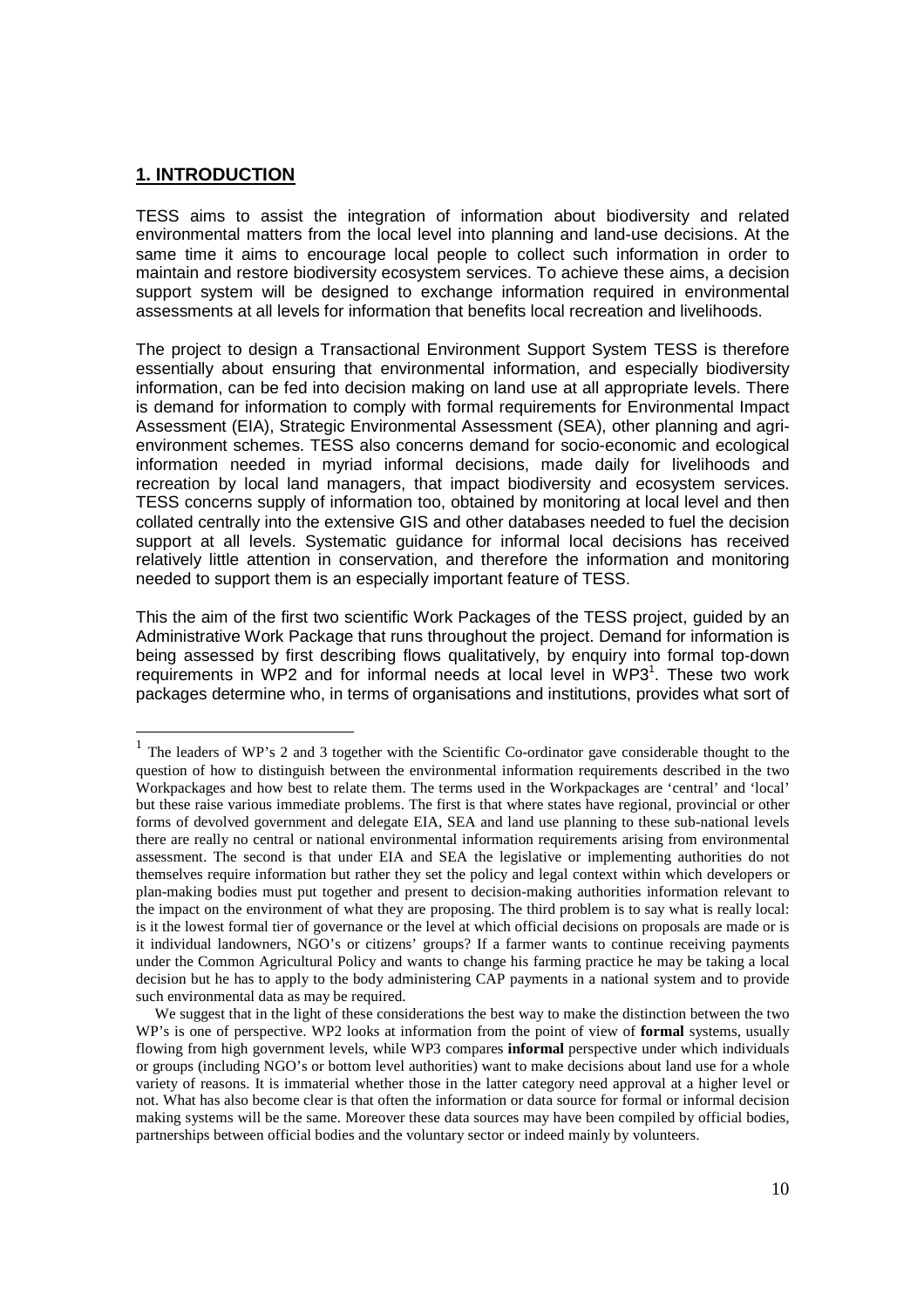#### **1. INTRODUCTION**

l

TESS aims to assist the integration of information about biodiversity and related environmental matters from the local level into planning and land-use decisions. At the same time it aims to encourage local people to collect such information in order to maintain and restore biodiversity ecosystem services. To achieve these aims, a decision support system will be designed to exchange information required in environmental assessments at all levels for information that benefits local recreation and livelihoods.

The project to design a Transactional Environment Support System TESS is therefore essentially about ensuring that environmental information, and especially biodiversity information, can be fed into decision making on land use at all appropriate levels. There is demand for information to comply with formal requirements for Environmental Impact Assessment (EIA), Strategic Environmental Assessment (SEA), other planning and agrienvironment schemes. TESS also concerns demand for socio-economic and ecological information needed in myriad informal decisions, made daily for livelihoods and recreation by local land managers, that impact biodiversity and ecosystem services. TESS concerns supply of information too, obtained by monitoring at local level and then collated centrally into the extensive GIS and other databases needed to fuel the decision support at all levels. Systematic guidance for informal local decisions has received relatively little attention in conservation, and therefore the information and monitoring needed to support them is an especially important feature of TESS.

This the aim of the first two scientific Work Packages of the TESS project, guided by an Administrative Work Package that runs throughout the project. Demand for information is being assessed by first describing flows qualitatively, by enquiry into formal top-down requirements in WP2 and for informal needs at local level in WP3 $1$ . These two work packages determine who, in terms of organisations and institutions, provides what sort of

<sup>&</sup>lt;sup>1</sup> The leaders of WP's 2 and 3 together with the Scientific Co-ordinator gave considerable thought to the question of how to distinguish between the environmental information requirements described in the two Workpackages and how best to relate them. The terms used in the Workpackages are 'central' and 'local' but these raise various immediate problems. The first is that where states have regional, provincial or other forms of devolved government and delegate EIA, SEA and land use planning to these sub-national levels there are really no central or national environmental information requirements arising from environmental assessment. The second is that under EIA and SEA the legislative or implementing authorities do not themselves require information but rather they set the policy and legal context within which developers or plan-making bodies must put together and present to decision-making authorities information relevant to the impact on the environment of what they are proposing. The third problem is to say what is really local: is it the lowest formal tier of governance or the level at which official decisions on proposals are made or is it individual landowners, NGO's or citizens' groups? If a farmer wants to continue receiving payments under the Common Agricultural Policy and wants to change his farming practice he may be taking a local decision but he has to apply to the body administering CAP payments in a national system and to provide such environmental data as may be required.

We suggest that in the light of these considerations the best way to make the distinction between the two WP's is one of perspective. WP2 looks at information from the point of view of **formal** systems, usually flowing from high government levels, while WP3 compares **informal** perspective under which individuals or groups (including NGO's or bottom level authorities) want to make decisions about land use for a whole variety of reasons. It is immaterial whether those in the latter category need approval at a higher level or not. What has also become clear is that often the information or data source for formal or informal decision making systems will be the same. Moreover these data sources may have been compiled by official bodies, partnerships between official bodies and the voluntary sector or indeed mainly by volunteers.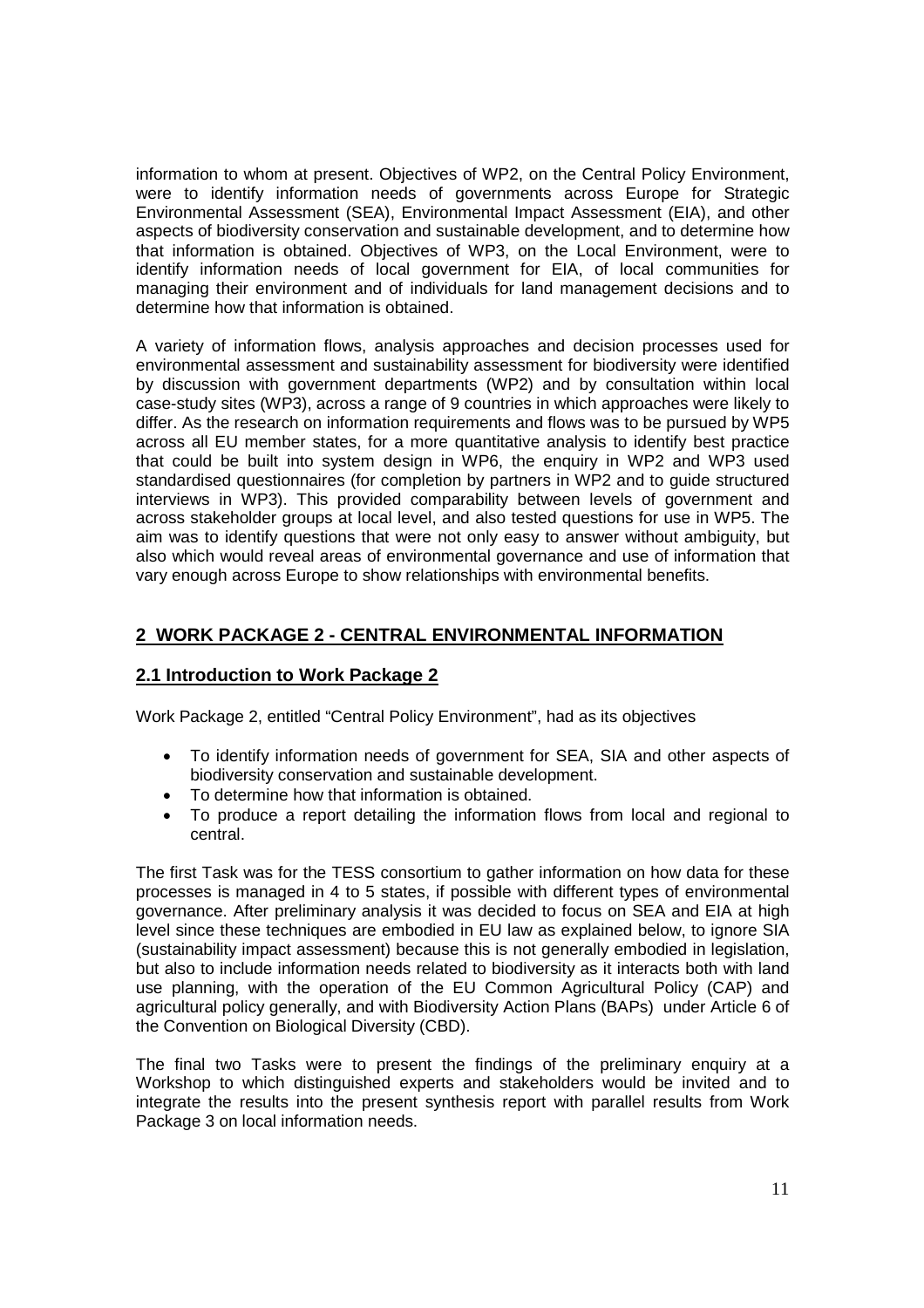information to whom at present. Objectives of WP2, on the Central Policy Environment, were to identify information needs of governments across Europe for Strategic Environmental Assessment (SEA), Environmental Impact Assessment (EIA), and other aspects of biodiversity conservation and sustainable development, and to determine how that information is obtained. Objectives of WP3, on the Local Environment, were to identify information needs of local government for EIA, of local communities for managing their environment and of individuals for land management decisions and to determine how that information is obtained.

A variety of information flows, analysis approaches and decision processes used for environmental assessment and sustainability assessment for biodiversity were identified by discussion with government departments (WP2) and by consultation within local case-study sites (WP3), across a range of 9 countries in which approaches were likely to differ. As the research on information requirements and flows was to be pursued by WP5 across all EU member states, for a more quantitative analysis to identify best practice that could be built into system design in WP6, the enquiry in WP2 and WP3 used standardised questionnaires (for completion by partners in WP2 and to guide structured interviews in WP3). This provided comparability between levels of government and across stakeholder groups at local level, and also tested questions for use in WP5. The aim was to identify questions that were not only easy to answer without ambiguity, but also which would reveal areas of environmental governance and use of information that vary enough across Europe to show relationships with environmental benefits.

## **2 WORK PACKAGE 2 - CENTRAL ENVIRONMENTAL INFORMATION**

#### **2.1 Introduction to Work Package 2**

Work Package 2, entitled "Central Policy Environment", had as its objectives

- To identify information needs of government for SEA, SIA and other aspects of biodiversity conservation and sustainable development.
- To determine how that information is obtained.
- To produce a report detailing the information flows from local and regional to central.

The first Task was for the TESS consortium to gather information on how data for these processes is managed in 4 to 5 states, if possible with different types of environmental governance. After preliminary analysis it was decided to focus on SEA and EIA at high level since these techniques are embodied in EU law as explained below, to ignore SIA (sustainability impact assessment) because this is not generally embodied in legislation, but also to include information needs related to biodiversity as it interacts both with land use planning, with the operation of the EU Common Agricultural Policy (CAP) and agricultural policy generally, and with Biodiversity Action Plans (BAPs) under Article 6 of the Convention on Biological Diversity (CBD).

The final two Tasks were to present the findings of the preliminary enquiry at a Workshop to which distinguished experts and stakeholders would be invited and to integrate the results into the present synthesis report with parallel results from Work Package 3 on local information needs.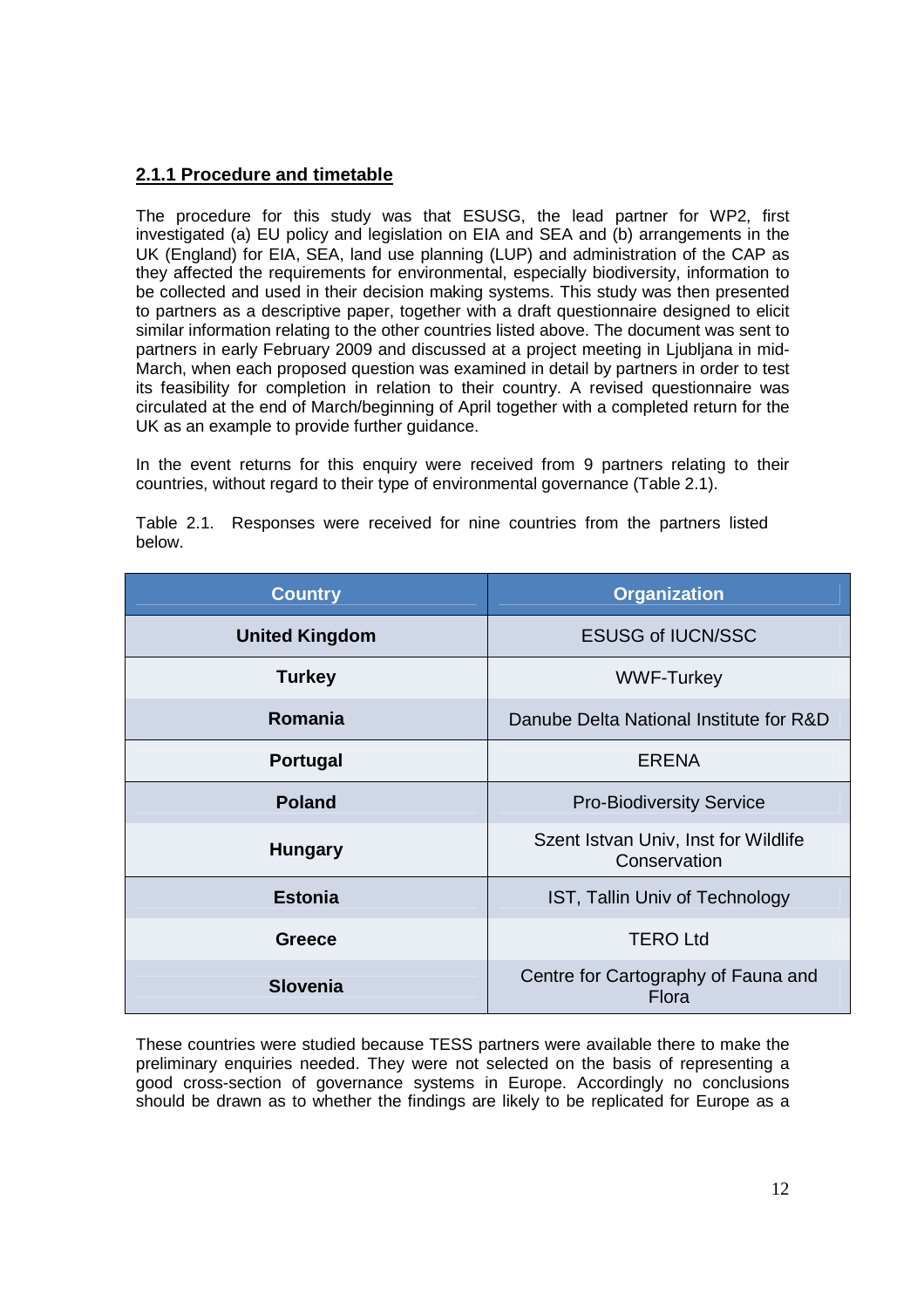## **2.1.1 Procedure and timetable**

The procedure for this study was that ESUSG, the lead partner for WP2, first investigated (a) EU policy and legislation on EIA and SEA and (b) arrangements in the UK (England) for EIA, SEA, land use planning (LUP) and administration of the CAP as they affected the requirements for environmental, especially biodiversity, information to be collected and used in their decision making systems. This study was then presented to partners as a descriptive paper, together with a draft questionnaire designed to elicit similar information relating to the other countries listed above. The document was sent to partners in early February 2009 and discussed at a project meeting in Ljubljana in mid-March, when each proposed question was examined in detail by partners in order to test its feasibility for completion in relation to their country. A revised questionnaire was circulated at the end of March/beginning of April together with a completed return for the UK as an example to provide further guidance.

In the event returns for this enquiry were received from 9 partners relating to their countries, without regard to their type of environmental governance (Table 2.1).

| <b>Country</b>        | <b>Organization</b>                                  |  |
|-----------------------|------------------------------------------------------|--|
| <b>United Kingdom</b> | <b>ESUSG of IUCN/SSC</b>                             |  |
| <b>Turkey</b>         | <b>WWF-Turkey</b>                                    |  |
| Romania               | Danube Delta National Institute for R&D              |  |
| <b>Portugal</b>       | <b>ERENA</b>                                         |  |
| <b>Poland</b>         | <b>Pro-Biodiversity Service</b>                      |  |
| <b>Hungary</b>        | Szent Istvan Univ, Inst for Wildlife<br>Conservation |  |
| <b>Estonia</b>        | IST, Tallin Univ of Technology                       |  |
| Greece                | <b>TERO Ltd</b>                                      |  |
| <b>Slovenia</b>       | Centre for Cartography of Fauna and<br>Flora         |  |

Table 2.1. Responses were received for nine countries from the partners listed below.

These countries were studied because TESS partners were available there to make the preliminary enquiries needed. They were not selected on the basis of representing a good cross-section of governance systems in Europe. Accordingly no conclusions should be drawn as to whether the findings are likely to be replicated for Europe as a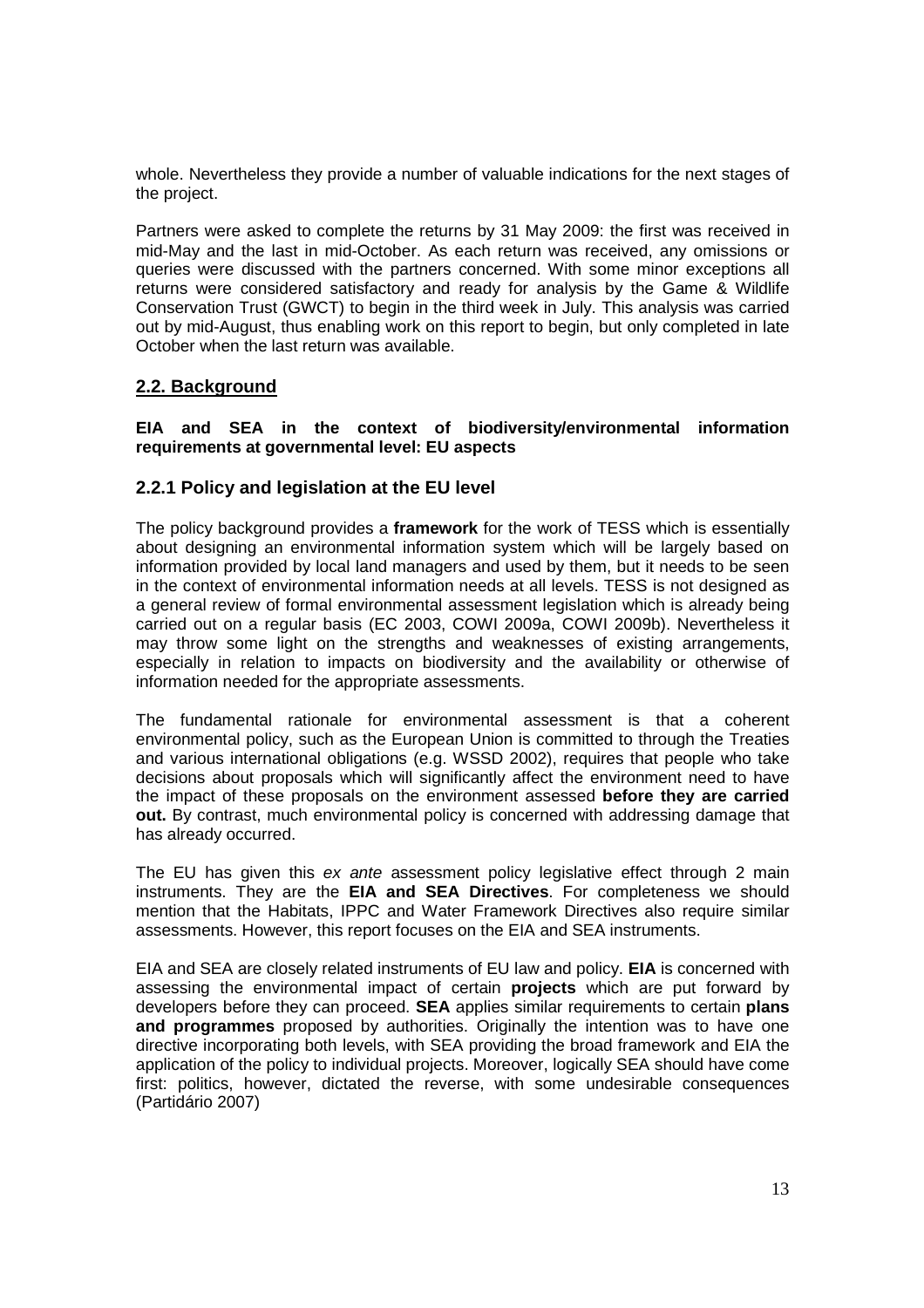whole. Nevertheless they provide a number of valuable indications for the next stages of the project.

Partners were asked to complete the returns by 31 May 2009: the first was received in mid-May and the last in mid-October. As each return was received, any omissions or queries were discussed with the partners concerned. With some minor exceptions all returns were considered satisfactory and ready for analysis by the Game & Wildlife Conservation Trust (GWCT) to begin in the third week in July. This analysis was carried out by mid-August, thus enabling work on this report to begin, but only completed in late October when the last return was available.

## **2.2. Background**

#### **EIA and SEA in the context of biodiversity/environmental information requirements at governmental level: EU aspects**

#### **2.2.1 Policy and legislation at the EU level**

The policy background provides a **framework** for the work of TESS which is essentially about designing an environmental information system which will be largely based on information provided by local land managers and used by them, but it needs to be seen in the context of environmental information needs at all levels. TESS is not designed as a general review of formal environmental assessment legislation which is already being carried out on a regular basis (EC 2003, COWI 2009a, COWI 2009b). Nevertheless it may throw some light on the strengths and weaknesses of existing arrangements, especially in relation to impacts on biodiversity and the availability or otherwise of information needed for the appropriate assessments.

The fundamental rationale for environmental assessment is that a coherent environmental policy, such as the European Union is committed to through the Treaties and various international obligations (e.g. WSSD 2002), requires that people who take decisions about proposals which will significantly affect the environment need to have the impact of these proposals on the environment assessed **before they are carried out.** By contrast, much environmental policy is concerned with addressing damage that has already occurred.

The EU has given this ex ante assessment policy legislative effect through 2 main instruments. They are the **EIA and SEA Directives**. For completeness we should mention that the Habitats, IPPC and Water Framework Directives also require similar assessments. However, this report focuses on the EIA and SEA instruments.

EIA and SEA are closely related instruments of EU law and policy. **EIA** is concerned with assessing the environmental impact of certain **projects** which are put forward by developers before they can proceed. **SEA** applies similar requirements to certain **plans and programmes** proposed by authorities. Originally the intention was to have one directive incorporating both levels, with SEA providing the broad framework and EIA the application of the policy to individual projects. Moreover, logically SEA should have come first: politics, however, dictated the reverse, with some undesirable consequences (Partidário 2007)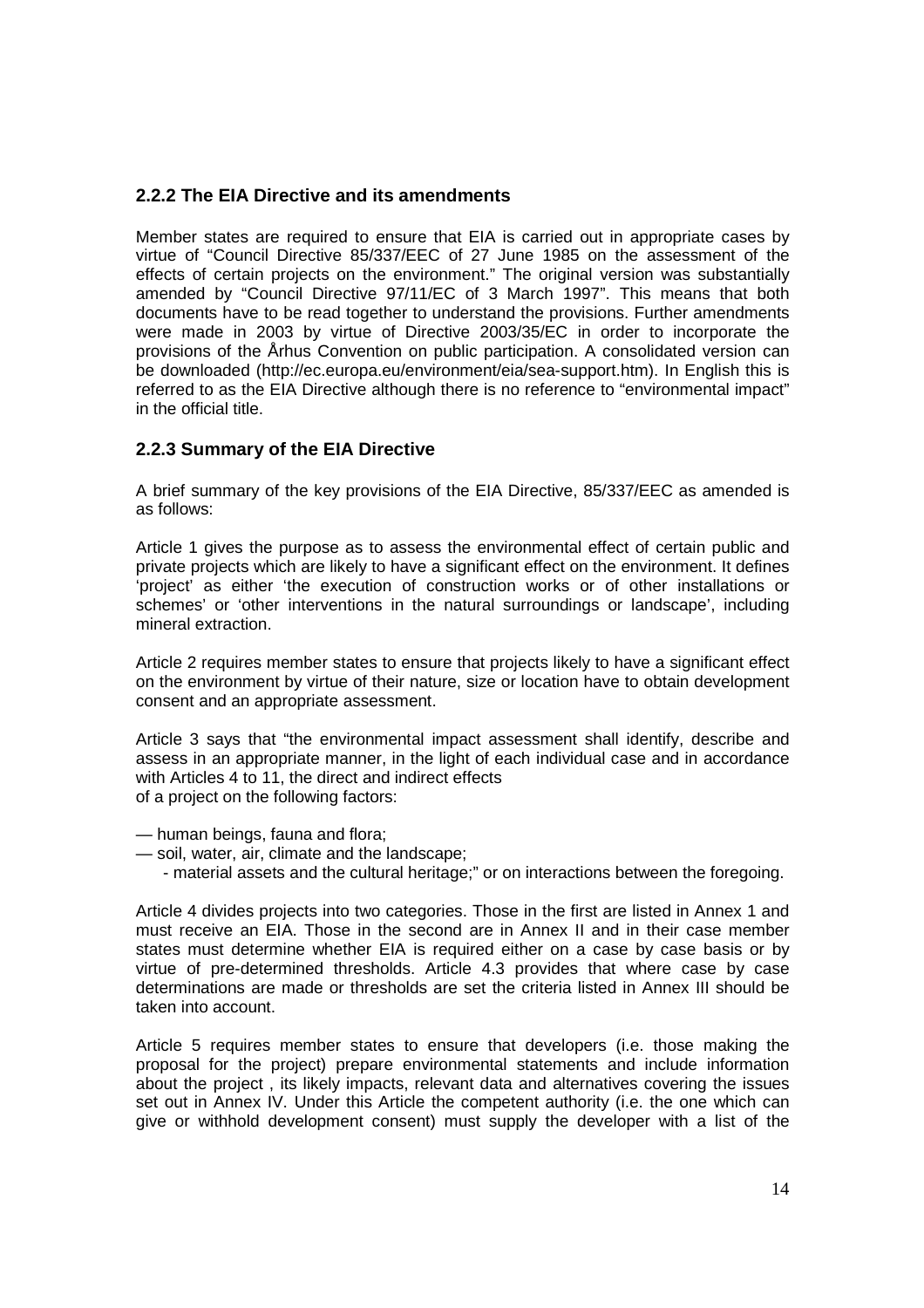#### **2.2.2 The EIA Directive and its amendments**

Member states are required to ensure that EIA is carried out in appropriate cases by virtue of "Council Directive 85/337/EEC of 27 June 1985 on the assessment of the effects of certain projects on the environment." The original version was substantially amended by "Council Directive 97/11/EC of 3 March 1997". This means that both documents have to be read together to understand the provisions. Further amendments were made in 2003 by virtue of Directive 2003/35/EC in order to incorporate the provisions of the Århus Convention on public participation. A consolidated version can be downloaded (http://ec.europa.eu/environment/eia/sea-support.htm). In English this is referred to as the EIA Directive although there is no reference to "environmental impact" in the official title.

#### **2.2.3 Summary of the EIA Directive**

A brief summary of the key provisions of the EIA Directive, 85/337/EEC as amended is as follows:

Article 1 gives the purpose as to assess the environmental effect of certain public and private projects which are likely to have a significant effect on the environment. It defines 'project' as either 'the execution of construction works or of other installations or schemes' or 'other interventions in the natural surroundings or landscape', including mineral extraction.

Article 2 requires member states to ensure that projects likely to have a significant effect on the environment by virtue of their nature, size or location have to obtain development consent and an appropriate assessment.

Article 3 says that "the environmental impact assessment shall identify, describe and assess in an appropriate manner, in the light of each individual case and in accordance with Articles 4 to 11, the direct and indirect effects of a project on the following factors:

- human beings, fauna and flora;
- soil, water, air, climate and the landscape;
	- material assets and the cultural heritage;" or on interactions between the foregoing.

Article 4 divides projects into two categories. Those in the first are listed in Annex 1 and must receive an EIA. Those in the second are in Annex II and in their case member states must determine whether EIA is required either on a case by case basis or by virtue of pre-determined thresholds. Article 4.3 provides that where case by case determinations are made or thresholds are set the criteria listed in Annex III should be taken into account.

Article 5 requires member states to ensure that developers (i.e. those making the proposal for the project) prepare environmental statements and include information about the project , its likely impacts, relevant data and alternatives covering the issues set out in Annex IV. Under this Article the competent authority (i.e. the one which can give or withhold development consent) must supply the developer with a list of the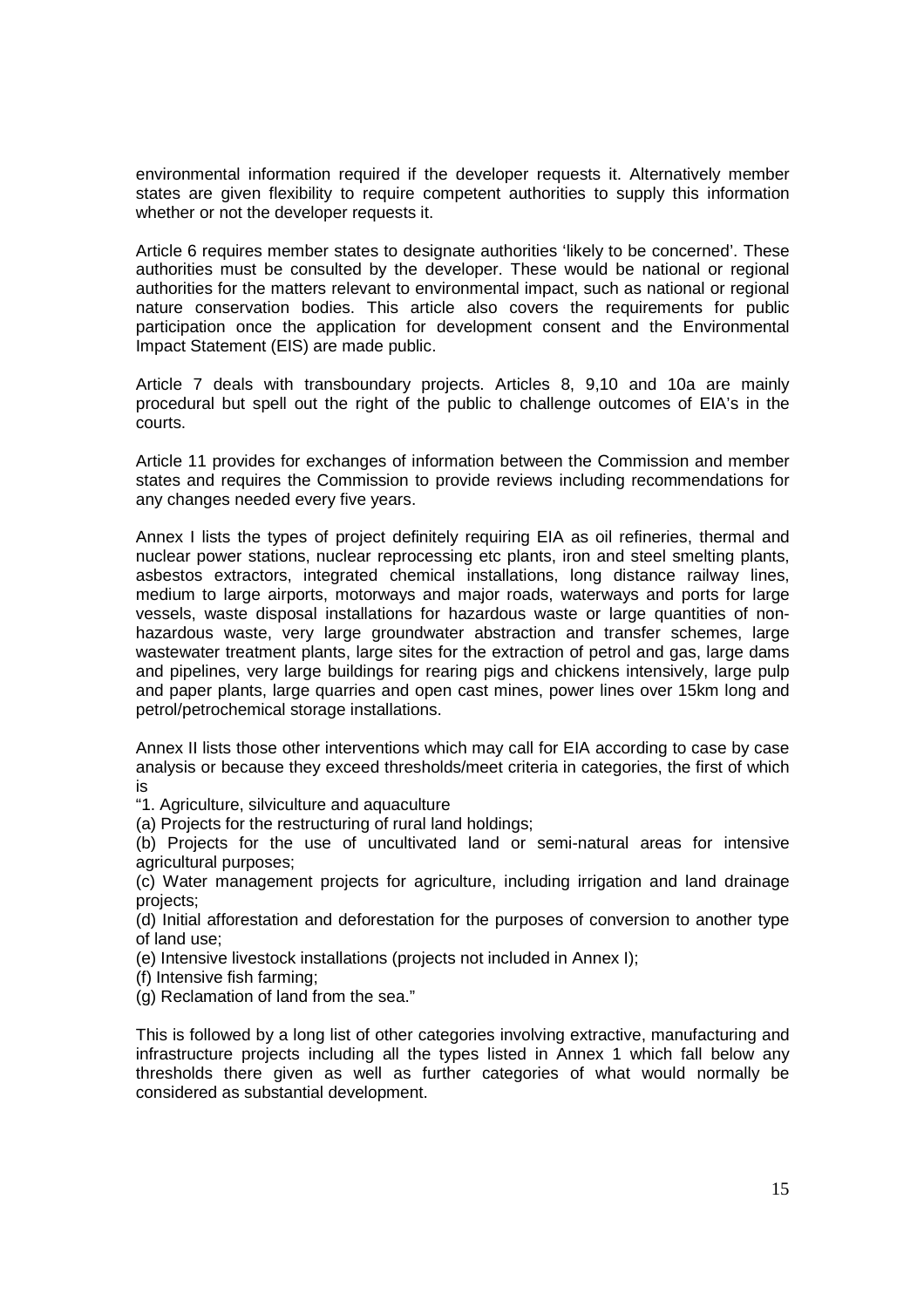environmental information required if the developer requests it. Alternatively member states are given flexibility to require competent authorities to supply this information whether or not the developer requests it.

Article 6 requires member states to designate authorities 'likely to be concerned'. These authorities must be consulted by the developer. These would be national or regional authorities for the matters relevant to environmental impact, such as national or regional nature conservation bodies. This article also covers the requirements for public participation once the application for development consent and the Environmental Impact Statement (EIS) are made public.

Article 7 deals with transboundary projects. Articles 8, 9,10 and 10a are mainly procedural but spell out the right of the public to challenge outcomes of EIA's in the courts.

Article 11 provides for exchanges of information between the Commission and member states and requires the Commission to provide reviews including recommendations for any changes needed every five years.

Annex I lists the types of project definitely requiring EIA as oil refineries, thermal and nuclear power stations, nuclear reprocessing etc plants, iron and steel smelting plants, asbestos extractors, integrated chemical installations, long distance railway lines, medium to large airports, motorways and major roads, waterways and ports for large vessels, waste disposal installations for hazardous waste or large quantities of nonhazardous waste, very large groundwater abstraction and transfer schemes, large wastewater treatment plants, large sites for the extraction of petrol and gas, large dams and pipelines, very large buildings for rearing pigs and chickens intensively, large pulp and paper plants, large quarries and open cast mines, power lines over 15km long and petrol/petrochemical storage installations.

Annex II lists those other interventions which may call for EIA according to case by case analysis or because they exceed thresholds/meet criteria in categories, the first of which is

"1. Agriculture, silviculture and aquaculture

(a) Projects for the restructuring of rural land holdings;

(b) Projects for the use of uncultivated land or semi-natural areas for intensive agricultural purposes;

(c) Water management projects for agriculture, including irrigation and land drainage projects;

(d) Initial afforestation and deforestation for the purposes of conversion to another type of land use;

(e) Intensive livestock installations (projects not included in Annex I);

(f) Intensive fish farming;

(g) Reclamation of land from the sea."

This is followed by a long list of other categories involving extractive, manufacturing and infrastructure projects including all the types listed in Annex 1 which fall below any thresholds there given as well as further categories of what would normally be considered as substantial development.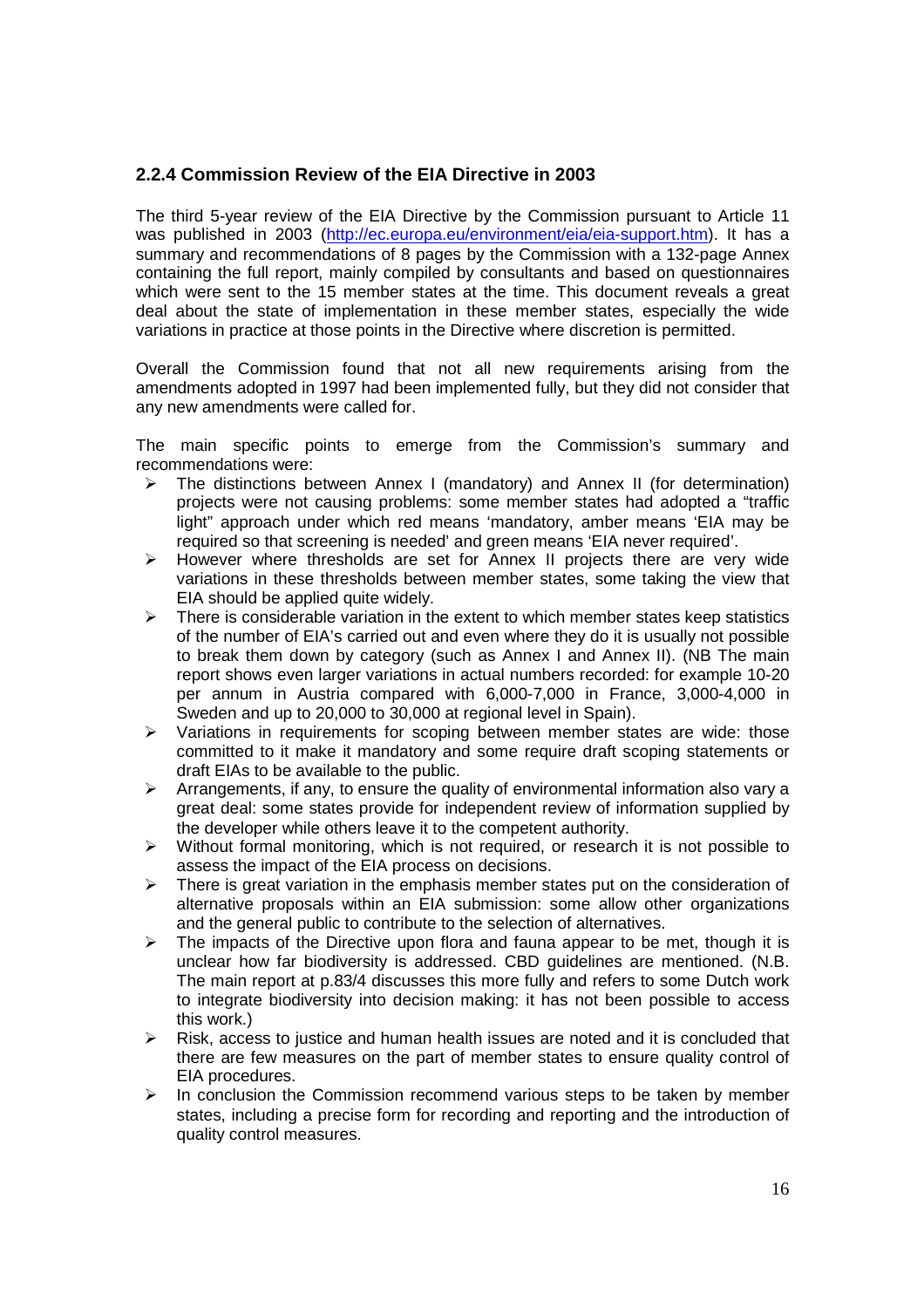## **2.2.4 Commission Review of the EIA Directive in 2003**

The third 5-year review of the EIA Directive by the Commission pursuant to Article 11 was published in 2003 (http://ec.europa.eu/environment/eia/eia-support.htm). It has a summary and recommendations of 8 pages by the Commission with a 132-page Annex containing the full report, mainly compiled by consultants and based on questionnaires which were sent to the 15 member states at the time. This document reveals a great deal about the state of implementation in these member states, especially the wide variations in practice at those points in the Directive where discretion is permitted.

Overall the Commission found that not all new requirements arising from the amendments adopted in 1997 had been implemented fully, but they did not consider that any new amendments were called for.

The main specific points to emerge from the Commission's summary and recommendations were:

- $\triangleright$  The distinctions between Annex I (mandatory) and Annex II (for determination) projects were not causing problems: some member states had adopted a "traffic light" approach under which red means 'mandatory, amber means 'EIA may be required so that screening is needed' and green means 'EIA never required'.
- $\triangleright$  However where thresholds are set for Annex II projects there are very wide variations in these thresholds between member states, some taking the view that EIA should be applied quite widely.
- $\triangleright$  There is considerable variation in the extent to which member states keep statistics of the number of EIA's carried out and even where they do it is usually not possible to break them down by category (such as Annex I and Annex II). (NB The main report shows even larger variations in actual numbers recorded: for example 10-20 per annum in Austria compared with 6,000-7,000 in France, 3,000-4,000 in Sweden and up to 20,000 to 30,000 at regional level in Spain).
- $\triangleright$  Variations in requirements for scoping between member states are wide: those committed to it make it mandatory and some require draft scoping statements or draft EIAs to be available to the public.
- $\triangleright$  Arrangements, if any, to ensure the quality of environmental information also vary a great deal: some states provide for independent review of information supplied by the developer while others leave it to the competent authority.
- $\triangleright$  Without formal monitoring, which is not required, or research it is not possible to assess the impact of the EIA process on decisions.
- There is great variation in the emphasis member states put on the consideration of alternative proposals within an EIA submission: some allow other organizations and the general public to contribute to the selection of alternatives.
- $\triangleright$  The impacts of the Directive upon flora and fauna appear to be met, though it is unclear how far biodiversity is addressed. CBD guidelines are mentioned. (N.B. The main report at p.83/4 discusses this more fully and refers to some Dutch work to integrate biodiversity into decision making: it has not been possible to access this work.)
- $\triangleright$  Risk, access to justice and human health issues are noted and it is concluded that there are few measures on the part of member states to ensure quality control of EIA procedures.
- $\triangleright$  In conclusion the Commission recommend various steps to be taken by member states, including a precise form for recording and reporting and the introduction of quality control measures.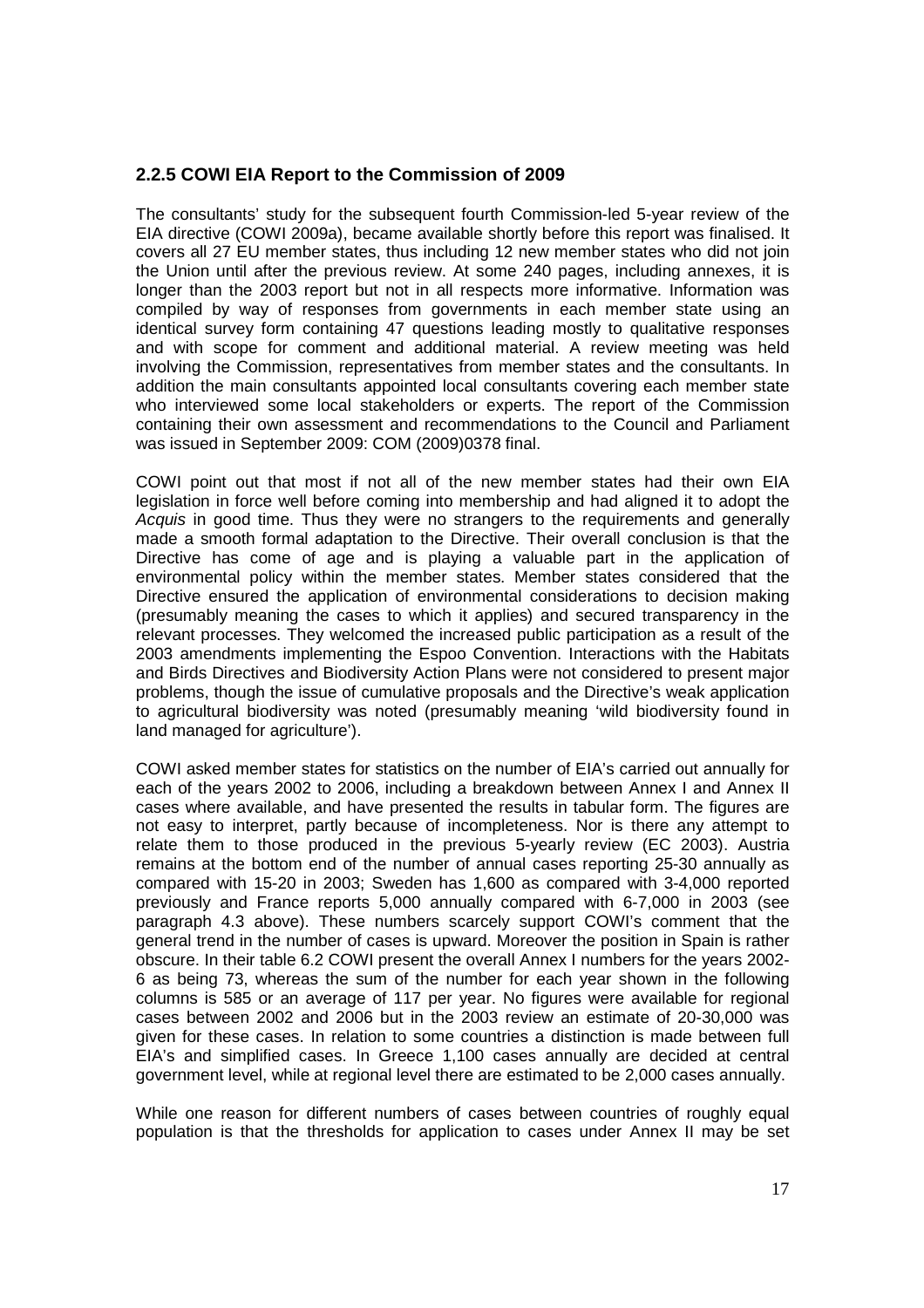## **2.2.5 COWI EIA Report to the Commission of 2009**

The consultants' study for the subsequent fourth Commission-led 5-year review of the EIA directive (COWI 2009a), became available shortly before this report was finalised. It covers all 27 EU member states, thus including 12 new member states who did not join the Union until after the previous review. At some 240 pages, including annexes, it is longer than the 2003 report but not in all respects more informative. Information was compiled by way of responses from governments in each member state using an identical survey form containing 47 questions leading mostly to qualitative responses and with scope for comment and additional material. A review meeting was held involving the Commission, representatives from member states and the consultants. In addition the main consultants appointed local consultants covering each member state who interviewed some local stakeholders or experts. The report of the Commission containing their own assessment and recommendations to the Council and Parliament was issued in September 2009: COM (2009)0378 final.

COWI point out that most if not all of the new member states had their own EIA legislation in force well before coming into membership and had aligned it to adopt the Acquis in good time. Thus they were no strangers to the requirements and generally made a smooth formal adaptation to the Directive. Their overall conclusion is that the Directive has come of age and is playing a valuable part in the application of environmental policy within the member states. Member states considered that the Directive ensured the application of environmental considerations to decision making (presumably meaning the cases to which it applies) and secured transparency in the relevant processes. They welcomed the increased public participation as a result of the 2003 amendments implementing the Espoo Convention. Interactions with the Habitats and Birds Directives and Biodiversity Action Plans were not considered to present major problems, though the issue of cumulative proposals and the Directive's weak application to agricultural biodiversity was noted (presumably meaning 'wild biodiversity found in land managed for agriculture').

COWI asked member states for statistics on the number of EIA's carried out annually for each of the years 2002 to 2006, including a breakdown between Annex I and Annex II cases where available, and have presented the results in tabular form. The figures are not easy to interpret, partly because of incompleteness. Nor is there any attempt to relate them to those produced in the previous 5-yearly review (EC 2003). Austria remains at the bottom end of the number of annual cases reporting 25-30 annually as compared with 15-20 in 2003; Sweden has 1,600 as compared with 3-4,000 reported previously and France reports 5,000 annually compared with 6-7,000 in 2003 (see paragraph 4.3 above). These numbers scarcely support COWI's comment that the general trend in the number of cases is upward. Moreover the position in Spain is rather obscure. In their table 6.2 COWI present the overall Annex I numbers for the years 2002- 6 as being 73, whereas the sum of the number for each year shown in the following columns is 585 or an average of 117 per year. No figures were available for regional cases between 2002 and 2006 but in the 2003 review an estimate of 20-30,000 was given for these cases. In relation to some countries a distinction is made between full EIA's and simplified cases. In Greece 1,100 cases annually are decided at central government level, while at regional level there are estimated to be 2,000 cases annually.

While one reason for different numbers of cases between countries of roughly equal population is that the thresholds for application to cases under Annex II may be set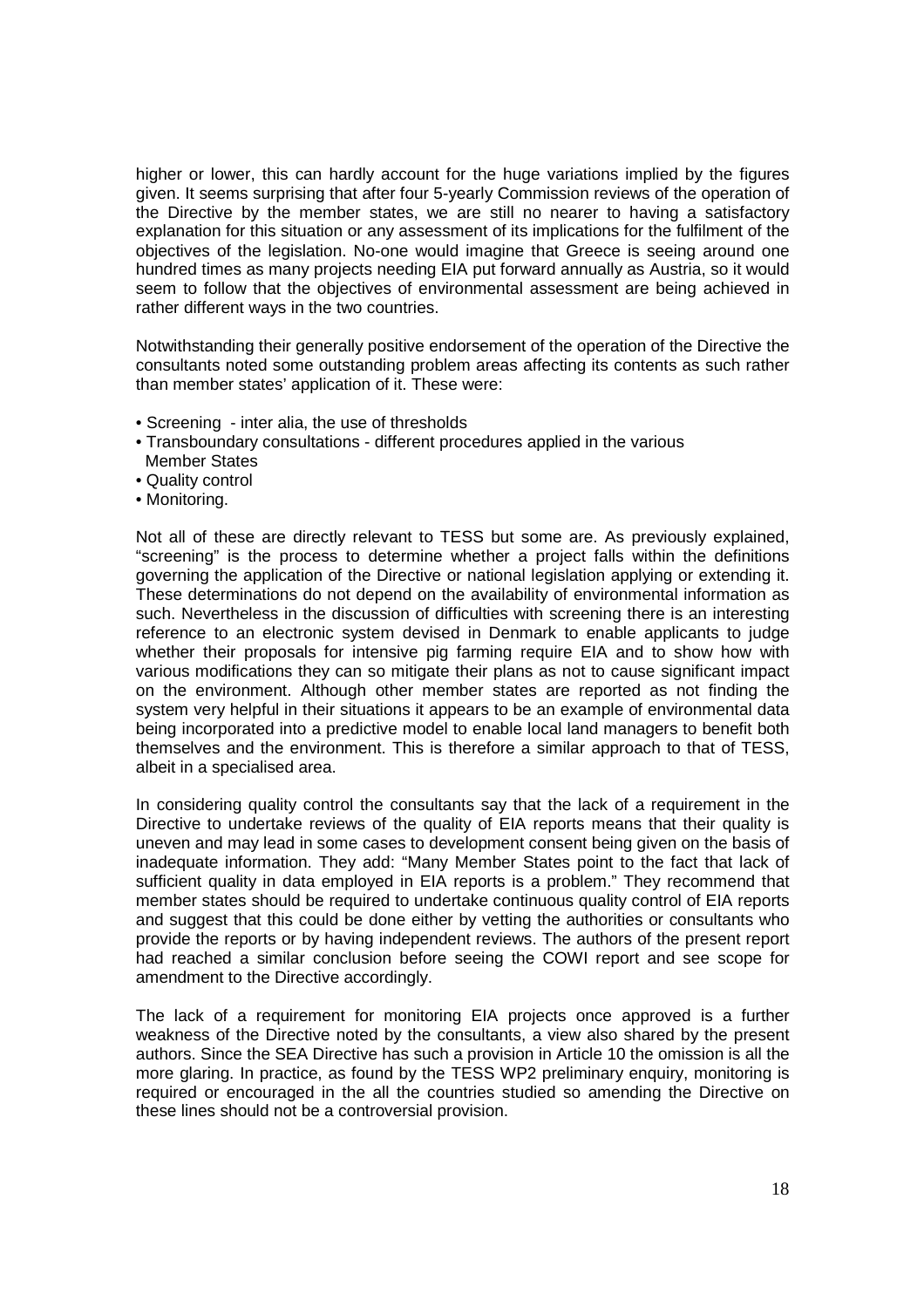higher or lower, this can hardly account for the huge variations implied by the figures given. It seems surprising that after four 5-yearly Commission reviews of the operation of the Directive by the member states, we are still no nearer to having a satisfactory explanation for this situation or any assessment of its implications for the fulfilment of the objectives of the legislation. No-one would imagine that Greece is seeing around one hundred times as many projects needing EIA put forward annually as Austria, so it would seem to follow that the objectives of environmental assessment are being achieved in rather different ways in the two countries.

Notwithstanding their generally positive endorsement of the operation of the Directive the consultants noted some outstanding problem areas affecting its contents as such rather than member states' application of it. These were:

- Screening inter alia, the use of thresholds
- Transboundary consultations different procedures applied in the various Member States
- Quality control
- Monitoring.

Not all of these are directly relevant to TESS but some are. As previously explained, "screening" is the process to determine whether a project falls within the definitions governing the application of the Directive or national legislation applying or extending it. These determinations do not depend on the availability of environmental information as such. Nevertheless in the discussion of difficulties with screening there is an interesting reference to an electronic system devised in Denmark to enable applicants to judge whether their proposals for intensive pig farming require EIA and to show how with various modifications they can so mitigate their plans as not to cause significant impact on the environment. Although other member states are reported as not finding the system very helpful in their situations it appears to be an example of environmental data being incorporated into a predictive model to enable local land managers to benefit both themselves and the environment. This is therefore a similar approach to that of TESS, albeit in a specialised area.

In considering quality control the consultants say that the lack of a requirement in the Directive to undertake reviews of the quality of EIA reports means that their quality is uneven and may lead in some cases to development consent being given on the basis of inadequate information. They add: "Many Member States point to the fact that lack of sufficient quality in data employed in EIA reports is a problem." They recommend that member states should be required to undertake continuous quality control of EIA reports and suggest that this could be done either by vetting the authorities or consultants who provide the reports or by having independent reviews. The authors of the present report had reached a similar conclusion before seeing the COWI report and see scope for amendment to the Directive accordingly.

The lack of a requirement for monitoring EIA projects once approved is a further weakness of the Directive noted by the consultants, a view also shared by the present authors. Since the SEA Directive has such a provision in Article 10 the omission is all the more glaring. In practice, as found by the TESS WP2 preliminary enquiry, monitoring is required or encouraged in the all the countries studied so amending the Directive on these lines should not be a controversial provision.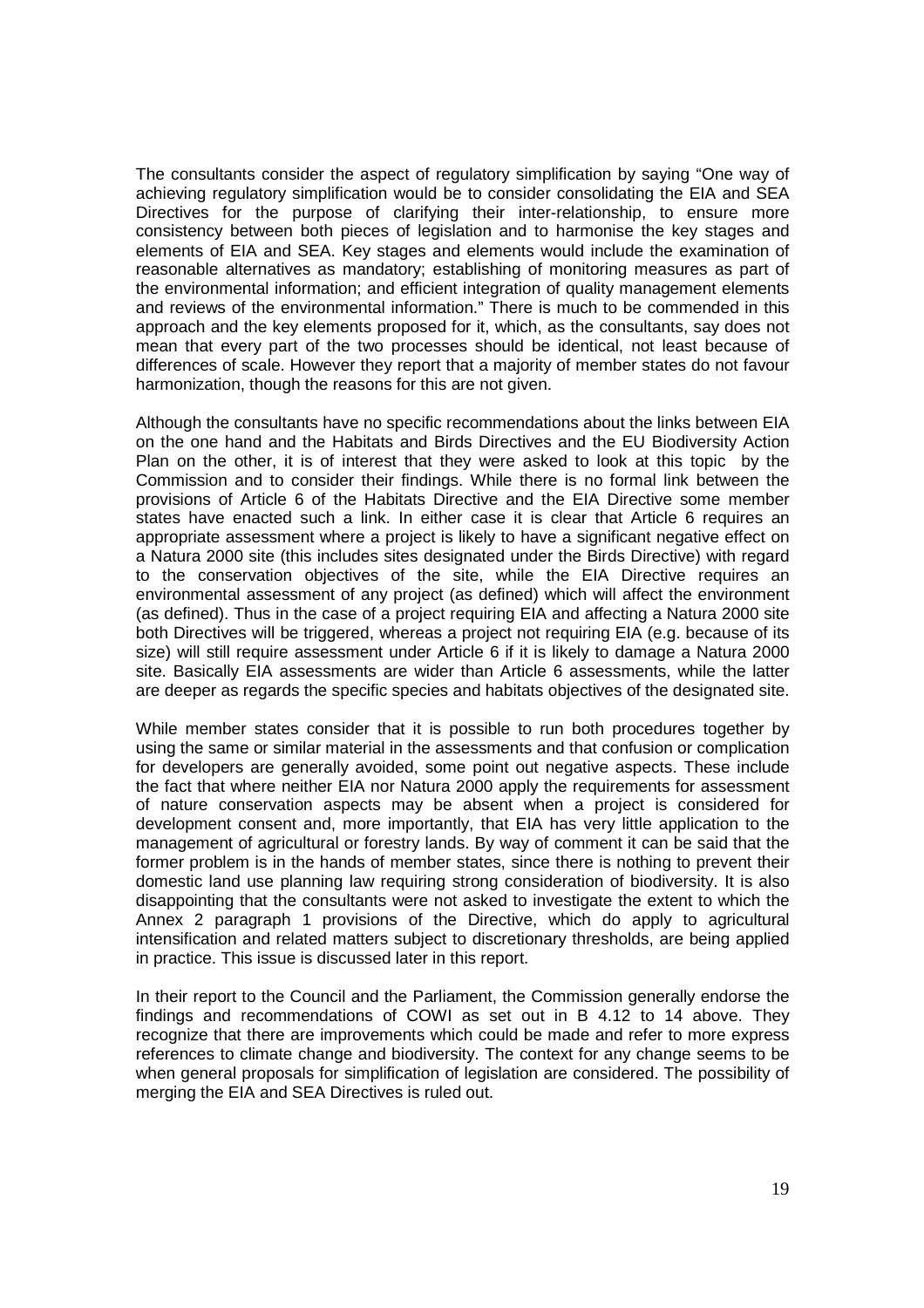The consultants consider the aspect of regulatory simplification by saying "One way of achieving regulatory simplification would be to consider consolidating the EIA and SEA Directives for the purpose of clarifying their inter-relationship, to ensure more consistency between both pieces of legislation and to harmonise the key stages and elements of EIA and SEA. Key stages and elements would include the examination of reasonable alternatives as mandatory; establishing of monitoring measures as part of the environmental information; and efficient integration of quality management elements and reviews of the environmental information." There is much to be commended in this approach and the key elements proposed for it, which, as the consultants, say does not mean that every part of the two processes should be identical, not least because of differences of scale. However they report that a majority of member states do not favour harmonization, though the reasons for this are not given.

Although the consultants have no specific recommendations about the links between EIA on the one hand and the Habitats and Birds Directives and the EU Biodiversity Action Plan on the other, it is of interest that they were asked to look at this topic by the Commission and to consider their findings. While there is no formal link between the provisions of Article 6 of the Habitats Directive and the EIA Directive some member states have enacted such a link. In either case it is clear that Article 6 requires an appropriate assessment where a project is likely to have a significant negative effect on a Natura 2000 site (this includes sites designated under the Birds Directive) with regard to the conservation objectives of the site, while the EIA Directive requires an environmental assessment of any project (as defined) which will affect the environment (as defined). Thus in the case of a project requiring EIA and affecting a Natura 2000 site both Directives will be triggered, whereas a project not requiring EIA (e.g. because of its size) will still require assessment under Article 6 if it is likely to damage a Natura 2000 site. Basically EIA assessments are wider than Article 6 assessments, while the latter are deeper as regards the specific species and habitats objectives of the designated site.

While member states consider that it is possible to run both procedures together by using the same or similar material in the assessments and that confusion or complication for developers are generally avoided, some point out negative aspects. These include the fact that where neither EIA nor Natura 2000 apply the requirements for assessment of nature conservation aspects may be absent when a project is considered for development consent and, more importantly, that EIA has very little application to the management of agricultural or forestry lands. By way of comment it can be said that the former problem is in the hands of member states, since there is nothing to prevent their domestic land use planning law requiring strong consideration of biodiversity. It is also disappointing that the consultants were not asked to investigate the extent to which the Annex 2 paragraph 1 provisions of the Directive, which do apply to agricultural intensification and related matters subject to discretionary thresholds, are being applied in practice. This issue is discussed later in this report.

In their report to the Council and the Parliament, the Commission generally endorse the findings and recommendations of COWI as set out in B 4.12 to 14 above. They recognize that there are improvements which could be made and refer to more express references to climate change and biodiversity. The context for any change seems to be when general proposals for simplification of legislation are considered. The possibility of merging the EIA and SEA Directives is ruled out.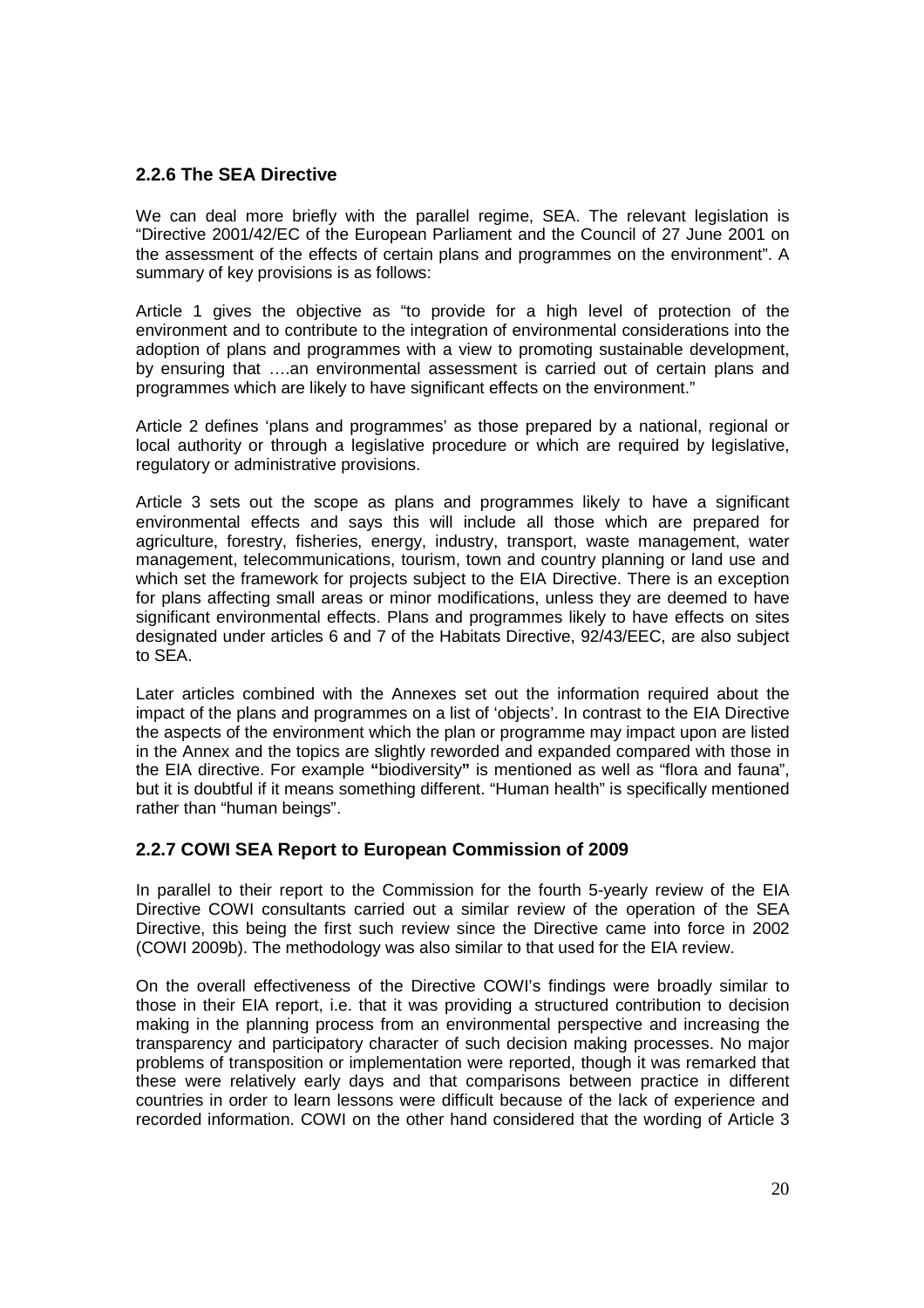## **2.2.6 The SEA Directive**

We can deal more briefly with the parallel regime, SEA. The relevant legislation is "Directive 2001/42/EC of the European Parliament and the Council of 27 June 2001 on the assessment of the effects of certain plans and programmes on the environment". A summary of key provisions is as follows:

Article 1 gives the objective as "to provide for a high level of protection of the environment and to contribute to the integration of environmental considerations into the adoption of plans and programmes with a view to promoting sustainable development, by ensuring that ….an environmental assessment is carried out of certain plans and programmes which are likely to have significant effects on the environment."

Article 2 defines 'plans and programmes' as those prepared by a national, regional or local authority or through a legislative procedure or which are required by legislative, regulatory or administrative provisions.

Article 3 sets out the scope as plans and programmes likely to have a significant environmental effects and says this will include all those which are prepared for agriculture, forestry, fisheries, energy, industry, transport, waste management, water management, telecommunications, tourism, town and country planning or land use and which set the framework for projects subject to the EIA Directive. There is an exception for plans affecting small areas or minor modifications, unless they are deemed to have significant environmental effects. Plans and programmes likely to have effects on sites designated under articles 6 and 7 of the Habitats Directive, 92/43/EEC, are also subject to SEA.

Later articles combined with the Annexes set out the information required about the impact of the plans and programmes on a list of 'objects'. In contrast to the EIA Directive the aspects of the environment which the plan or programme may impact upon are listed in the Annex and the topics are slightly reworded and expanded compared with those in the EIA directive. For example **"**biodiversity**"** is mentioned as well as "flora and fauna", but it is doubtful if it means something different. "Human health" is specifically mentioned rather than "human beings".

#### **2.2.7 COWI SEA Report to European Commission of 2009**

In parallel to their report to the Commission for the fourth 5-yearly review of the EIA Directive COWI consultants carried out a similar review of the operation of the SEA Directive, this being the first such review since the Directive came into force in 2002 (COWI 2009b). The methodology was also similar to that used for the EIA review.

On the overall effectiveness of the Directive COWI's findings were broadly similar to those in their EIA report, i.e. that it was providing a structured contribution to decision making in the planning process from an environmental perspective and increasing the transparency and participatory character of such decision making processes. No major problems of transposition or implementation were reported, though it was remarked that these were relatively early days and that comparisons between practice in different countries in order to learn lessons were difficult because of the lack of experience and recorded information. COWI on the other hand considered that the wording of Article 3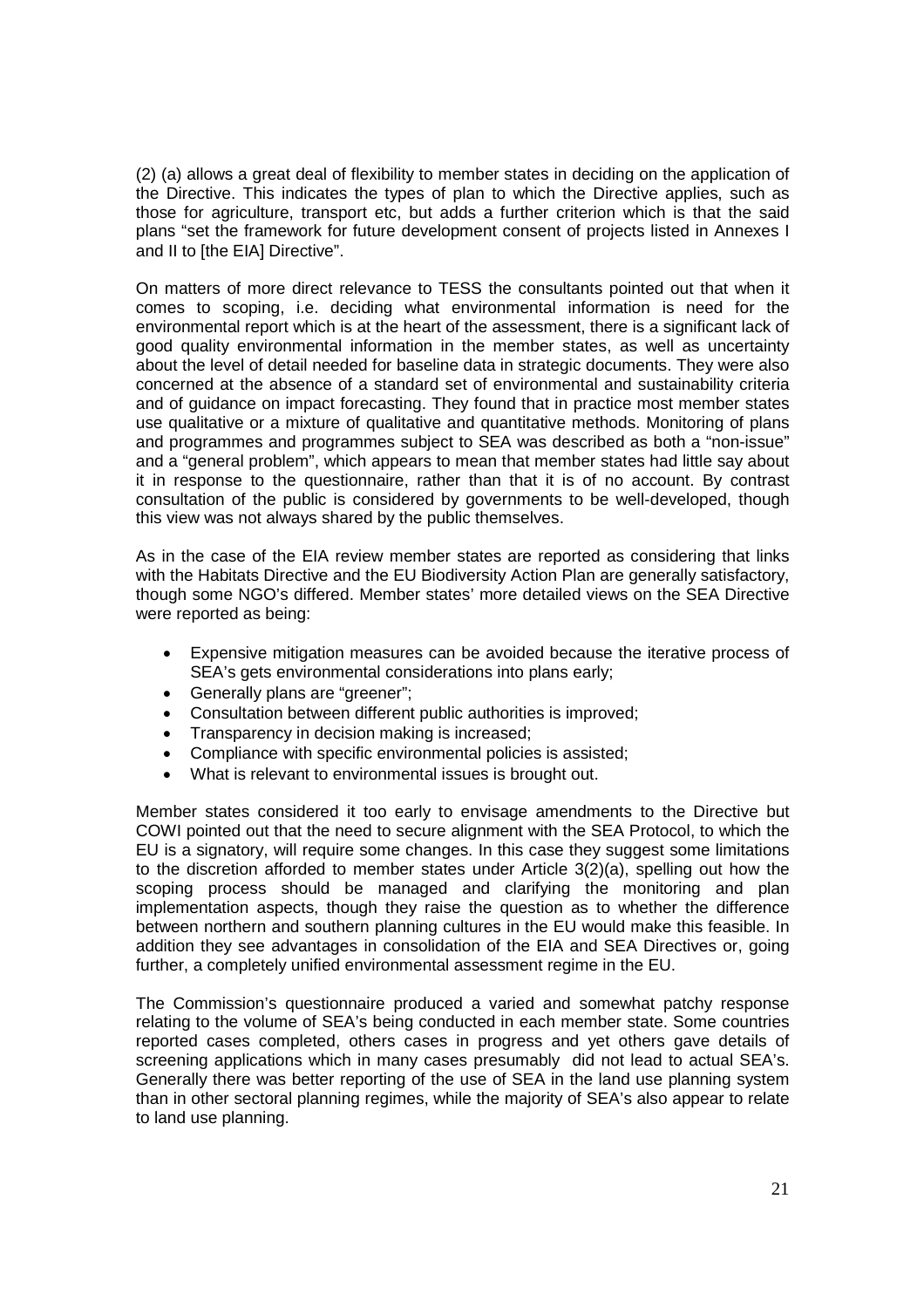(2) (a) allows a great deal of flexibility to member states in deciding on the application of the Directive. This indicates the types of plan to which the Directive applies, such as those for agriculture, transport etc, but adds a further criterion which is that the said plans "set the framework for future development consent of projects listed in Annexes I and II to [the EIA] Directive".

On matters of more direct relevance to TESS the consultants pointed out that when it comes to scoping, i.e. deciding what environmental information is need for the environmental report which is at the heart of the assessment, there is a significant lack of good quality environmental information in the member states, as well as uncertainty about the level of detail needed for baseline data in strategic documents. They were also concerned at the absence of a standard set of environmental and sustainability criteria and of guidance on impact forecasting. They found that in practice most member states use qualitative or a mixture of qualitative and quantitative methods. Monitoring of plans and programmes and programmes subject to SEA was described as both a "non-issue" and a "general problem", which appears to mean that member states had little say about it in response to the questionnaire, rather than that it is of no account. By contrast consultation of the public is considered by governments to be well-developed, though this view was not always shared by the public themselves.

As in the case of the EIA review member states are reported as considering that links with the Habitats Directive and the EU Biodiversity Action Plan are generally satisfactory, though some NGO's differed. Member states' more detailed views on the SEA Directive were reported as being:

- Expensive mitigation measures can be avoided because the iterative process of SEA's gets environmental considerations into plans early:
- Generally plans are "greener":
- Consultation between different public authorities is improved;
- Transparency in decision making is increased:
- Compliance with specific environmental policies is assisted;
- What is relevant to environmental issues is brought out.

Member states considered it too early to envisage amendments to the Directive but COWI pointed out that the need to secure alignment with the SEA Protocol, to which the EU is a signatory, will require some changes. In this case they suggest some limitations to the discretion afforded to member states under Article 3(2)(a), spelling out how the scoping process should be managed and clarifying the monitoring and plan implementation aspects, though they raise the question as to whether the difference between northern and southern planning cultures in the EU would make this feasible. In addition they see advantages in consolidation of the EIA and SEA Directives or, going further, a completely unified environmental assessment regime in the EU.

The Commission's questionnaire produced a varied and somewhat patchy response relating to the volume of SEA's being conducted in each member state. Some countries reported cases completed, others cases in progress and yet others gave details of screening applications which in many cases presumably did not lead to actual SEA's. Generally there was better reporting of the use of SEA in the land use planning system than in other sectoral planning regimes, while the majority of SEA's also appear to relate to land use planning.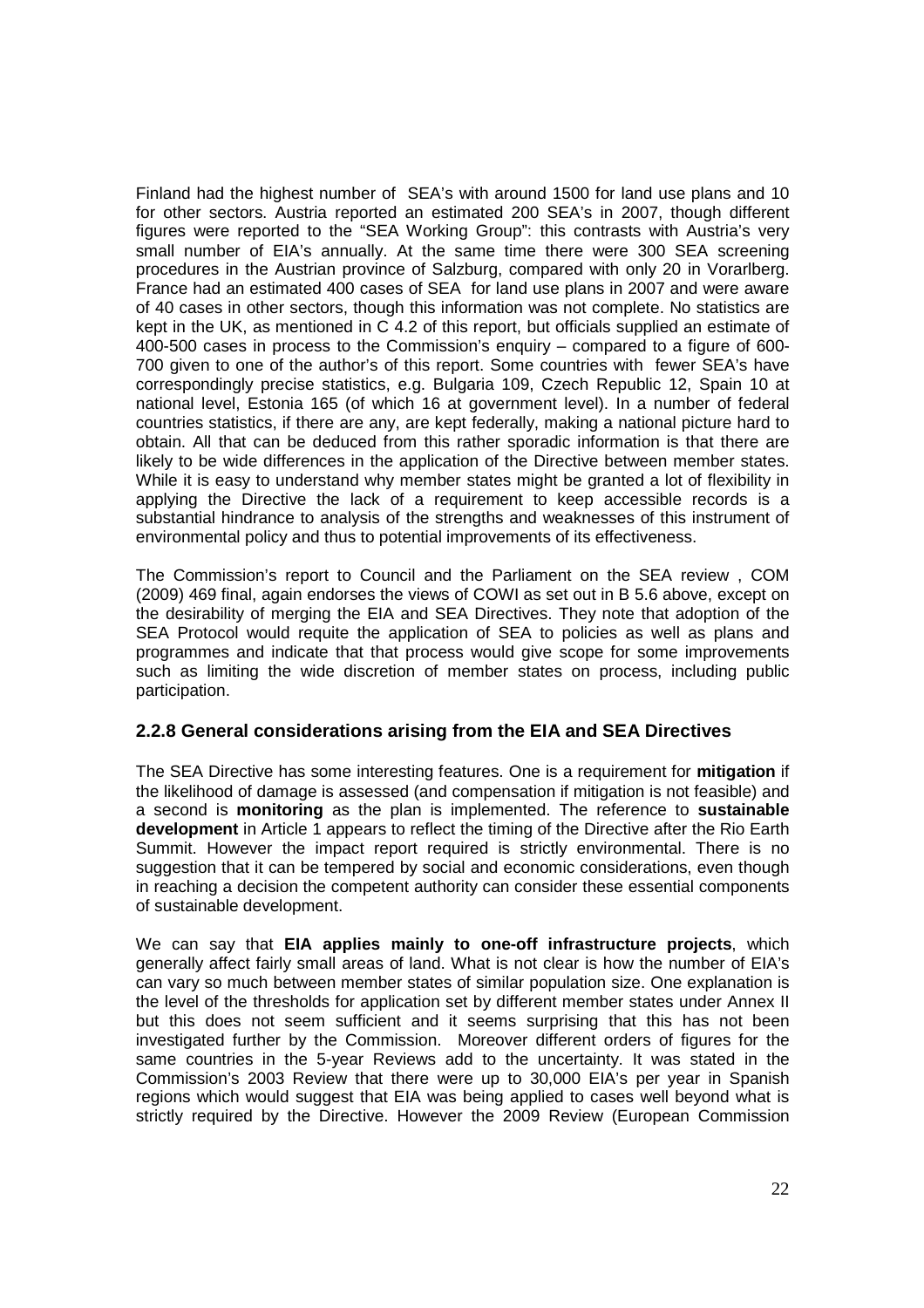Finland had the highest number of SEA's with around 1500 for land use plans and 10 for other sectors. Austria reported an estimated 200 SEA's in 2007, though different figures were reported to the "SEA Working Group": this contrasts with Austria's very small number of EIA's annually. At the same time there were 300 SEA screening procedures in the Austrian province of Salzburg, compared with only 20 in Vorarlberg. France had an estimated 400 cases of SEA for land use plans in 2007 and were aware of 40 cases in other sectors, though this information was not complete. No statistics are kept in the UK, as mentioned in C 4.2 of this report, but officials supplied an estimate of 400-500 cases in process to the Commission's enquiry – compared to a figure of 600- 700 given to one of the author's of this report. Some countries with fewer SEA's have correspondingly precise statistics, e.g. Bulgaria 109, Czech Republic 12, Spain 10 at national level, Estonia 165 (of which 16 at government level). In a number of federal countries statistics, if there are any, are kept federally, making a national picture hard to obtain. All that can be deduced from this rather sporadic information is that there are likely to be wide differences in the application of the Directive between member states. While it is easy to understand why member states might be granted a lot of flexibility in applying the Directive the lack of a requirement to keep accessible records is a substantial hindrance to analysis of the strengths and weaknesses of this instrument of environmental policy and thus to potential improvements of its effectiveness.

The Commission's report to Council and the Parliament on the SEA review , COM (2009) 469 final, again endorses the views of COWI as set out in B 5.6 above, except on the desirability of merging the EIA and SEA Directives. They note that adoption of the SEA Protocol would requite the application of SEA to policies as well as plans and programmes and indicate that that process would give scope for some improvements such as limiting the wide discretion of member states on process, including public participation.

#### **2.2.8 General considerations arising from the EIA and SEA Directives**

The SEA Directive has some interesting features. One is a requirement for **mitigation** if the likelihood of damage is assessed (and compensation if mitigation is not feasible) and a second is **monitoring** as the plan is implemented. The reference to **sustainable development** in Article 1 appears to reflect the timing of the Directive after the Rio Earth Summit. However the impact report required is strictly environmental. There is no suggestion that it can be tempered by social and economic considerations, even though in reaching a decision the competent authority can consider these essential components of sustainable development.

We can say that **EIA applies mainly to one-off infrastructure projects**, which generally affect fairly small areas of land. What is not clear is how the number of EIA's can vary so much between member states of similar population size. One explanation is the level of the thresholds for application set by different member states under Annex II but this does not seem sufficient and it seems surprising that this has not been investigated further by the Commission. Moreover different orders of figures for the same countries in the 5-year Reviews add to the uncertainty. It was stated in the Commission's 2003 Review that there were up to 30,000 EIA's per year in Spanish regions which would suggest that EIA was being applied to cases well beyond what is strictly required by the Directive. However the 2009 Review (European Commission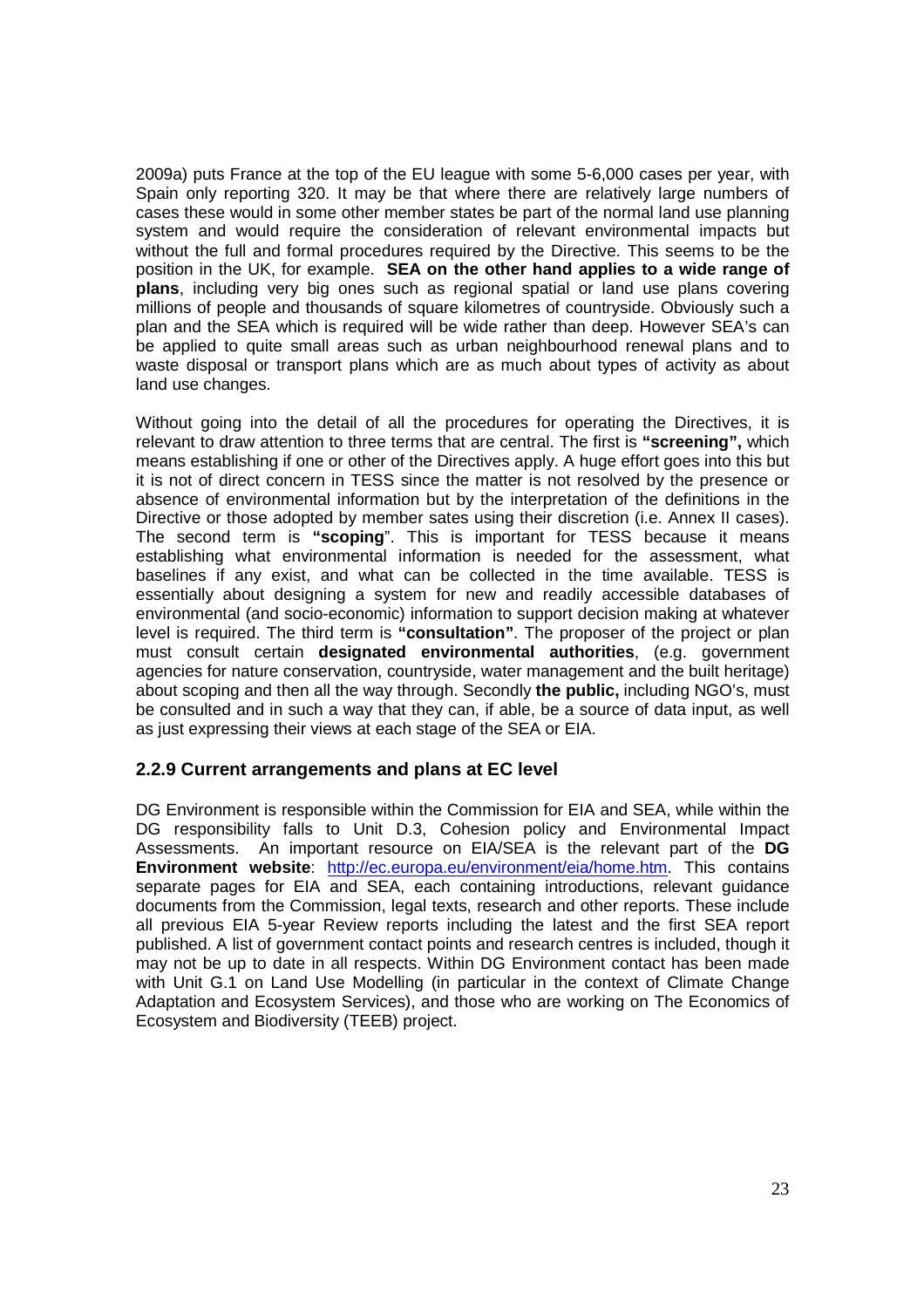2009a) puts France at the top of the EU league with some 5-6,000 cases per year, with Spain only reporting 320. It may be that where there are relatively large numbers of cases these would in some other member states be part of the normal land use planning system and would require the consideration of relevant environmental impacts but without the full and formal procedures required by the Directive. This seems to be the position in the UK, for example. **SEA on the other hand applies to a wide range of plans**, including very big ones such as regional spatial or land use plans covering millions of people and thousands of square kilometres of countryside. Obviously such a plan and the SEA which is required will be wide rather than deep. However SEA's can be applied to quite small areas such as urban neighbourhood renewal plans and to waste disposal or transport plans which are as much about types of activity as about land use changes.

Without going into the detail of all the procedures for operating the Directives, it is relevant to draw attention to three terms that are central. The first is **"screening",** which means establishing if one or other of the Directives apply. A huge effort goes into this but it is not of direct concern in TESS since the matter is not resolved by the presence or absence of environmental information but by the interpretation of the definitions in the Directive or those adopted by member sates using their discretion (i.e. Annex II cases). The second term is **"scoping**". This is important for TESS because it means establishing what environmental information is needed for the assessment, what baselines if any exist, and what can be collected in the time available. TESS is essentially about designing a system for new and readily accessible databases of environmental (and socio-economic) information to support decision making at whatever level is required. The third term is **"consultation"**. The proposer of the project or plan must consult certain **designated environmental authorities**, (e.g. government agencies for nature conservation, countryside, water management and the built heritage) about scoping and then all the way through. Secondly **the public,** including NGO's, must be consulted and in such a way that they can, if able, be a source of data input, as well as just expressing their views at each stage of the SEA or EIA.

#### **2.2.9 Current arrangements and plans at EC level**

DG Environment is responsible within the Commission for EIA and SEA, while within the DG responsibility falls to Unit D.3, Cohesion policy and Environmental Impact Assessments. An important resource on EIA/SEA is the relevant part of the **DG Environment website**: http://ec.europa.eu/environment/eia/home.htm. This contains separate pages for EIA and SEA, each containing introductions, relevant guidance documents from the Commission, legal texts, research and other reports. These include all previous EIA 5-year Review reports including the latest and the first SEA report published. A list of government contact points and research centres is included, though it may not be up to date in all respects. Within DG Environment contact has been made with Unit G.1 on Land Use Modelling (in particular in the context of Climate Change Adaptation and Ecosystem Services), and those who are working on The Economics of Ecosystem and Biodiversity (TEEB) project.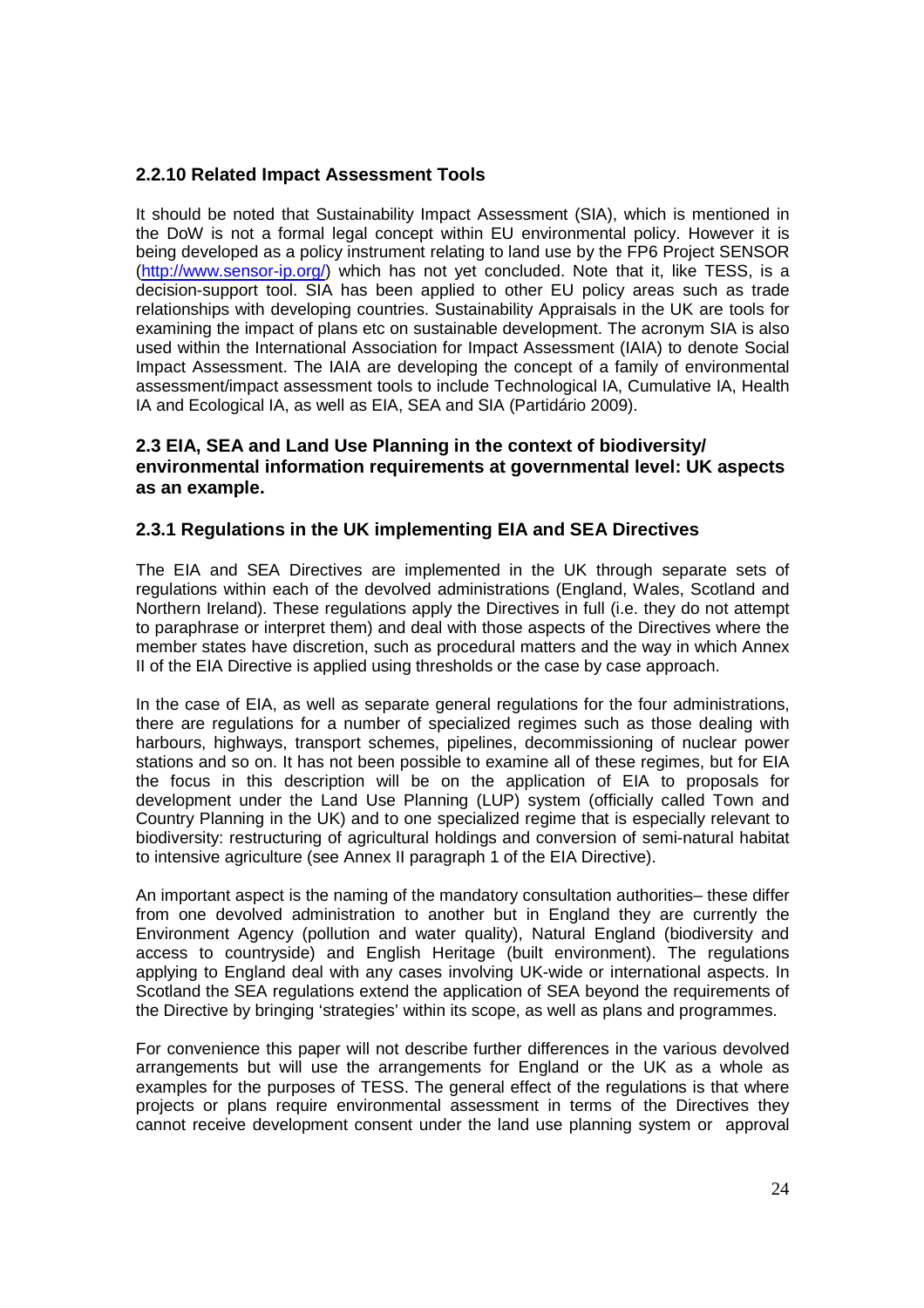## **2.2.10 Related Impact Assessment Tools**

It should be noted that Sustainability Impact Assessment (SIA), which is mentioned in the DoW is not a formal legal concept within EU environmental policy. However it is being developed as a policy instrument relating to land use by the FP6 Project SENSOR (http://www.sensor-ip.org/) which has not yet concluded. Note that it, like TESS, is a decision-support tool. SIA has been applied to other EU policy areas such as trade relationships with developing countries. Sustainability Appraisals in the UK are tools for examining the impact of plans etc on sustainable development. The acronym SIA is also used within the International Association for Impact Assessment (IAIA) to denote Social Impact Assessment. The IAIA are developing the concept of a family of environmental assessment/impact assessment tools to include Technological IA, Cumulative IA, Health IA and Ecological IA, as well as EIA, SEA and SIA (Partidário 2009).

#### **2.3 EIA, SEA and Land Use Planning in the context of biodiversity/ environmental information requirements at governmental level: UK aspects as an example.**

## **2.3.1 Regulations in the UK implementing EIA and SEA Directives**

The EIA and SEA Directives are implemented in the UK through separate sets of regulations within each of the devolved administrations (England, Wales, Scotland and Northern Ireland). These regulations apply the Directives in full (i.e. they do not attempt to paraphrase or interpret them) and deal with those aspects of the Directives where the member states have discretion, such as procedural matters and the way in which Annex II of the EIA Directive is applied using thresholds or the case by case approach.

In the case of EIA, as well as separate general regulations for the four administrations, there are regulations for a number of specialized regimes such as those dealing with harbours, highways, transport schemes, pipelines, decommissioning of nuclear power stations and so on. It has not been possible to examine all of these regimes, but for EIA the focus in this description will be on the application of EIA to proposals for development under the Land Use Planning (LUP) system (officially called Town and Country Planning in the UK) and to one specialized regime that is especially relevant to biodiversity: restructuring of agricultural holdings and conversion of semi-natural habitat to intensive agriculture (see Annex II paragraph 1 of the EIA Directive).

An important aspect is the naming of the mandatory consultation authorities– these differ from one devolved administration to another but in England they are currently the Environment Agency (pollution and water quality), Natural England (biodiversity and access to countryside) and English Heritage (built environment). The regulations applying to England deal with any cases involving UK-wide or international aspects. In Scotland the SEA regulations extend the application of SEA beyond the requirements of the Directive by bringing 'strategies' within its scope, as well as plans and programmes.

For convenience this paper will not describe further differences in the various devolved arrangements but will use the arrangements for England or the UK as a whole as examples for the purposes of TESS. The general effect of the regulations is that where projects or plans require environmental assessment in terms of the Directives they cannot receive development consent under the land use planning system or approval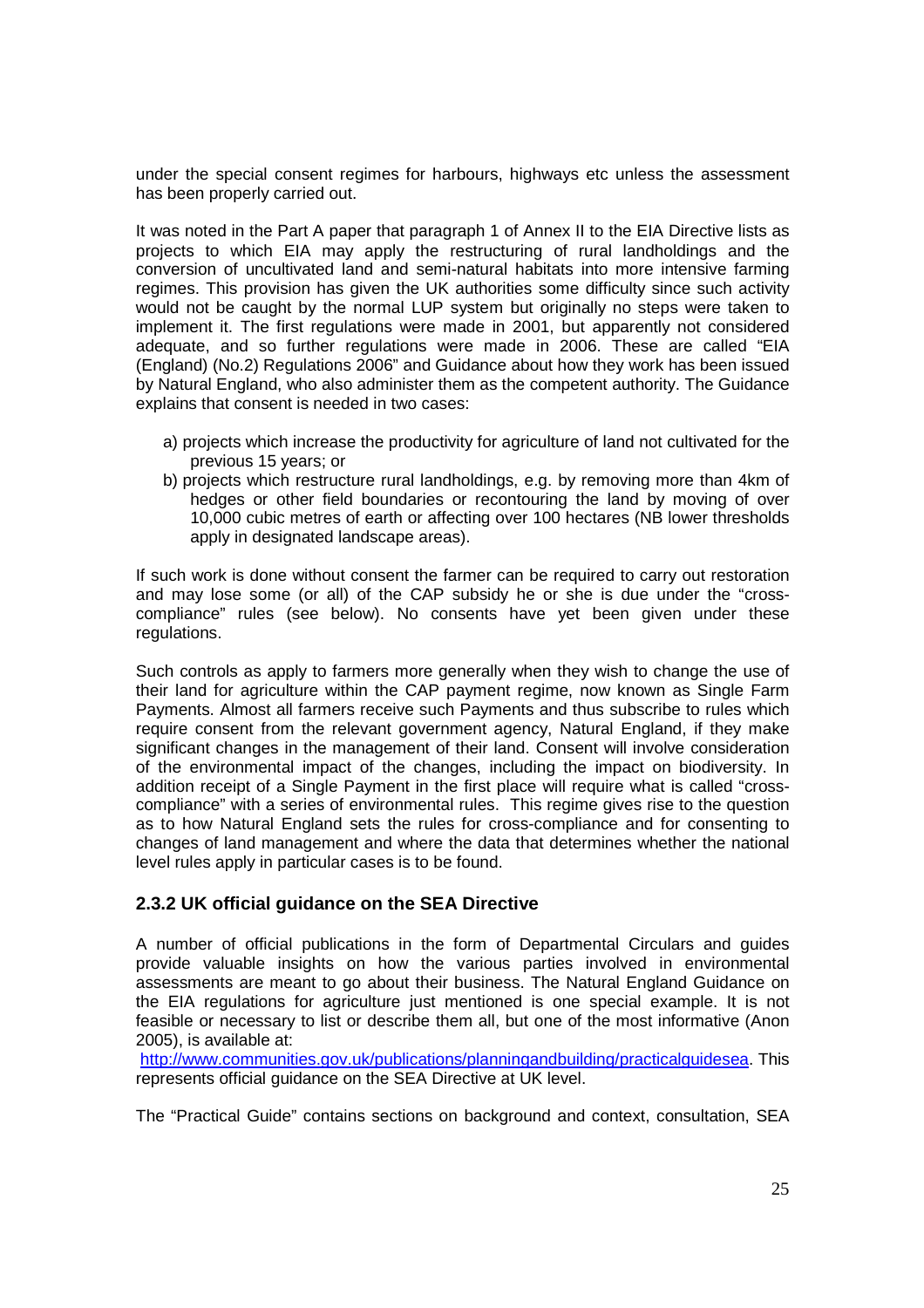under the special consent regimes for harbours, highways etc unless the assessment has been properly carried out.

It was noted in the Part A paper that paragraph 1 of Annex II to the EIA Directive lists as projects to which EIA may apply the restructuring of rural landholdings and the conversion of uncultivated land and semi-natural habitats into more intensive farming regimes. This provision has given the UK authorities some difficulty since such activity would not be caught by the normal LUP system but originally no steps were taken to implement it. The first regulations were made in 2001, but apparently not considered adequate, and so further regulations were made in 2006. These are called "EIA (England) (No.2) Regulations 2006" and Guidance about how they work has been issued by Natural England, who also administer them as the competent authority. The Guidance explains that consent is needed in two cases:

- a) projects which increase the productivity for agriculture of land not cultivated for the previous 15 years; or
- b) projects which restructure rural landholdings, e.g. by removing more than 4km of hedges or other field boundaries or recontouring the land by moving of over 10,000 cubic metres of earth or affecting over 100 hectares (NB lower thresholds apply in designated landscape areas).

If such work is done without consent the farmer can be required to carry out restoration and may lose some (or all) of the CAP subsidy he or she is due under the "crosscompliance" rules (see below). No consents have yet been given under these regulations.

Such controls as apply to farmers more generally when they wish to change the use of their land for agriculture within the CAP payment regime, now known as Single Farm Payments. Almost all farmers receive such Payments and thus subscribe to rules which require consent from the relevant government agency, Natural England, if they make significant changes in the management of their land. Consent will involve consideration of the environmental impact of the changes, including the impact on biodiversity. In addition receipt of a Single Payment in the first place will require what is called "crosscompliance" with a series of environmental rules. This regime gives rise to the question as to how Natural England sets the rules for cross-compliance and for consenting to changes of land management and where the data that determines whether the national level rules apply in particular cases is to be found.

## **2.3.2 UK official guidance on the SEA Directive**

A number of official publications in the form of Departmental Circulars and guides provide valuable insights on how the various parties involved in environmental assessments are meant to go about their business. The Natural England Guidance on the EIA regulations for agriculture just mentioned is one special example. It is not feasible or necessary to list or describe them all, but one of the most informative (Anon 2005), is available at:

http://www.communities.gov.uk/publications/planningandbuilding/practicalguidesea. This represents official guidance on the SEA Directive at UK level.

The "Practical Guide" contains sections on background and context, consultation, SEA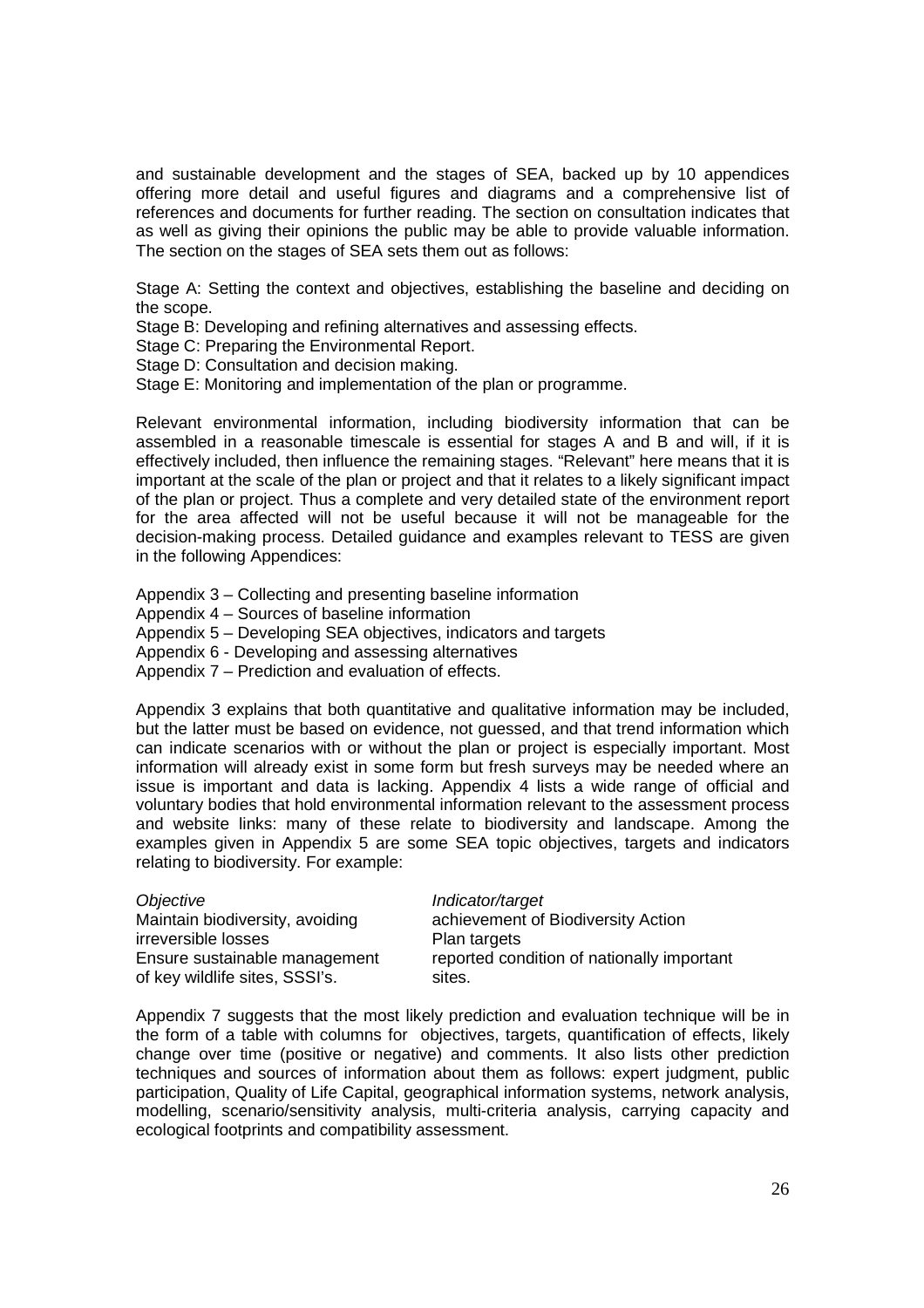and sustainable development and the stages of SEA, backed up by 10 appendices offering more detail and useful figures and diagrams and a comprehensive list of references and documents for further reading. The section on consultation indicates that as well as giving their opinions the public may be able to provide valuable information. The section on the stages of SEA sets them out as follows:

Stage A: Setting the context and objectives, establishing the baseline and deciding on the scope.

Stage B: Developing and refining alternatives and assessing effects.

Stage C: Preparing the Environmental Report.

Stage D: Consultation and decision making.

Stage E: Monitoring and implementation of the plan or programme.

Relevant environmental information, including biodiversity information that can be assembled in a reasonable timescale is essential for stages A and B and will, if it is effectively included, then influence the remaining stages. "Relevant" here means that it is important at the scale of the plan or project and that it relates to a likely significant impact of the plan or project. Thus a complete and very detailed state of the environment report for the area affected will not be useful because it will not be manageable for the decision-making process. Detailed guidance and examples relevant to TESS are given in the following Appendices:

Appendix 3 – Collecting and presenting baseline information

Appendix 4 – Sources of baseline information

Appendix 5 – Developing SEA objectives, indicators and targets

Appendix 6 - Developing and assessing alternatives

Appendix 7 – Prediction and evaluation of effects.

Appendix 3 explains that both quantitative and qualitative information may be included, but the latter must be based on evidence, not guessed, and that trend information which can indicate scenarios with or without the plan or project is especially important. Most information will already exist in some form but fresh surveys may be needed where an issue is important and data is lacking. Appendix 4 lists a wide range of official and voluntary bodies that hold environmental information relevant to the assessment process and website links: many of these relate to biodiversity and landscape. Among the examples given in Appendix 5 are some SEA topic objectives, targets and indicators relating to biodiversity. For example:

| Indicator/target<br>Objective<br>Maintain biodiversity, avoiding<br>irreversible losses<br>Plan targets<br>Ensure sustainable management<br>of key wildlife sites, SSSI's.<br>sites. | achievement of Biodiversity Action<br>reported condition of nationally important |
|--------------------------------------------------------------------------------------------------------------------------------------------------------------------------------------|----------------------------------------------------------------------------------|
|--------------------------------------------------------------------------------------------------------------------------------------------------------------------------------------|----------------------------------------------------------------------------------|

Appendix 7 suggests that the most likely prediction and evaluation technique will be in the form of a table with columns for objectives, targets, quantification of effects, likely change over time (positive or negative) and comments. It also lists other prediction techniques and sources of information about them as follows: expert judgment, public participation, Quality of Life Capital, geographical information systems, network analysis, modelling, scenario/sensitivity analysis, multi-criteria analysis, carrying capacity and ecological footprints and compatibility assessment.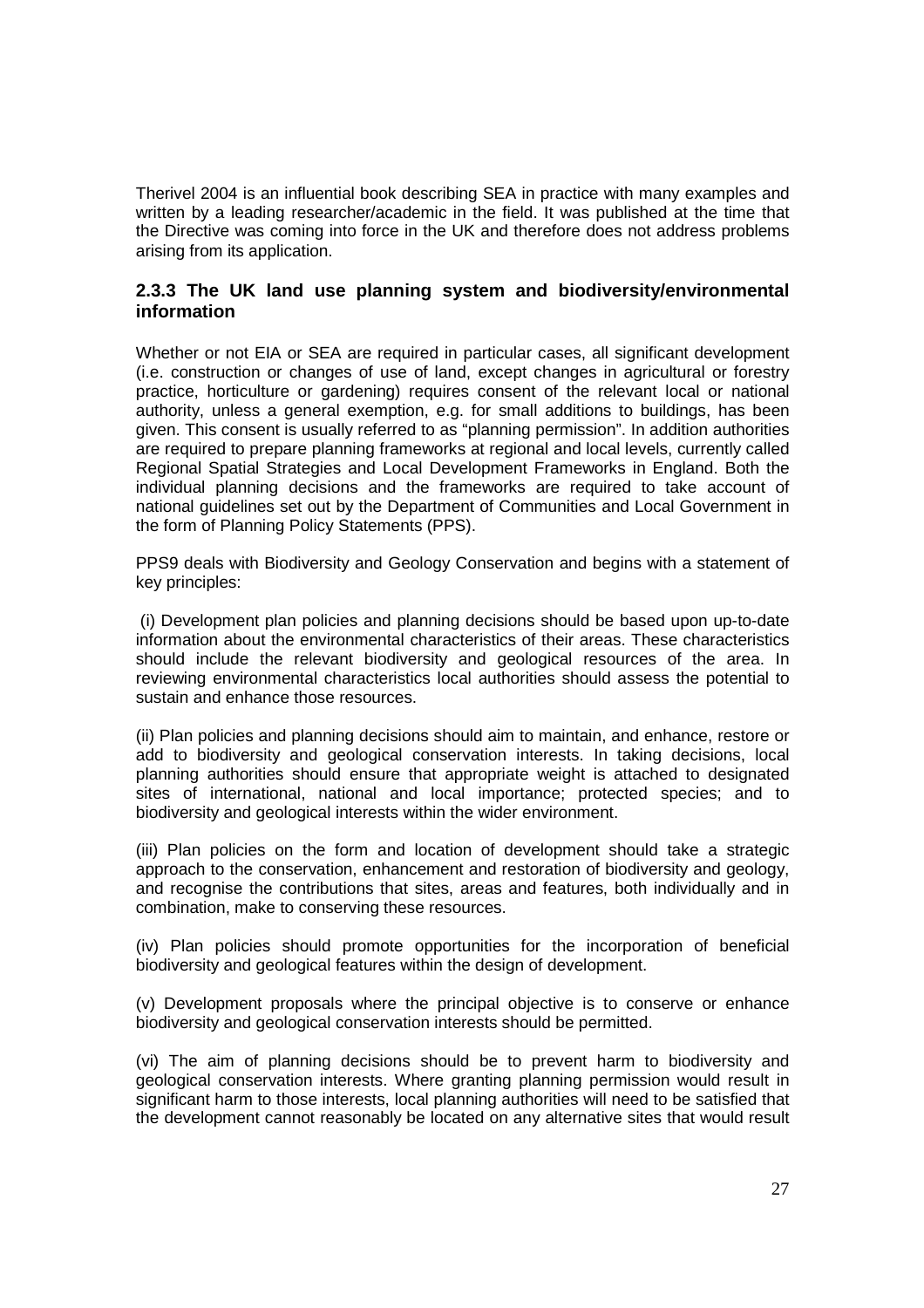Therivel 2004 is an influential book describing SEA in practice with many examples and written by a leading researcher/academic in the field. It was published at the time that the Directive was coming into force in the UK and therefore does not address problems arising from its application.

## **2.3.3 The UK land use planning system and biodiversity/environmental information**

Whether or not EIA or SEA are required in particular cases, all significant development (i.e. construction or changes of use of land, except changes in agricultural or forestry practice, horticulture or gardening) requires consent of the relevant local or national authority, unless a general exemption, e.g. for small additions to buildings, has been given. This consent is usually referred to as "planning permission". In addition authorities are required to prepare planning frameworks at regional and local levels, currently called Regional Spatial Strategies and Local Development Frameworks in England. Both the individual planning decisions and the frameworks are required to take account of national guidelines set out by the Department of Communities and Local Government in the form of Planning Policy Statements (PPS).

PPS9 deals with Biodiversity and Geology Conservation and begins with a statement of key principles:

 (i) Development plan policies and planning decisions should be based upon up-to-date information about the environmental characteristics of their areas. These characteristics should include the relevant biodiversity and geological resources of the area. In reviewing environmental characteristics local authorities should assess the potential to sustain and enhance those resources.

(ii) Plan policies and planning decisions should aim to maintain, and enhance, restore or add to biodiversity and geological conservation interests. In taking decisions, local planning authorities should ensure that appropriate weight is attached to designated sites of international, national and local importance; protected species; and to biodiversity and geological interests within the wider environment.

(iii) Plan policies on the form and location of development should take a strategic approach to the conservation, enhancement and restoration of biodiversity and geology, and recognise the contributions that sites, areas and features, both individually and in combination, make to conserving these resources.

(iv) Plan policies should promote opportunities for the incorporation of beneficial biodiversity and geological features within the design of development.

(v) Development proposals where the principal objective is to conserve or enhance biodiversity and geological conservation interests should be permitted.

(vi) The aim of planning decisions should be to prevent harm to biodiversity and geological conservation interests. Where granting planning permission would result in significant harm to those interests, local planning authorities will need to be satisfied that the development cannot reasonably be located on any alternative sites that would result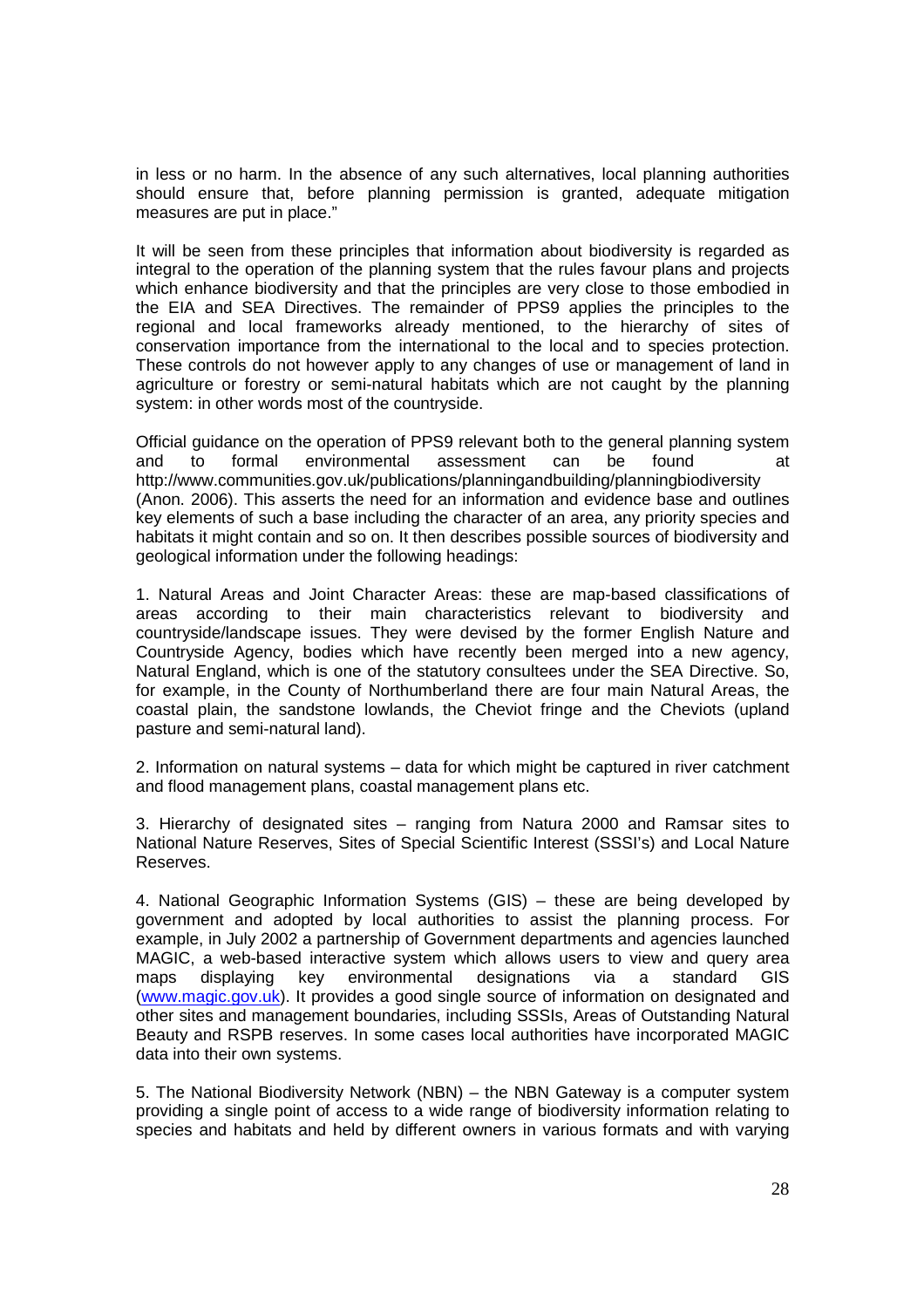in less or no harm. In the absence of any such alternatives, local planning authorities should ensure that, before planning permission is granted, adequate mitigation measures are put in place."

It will be seen from these principles that information about biodiversity is regarded as integral to the operation of the planning system that the rules favour plans and projects which enhance biodiversity and that the principles are very close to those embodied in the EIA and SEA Directives. The remainder of PPS9 applies the principles to the regional and local frameworks already mentioned, to the hierarchy of sites of conservation importance from the international to the local and to species protection. These controls do not however apply to any changes of use or management of land in agriculture or forestry or semi-natural habitats which are not caught by the planning system: in other words most of the countryside.

Official guidance on the operation of PPS9 relevant both to the general planning system and to formal environmental assessment can be found at http://www.communities.gov.uk/publications/planningandbuilding/planningbiodiversity (Anon. 2006). This asserts the need for an information and evidence base and outlines key elements of such a base including the character of an area, any priority species and habitats it might contain and so on. It then describes possible sources of biodiversity and geological information under the following headings:

1. Natural Areas and Joint Character Areas: these are map-based classifications of areas according to their main characteristics relevant to biodiversity and countryside/landscape issues. They were devised by the former English Nature and Countryside Agency, bodies which have recently been merged into a new agency, Natural England, which is one of the statutory consultees under the SEA Directive. So, for example, in the County of Northumberland there are four main Natural Areas, the coastal plain, the sandstone lowlands, the Cheviot fringe and the Cheviots (upland pasture and semi-natural land).

2. Information on natural systems – data for which might be captured in river catchment and flood management plans, coastal management plans etc.

3. Hierarchy of designated sites – ranging from Natura 2000 and Ramsar sites to National Nature Reserves, Sites of Special Scientific Interest (SSSI's) and Local Nature Reserves.

4. National Geographic Information Systems (GIS) – these are being developed by government and adopted by local authorities to assist the planning process. For example, in July 2002 a partnership of Government departments and agencies launched MAGIC, a web-based interactive system which allows users to view and query area maps displaying key environmental designations via a standard GIS (www.magic.gov.uk). It provides a good single source of information on designated and other sites and management boundaries, including SSSIs, Areas of Outstanding Natural Beauty and RSPB reserves. In some cases local authorities have incorporated MAGIC data into their own systems.

5. The National Biodiversity Network (NBN) – the NBN Gateway is a computer system providing a single point of access to a wide range of biodiversity information relating to species and habitats and held by different owners in various formats and with varying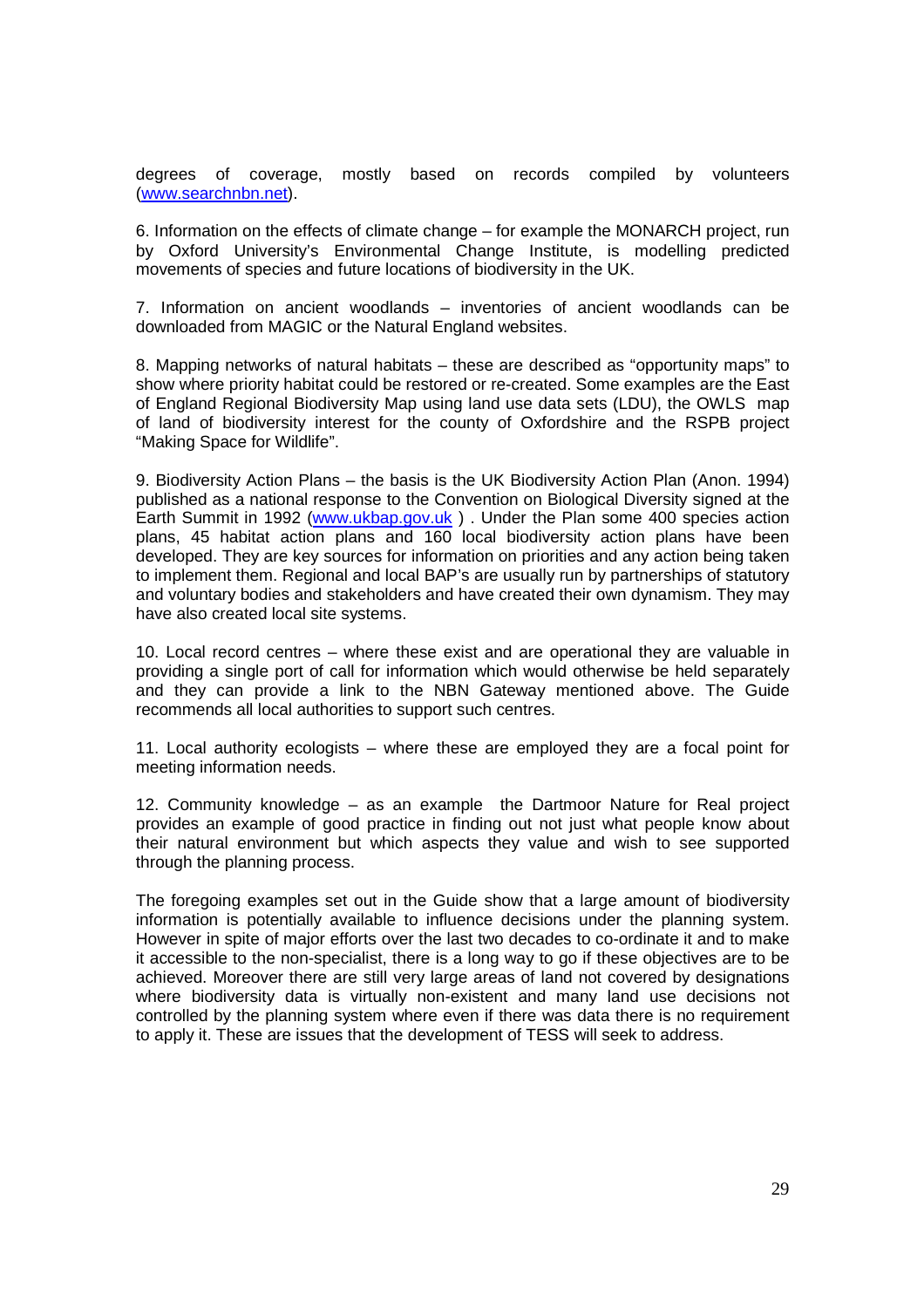degrees of coverage, mostly based on records compiled by volunteers (www.searchnbn.net).

6. Information on the effects of climate change – for example the MONARCH project, run by Oxford University's Environmental Change Institute, is modelling predicted movements of species and future locations of biodiversity in the UK.

7. Information on ancient woodlands – inventories of ancient woodlands can be downloaded from MAGIC or the Natural England websites.

8. Mapping networks of natural habitats – these are described as "opportunity maps" to show where priority habitat could be restored or re-created. Some examples are the East of England Regional Biodiversity Map using land use data sets (LDU), the OWLS map of land of biodiversity interest for the county of Oxfordshire and the RSPB project "Making Space for Wildlife".

9. Biodiversity Action Plans – the basis is the UK Biodiversity Action Plan (Anon. 1994) published as a national response to the Convention on Biological Diversity signed at the Earth Summit in 1992 (www.ukbap.gov.uk ) . Under the Plan some 400 species action plans, 45 habitat action plans and 160 local biodiversity action plans have been developed. They are key sources for information on priorities and any action being taken to implement them. Regional and local BAP's are usually run by partnerships of statutory and voluntary bodies and stakeholders and have created their own dynamism. They may have also created local site systems.

10. Local record centres – where these exist and are operational they are valuable in providing a single port of call for information which would otherwise be held separately and they can provide a link to the NBN Gateway mentioned above. The Guide recommends all local authorities to support such centres.

11. Local authority ecologists – where these are employed they are a focal point for meeting information needs.

12. Community knowledge – as an example the Dartmoor Nature for Real project provides an example of good practice in finding out not just what people know about their natural environment but which aspects they value and wish to see supported through the planning process.

The foregoing examples set out in the Guide show that a large amount of biodiversity information is potentially available to influence decisions under the planning system. However in spite of major efforts over the last two decades to co-ordinate it and to make it accessible to the non-specialist, there is a long way to go if these objectives are to be achieved. Moreover there are still very large areas of land not covered by designations where biodiversity data is virtually non-existent and many land use decisions not controlled by the planning system where even if there was data there is no requirement to apply it. These are issues that the development of TESS will seek to address.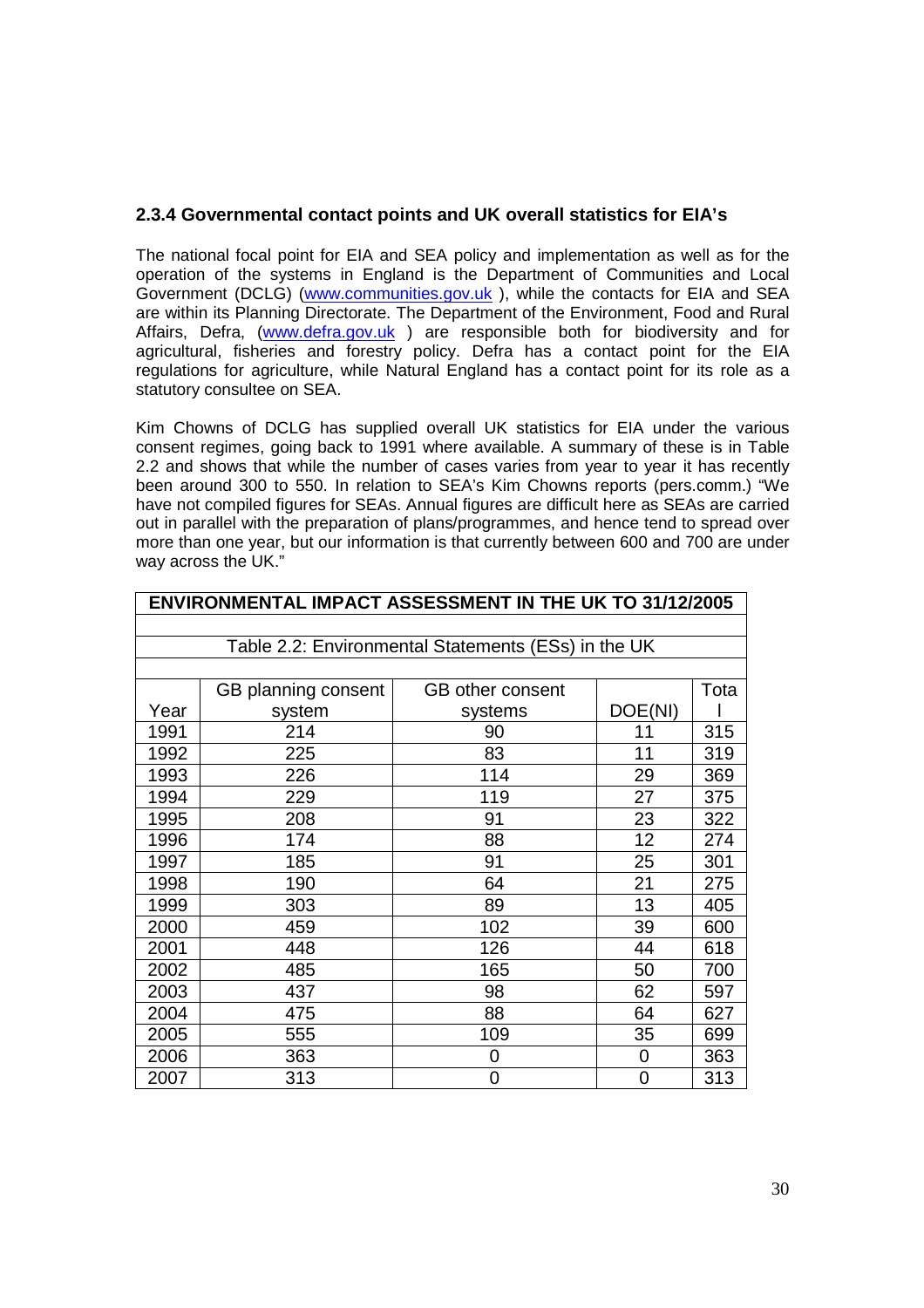#### **2.3.4 Governmental contact points and UK overall statistics for EIA's**

The national focal point for EIA and SEA policy and implementation as well as for the operation of the systems in England is the Department of Communities and Local Government (DCLG) (www.communities.gov.uk), while the contacts for EIA and SEA are within its Planning Directorate. The Department of the Environment, Food and Rural Affairs, Defra, (www.defra.gov.uk) are responsible both for biodiversity and for agricultural, fisheries and forestry policy. Defra has a contact point for the EIA regulations for agriculture, while Natural England has a contact point for its role as a statutory consultee on SEA.

Kim Chowns of DCLG has supplied overall UK statistics for EIA under the various consent regimes, going back to 1991 where available. A summary of these is in Table 2.2 and shows that while the number of cases varies from year to year it has recently been around 300 to 550. In relation to SEA's Kim Chowns reports (pers.comm.) "We have not compiled figures for SEAs. Annual figures are difficult here as SEAs are carried out in parallel with the preparation of plans/programmes, and hence tend to spread over more than one year, but our information is that currently between 600 and 700 are under way across the UK."

|      | <b>ENVIRONMENTAL IMPACT ASSESSMENT IN THE UK TO 31/12/2005</b> |                         |         |      |  |
|------|----------------------------------------------------------------|-------------------------|---------|------|--|
|      |                                                                |                         |         |      |  |
|      | Table 2.2: Environmental Statements (ESs) in the UK            |                         |         |      |  |
|      |                                                                |                         |         |      |  |
|      | GB planning consent                                            | <b>GB</b> other consent |         | Tota |  |
| Year | system                                                         | systems                 | DOE(NI) |      |  |
| 1991 | 214                                                            | 90                      | 11      | 315  |  |
| 1992 | 225                                                            | 83                      | 11      | 319  |  |
| 1993 | 226                                                            | 114                     | 29      | 369  |  |
| 1994 | 229                                                            | 119                     | 27      | 375  |  |
| 1995 | 208                                                            | 91                      | 23      | 322  |  |
| 1996 | 174                                                            | 88                      | 12      | 274  |  |
| 1997 | 185                                                            | 91                      | 25      | 301  |  |
| 1998 | 190                                                            | 64                      | 21      | 275  |  |
| 1999 | 303                                                            | 89                      | 13      | 405  |  |
| 2000 | 459                                                            | 102                     | 39      | 600  |  |
| 2001 | 448                                                            | 126                     | 44      | 618  |  |
| 2002 | 485                                                            | 165                     | 50      | 700  |  |
| 2003 | 437                                                            | 98                      | 62      | 597  |  |
| 2004 | 475                                                            | 88                      | 64      | 627  |  |
| 2005 | 555                                                            | 109                     | 35      | 699  |  |
| 2006 | 363                                                            | 0                       | 0       | 363  |  |
| 2007 | 313                                                            | 0                       | 0       | 313  |  |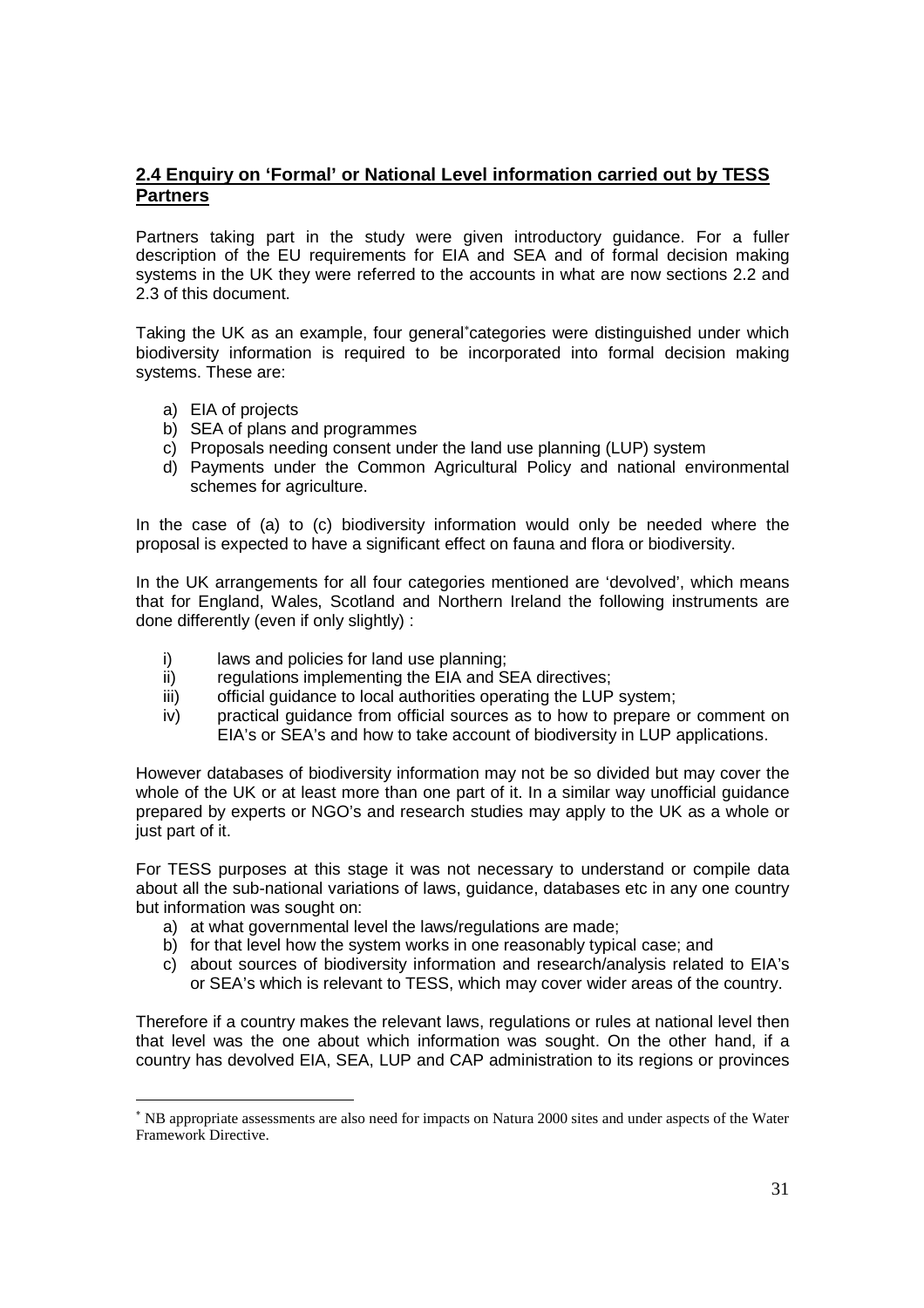## **2.4 Enquiry on 'Formal' or National Level information carried out by TESS Partners**

Partners taking part in the study were given introductory guidance. For a fuller description of the EU requirements for EIA and SEA and of formal decision making systems in the UK they were referred to the accounts in what are now sections 2.2 and 2.3 of this document.

Taking the UK as an example, four general<sup>∗</sup>categories were distinguished under which biodiversity information is required to be incorporated into formal decision making systems. These are:

a) EIA of projects

l

- b) SEA of plans and programmes
- c) Proposals needing consent under the land use planning (LUP) system
- d) Payments under the Common Agricultural Policy and national environmental schemes for agriculture.

In the case of (a) to (c) biodiversity information would only be needed where the proposal is expected to have a significant effect on fauna and flora or biodiversity.

In the UK arrangements for all four categories mentioned are 'devolved', which means that for England, Wales, Scotland and Northern Ireland the following instruments are done differently (even if only slightly) :

- i) laws and policies for land use planning:
- ii) regulations implementing the EIA and SEA directives;
- iii) official quidance to local authorities operating the LUP system;
- iv) practical guidance from official sources as to how to prepare or comment on EIA's or SEA's and how to take account of biodiversity in LUP applications.

However databases of biodiversity information may not be so divided but may cover the whole of the UK or at least more than one part of it. In a similar way unofficial guidance prepared by experts or NGO's and research studies may apply to the UK as a whole or just part of it.

For TESS purposes at this stage it was not necessary to understand or compile data about all the sub-national variations of laws, guidance, databases etc in any one country but information was sought on:

- a) at what governmental level the laws/regulations are made;
- b) for that level how the system works in one reasonably typical case; and
- c) about sources of biodiversity information and research/analysis related to EIA's or SEA's which is relevant to TESS, which may cover wider areas of the country.

Therefore if a country makes the relevant laws, regulations or rules at national level then that level was the one about which information was sought. On the other hand, if a country has devolved EIA, SEA, LUP and CAP administration to its regions or provinces

<sup>∗</sup> NB appropriate assessments are also need for impacts on Natura 2000 sites and under aspects of the Water Framework Directive.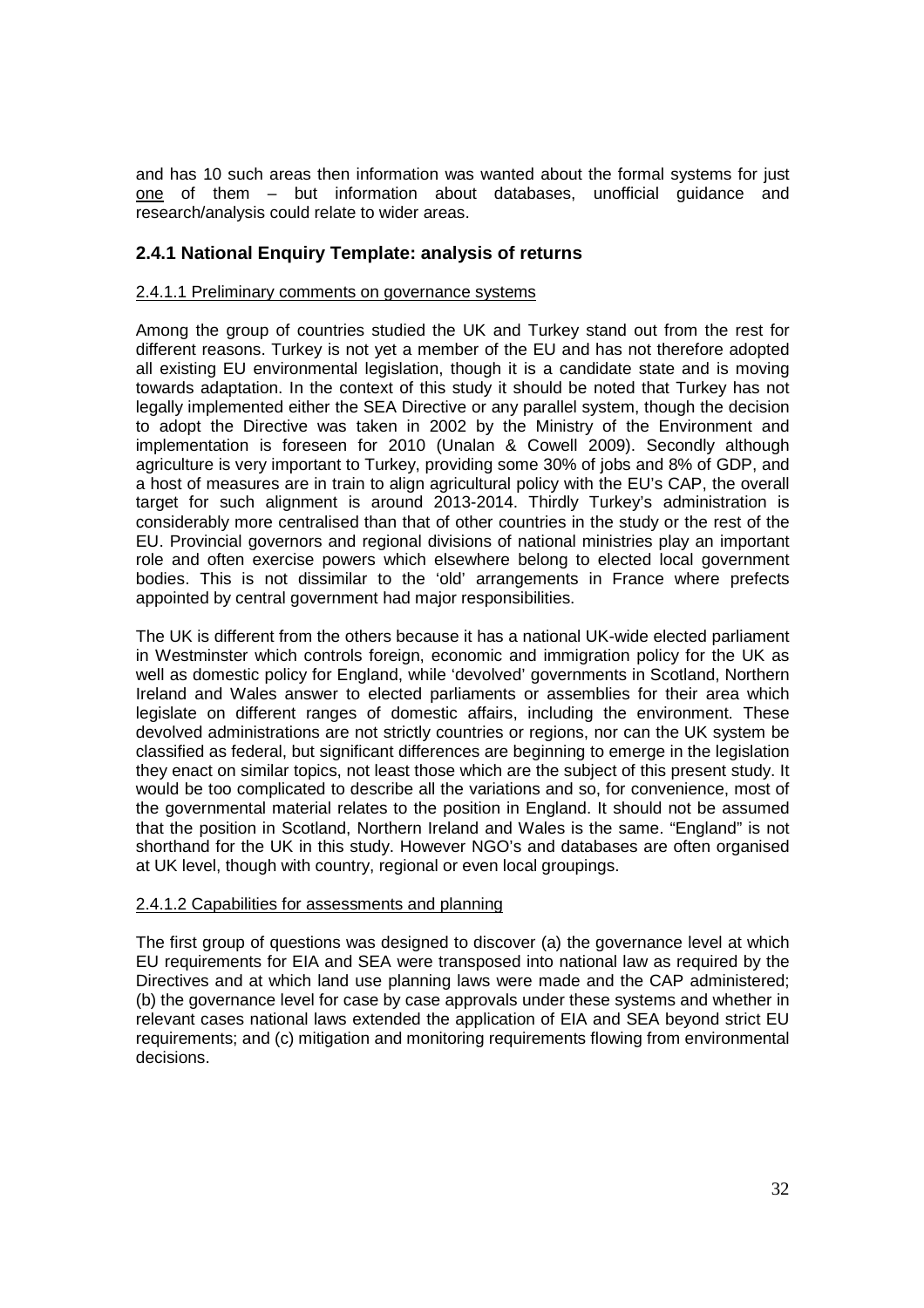and has 10 such areas then information was wanted about the formal systems for just one of them – but information about databases, unofficial guidance and research/analysis could relate to wider areas.

## **2.4.1 National Enquiry Template: analysis of returns**

#### 2.4.1.1 Preliminary comments on governance systems

Among the group of countries studied the UK and Turkey stand out from the rest for different reasons. Turkey is not yet a member of the EU and has not therefore adopted all existing EU environmental legislation, though it is a candidate state and is moving towards adaptation. In the context of this study it should be noted that Turkey has not legally implemented either the SEA Directive or any parallel system, though the decision to adopt the Directive was taken in 2002 by the Ministry of the Environment and implementation is foreseen for 2010 (Unalan & Cowell 2009). Secondly although agriculture is very important to Turkey, providing some 30% of jobs and 8% of GDP, and a host of measures are in train to align agricultural policy with the EU's CAP, the overall target for such alignment is around 2013-2014. Thirdly Turkey's administration is considerably more centralised than that of other countries in the study or the rest of the EU. Provincial governors and regional divisions of national ministries play an important role and often exercise powers which elsewhere belong to elected local government bodies. This is not dissimilar to the 'old' arrangements in France where prefects appointed by central government had major responsibilities.

The UK is different from the others because it has a national UK-wide elected parliament in Westminster which controls foreign, economic and immigration policy for the UK as well as domestic policy for England, while 'devolved' governments in Scotland, Northern Ireland and Wales answer to elected parliaments or assemblies for their area which legislate on different ranges of domestic affairs, including the environment. These devolved administrations are not strictly countries or regions, nor can the UK system be classified as federal, but significant differences are beginning to emerge in the legislation they enact on similar topics, not least those which are the subject of this present study. It would be too complicated to describe all the variations and so, for convenience, most of the governmental material relates to the position in England. It should not be assumed that the position in Scotland, Northern Ireland and Wales is the same. "England" is not shorthand for the UK in this study. However NGO's and databases are often organised at UK level, though with country, regional or even local groupings.

#### 2.4.1.2 Capabilities for assessments and planning

The first group of questions was designed to discover (a) the governance level at which EU requirements for EIA and SEA were transposed into national law as required by the Directives and at which land use planning laws were made and the CAP administered; (b) the governance level for case by case approvals under these systems and whether in relevant cases national laws extended the application of EIA and SEA beyond strict EU requirements; and (c) mitigation and monitoring requirements flowing from environmental decisions.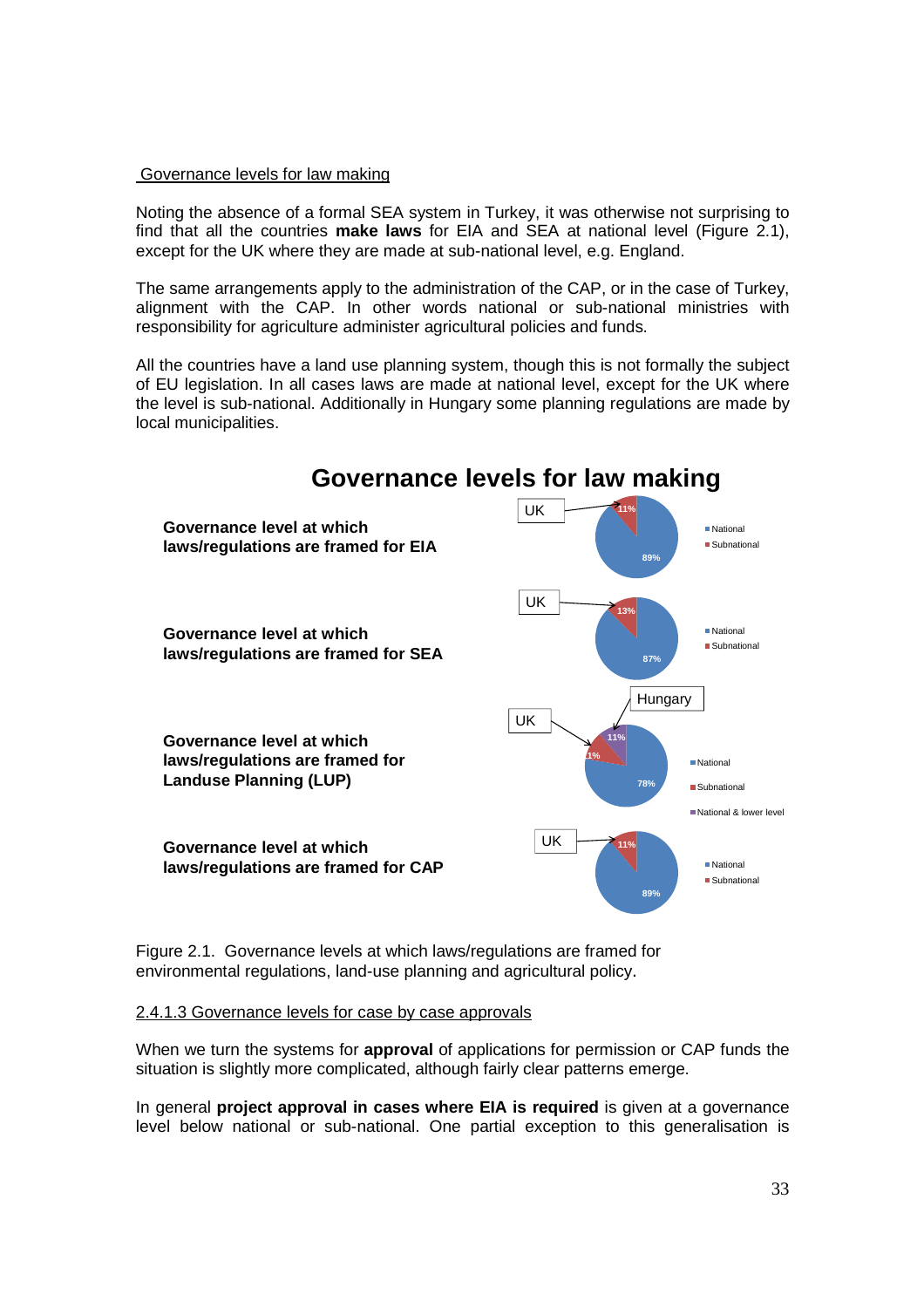#### Governance levels for law making

Noting the absence of a formal SEA system in Turkey, it was otherwise not surprising to find that all the countries **make laws** for EIA and SEA at national level (Figure 2.1), except for the UK where they are made at sub-national level, e.g. England.

The same arrangements apply to the administration of the CAP, or in the case of Turkey, alignment with the CAP. In other words national or sub-national ministries with responsibility for agriculture administer agricultural policies and funds.

All the countries have a land use planning system, though this is not formally the subject of EU legislation. In all cases laws are made at national level, except for the UK where the level is sub-national. Additionally in Hungary some planning regulations are made by local municipalities.



Figure 2.1. Governance levels at which laws/regulations are framed for environmental regulations, land-use planning and agricultural policy.

#### 2.4.1.3 Governance levels for case by case approvals

When we turn the systems for **approval** of applications for permission or CAP funds the situation is slightly more complicated, although fairly clear patterns emerge.

In general **project approval in cases where EIA is required** is given at a governance level below national or sub-national. One partial exception to this generalisation is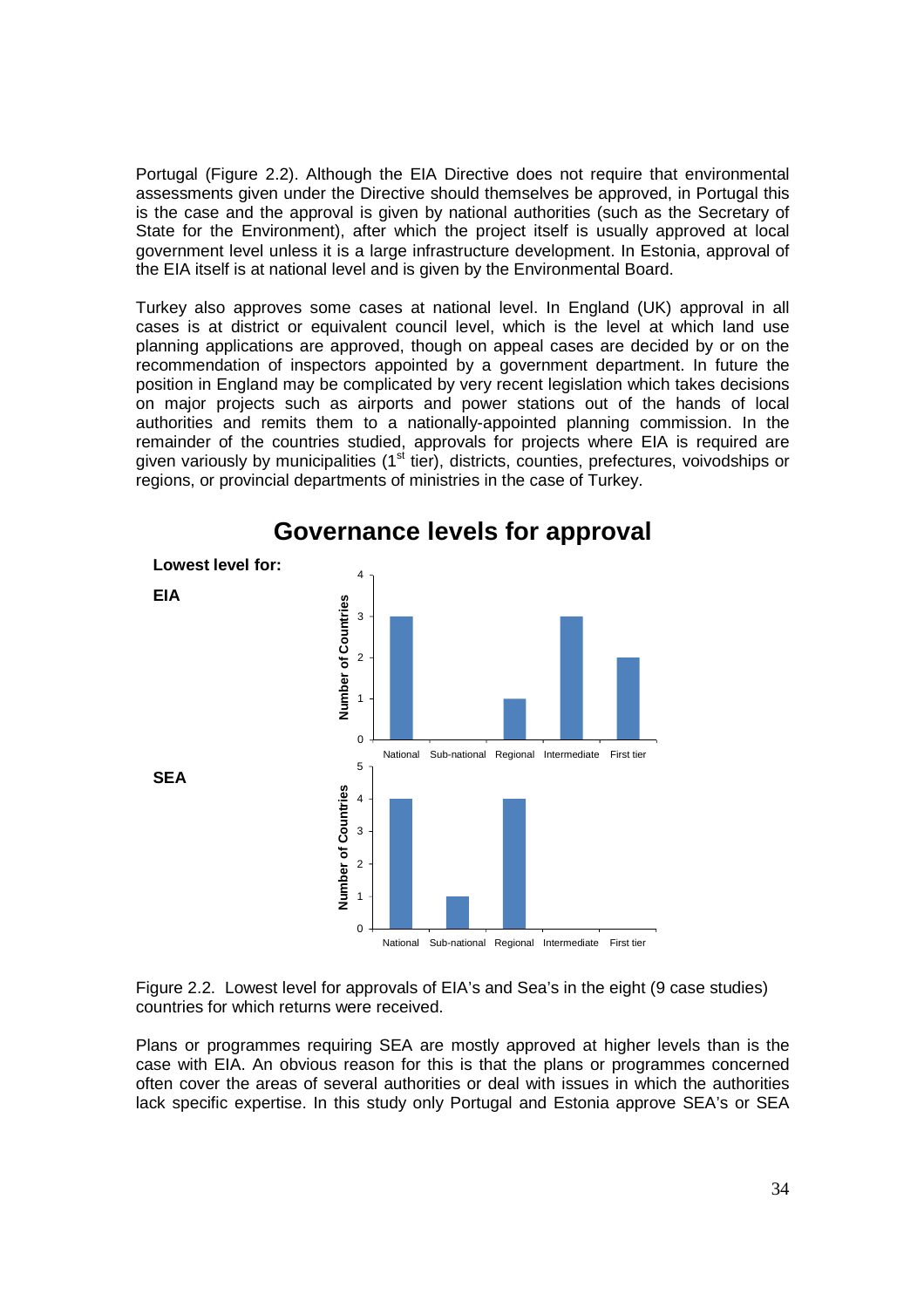Portugal (Figure 2.2). Although the EIA Directive does not require that environmental assessments given under the Directive should themselves be approved, in Portugal this is the case and the approval is given by national authorities (such as the Secretary of State for the Environment), after which the project itself is usually approved at local government level unless it is a large infrastructure development. In Estonia, approval of the EIA itself is at national level and is given by the Environmental Board.

Turkey also approves some cases at national level. In England (UK) approval in all cases is at district or equivalent council level, which is the level at which land use planning applications are approved, though on appeal cases are decided by or on the recommendation of inspectors appointed by a government department. In future the position in England may be complicated by very recent legislation which takes decisions on major projects such as airports and power stations out of the hands of local authorities and remits them to a nationally-appointed planning commission. In the remainder of the countries studied, approvals for projects where EIA is required are given variously by municipalities ( $1<sup>st</sup>$  tier), districts, counties, prefectures, voivodships or regions, or provincial departments of ministries in the case of Turkey.



## **Governance levels for approval**

Figure 2.2. Lowest level for approvals of EIA's and Sea's in the eight (9 case studies) countries for which returns were received.

Plans or programmes requiring SEA are mostly approved at higher levels than is the case with EIA. An obvious reason for this is that the plans or programmes concerned often cover the areas of several authorities or deal with issues in which the authorities lack specific expertise. In this study only Portugal and Estonia approve SEA's or SEA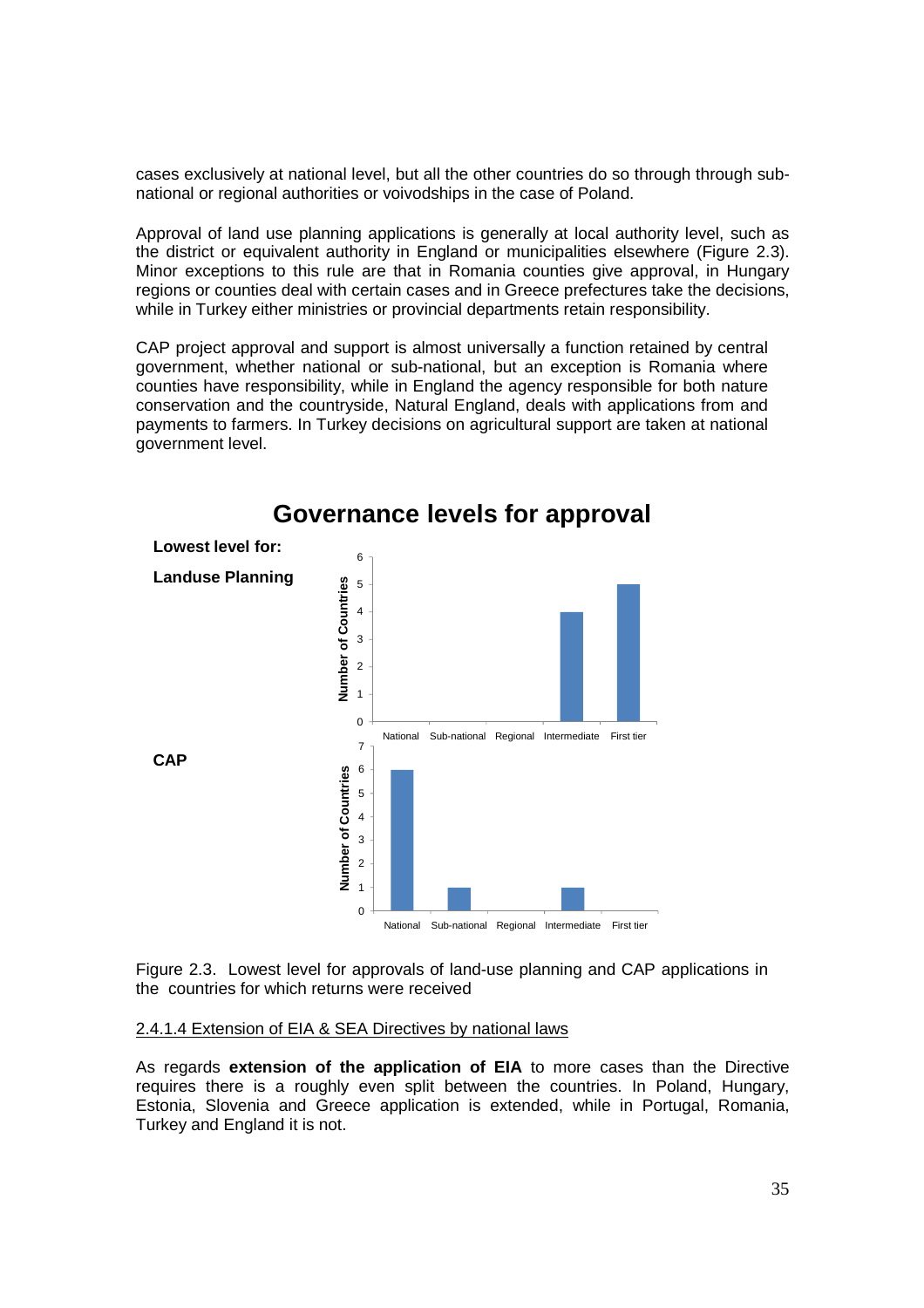cases exclusively at national level, but all the other countries do so through through subnational or regional authorities or voivodships in the case of Poland.

Approval of land use planning applications is generally at local authority level, such as the district or equivalent authority in England or municipalities elsewhere (Figure 2.3). Minor exceptions to this rule are that in Romania counties give approval, in Hungary regions or counties deal with certain cases and in Greece prefectures take the decisions, while in Turkey either ministries or provincial departments retain responsibility.

CAP project approval and support is almost universally a function retained by central government, whether national or sub-national, but an exception is Romania where counties have responsibility, while in England the agency responsible for both nature conservation and the countryside, Natural England, deals with applications from and payments to farmers. In Turkey decisions on agricultural support are taken at national government level.



# **Governance levels for approval**

Figure 2.3. Lowest level for approvals of land-use planning and CAP applications in the countries for which returns were received

#### 2.4.1.4 Extension of EIA & SEA Directives by national laws

As regards **extension of the application of EIA** to more cases than the Directive requires there is a roughly even split between the countries. In Poland, Hungary, Estonia, Slovenia and Greece application is extended, while in Portugal, Romania, Turkey and England it is not.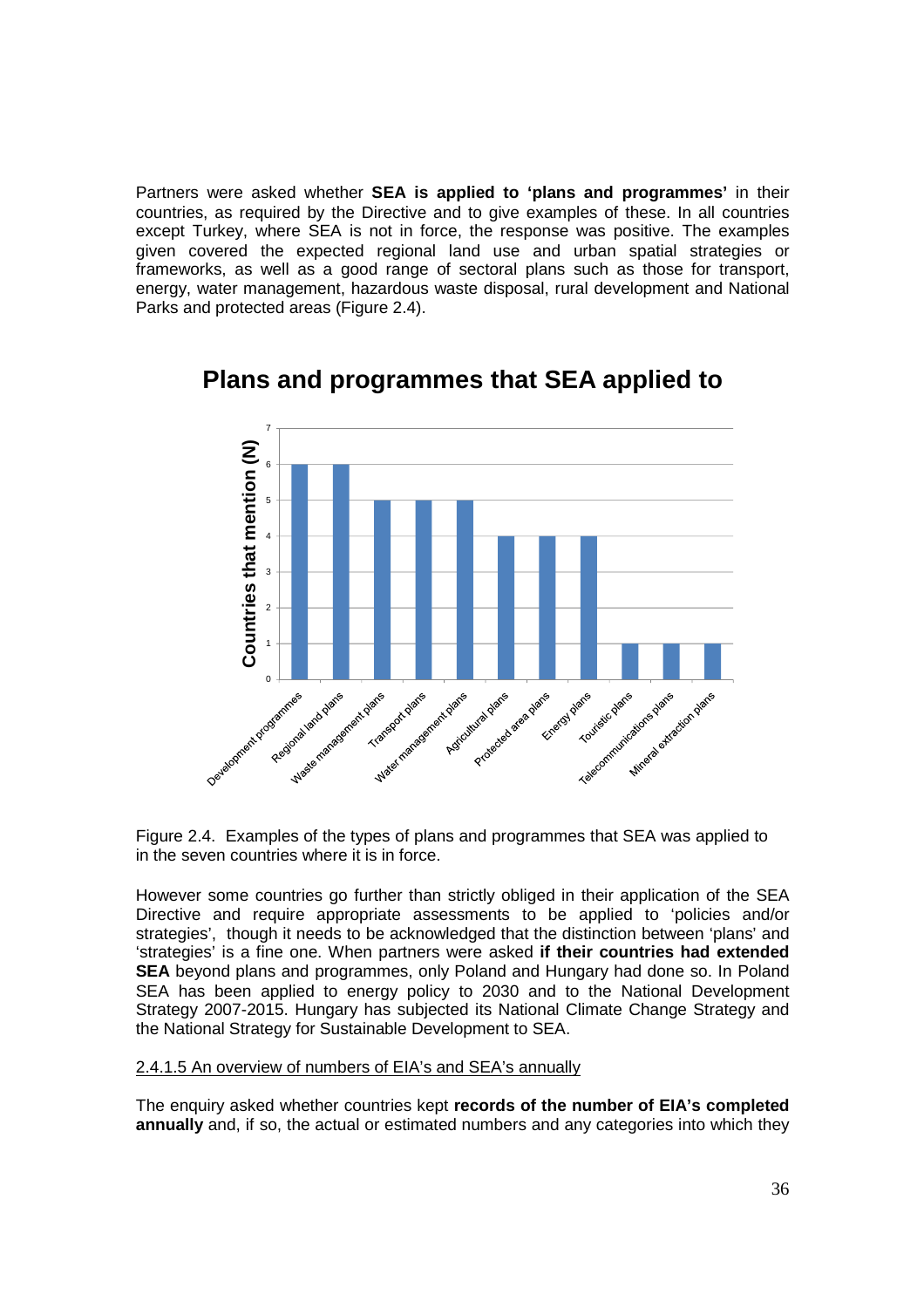Partners were asked whether **SEA is applied to 'plans and programmes'** in their countries, as required by the Directive and to give examples of these. In all countries except Turkey, where SEA is not in force, the response was positive. The examples given covered the expected regional land use and urban spatial strategies or frameworks, as well as a good range of sectoral plans such as those for transport, energy, water management, hazardous waste disposal, rural development and National Parks and protected areas (Figure 2.4).



# **Plans and programmes that SEA applied to**

Figure 2.4. Examples of the types of plans and programmes that SEA was applied to in the seven countries where it is in force.

However some countries go further than strictly obliged in their application of the SEA Directive and require appropriate assessments to be applied to 'policies and/or strategies', though it needs to be acknowledged that the distinction between 'plans' and 'strategies' is a fine one. When partners were asked **if their countries had extended SEA** beyond plans and programmes, only Poland and Hungary had done so. In Poland SEA has been applied to energy policy to 2030 and to the National Development Strategy 2007-2015. Hungary has subjected its National Climate Change Strategy and the National Strategy for Sustainable Development to SEA.

#### 2.4.1.5 An overview of numbers of EIA's and SEA's annually

The enquiry asked whether countries kept **records of the number of EIA's completed annually** and, if so, the actual or estimated numbers and any categories into which they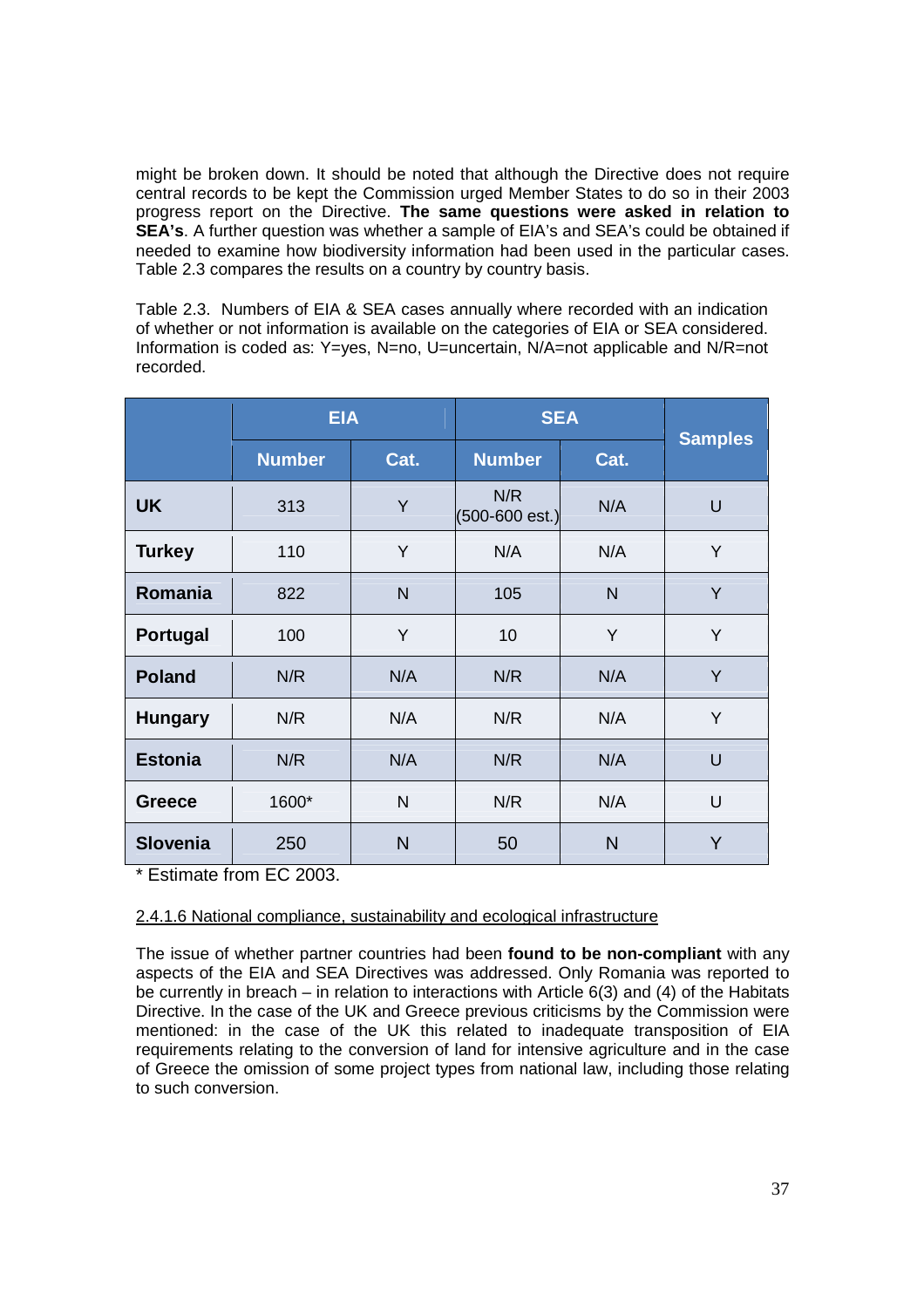might be broken down. It should be noted that although the Directive does not require central records to be kept the Commission urged Member States to do so in their 2003 progress report on the Directive. **The same questions were asked in relation to SEA's**. A further question was whether a sample of EIA's and SEA's could be obtained if needed to examine how biodiversity information had been used in the particular cases. Table 2.3 compares the results on a country by country basis.

Table 2.3. Numbers of EIA & SEA cases annually where recorded with an indication of whether or not information is available on the categories of EIA or SEA considered. Information is coded as: Y=yes, N=no, U=uncertain, N/A=not applicable and N/R=not recorded.

|                 | <b>EIA</b>    |      | <b>SEA</b>                        |                |                |
|-----------------|---------------|------|-----------------------------------|----------------|----------------|
|                 | <b>Number</b> | Cat. | <b>Number</b>                     | Cat.           | <b>Samples</b> |
| <b>UK</b>       | 313           | Y    | N/R<br>$(500 - 600 \text{ est.})$ | N/A            | $\cup$         |
| <b>Turkey</b>   | 110           | Y    | N/A                               | N/A            | Y              |
| Romania         | 822           | N    | 105                               | $\overline{N}$ | Y              |
| Portugal        | 100           | Y    | 10                                | Y              | Y              |
| <b>Poland</b>   | N/R           | N/A  | N/R                               | N/A            | Y              |
| <b>Hungary</b>  | N/R           | N/A  | N/R                               | N/A            | Y              |
| <b>Estonia</b>  | N/R           | N/A  | N/R                               | N/A            | U              |
| <b>Greece</b>   | 1600*         | N    | N/R                               | N/A            | U              |
| <b>Slovenia</b> | 250           | N    | 50                                | $\mathsf{N}$   | Y              |

\* Estimate from EC 2003.

### 2.4.1.6 National compliance, sustainability and ecological infrastructure

The issue of whether partner countries had been **found to be non-compliant** with any aspects of the EIA and SEA Directives was addressed. Only Romania was reported to be currently in breach – in relation to interactions with Article  $6(3)$  and (4) of the Habitats Directive. In the case of the UK and Greece previous criticisms by the Commission were mentioned: in the case of the UK this related to inadequate transposition of EIA requirements relating to the conversion of land for intensive agriculture and in the case of Greece the omission of some project types from national law, including those relating to such conversion.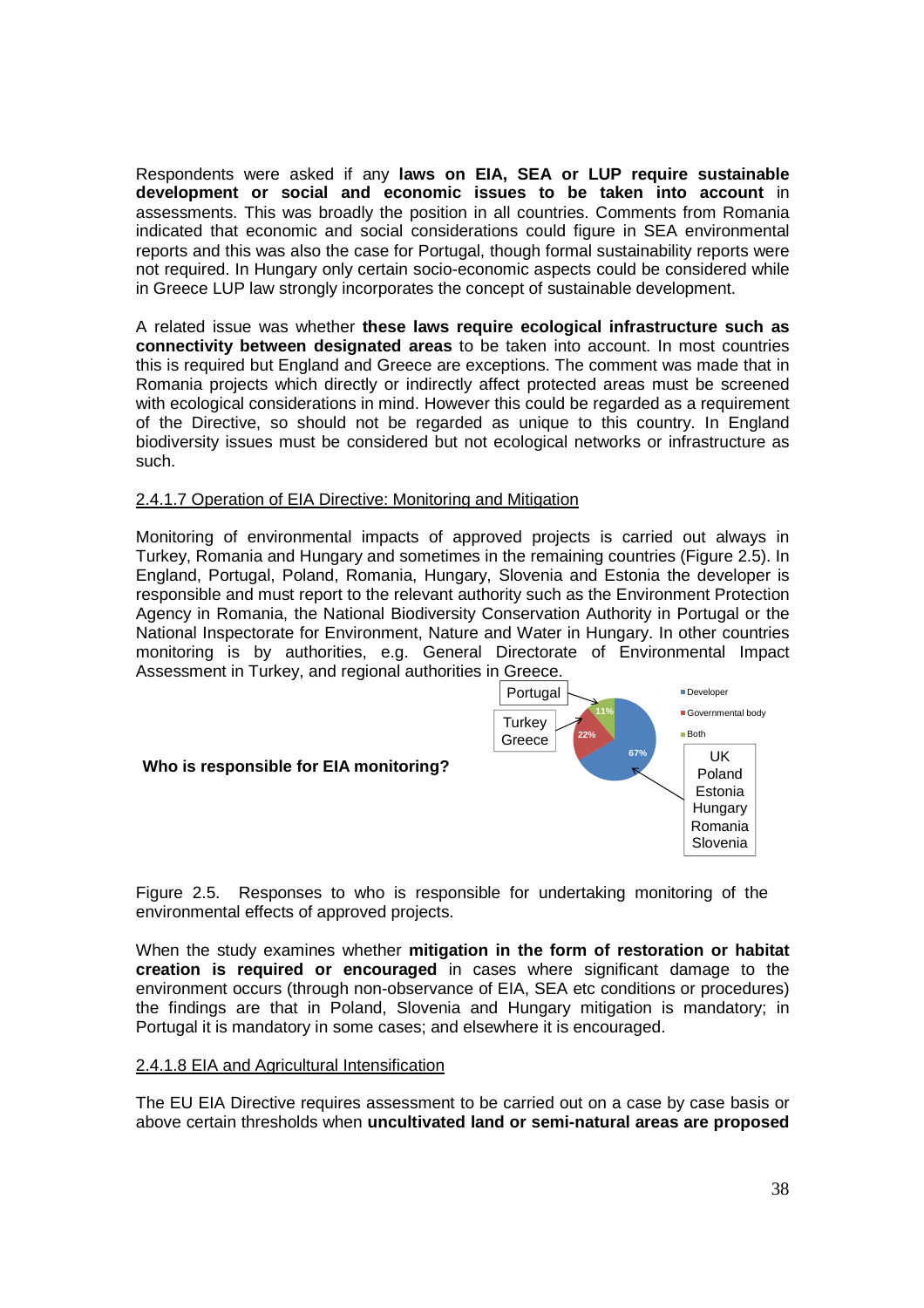Respondents were asked if any **laws on EIA, SEA or LUP require sustainable development or social and economic issues to be taken into account** in assessments. This was broadly the position in all countries. Comments from Romania indicated that economic and social considerations could figure in SEA environmental reports and this was also the case for Portugal, though formal sustainability reports were not required. In Hungary only certain socio-economic aspects could be considered while in Greece LUP law strongly incorporates the concept of sustainable development.

A related issue was whether **these laws require ecological infrastructure such as connectivity between designated areas** to be taken into account. In most countries this is required but England and Greece are exceptions. The comment was made that in Romania projects which directly or indirectly affect protected areas must be screened with ecological considerations in mind. However this could be regarded as a requirement of the Directive, so should not be regarded as unique to this country. In England biodiversity issues must be considered but not ecological networks or infrastructure as such.

#### 2.4.1.7 Operation of EIA Directive: Monitoring and Mitigation

Monitoring of environmental impacts of approved projects is carried out always in Turkey, Romania and Hungary and sometimes in the remaining countries (Figure 2.5). In England, Portugal, Poland, Romania, Hungary, Slovenia and Estonia the developer is responsible and must report to the relevant authority such as the Environment Protection Agency in Romania, the National Biodiversity Conservation Authority in Portugal or the National Inspectorate for Environment, Nature and Water in Hungary. In other countries monitoring is by authorities, e.g. General Directorate of Environmental Impact Assessment in Turkey, and regional authorities in Greece.



Figure 2.5. Responses to who is responsible for undertaking monitoring of the environmental effects of approved projects.

When the study examines whether **mitigation in the form of restoration or habitat creation is required or encouraged** in cases where significant damage to the environment occurs (through non-observance of EIA, SEA etc conditions or procedures) the findings are that in Poland, Slovenia and Hungary mitigation is mandatory; in Portugal it is mandatory in some cases; and elsewhere it is encouraged.

#### 2.4.1.8 EIA and Agricultural Intensification

The EU EIA Directive requires assessment to be carried out on a case by case basis or above certain thresholds when **uncultivated land or semi-natural areas are proposed**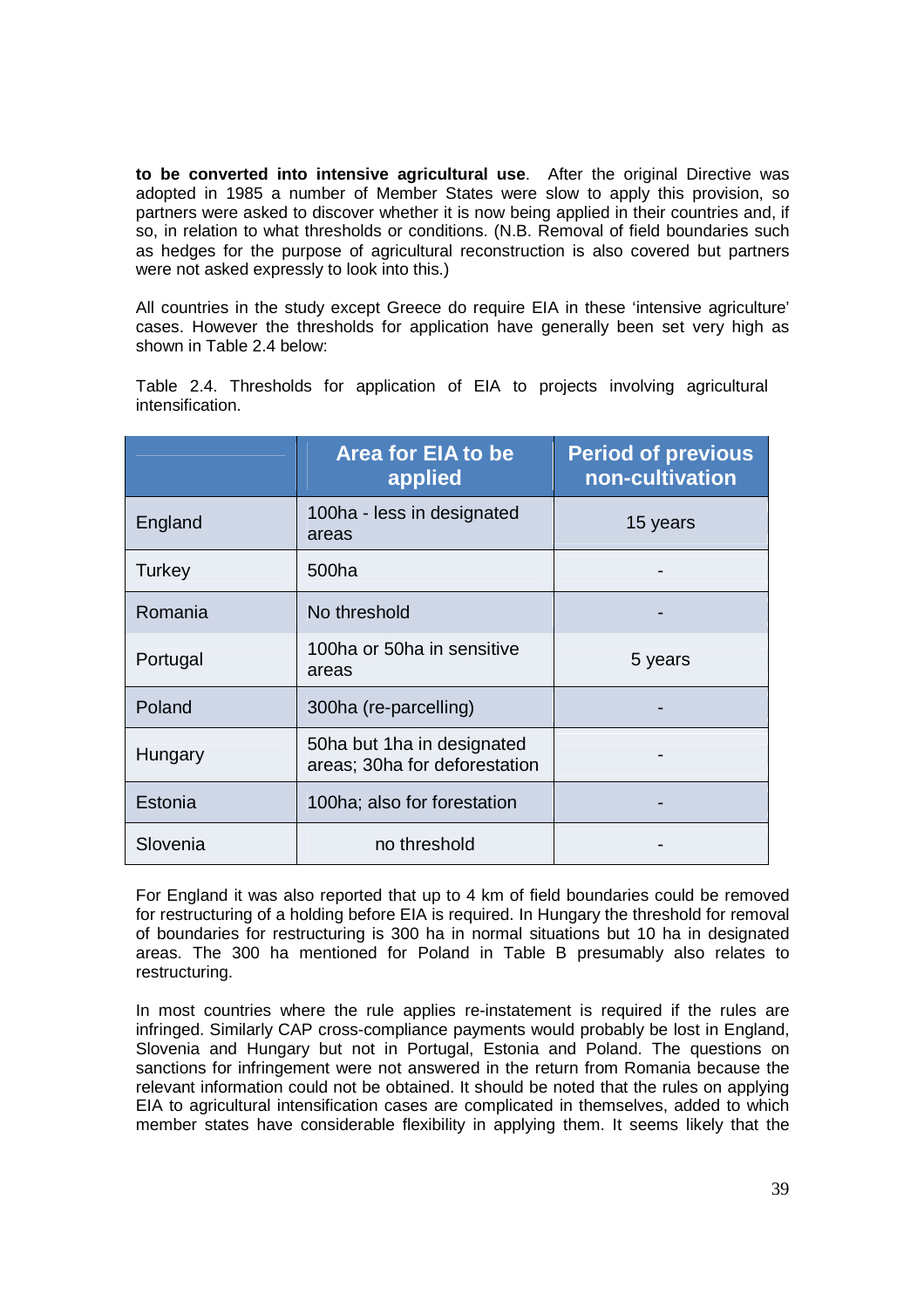**to be converted into intensive agricultural use**. After the original Directive was adopted in 1985 a number of Member States were slow to apply this provision, so partners were asked to discover whether it is now being applied in their countries and, if so, in relation to what thresholds or conditions. (N.B. Removal of field boundaries such as hedges for the purpose of agricultural reconstruction is also covered but partners were not asked expressly to look into this.)

All countries in the study except Greece do require EIA in these 'intensive agriculture' cases. However the thresholds for application have generally been set very high as shown in Table 2.4 below:

|               | <b>Area for EIA to be</b><br>applied                        | <b>Period of previous</b><br>non-cultivation |
|---------------|-------------------------------------------------------------|----------------------------------------------|
| England       | 100ha - less in designated<br>areas                         | 15 years                                     |
| <b>Turkey</b> | 500ha                                                       |                                              |
| Romania       | No threshold                                                |                                              |
| Portugal      | 100ha or 50ha in sensitive<br>areas                         | 5 years                                      |
| Poland        | 300ha (re-parcelling)                                       |                                              |
| Hungary       | 50ha but 1ha in designated<br>areas; 30ha for deforestation |                                              |
| Estonia       | 100ha; also for forestation                                 |                                              |
| Slovenia      | no threshold                                                |                                              |

Table 2.4. Thresholds for application of EIA to projects involving agricultural intensification.

For England it was also reported that up to 4 km of field boundaries could be removed for restructuring of a holding before EIA is required. In Hungary the threshold for removal of boundaries for restructuring is 300 ha in normal situations but 10 ha in designated areas. The 300 ha mentioned for Poland in Table B presumably also relates to restructuring.

In most countries where the rule applies re-instatement is required if the rules are infringed. Similarly CAP cross-compliance payments would probably be lost in England, Slovenia and Hungary but not in Portugal, Estonia and Poland. The questions on sanctions for infringement were not answered in the return from Romania because the relevant information could not be obtained. It should be noted that the rules on applying EIA to agricultural intensification cases are complicated in themselves, added to which member states have considerable flexibility in applying them. It seems likely that the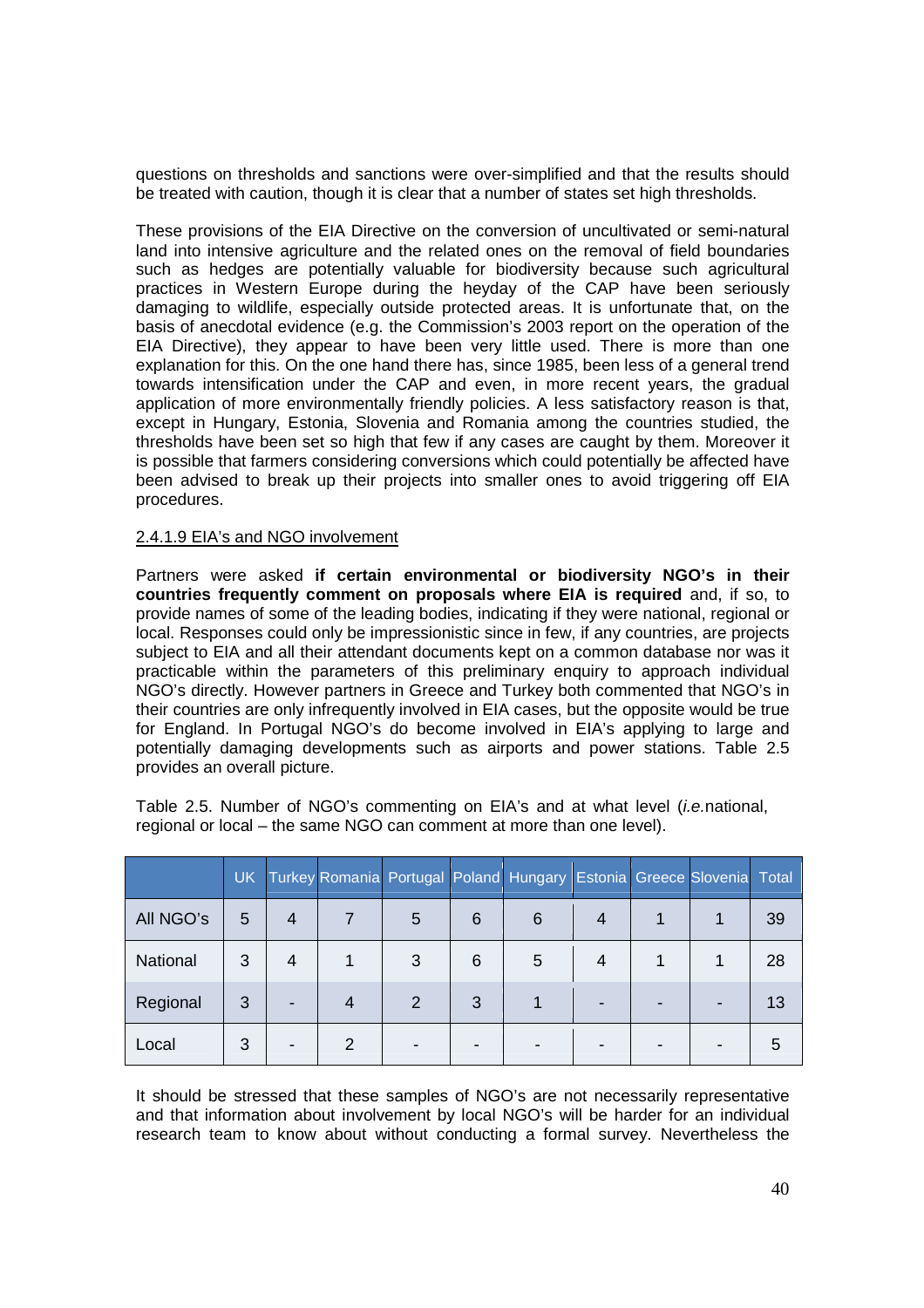questions on thresholds and sanctions were over-simplified and that the results should be treated with caution, though it is clear that a number of states set high thresholds.

These provisions of the EIA Directive on the conversion of uncultivated or semi-natural land into intensive agriculture and the related ones on the removal of field boundaries such as hedges are potentially valuable for biodiversity because such agricultural practices in Western Europe during the heyday of the CAP have been seriously damaging to wildlife, especially outside protected areas. It is unfortunate that, on the basis of anecdotal evidence (e.g. the Commission's 2003 report on the operation of the EIA Directive), they appear to have been very little used. There is more than one explanation for this. On the one hand there has, since 1985, been less of a general trend towards intensification under the CAP and even, in more recent years, the gradual application of more environmentally friendly policies. A less satisfactory reason is that, except in Hungary, Estonia, Slovenia and Romania among the countries studied, the thresholds have been set so high that few if any cases are caught by them. Moreover it is possible that farmers considering conversions which could potentially be affected have been advised to break up their projects into smaller ones to avoid triggering off EIA procedures.

#### 2.4.1.9 EIA's and NGO involvement

Partners were asked **if certain environmental or biodiversity NGO's in their countries frequently comment on proposals where EIA is required** and, if so, to provide names of some of the leading bodies, indicating if they were national, regional or local. Responses could only be impressionistic since in few, if any countries, are projects subject to EIA and all their attendant documents kept on a common database nor was it practicable within the parameters of this preliminary enquiry to approach individual NGO's directly. However partners in Greece and Turkey both commented that NGO's in their countries are only infrequently involved in EIA cases, but the opposite would be true for England. In Portugal NGO's do become involved in EIA's applying to large and potentially damaging developments such as airports and power stations. Table 2.5 provides an overall picture.

Table 2.5. Number of NGO's commenting on EIA's and at what level (i.e.national, regional or local – the same NGO can comment at more than one level).

|           |   |                |               |   |   | UK Turkey Romania Portugal Poland Hungary Estonia Greece Slovenia Total |   |  |    |
|-----------|---|----------------|---------------|---|---|-------------------------------------------------------------------------|---|--|----|
| All NGO's | 5 | $\overline{4}$ |               | 5 | 6 | 6                                                                       | 4 |  | 39 |
| National  | 3 | $\overline{4}$ |               | 3 | 6 | 5                                                                       | 4 |  | 28 |
| Regional  | 3 |                | 4             | 2 | 3 |                                                                         |   |  | 13 |
| Local     | 3 |                | $\mathcal{P}$ |   |   |                                                                         |   |  |    |

It should be stressed that these samples of NGO's are not necessarily representative and that information about involvement by local NGO's will be harder for an individual research team to know about without conducting a formal survey. Nevertheless the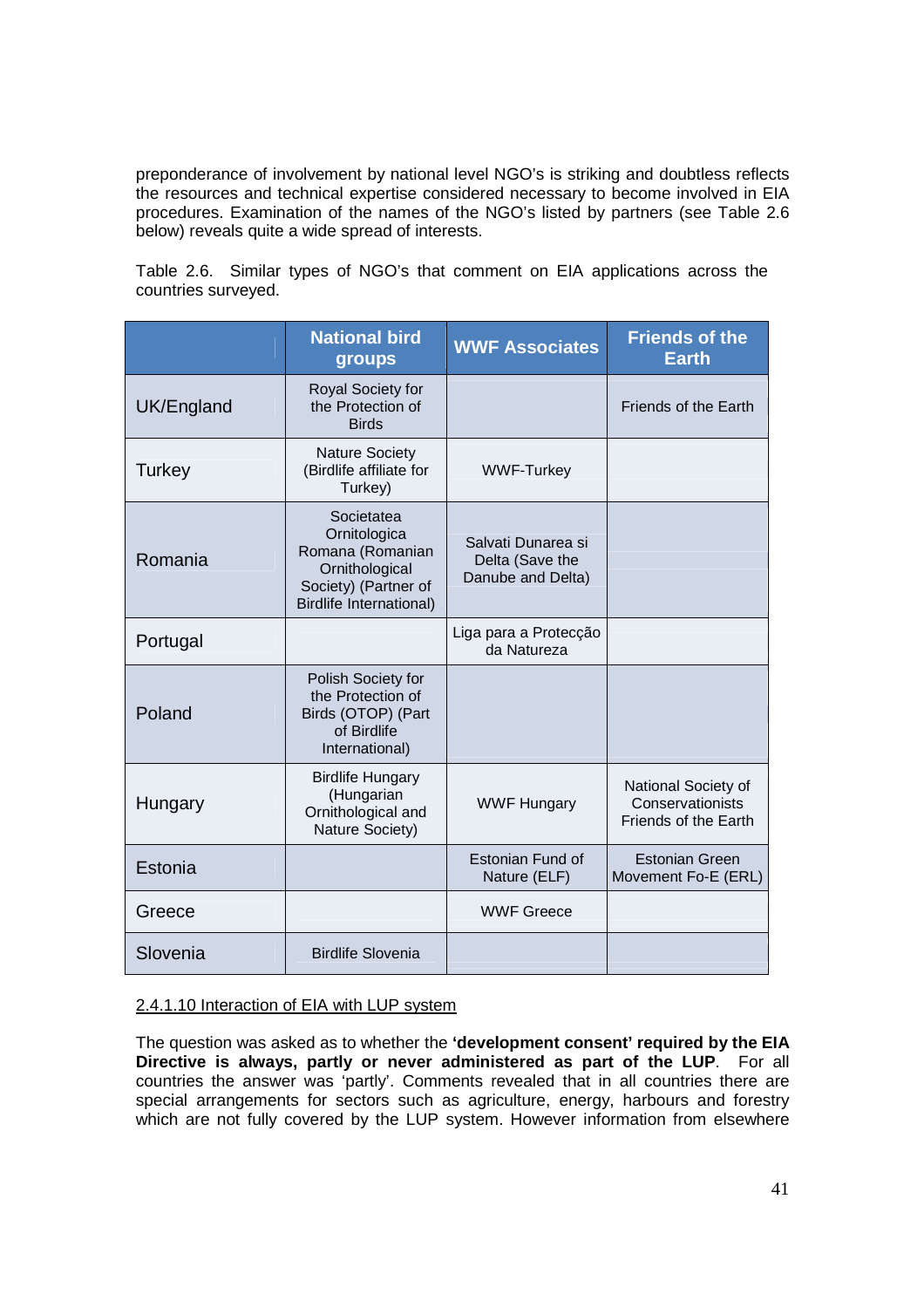preponderance of involvement by national level NGO's is striking and doubtless reflects the resources and technical expertise considered necessary to become involved in EIA procedures. Examination of the names of the NGO's listed by partners (see Table 2.6 below) reveals quite a wide spread of interests.

Table 2.6. Similar types of NGO's that comment on EIA applications across the countries surveyed.

|            | <b>National bird</b><br>groups                                                                                             | <b>WWF Associates</b>                                      | <b>Friends of the</b><br><b>Earth</b>                           |
|------------|----------------------------------------------------------------------------------------------------------------------------|------------------------------------------------------------|-----------------------------------------------------------------|
| UK/England | Royal Society for<br>the Protection of<br><b>Birds</b>                                                                     |                                                            | Friends of the Earth                                            |
| Turkey     | <b>Nature Society</b><br>(Birdlife affiliate for<br>Turkey)                                                                | <b>WWF-Turkey</b>                                          |                                                                 |
| Romania    | Societatea<br>Ornitologica<br>Romana (Romanian<br>Ornithological<br>Society) (Partner of<br><b>Birdlife International)</b> | Salvati Dunarea si<br>Delta (Save the<br>Danube and Delta) |                                                                 |
| Portugal   |                                                                                                                            | Liga para a Protecção<br>da Natureza                       |                                                                 |
| Poland     | Polish Society for<br>the Protection of<br>Birds (OTOP) (Part<br>of Birdlife<br>International)                             |                                                            |                                                                 |
| Hungary    | <b>Birdlife Hungary</b><br>(Hungarian<br>Ornithological and<br>Nature Society)                                             | <b>WWF Hungary</b>                                         | National Society of<br>Conservationists<br>Friends of the Earth |
| Estonia    |                                                                                                                            | Estonian Fund of<br>Nature (ELF)                           | <b>Estonian Green</b><br>Movement Fo-E (ERL)                    |
| Greece     |                                                                                                                            | <b>WWF Greece</b>                                          |                                                                 |
| Slovenia   | <b>Birdlife Slovenia</b>                                                                                                   |                                                            |                                                                 |

#### 2.4.1.10 Interaction of EIA with LUP system

The question was asked as to whether the **'development consent' required by the EIA Directive is always, partly or never administered as part of the LUP**. For all countries the answer was 'partly'. Comments revealed that in all countries there are special arrangements for sectors such as agriculture, energy, harbours and forestry which are not fully covered by the LUP system. However information from elsewhere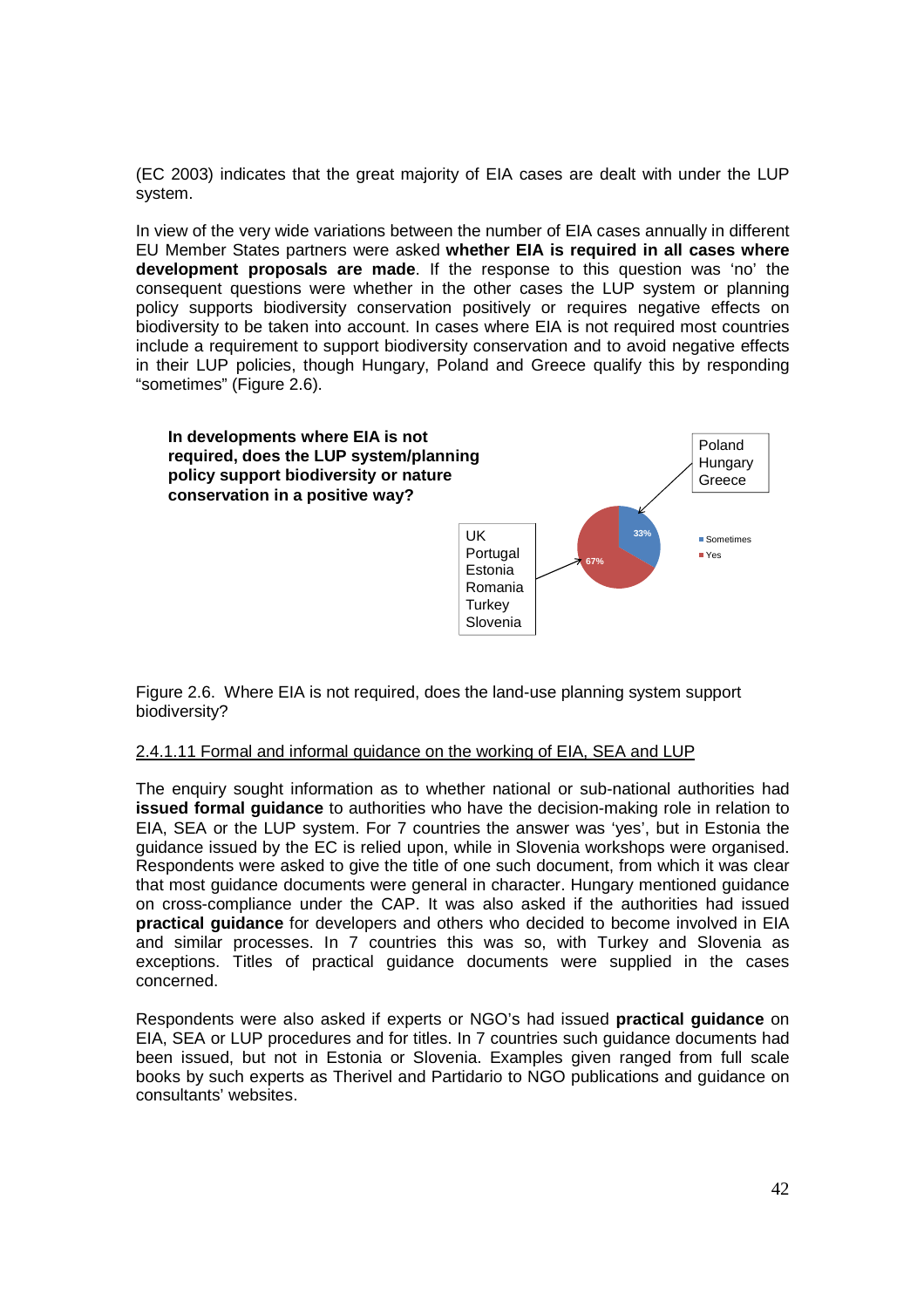(EC 2003) indicates that the great majority of EIA cases are dealt with under the LUP system.

In view of the very wide variations between the number of EIA cases annually in different EU Member States partners were asked **whether EIA is required in all cases where development proposals are made**. If the response to this question was 'no' the consequent questions were whether in the other cases the LUP system or planning policy supports biodiversity conservation positively or requires negative effects on biodiversity to be taken into account. In cases where EIA is not required most countries include a requirement to support biodiversity conservation and to avoid negative effects in their LUP policies, though Hungary, Poland and Greece qualify this by responding "sometimes" (Figure 2.6).



Figure 2.6. Where EIA is not required, does the land-use planning system support biodiversity?

#### 2.4.1.11 Formal and informal guidance on the working of EIA, SEA and LUP

The enquiry sought information as to whether national or sub-national authorities had **issued formal guidance** to authorities who have the decision-making role in relation to EIA, SEA or the LUP system. For 7 countries the answer was 'yes', but in Estonia the guidance issued by the EC is relied upon, while in Slovenia workshops were organised. Respondents were asked to give the title of one such document, from which it was clear that most guidance documents were general in character. Hungary mentioned guidance on cross-compliance under the CAP. It was also asked if the authorities had issued **practical guidance** for developers and others who decided to become involved in EIA and similar processes. In 7 countries this was so, with Turkey and Slovenia as exceptions. Titles of practical guidance documents were supplied in the cases concerned.

Respondents were also asked if experts or NGO's had issued **practical guidance** on EIA, SEA or LUP procedures and for titles. In 7 countries such guidance documents had been issued, but not in Estonia or Slovenia. Examples given ranged from full scale books by such experts as Therivel and Partidario to NGO publications and guidance on consultants' websites.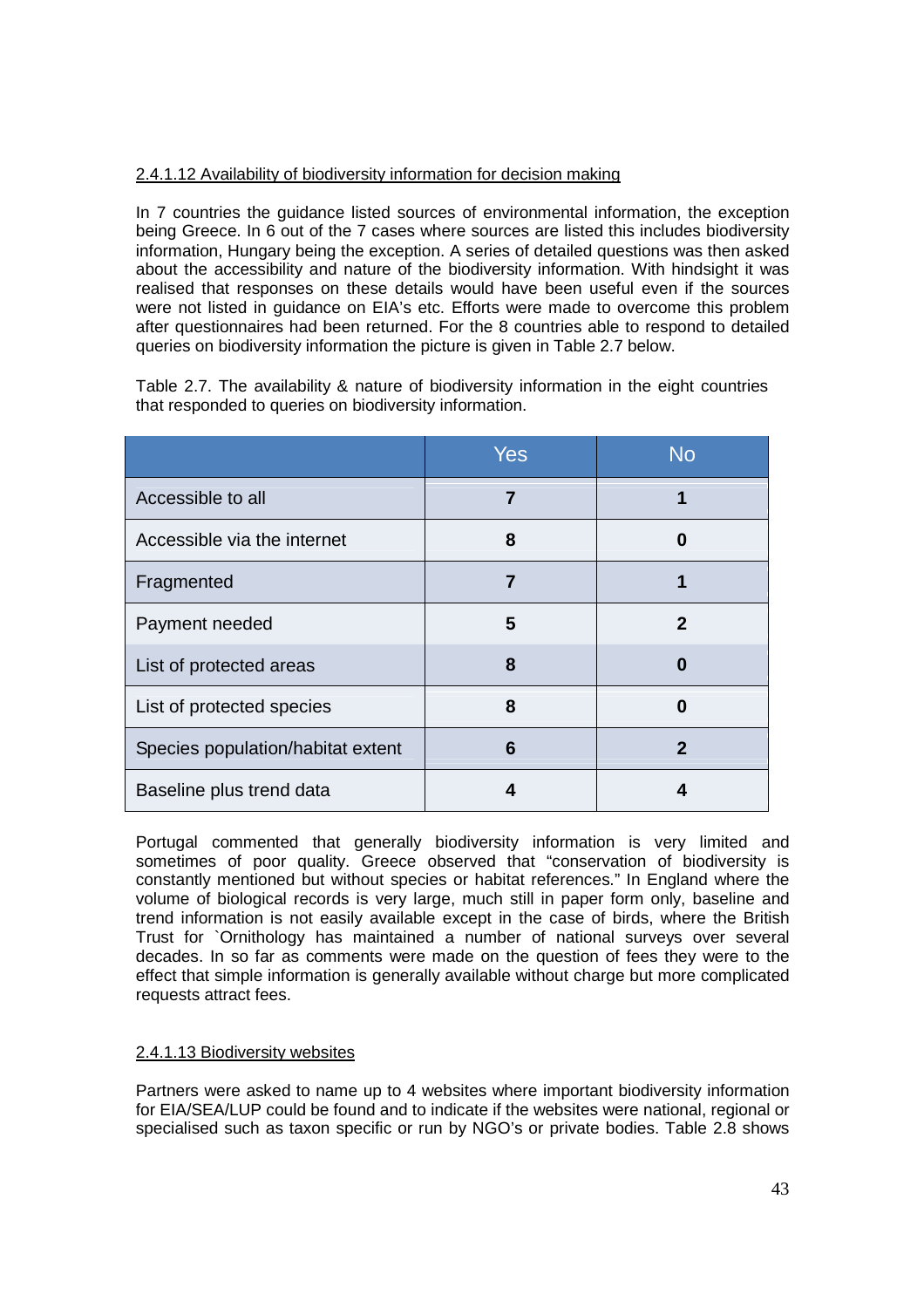## 2.4.1.12 Availability of biodiversity information for decision making

In 7 countries the guidance listed sources of environmental information, the exception being Greece. In 6 out of the 7 cases where sources are listed this includes biodiversity information, Hungary being the exception. A series of detailed questions was then asked about the accessibility and nature of the biodiversity information. With hindsight it was realised that responses on these details would have been useful even if the sources were not listed in guidance on EIA's etc. Efforts were made to overcome this problem after questionnaires had been returned. For the 8 countries able to respond to detailed queries on biodiversity information the picture is given in Table 2.7 below.

Table 2.7. The availability & nature of biodiversity information in the eight countries that responded to queries on biodiversity information.

|                                   | Yes | No |
|-----------------------------------|-----|----|
| Accessible to all                 | 7   |    |
| Accessible via the internet       | 8   | 0  |
| Fragmented                        | 7   |    |
| Payment needed                    | 5   | 2  |
| List of protected areas           | 8   | 0  |
| List of protected species         | 8   | 0  |
| Species population/habitat extent | 6   | 2  |
| Baseline plus trend data          | 4   | 4  |

Portugal commented that generally biodiversity information is very limited and sometimes of poor quality. Greece observed that "conservation of biodiversity is constantly mentioned but without species or habitat references." In England where the volume of biological records is very large, much still in paper form only, baseline and trend information is not easily available except in the case of birds, where the British Trust for `Ornithology has maintained a number of national surveys over several decades. In so far as comments were made on the question of fees they were to the effect that simple information is generally available without charge but more complicated requests attract fees.

### 2.4.1.13 Biodiversity websites

Partners were asked to name up to 4 websites where important biodiversity information for EIA/SEA/LUP could be found and to indicate if the websites were national, regional or specialised such as taxon specific or run by NGO's or private bodies. Table 2.8 shows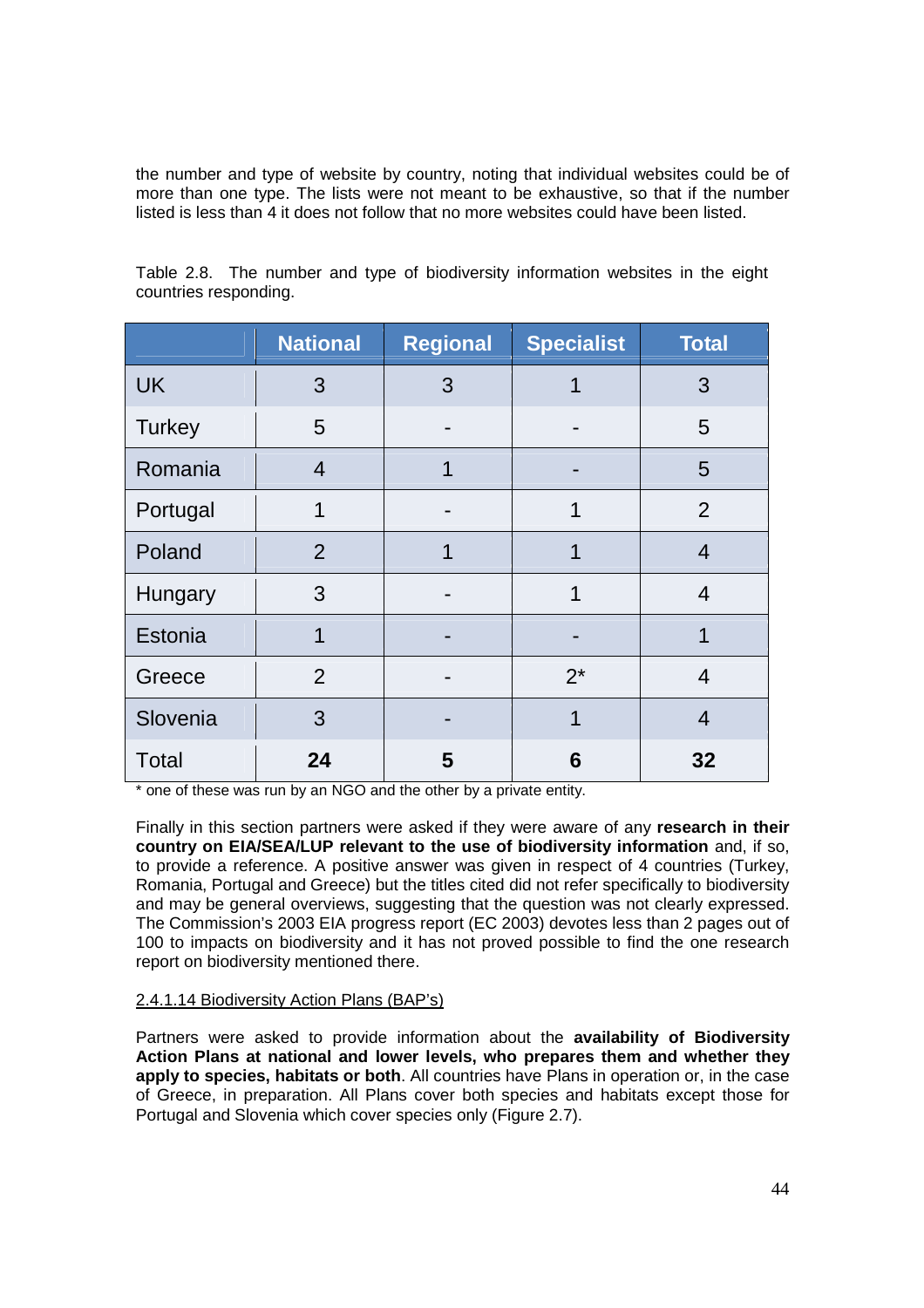the number and type of website by country, noting that individual websites could be of more than one type. The lists were not meant to be exhaustive, so that if the number listed is less than 4 it does not follow that no more websites could have been listed.

|               | <b>National</b> | <b>Regional</b> | <b>Specialist</b> | <b>Total</b>   |
|---------------|-----------------|-----------------|-------------------|----------------|
| <b>UK</b>     | 3               | 3               | 1                 | 3              |
| <b>Turkey</b> | 5               |                 |                   | 5              |
| Romania       | $\overline{4}$  | 1               |                   | 5              |
| Portugal      | 1               |                 | 1                 | $\overline{2}$ |
| Poland        | 2               | 1               | 1                 | $\overline{4}$ |
| Hungary       | 3               |                 | 1                 | $\overline{4}$ |
| Estonia       | 1               |                 |                   | 1              |
| Greece        | 2               |                 | $2^*$             | $\overline{4}$ |
| Slovenia      | 3               |                 | 1                 | $\overline{4}$ |
| <b>Total</b>  | 24              | 5               | 6                 | 32             |

Table 2.8. The number and type of biodiversity information websites in the eight countries responding.

\* one of these was run by an NGO and the other by a private entity.

Finally in this section partners were asked if they were aware of any **research in their country on EIA/SEA/LUP relevant to the use of biodiversity information** and, if so, to provide a reference. A positive answer was given in respect of 4 countries (Turkey, Romania, Portugal and Greece) but the titles cited did not refer specifically to biodiversity and may be general overviews, suggesting that the question was not clearly expressed. The Commission's 2003 EIA progress report (EC 2003) devotes less than 2 pages out of 100 to impacts on biodiversity and it has not proved possible to find the one research report on biodiversity mentioned there.

#### 2.4.1.14 Biodiversity Action Plans (BAP's)

Partners were asked to provide information about the **availability of Biodiversity Action Plans at national and lower levels, who prepares them and whether they apply to species, habitats or both**. All countries have Plans in operation or, in the case of Greece, in preparation. All Plans cover both species and habitats except those for Portugal and Slovenia which cover species only (Figure 2.7).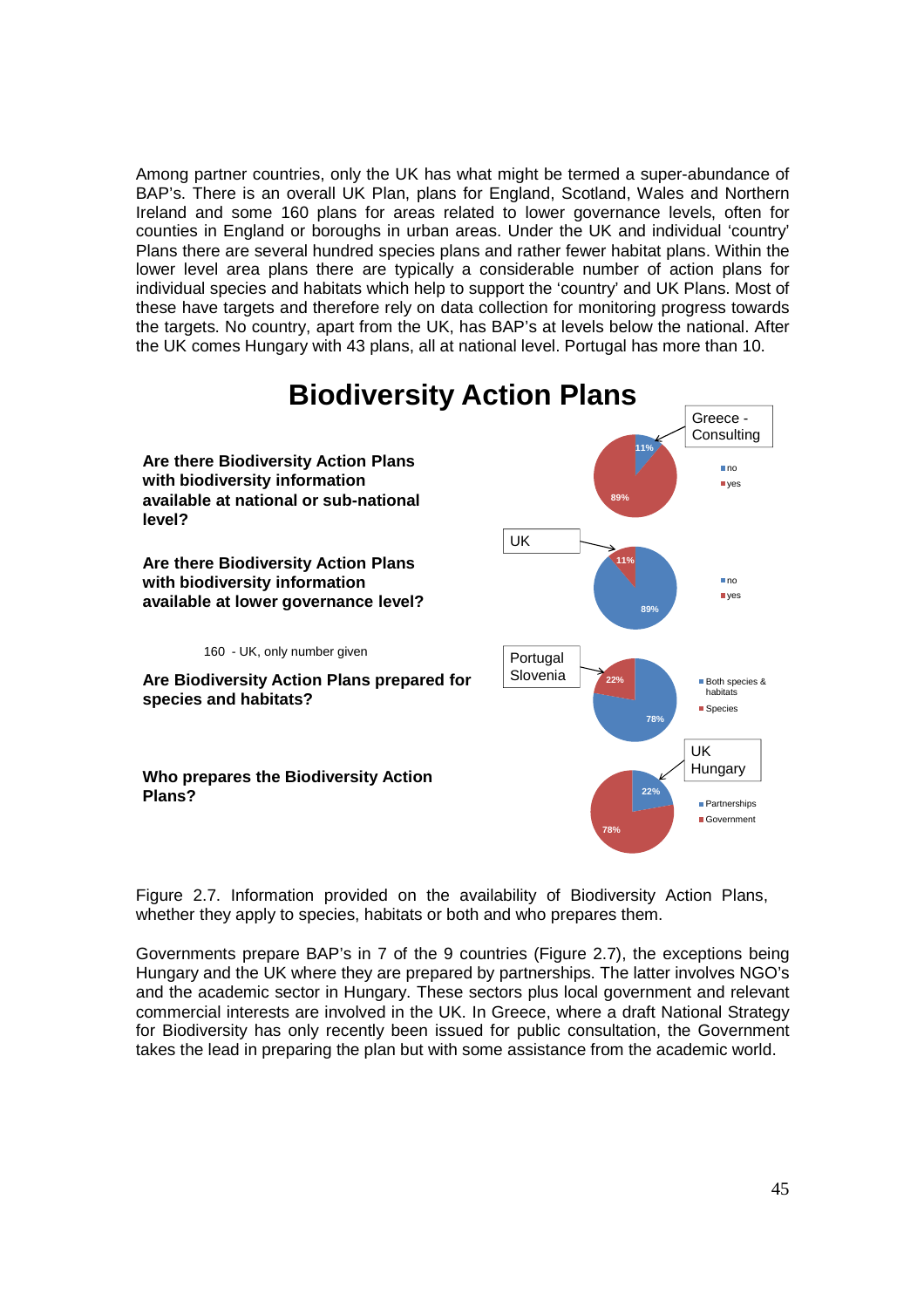Among partner countries, only the UK has what might be termed a super-abundance of BAP's. There is an overall UK Plan, plans for England, Scotland, Wales and Northern Ireland and some 160 plans for areas related to lower governance levels, often for counties in England or boroughs in urban areas. Under the UK and individual 'country' Plans there are several hundred species plans and rather fewer habitat plans. Within the lower level area plans there are typically a considerable number of action plans for individual species and habitats which help to support the 'country' and UK Plans. Most of these have targets and therefore rely on data collection for monitoring progress towards the targets. No country, apart from the UK, has BAP's at levels below the national. After the UK comes Hungary with 43 plans, all at national level. Portugal has more than 10.



Figure 2.7. Information provided on the availability of Biodiversity Action Plans, whether they apply to species, habitats or both and who prepares them.

Governments prepare BAP's in 7 of the 9 countries (Figure 2.7), the exceptions being Hungary and the UK where they are prepared by partnerships. The latter involves NGO's and the academic sector in Hungary. These sectors plus local government and relevant commercial interests are involved in the UK. In Greece, where a draft National Strategy for Biodiversity has only recently been issued for public consultation, the Government takes the lead in preparing the plan but with some assistance from the academic world.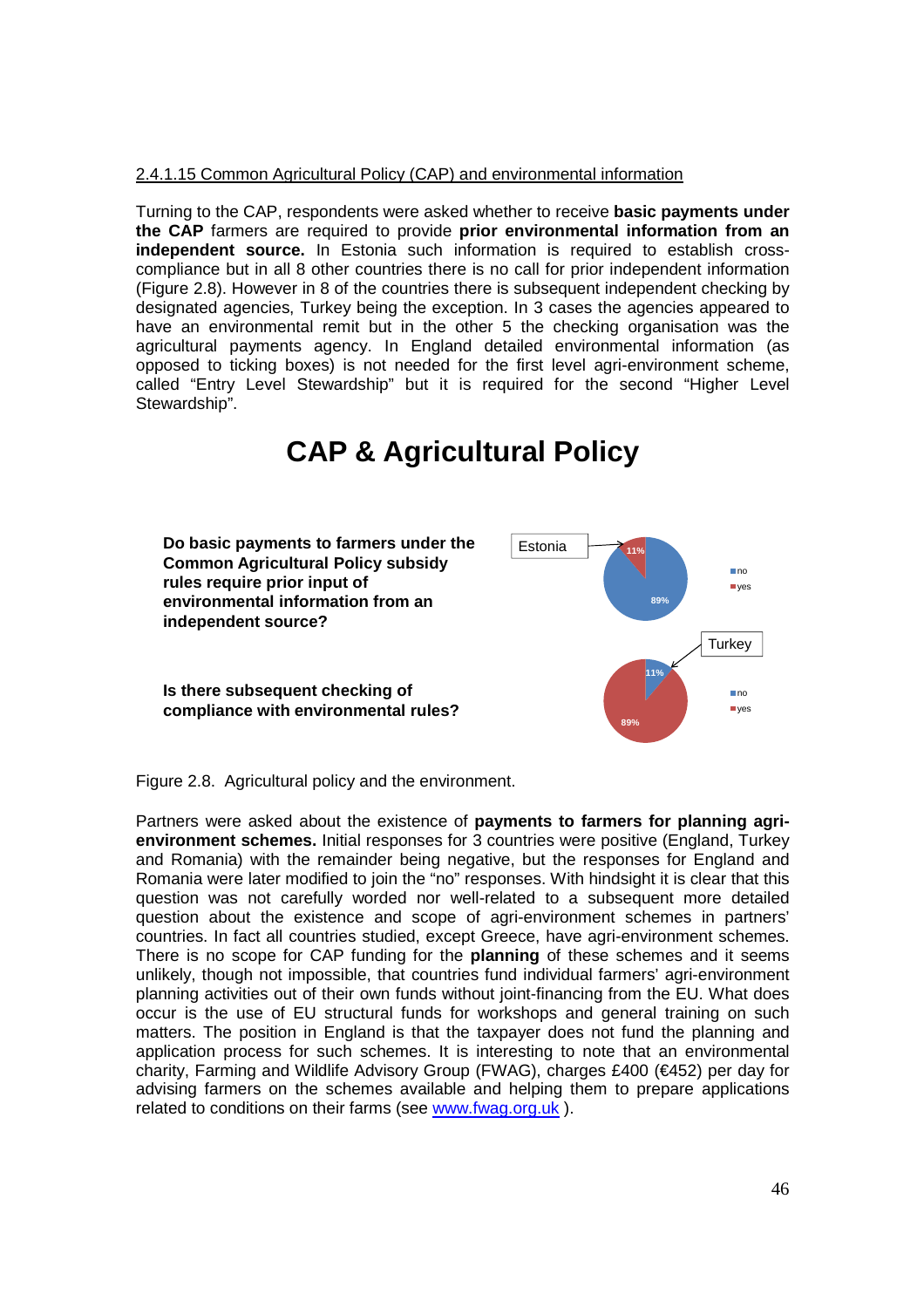#### 2.4.1.15 Common Agricultural Policy (CAP) and environmental information

Turning to the CAP, respondents were asked whether to receive **basic payments under the CAP** farmers are required to provide **prior environmental information from an independent source.** In Estonia such information is required to establish crosscompliance but in all 8 other countries there is no call for prior independent information (Figure 2.8). However in 8 of the countries there is subsequent independent checking by designated agencies, Turkey being the exception. In 3 cases the agencies appeared to have an environmental remit but in the other 5 the checking organisation was the agricultural payments agency. In England detailed environmental information (as opposed to ticking boxes) is not needed for the first level agri-environment scheme, called "Entry Level Stewardship" but it is required for the second "Higher Level Stewardship".

# **CAP & Agricultural Policy**



Figure 2.8. Agricultural policy and the environment.

Partners were asked about the existence of **payments to farmers for planning agrienvironment schemes.** Initial responses for 3 countries were positive (England, Turkey and Romania) with the remainder being negative, but the responses for England and Romania were later modified to join the "no" responses. With hindsight it is clear that this question was not carefully worded nor well-related to a subsequent more detailed question about the existence and scope of agri-environment schemes in partners' countries. In fact all countries studied, except Greece, have agri-environment schemes. There is no scope for CAP funding for the **planning** of these schemes and it seems unlikely, though not impossible, that countries fund individual farmers' agri-environment planning activities out of their own funds without joint-financing from the EU. What does occur is the use of EU structural funds for workshops and general training on such matters. The position in England is that the taxpayer does not fund the planning and application process for such schemes. It is interesting to note that an environmental charity, Farming and Wildlife Advisory Group (FWAG), charges £400 (€452) per day for advising farmers on the schemes available and helping them to prepare applications related to conditions on their farms (see www.fwag.org.uk ).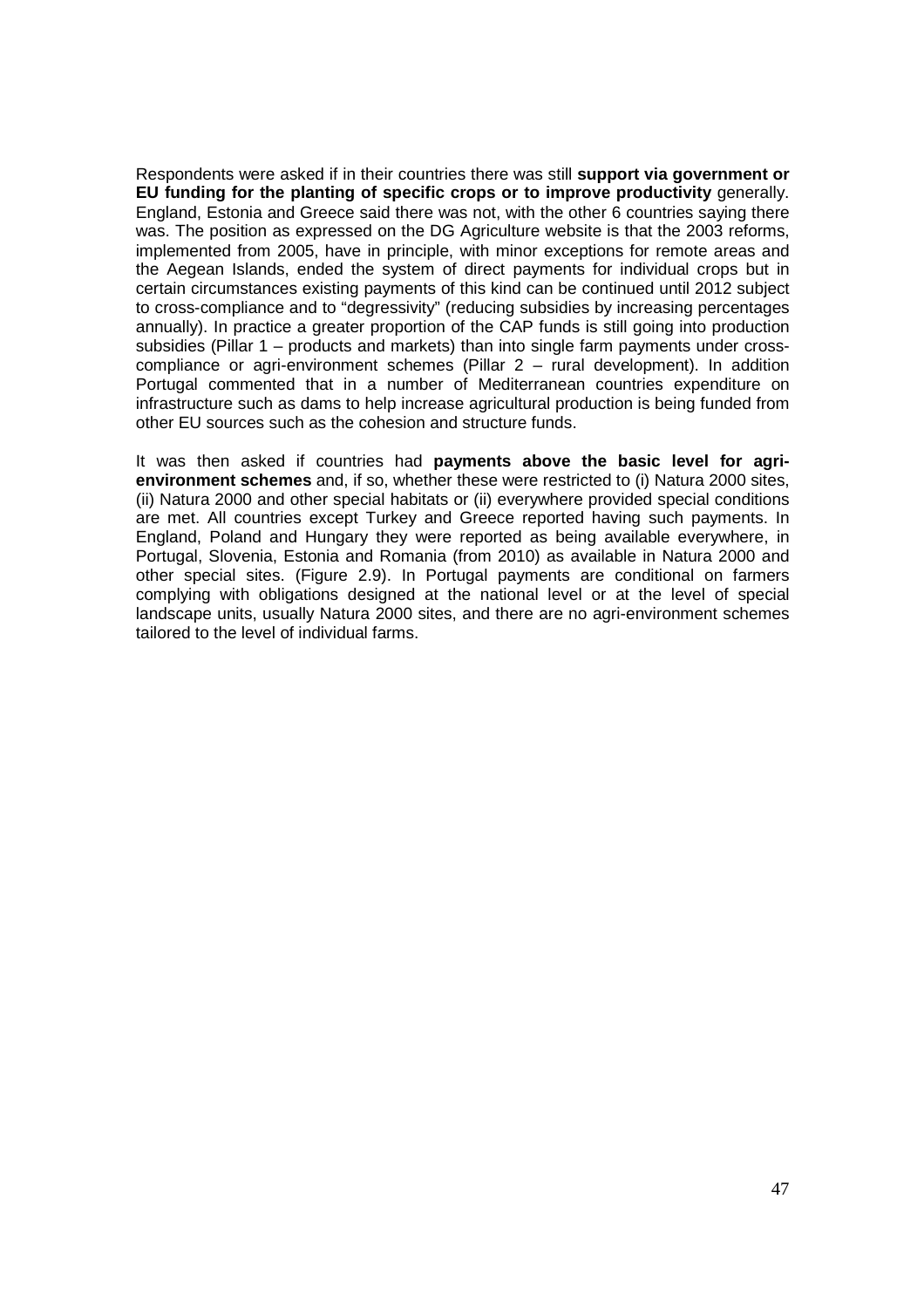Respondents were asked if in their countries there was still **support via government or EU funding for the planting of specific crops or to improve productivity** generally. England, Estonia and Greece said there was not, with the other 6 countries saying there was. The position as expressed on the DG Agriculture website is that the 2003 reforms, implemented from 2005, have in principle, with minor exceptions for remote areas and the Aegean Islands, ended the system of direct payments for individual crops but in certain circumstances existing payments of this kind can be continued until 2012 subject to cross-compliance and to "degressivity" (reducing subsidies by increasing percentages annually). In practice a greater proportion of the CAP funds is still going into production subsidies (Pillar 1 – products and markets) than into single farm payments under crosscompliance or agri-environment schemes (Pillar 2 – rural development). In addition Portugal commented that in a number of Mediterranean countries expenditure on infrastructure such as dams to help increase agricultural production is being funded from other EU sources such as the cohesion and structure funds.

It was then asked if countries had **payments above the basic level for agrienvironment schemes** and, if so, whether these were restricted to (i) Natura 2000 sites, (ii) Natura 2000 and other special habitats or (ii) everywhere provided special conditions are met. All countries except Turkey and Greece reported having such payments. In England, Poland and Hungary they were reported as being available everywhere, in Portugal, Slovenia, Estonia and Romania (from 2010) as available in Natura 2000 and other special sites. (Figure 2.9). In Portugal payments are conditional on farmers complying with obligations designed at the national level or at the level of special landscape units, usually Natura 2000 sites, and there are no agri-environment schemes tailored to the level of individual farms.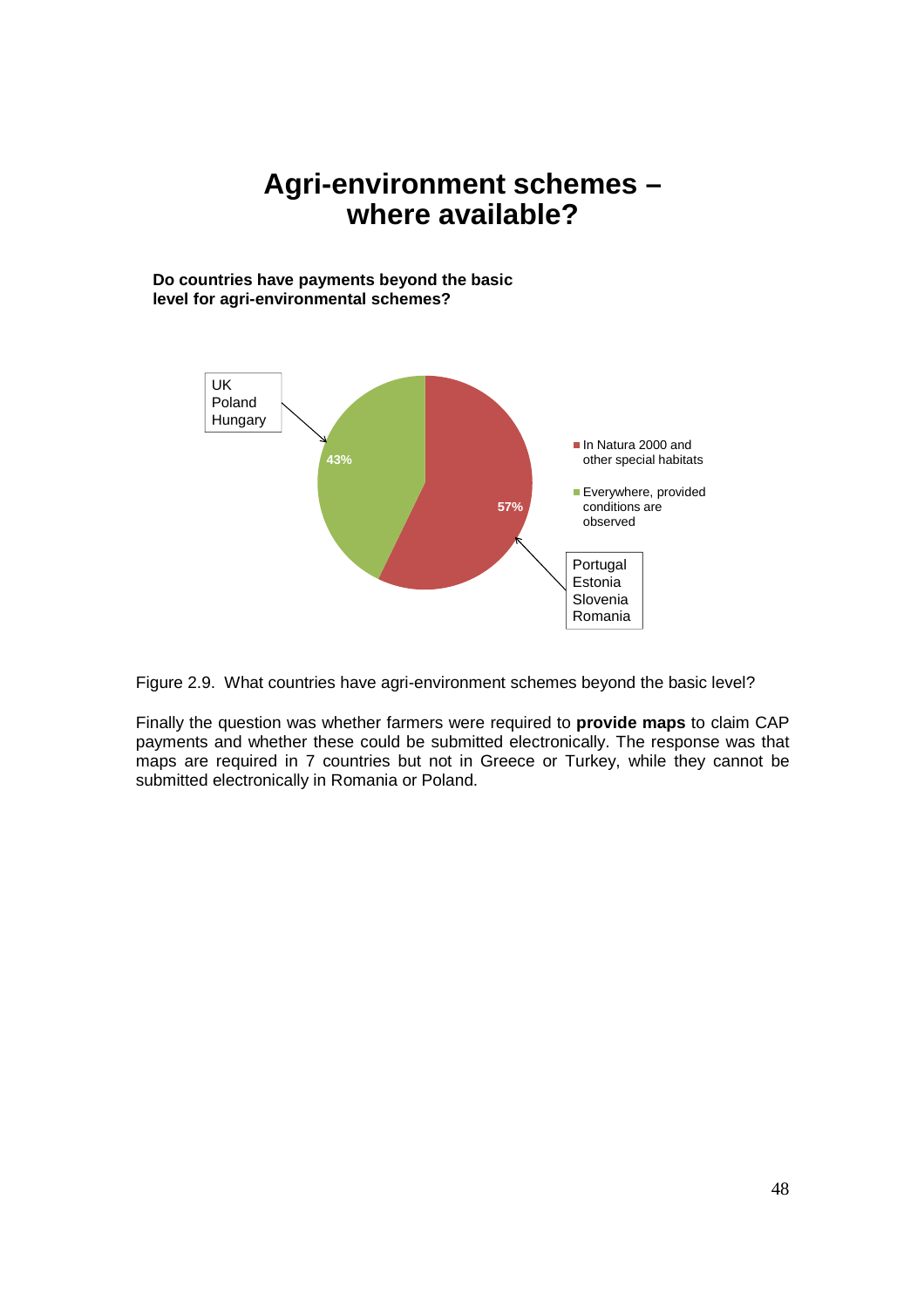# **Agri-environment schemes – where available?**

**Do countries have payments beyond the basic level for agri-environmental schemes?**





Finally the question was whether farmers were required to **provide maps** to claim CAP payments and whether these could be submitted electronically. The response was that maps are required in 7 countries but not in Greece or Turkey, while they cannot be submitted electronically in Romania or Poland.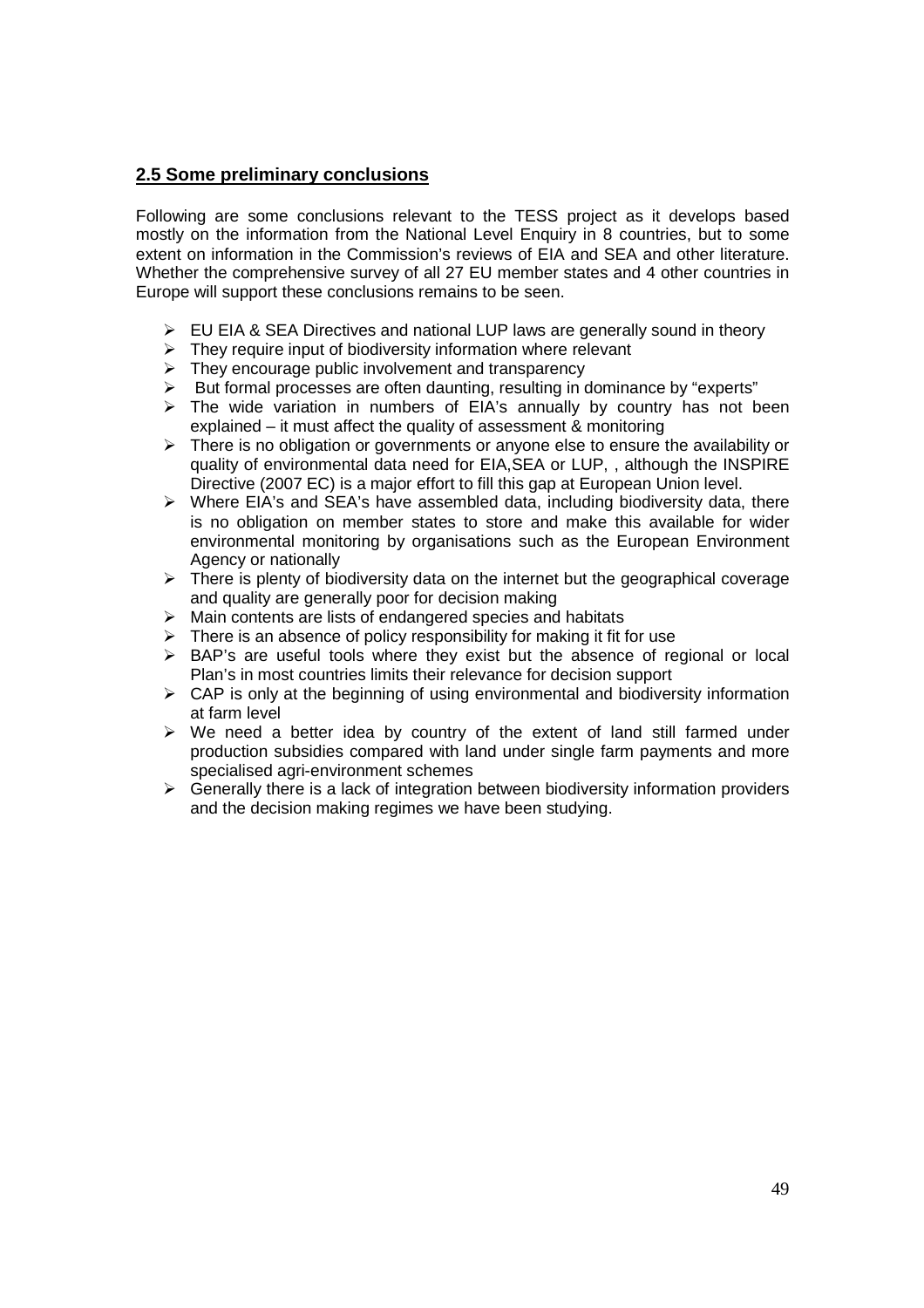# **2.5 Some preliminary conclusions**

Following are some conclusions relevant to the TESS project as it develops based mostly on the information from the National Level Enquiry in 8 countries, but to some extent on information in the Commission's reviews of EIA and SEA and other literature. Whether the comprehensive survey of all 27 EU member states and 4 other countries in Europe will support these conclusions remains to be seen.

- $\triangleright$  EU EIA & SEA Directives and national LUP laws are generally sound in theory
- $\triangleright$  They require input of biodiversity information where relevant
- $\triangleright$  They encourage public involvement and transparency
- $\triangleright$  But formal processes are often daunting, resulting in dominance by "experts"
- $\triangleright$  The wide variation in numbers of EIA's annually by country has not been explained – it must affect the quality of assessment & monitoring
- $\triangleright$  There is no obligation or governments or anyone else to ensure the availability or quality of environmental data need for EIA,SEA or LUP, , although the INSPIRE Directive (2007 EC) is a major effort to fill this gap at European Union level.
- $\triangleright$  Where EIA's and SEA's have assembled data, including biodiversity data, there is no obligation on member states to store and make this available for wider environmental monitoring by organisations such as the European Environment Agency or nationally
- $\triangleright$  There is plenty of biodiversity data on the internet but the geographical coverage and quality are generally poor for decision making
- $\triangleright$  Main contents are lists of endangered species and habitats
- $\triangleright$  There is an absence of policy responsibility for making it fit for use
- $\triangleright$  BAP's are useful tools where they exist but the absence of regional or local Plan's in most countries limits their relevance for decision support
- $\triangleright$  CAP is only at the beginning of using environmental and biodiversity information at farm level
- $\triangleright$  We need a better idea by country of the extent of land still farmed under production subsidies compared with land under single farm payments and more specialised agri-environment schemes
- $\triangleright$  Generally there is a lack of integration between biodiversity information providers and the decision making regimes we have been studying.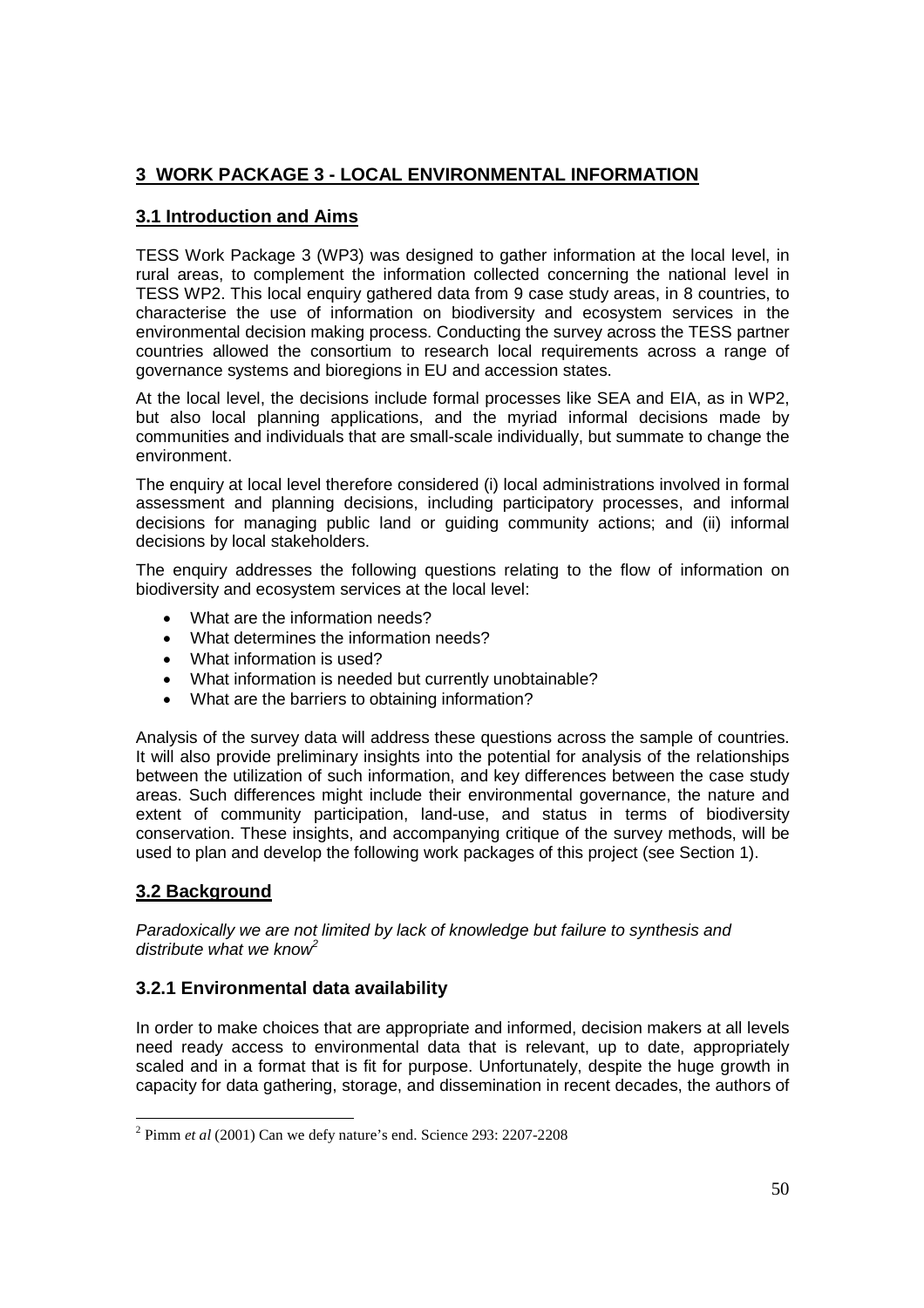# **3 WORK PACKAGE 3 - LOCAL ENVIRONMENTAL INFORMATION**

# **3.1 Introduction and Aims**

TESS Work Package 3 (WP3) was designed to gather information at the local level, in rural areas, to complement the information collected concerning the national level in TESS WP2. This local enquiry gathered data from 9 case study areas, in 8 countries, to characterise the use of information on biodiversity and ecosystem services in the environmental decision making process. Conducting the survey across the TESS partner countries allowed the consortium to research local requirements across a range of governance systems and bioregions in EU and accession states.

At the local level, the decisions include formal processes like SEA and EIA, as in WP2, but also local planning applications, and the myriad informal decisions made by communities and individuals that are small-scale individually, but summate to change the environment.

The enquiry at local level therefore considered (i) local administrations involved in formal assessment and planning decisions, including participatory processes, and informal decisions for managing public land or guiding community actions; and (ii) informal decisions by local stakeholders.

The enquiry addresses the following questions relating to the flow of information on biodiversity and ecosystem services at the local level:

- What are the information needs?
- What determines the information needs?
- What information is used?
- What information is needed but currently unobtainable?
- What are the barriers to obtaining information?

Analysis of the survey data will address these questions across the sample of countries. It will also provide preliminary insights into the potential for analysis of the relationships between the utilization of such information, and key differences between the case study areas. Such differences might include their environmental governance, the nature and extent of community participation, land-use, and status in terms of biodiversity conservation. These insights, and accompanying critique of the survey methods, will be used to plan and develop the following work packages of this project (see Section 1).

# **3.2 Background**

Paradoxically we are not limited by lack of knowledge but failure to synthesis and distribute what we know<sup>2</sup>

# **3.2.1 Environmental data availability**

In order to make choices that are appropriate and informed, decision makers at all levels need ready access to environmental data that is relevant, up to date, appropriately scaled and in a format that is fit for purpose. Unfortunately, despite the huge growth in capacity for data gathering, storage, and dissemination in recent decades, the authors of

 $\overline{a}$ 2 Pimm *et al* (2001) Can we defy nature's end. Science 293: 2207-2208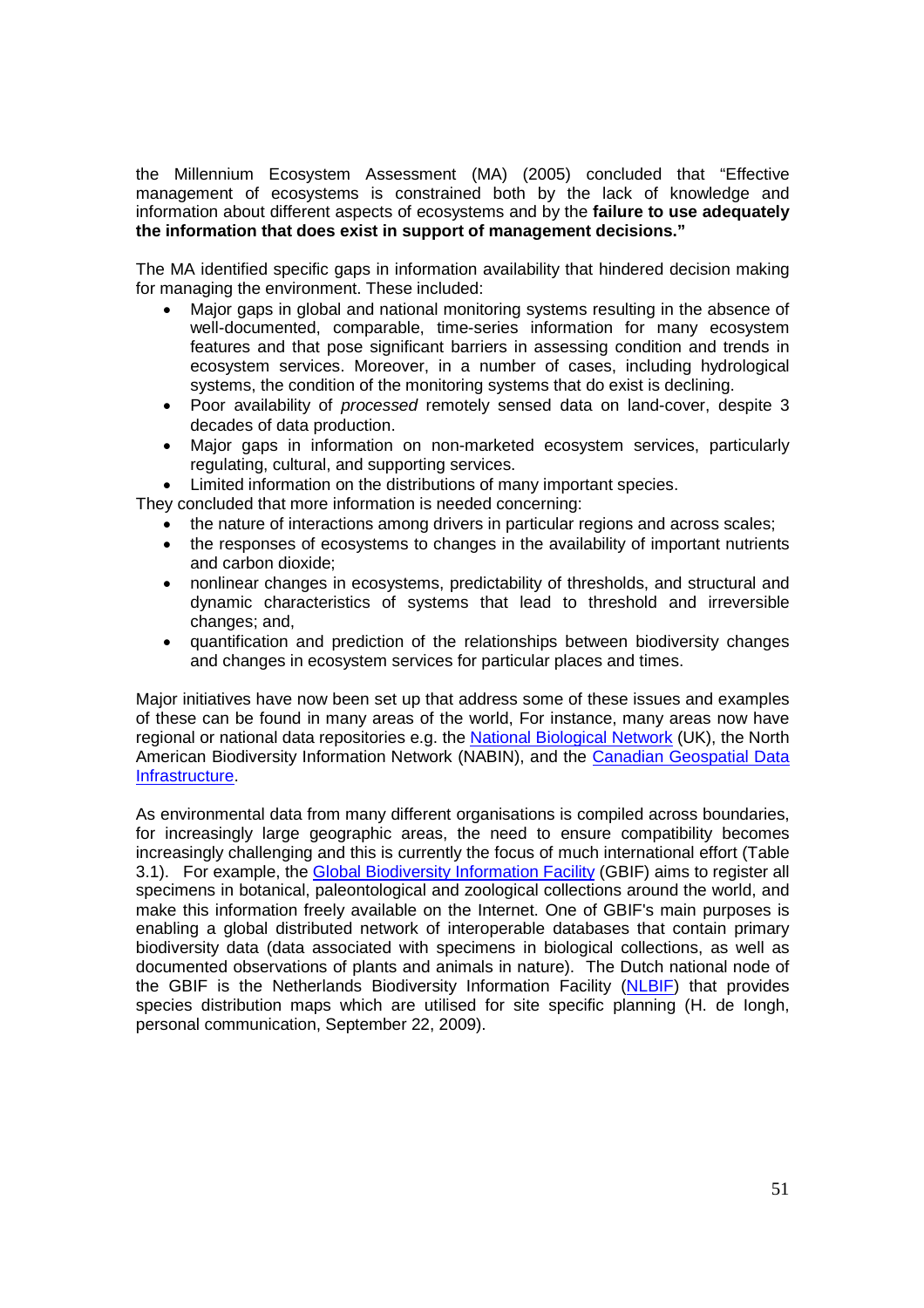the Millennium Ecosystem Assessment (MA) (2005) concluded that "Effective management of ecosystems is constrained both by the lack of knowledge and information about different aspects of ecosystems and by the **failure to use adequately the information that does exist in support of management decisions."** 

The MA identified specific gaps in information availability that hindered decision making for managing the environment. These included:

- Major gaps in global and national monitoring systems resulting in the absence of well-documented, comparable, time-series information for many ecosystem features and that pose significant barriers in assessing condition and trends in ecosystem services. Moreover, in a number of cases, including hydrological systems, the condition of the monitoring systems that do exist is declining.
- Poor availability of *processed* remotely sensed data on land-cover, despite 3 decades of data production.
- Major gaps in information on non-marketed ecosystem services, particularly regulating, cultural, and supporting services.
- Limited information on the distributions of many important species.

They concluded that more information is needed concerning:

- the nature of interactions among drivers in particular regions and across scales;
- the responses of ecosystems to changes in the availability of important nutrients and carbon dioxide;
- nonlinear changes in ecosystems, predictability of thresholds, and structural and dynamic characteristics of systems that lead to threshold and irreversible changes; and,
- quantification and prediction of the relationships between biodiversity changes and changes in ecosystem services for particular places and times.

Major initiatives have now been set up that address some of these issues and examples of these can be found in many areas of the world, For instance, many areas now have regional or national data repositories e.g. the National Biological Network (UK), the North American Biodiversity Information Network (NABIN), and the Canadian Geospatial Data Infrastructure.

As environmental data from many different organisations is compiled across boundaries, for increasingly large geographic areas, the need to ensure compatibility becomes increasingly challenging and this is currently the focus of much international effort (Table 3.1). For example, the Global Biodiversity Information Facility (GBIF) aims to register all specimens in botanical, paleontological and zoological collections around the world, and make this information freely available on the Internet. One of GBIF's main purposes is enabling a global distributed network of interoperable databases that contain primary biodiversity data (data associated with specimens in biological collections, as well as documented observations of plants and animals in nature). The Dutch national node of the GBIF is the Netherlands Biodiversity Information Facility (NLBIF) that provides species distribution maps which are utilised for site specific planning (H. de Iongh, personal communication, September 22, 2009).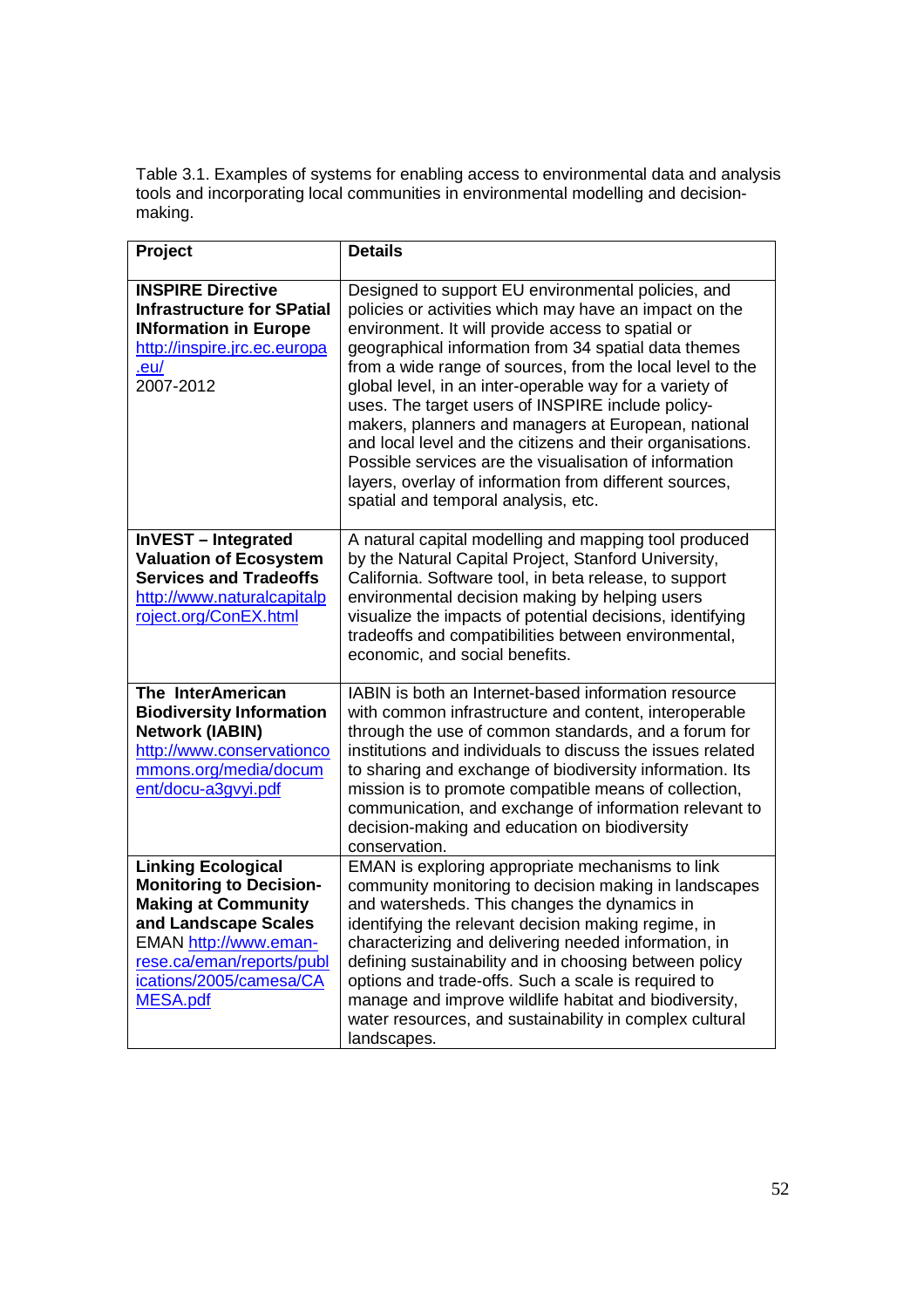Table 3.1. Examples of systems for enabling access to environmental data and analysis tools and incorporating local communities in environmental modelling and decisionmaking.

| Project                                                                                                                                                                                                        | <b>Details</b>                                                                                                                                                                                                                                                                                                                                                                                                                                                                                                                                                                                                                                                                        |
|----------------------------------------------------------------------------------------------------------------------------------------------------------------------------------------------------------------|---------------------------------------------------------------------------------------------------------------------------------------------------------------------------------------------------------------------------------------------------------------------------------------------------------------------------------------------------------------------------------------------------------------------------------------------------------------------------------------------------------------------------------------------------------------------------------------------------------------------------------------------------------------------------------------|
| <b>INSPIRE Directive</b><br><b>Infrastructure for SPatial</b><br><b>INformation in Europe</b><br>http://inspire.jrc.ec.europa<br>.eu/<br>2007-2012                                                             | Designed to support EU environmental policies, and<br>policies or activities which may have an impact on the<br>environment. It will provide access to spatial or<br>geographical information from 34 spatial data themes<br>from a wide range of sources, from the local level to the<br>global level, in an inter-operable way for a variety of<br>uses. The target users of INSPIRE include policy-<br>makers, planners and managers at European, national<br>and local level and the citizens and their organisations.<br>Possible services are the visualisation of information<br>layers, overlay of information from different sources,<br>spatial and temporal analysis, etc. |
| InVEST - Integrated<br><b>Valuation of Ecosystem</b><br><b>Services and Tradeoffs</b><br>http://www.naturalcapitalp<br>roject.org/ConEX.html                                                                   | A natural capital modelling and mapping tool produced<br>by the Natural Capital Project, Stanford University,<br>California. Software tool, in beta release, to support<br>environmental decision making by helping users<br>visualize the impacts of potential decisions, identifying<br>tradeoffs and compatibilities between environmental,<br>economic, and social benefits.                                                                                                                                                                                                                                                                                                      |
| The InterAmerican<br><b>Biodiversity Information</b><br><b>Network (IABIN)</b><br>http://www.conservationco<br>mmons.org/media/docum<br>ent/docu-a3gvyi.pdf                                                    | IABIN is both an Internet-based information resource<br>with common infrastructure and content, interoperable<br>through the use of common standards, and a forum for<br>institutions and individuals to discuss the issues related<br>to sharing and exchange of biodiversity information. Its<br>mission is to promote compatible means of collection,<br>communication, and exchange of information relevant to<br>decision-making and education on biodiversity<br>conservation.                                                                                                                                                                                                  |
| <b>Linking Ecological</b><br><b>Monitoring to Decision-</b><br><b>Making at Community</b><br>and Landscape Scales<br>EMAN http://www.eman-<br>rese.ca/eman/reports/publ<br>ications/2005/camesa/CA<br>MESA.pdf | EMAN is exploring appropriate mechanisms to link<br>community monitoring to decision making in landscapes<br>and watersheds. This changes the dynamics in<br>identifying the relevant decision making regime, in<br>characterizing and delivering needed information, in<br>defining sustainability and in choosing between policy<br>options and trade-offs. Such a scale is required to<br>manage and improve wildlife habitat and biodiversity,<br>water resources, and sustainability in complex cultural<br>landscapes.                                                                                                                                                          |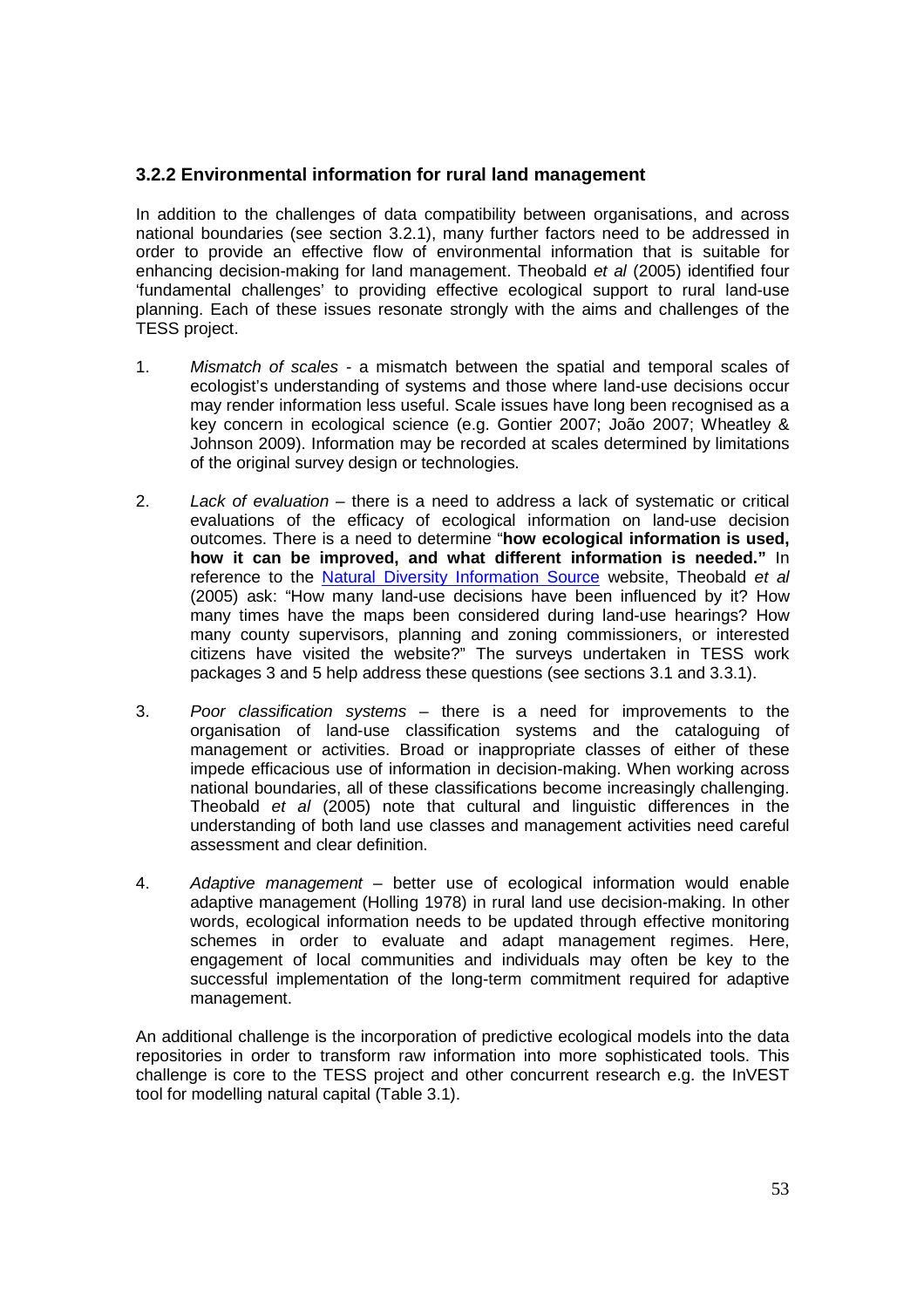# **3.2.2 Environmental information for rural land management**

In addition to the challenges of data compatibility between organisations, and across national boundaries (see section 3.2.1), many further factors need to be addressed in order to provide an effective flow of environmental information that is suitable for enhancing decision-making for land management. Theobald et al (2005) identified four 'fundamental challenges' to providing effective ecological support to rural land-use planning. Each of these issues resonate strongly with the aims and challenges of the TESS project.

- 1. Mismatch of scales a mismatch between the spatial and temporal scales of ecologist's understanding of systems and those where land-use decisions occur may render information less useful. Scale issues have long been recognised as a key concern in ecological science (e.g. Gontier 2007; João 2007; Wheatley & Johnson 2009). Information may be recorded at scales determined by limitations of the original survey design or technologies.
- 2. Lack of evaluation there is a need to address a lack of systematic or critical evaluations of the efficacy of ecological information on land-use decision outcomes. There is a need to determine "**how ecological information is used, how it can be improved, and what different information is needed."** In reference to the Natural Diversity Information Source website, Theobald et al (2005) ask: "How many land-use decisions have been influenced by it? How many times have the maps been considered during land-use hearings? How many county supervisors, planning and zoning commissioners, or interested citizens have visited the website?" The surveys undertaken in TESS work packages 3 and 5 help address these questions (see sections 3.1 and 3.3.1).
- 3. Poor classification systems there is a need for improvements to the organisation of land-use classification systems and the cataloguing of management or activities. Broad or inappropriate classes of either of these impede efficacious use of information in decision-making. When working across national boundaries, all of these classifications become increasingly challenging. Theobald et al (2005) note that cultural and linguistic differences in the understanding of both land use classes and management activities need careful assessment and clear definition.
- 4. Adaptive management better use of ecological information would enable adaptive management (Holling 1978) in rural land use decision-making. In other words, ecological information needs to be updated through effective monitoring schemes in order to evaluate and adapt management regimes. Here, engagement of local communities and individuals may often be key to the successful implementation of the long-term commitment required for adaptive management.

An additional challenge is the incorporation of predictive ecological models into the data repositories in order to transform raw information into more sophisticated tools. This challenge is core to the TESS project and other concurrent research e.g. the InVEST tool for modelling natural capital (Table 3.1).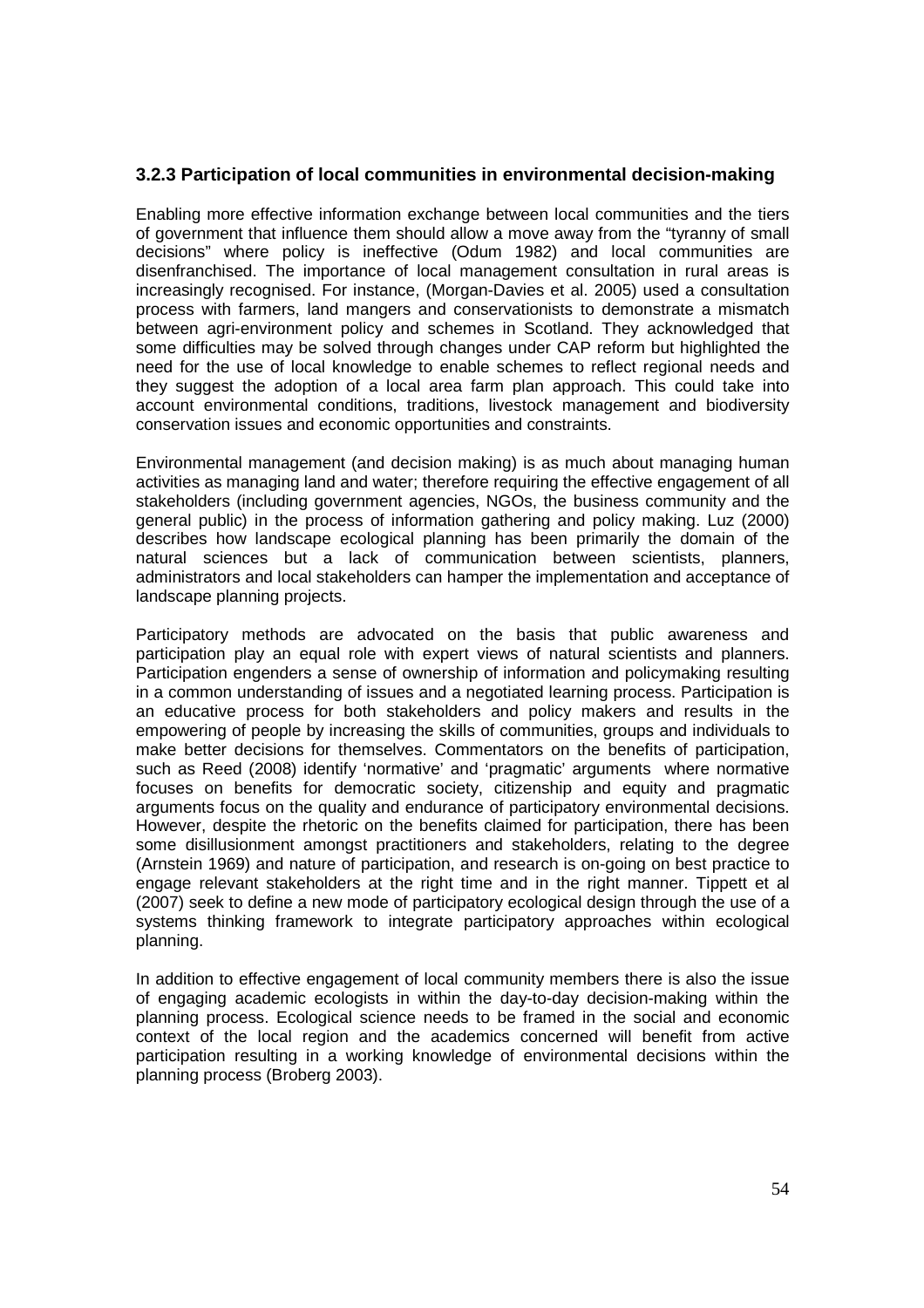# **3.2.3 Participation of local communities in environmental decision-making**

Enabling more effective information exchange between local communities and the tiers of government that influence them should allow a move away from the "tyranny of small decisions" where policy is ineffective (Odum 1982) and local communities are disenfranchised. The importance of local management consultation in rural areas is increasingly recognised. For instance, (Morgan-Davies et al. 2005) used a consultation process with farmers, land mangers and conservationists to demonstrate a mismatch between agri-environment policy and schemes in Scotland. They acknowledged that some difficulties may be solved through changes under CAP reform but highlighted the need for the use of local knowledge to enable schemes to reflect regional needs and they suggest the adoption of a local area farm plan approach. This could take into account environmental conditions, traditions, livestock management and biodiversity conservation issues and economic opportunities and constraints.

Environmental management (and decision making) is as much about managing human activities as managing land and water; therefore requiring the effective engagement of all stakeholders (including government agencies, NGOs, the business community and the general public) in the process of information gathering and policy making. Luz (2000) describes how landscape ecological planning has been primarily the domain of the natural sciences but a lack of communication between scientists, planners, administrators and local stakeholders can hamper the implementation and acceptance of landscape planning projects.

Participatory methods are advocated on the basis that public awareness and participation play an equal role with expert views of natural scientists and planners. Participation engenders a sense of ownership of information and policymaking resulting in a common understanding of issues and a negotiated learning process. Participation is an educative process for both stakeholders and policy makers and results in the empowering of people by increasing the skills of communities, groups and individuals to make better decisions for themselves. Commentators on the benefits of participation, such as Reed (2008) identify 'normative' and 'pragmatic' arguments where normative focuses on benefits for democratic society, citizenship and equity and pragmatic arguments focus on the quality and endurance of participatory environmental decisions. However, despite the rhetoric on the benefits claimed for participation, there has been some disillusionment amongst practitioners and stakeholders, relating to the degree (Arnstein 1969) and nature of participation, and research is on-going on best practice to engage relevant stakeholders at the right time and in the right manner. Tippett et al (2007) seek to define a new mode of participatory ecological design through the use of a systems thinking framework to integrate participatory approaches within ecological planning.

In addition to effective engagement of local community members there is also the issue of engaging academic ecologists in within the day-to-day decision-making within the planning process. Ecological science needs to be framed in the social and economic context of the local region and the academics concerned will benefit from active participation resulting in a working knowledge of environmental decisions within the planning process (Broberg 2003).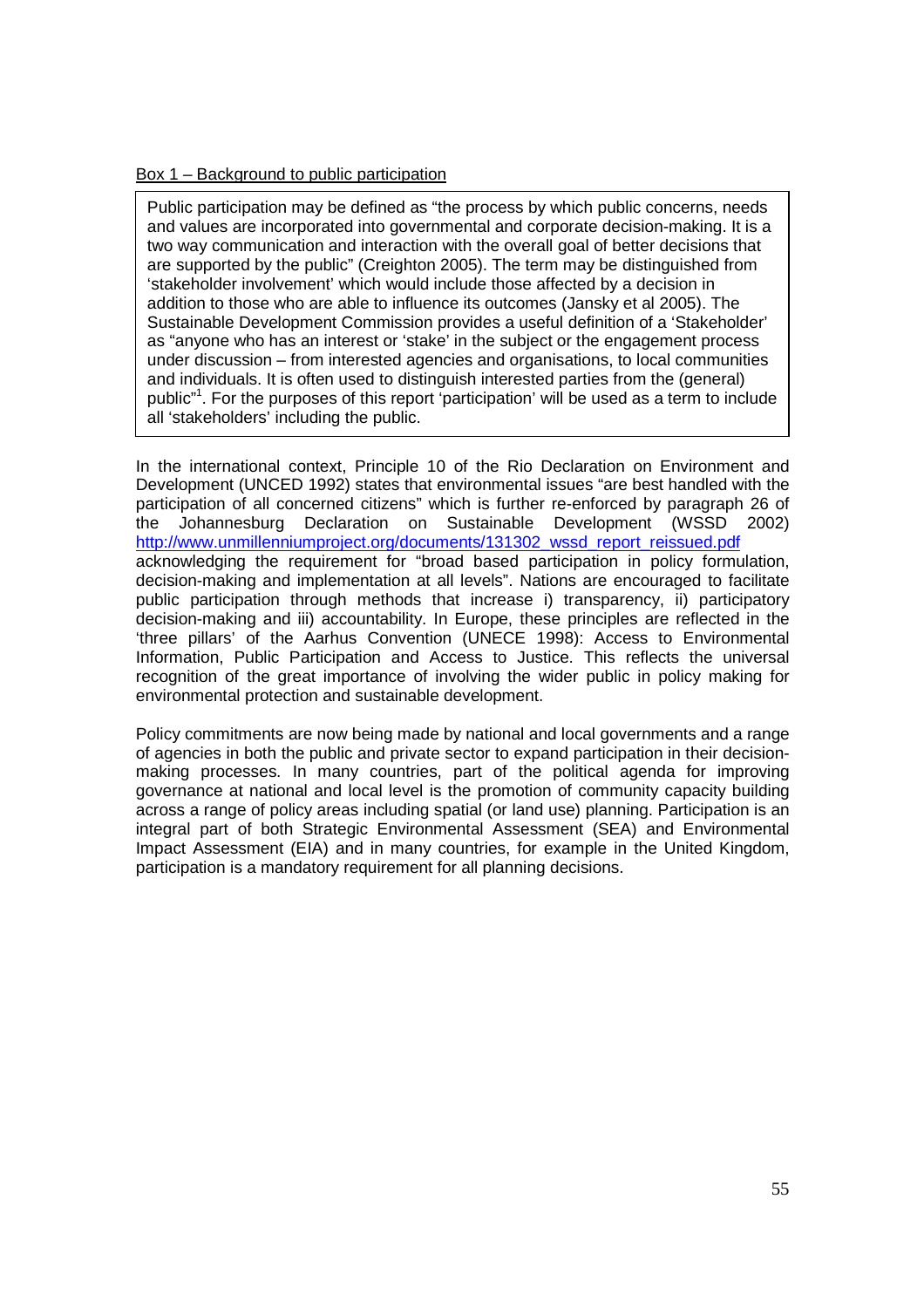#### Box 1 – Background to public participation

Public participation may be defined as "the process by which public concerns, needs and values are incorporated into governmental and corporate decision-making. It is a two way communication and interaction with the overall goal of better decisions that are supported by the public" (Creighton 2005). The term may be distinguished from 'stakeholder involvement' which would include those affected by a decision in addition to those who are able to influence its outcomes (Jansky et al 2005). The Sustainable Development Commission provides a useful definition of a 'Stakeholder' as "anyone who has an interest or 'stake' in the subject or the engagement process under discussion – from interested agencies and organisations, to local communities and individuals. It is often used to distinguish interested parties from the (general) public"<sup>1</sup>. For the purposes of this report 'participation' will be used as a term to include all 'stakeholders' including the public.

In the international context, Principle 10 of the Rio Declaration on Environment and Development (UNCED 1992) states that environmental issues "are best handled with the participation of all concerned citizens" which is further re-enforced by paragraph 26 of the Johannesburg Declaration on Sustainable Development (WSSD 2002) http://www.unmillenniumproject.org/documents/131302\_wssd\_report\_reissued.pdf acknowledging the requirement for "broad based participation in policy formulation, decision-making and implementation at all levels". Nations are encouraged to facilitate public participation through methods that increase i) transparency, ii) participatory decision-making and iii) accountability. In Europe, these principles are reflected in the 'three pillars' of the Aarhus Convention (UNECE 1998): Access to Environmental Information, Public Participation and Access to Justice. This reflects the universal recognition of the great importance of involving the wider public in policy making for environmental protection and sustainable development.

Policy commitments are now being made by national and local governments and a range of agencies in both the public and private sector to expand participation in their decisionmaking processes. In many countries, part of the political agenda for improving governance at national and local level is the promotion of community capacity building across a range of policy areas including spatial (or land use) planning. Participation is an integral part of both Strategic Environmental Assessment (SEA) and Environmental Impact Assessment (EIA) and in many countries, for example in the United Kingdom, participation is a mandatory requirement for all planning decisions.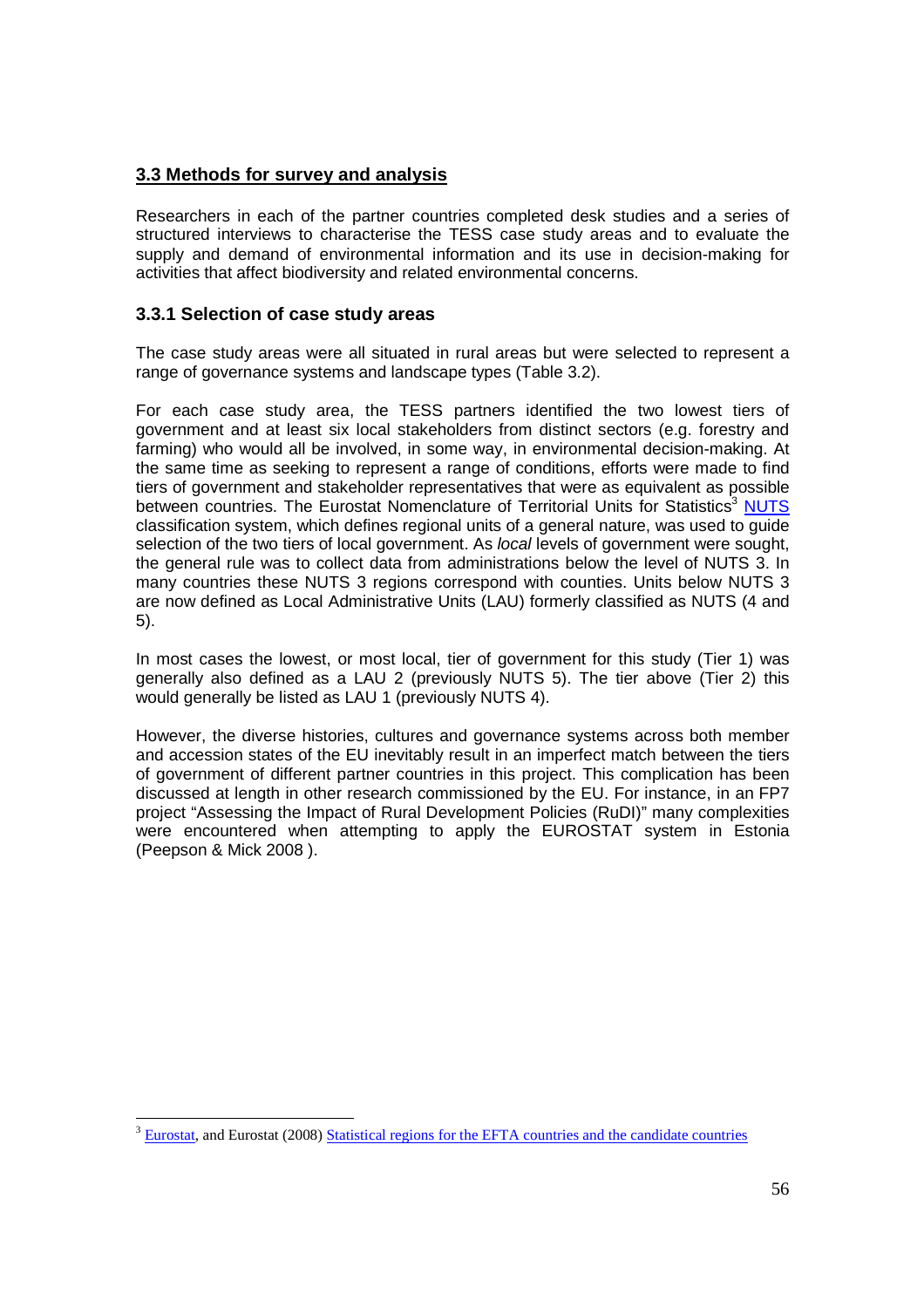# **3.3 Methods for survey and analysis**

Researchers in each of the partner countries completed desk studies and a series of structured interviews to characterise the TESS case study areas and to evaluate the supply and demand of environmental information and its use in decision-making for activities that affect biodiversity and related environmental concerns.

## **3.3.1 Selection of case study areas**

The case study areas were all situated in rural areas but were selected to represent a range of governance systems and landscape types (Table 3.2).

For each case study area, the TESS partners identified the two lowest tiers of government and at least six local stakeholders from distinct sectors (e.g. forestry and farming) who would all be involved, in some way, in environmental decision-making. At the same time as seeking to represent a range of conditions, efforts were made to find tiers of government and stakeholder representatives that were as equivalent as possible between countries. The Eurostat Nomenclature of Territorial Units for Statistics<sup>3</sup> NUTS classification system, which defines regional units of a general nature, was used to guide selection of the two tiers of local government. As *local* levels of government were sought, the general rule was to collect data from administrations below the level of NUTS 3. In many countries these NUTS 3 regions correspond with counties. Units below NUTS 3 are now defined as Local Administrative Units (LAU) formerly classified as NUTS (4 and 5).

In most cases the lowest, or most local, tier of government for this study (Tier 1) was generally also defined as a LAU 2 (previously NUTS 5). The tier above (Tier 2) this would generally be listed as LAU 1 (previously NUTS 4).

However, the diverse histories, cultures and governance systems across both member and accession states of the EU inevitably result in an imperfect match between the tiers of government of different partner countries in this project. This complication has been discussed at length in other research commissioned by the EU. For instance, in an FP7 project "Assessing the Impact of Rural Development Policies (RuDI)" many complexities were encountered when attempting to apply the EUROSTAT system in Estonia (Peepson & Mick 2008 ).

 $\overline{a}$ <sup>3</sup> Eurostat, and Eurostat (2008) Statistical regions for the EFTA countries and the candidate countries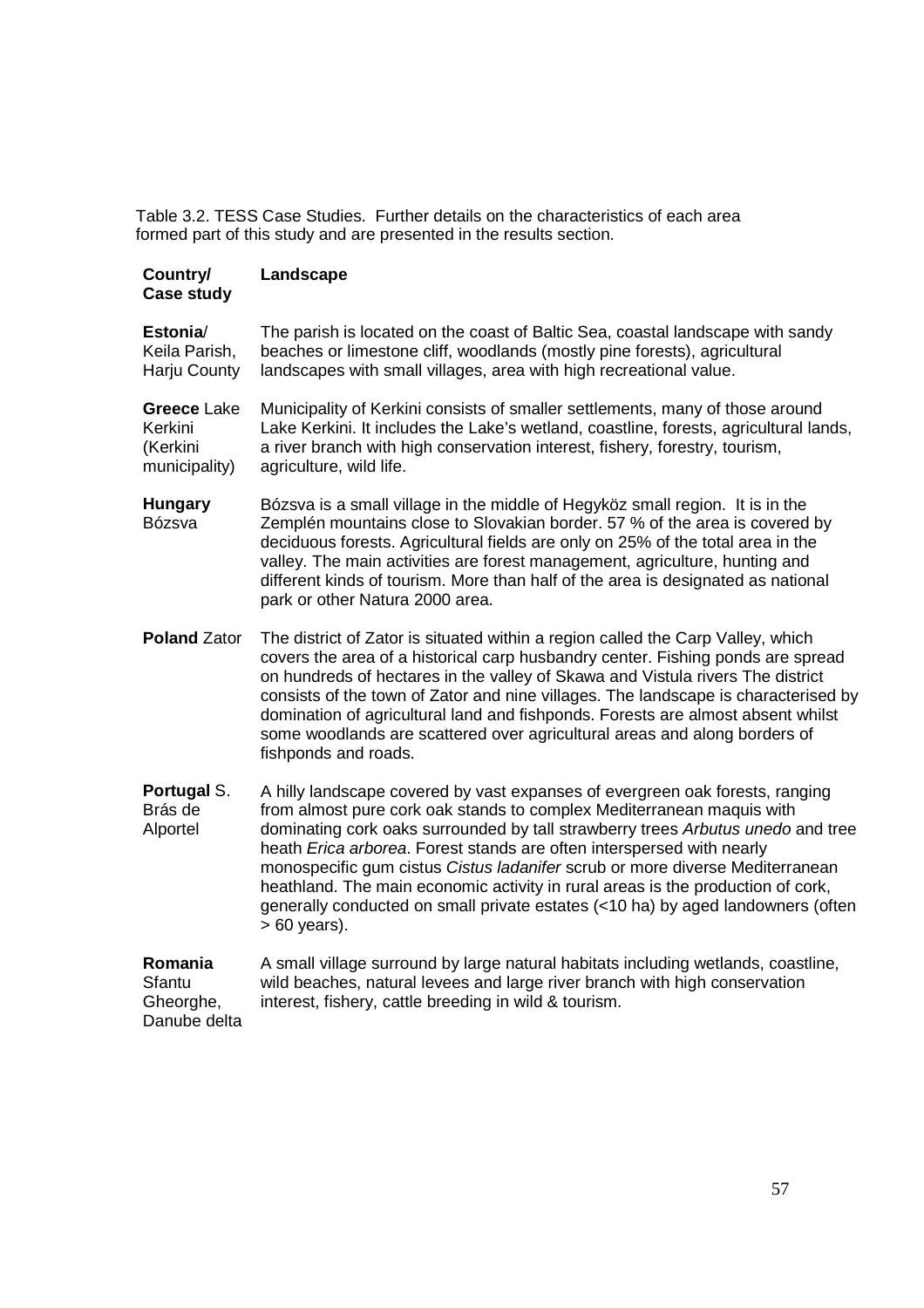Table 3.2. TESS Case Studies. Further details on the characteristics of each area formed part of this study and are presented in the results section.

| Country/<br><b>Case study</b>                       | Landscape                                                                                                                                                                                                                                                                                                                                                                                                                                                                                                                                                                                |
|-----------------------------------------------------|------------------------------------------------------------------------------------------------------------------------------------------------------------------------------------------------------------------------------------------------------------------------------------------------------------------------------------------------------------------------------------------------------------------------------------------------------------------------------------------------------------------------------------------------------------------------------------------|
| Estonia/<br>Keila Parish,<br>Harju County           | The parish is located on the coast of Baltic Sea, coastal landscape with sandy<br>beaches or limestone cliff, woodlands (mostly pine forests), agricultural<br>landscapes with small villages, area with high recreational value.                                                                                                                                                                                                                                                                                                                                                        |
| Greece Lake<br>Kerkini<br>(Kerkini<br>municipality) | Municipality of Kerkini consists of smaller settlements, many of those around<br>Lake Kerkini. It includes the Lake's wetland, coastline, forests, agricultural lands,<br>a river branch with high conservation interest, fishery, forestry, tourism,<br>agriculture, wild life.                                                                                                                                                                                                                                                                                                         |
| <b>Hungary</b><br>Bózsva                            | Bózsva is a small village in the middle of Hegyköz small region. It is in the<br>Zemplén mountains close to Slovakian border. 57 % of the area is covered by<br>deciduous forests. Agricultural fields are only on 25% of the total area in the<br>valley. The main activities are forest management, agriculture, hunting and<br>different kinds of tourism. More than half of the area is designated as national<br>park or other Natura 2000 area.                                                                                                                                    |
| <b>Poland Zator</b>                                 | The district of Zator is situated within a region called the Carp Valley, which<br>covers the area of a historical carp husbandry center. Fishing ponds are spread<br>on hundreds of hectares in the valley of Skawa and Vistula rivers The district<br>consists of the town of Zator and nine villages. The landscape is characterised by<br>domination of agricultural land and fishponds. Forests are almost absent whilst<br>some woodlands are scattered over agricultural areas and along borders of<br>fishponds and roads.                                                       |
| Portugal S.<br>Brás de<br>Alportel                  | A hilly landscape covered by vast expanses of evergreen oak forests, ranging<br>from almost pure cork oak stands to complex Mediterranean maquis with<br>dominating cork oaks surrounded by tall strawberry trees Arbutus unedo and tree<br>heath Erica arborea. Forest stands are often interspersed with nearly<br>monospecific gum cistus Cistus ladanifer scrub or more diverse Mediterranean<br>heathland. The main economic activity in rural areas is the production of cork,<br>generally conducted on small private estates (<10 ha) by aged landowners (often<br>$>60$ years). |
| Romania<br>Sfantu<br>Gheorghe,<br>Danube delta      | A small village surround by large natural habitats including wetlands, coastline,<br>wild beaches, natural levees and large river branch with high conservation<br>interest, fishery, cattle breeding in wild & tourism.                                                                                                                                                                                                                                                                                                                                                                 |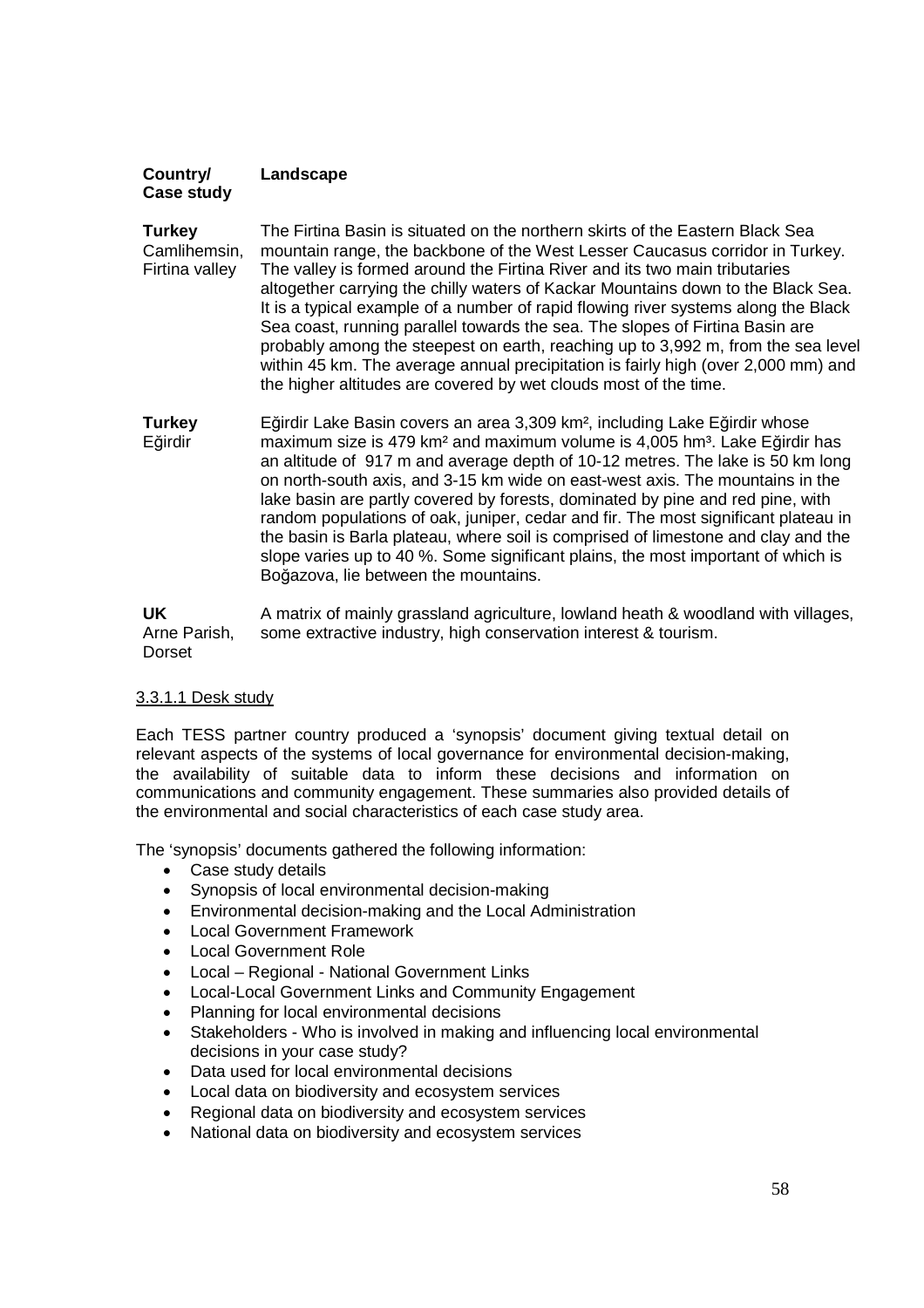#### **Country/ Case study Landscape**

**Turkey** Camlihemsin, Firtina valley The Firtina Basin is situated on the northern skirts of the Eastern Black Sea mountain range, the backbone of the West Lesser Caucasus corridor in Turkey. The valley is formed around the Firtina River and its two main tributaries altogether carrying the chilly waters of Kackar Mountains down to the Black Sea. It is a typical example of a number of rapid flowing river systems along the Black Sea coast, running parallel towards the sea. The slopes of Firtina Basin are probably among the steepest on earth, reaching up to 3,992 m, from the sea level within 45 km. The average annual precipitation is fairly high (over 2,000 mm) and the higher altitudes are covered by wet clouds most of the time.

**Turkey** Eğirdir Eğirdir Lake Basin covers an area 3,309 km², including Lake Eğirdir whose maximum size is 479 km<sup>2</sup> and maximum volume is 4,005 hm<sup>3</sup>. Lake Eğirdir has an altitude of 917 m and average depth of 10-12 metres. The lake is 50 km long on north-south axis, and 3-15 km wide on east-west axis. The mountains in the lake basin are partly covered by forests, dominated by pine and red pine, with random populations of oak, juniper, cedar and fir. The most significant plateau in the basin is Barla plateau, where soil is comprised of limestone and clay and the slope varies up to 40 %. Some significant plains, the most important of which is Boğazova, lie between the mountains.

**UK** Arne Parish, Dorset A matrix of mainly grassland agriculture, lowland heath & woodland with villages, some extractive industry, high conservation interest & tourism.

### 3.3.1.1 Desk study

Each TESS partner country produced a 'synopsis' document giving textual detail on relevant aspects of the systems of local governance for environmental decision-making, the availability of suitable data to inform these decisions and information on communications and community engagement. These summaries also provided details of the environmental and social characteristics of each case study area.

The 'synopsis' documents gathered the following information:

- Case study details
- Synopsis of local environmental decision-making
- Environmental decision-making and the Local Administration
- Local Government Framework
- Local Government Role
- Local Regional National Government Links
- Local-Local Government Links and Community Engagement
- Planning for local environmental decisions
- Stakeholders Who is involved in making and influencing local environmental decisions in your case study?
- Data used for local environmental decisions
- Local data on biodiversity and ecosystem services
- Regional data on biodiversity and ecosystem services
- National data on biodiversity and ecosystem services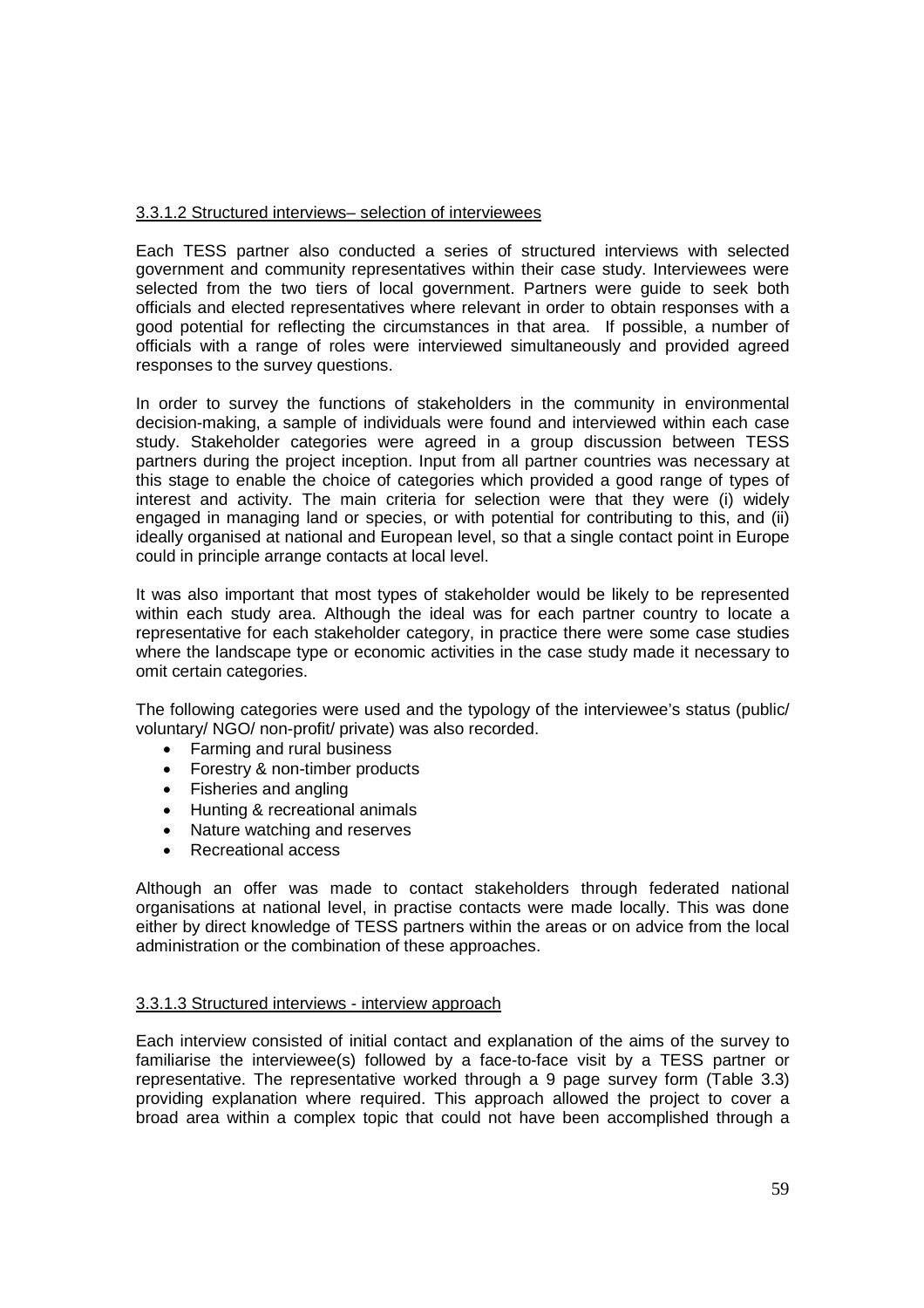#### 3.3.1.2 Structured interviews– selection of interviewees

Each TESS partner also conducted a series of structured interviews with selected government and community representatives within their case study. Interviewees were selected from the two tiers of local government. Partners were guide to seek both officials and elected representatives where relevant in order to obtain responses with a good potential for reflecting the circumstances in that area. If possible, a number of officials with a range of roles were interviewed simultaneously and provided agreed responses to the survey questions.

In order to survey the functions of stakeholders in the community in environmental decision-making, a sample of individuals were found and interviewed within each case study. Stakeholder categories were agreed in a group discussion between TESS partners during the project inception. Input from all partner countries was necessary at this stage to enable the choice of categories which provided a good range of types of interest and activity. The main criteria for selection were that they were (i) widely engaged in managing land or species, or with potential for contributing to this, and (ii) ideally organised at national and European level, so that a single contact point in Europe could in principle arrange contacts at local level.

It was also important that most types of stakeholder would be likely to be represented within each study area. Although the ideal was for each partner country to locate a representative for each stakeholder category, in practice there were some case studies where the landscape type or economic activities in the case study made it necessary to omit certain categories.

The following categories were used and the typology of the interviewee's status (public/ voluntary/ NGO/ non-profit/ private) was also recorded.

- Farming and rural business
- Forestry & non-timber products
- Fisheries and angling
- Hunting & recreational animals
- Nature watching and reserves
- Recreational access

Although an offer was made to contact stakeholders through federated national organisations at national level, in practise contacts were made locally. This was done either by direct knowledge of TESS partners within the areas or on advice from the local administration or the combination of these approaches.

#### 3.3.1.3 Structured interviews - interview approach

Each interview consisted of initial contact and explanation of the aims of the survey to familiarise the interviewee(s) followed by a face-to-face visit by a TESS partner or representative. The representative worked through a 9 page survey form (Table 3.3) providing explanation where required. This approach allowed the project to cover a broad area within a complex topic that could not have been accomplished through a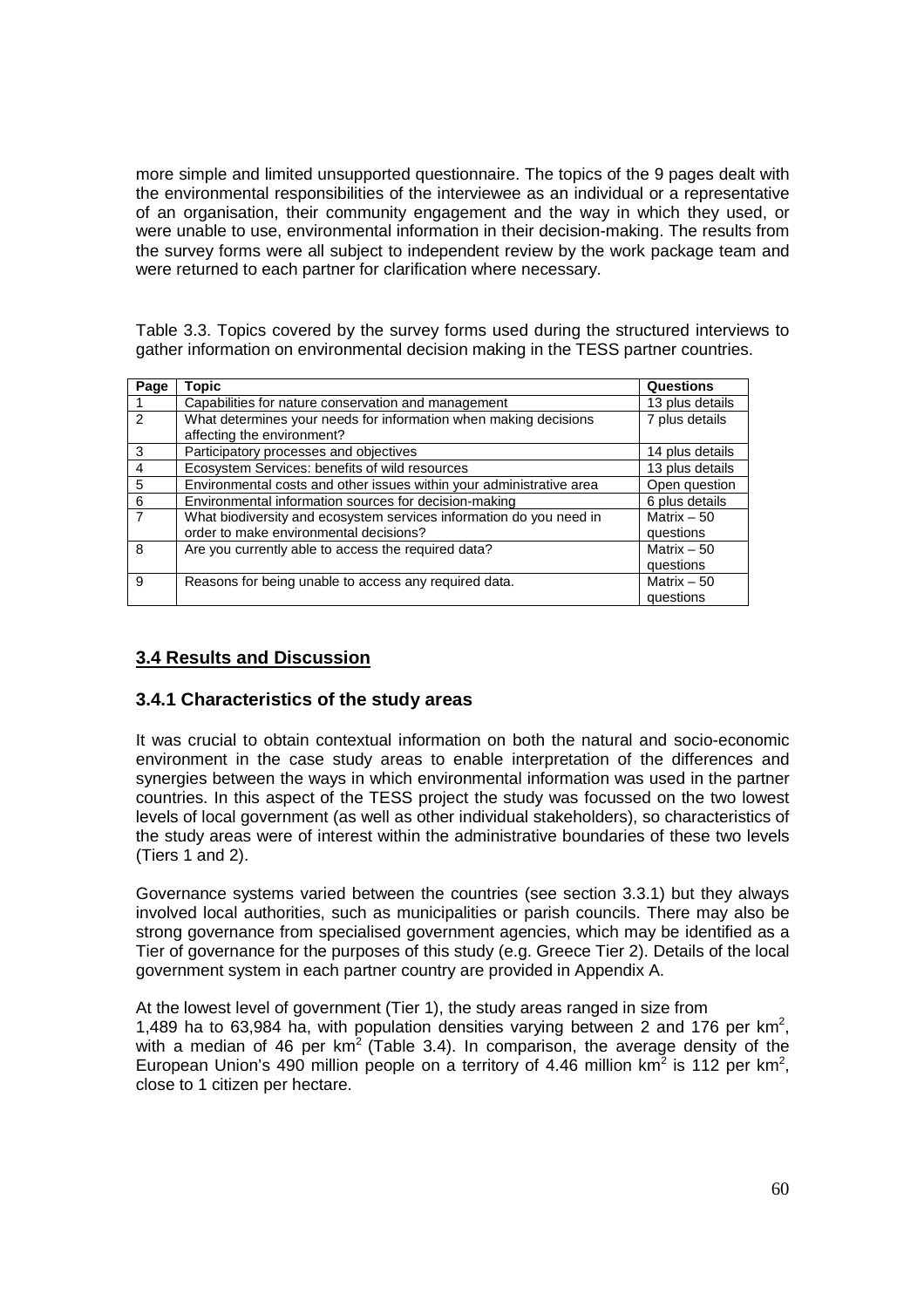more simple and limited unsupported questionnaire. The topics of the 9 pages dealt with the environmental responsibilities of the interviewee as an individual or a representative of an organisation, their community engagement and the way in which they used, or were unable to use, environmental information in their decision-making. The results from the survey forms were all subject to independent review by the work package team and were returned to each partner for clarification where necessary.

Table 3.3. Topics covered by the survey forms used during the structured interviews to gather information on environmental decision making in the TESS partner countries.

| Page           | Topic                                                                                                         | Questions                 |
|----------------|---------------------------------------------------------------------------------------------------------------|---------------------------|
|                | Capabilities for nature conservation and management                                                           | 13 plus details           |
| $\mathcal{P}$  | What determines your needs for information when making decisions<br>affecting the environment?                | 7 plus details            |
| 3              | Participatory processes and objectives                                                                        | 14 plus details           |
| $\overline{4}$ | Ecosystem Services: benefits of wild resources                                                                | 13 plus details           |
| 5              | Environmental costs and other issues within your administrative area                                          | Open question             |
| 6              | Environmental information sources for decision-making                                                         | 6 plus details            |
| $\overline{7}$ | What biodiversity and ecosystem services information do you need in<br>order to make environmental decisions? | Matrix $-50$<br>questions |
| 8              | Are you currently able to access the required data?                                                           | Matrix $-50$<br>questions |
| 9              | Reasons for being unable to access any required data.                                                         | Matrix $-50$<br>questions |

# **3.4 Results and Discussion**

# **3.4.1 Characteristics of the study areas**

It was crucial to obtain contextual information on both the natural and socio-economic environment in the case study areas to enable interpretation of the differences and synergies between the ways in which environmental information was used in the partner countries. In this aspect of the TESS project the study was focussed on the two lowest levels of local government (as well as other individual stakeholders), so characteristics of the study areas were of interest within the administrative boundaries of these two levels (Tiers 1 and 2).

Governance systems varied between the countries (see section 3.3.1) but they always involved local authorities, such as municipalities or parish councils. There may also be strong governance from specialised government agencies, which may be identified as a Tier of governance for the purposes of this study (e.g. Greece Tier 2). Details of the local government system in each partner country are provided in Appendix A.

At the lowest level of government (Tier 1), the study areas ranged in size from 1,489 ha to 63,984 ha, with population densities varying between 2 and 176 per  $km^2$ , with a median of 46 per  $km^2$  (Table 3.4). In comparison, the average density of the European Union's 490 million people on a territory of 4.46 million  $km^2$  is 112 per  $km^2$ , close to 1 citizen per hectare.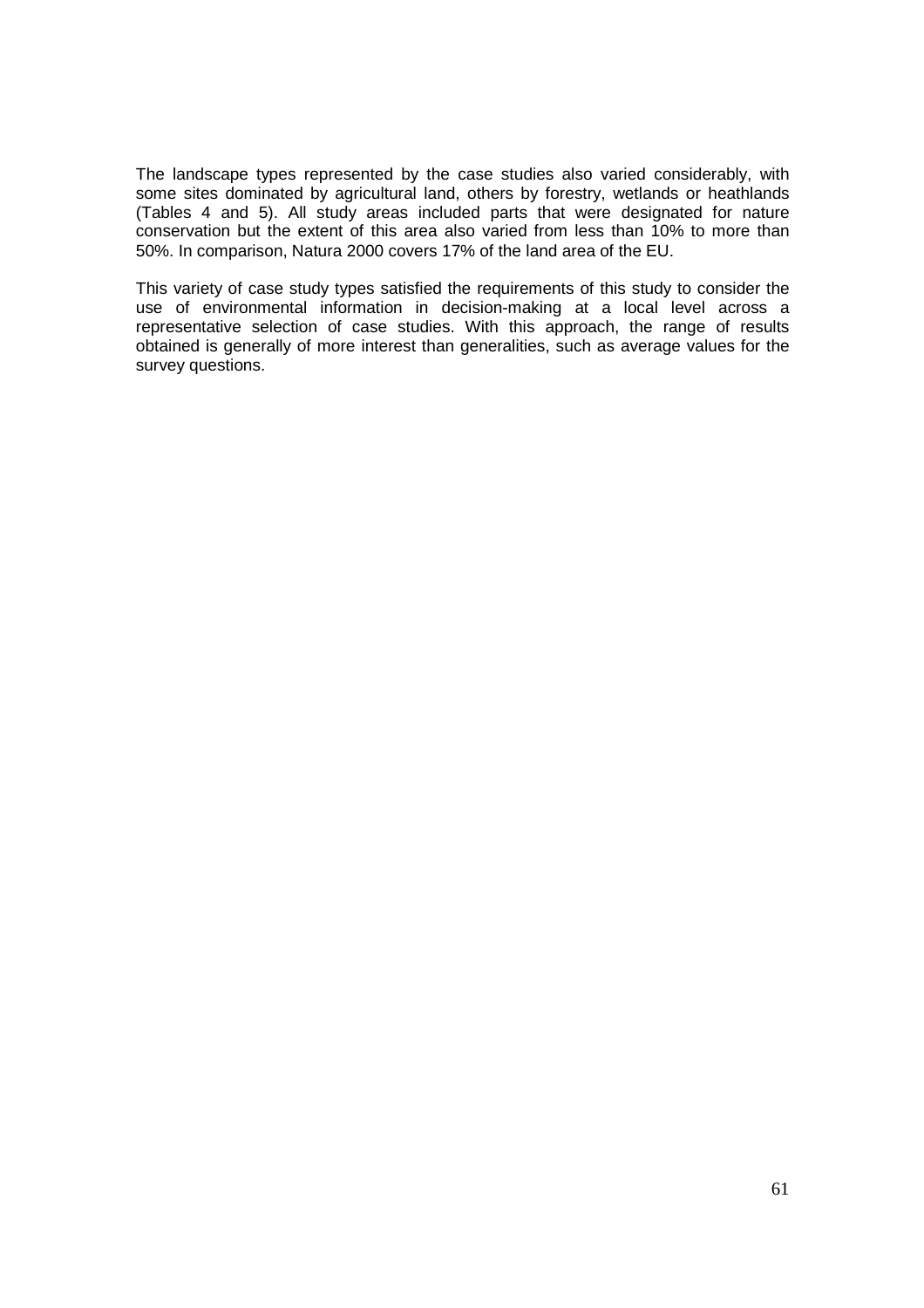The landscape types represented by the case studies also varied considerably, with some sites dominated by agricultural land, others by forestry, wetlands or heathlands (Tables 4 and 5). All study areas included parts that were designated for nature conservation but the extent of this area also varied from less than 10% to more than 50%. In comparison, Natura 2000 covers 17% of the land area of the EU.

This variety of case study types satisfied the requirements of this study to consider the use of environmental information in decision-making at a local level across a representative selection of case studies. With this approach, the range of results obtained is generally of more interest than generalities, such as average values for the survey questions.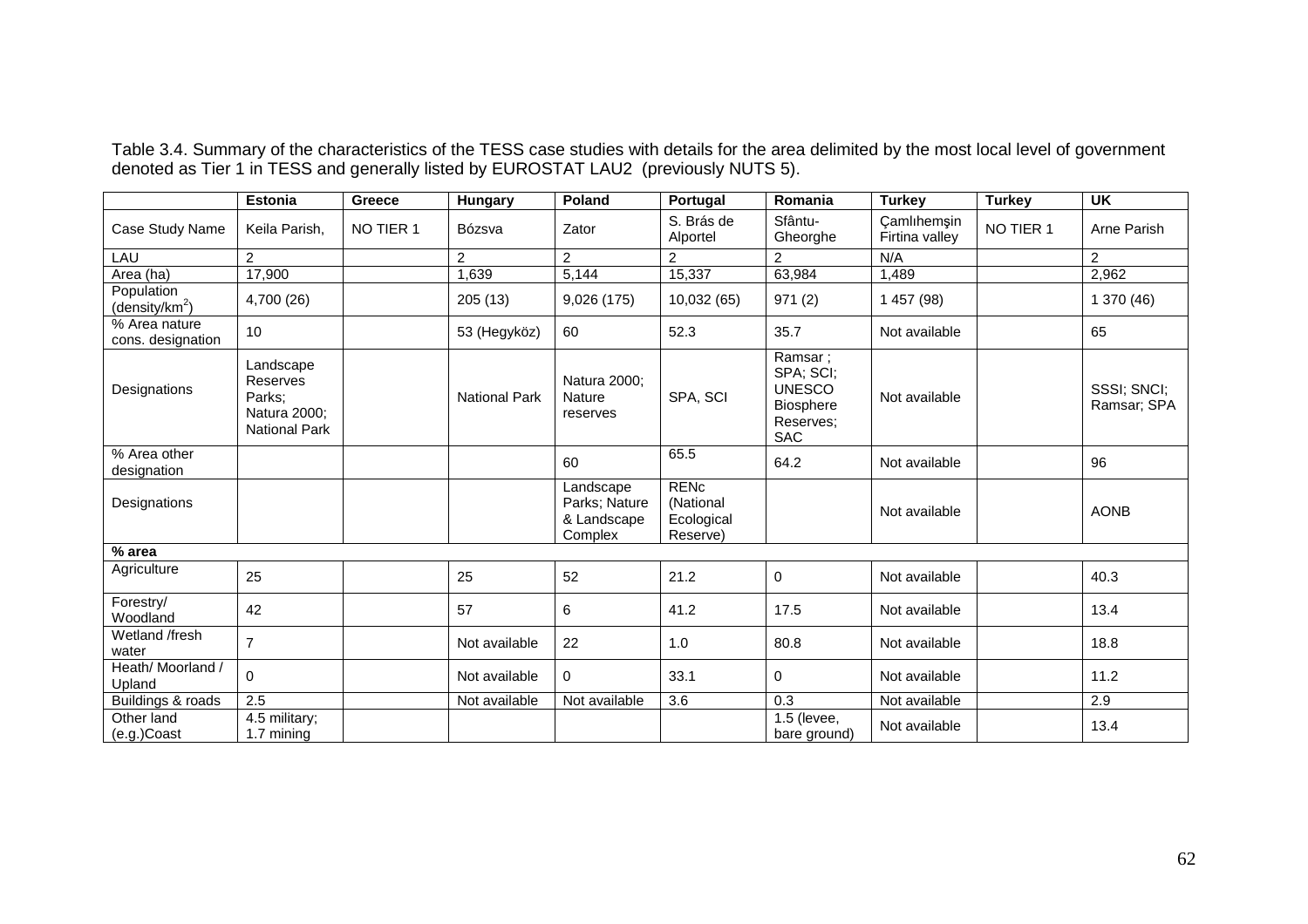Table 3.4. Summary of the characteristics of the TESS case studies with details for the area delimited by the most local level of government<br>denoted as Tier 1 in TESS and generally listed by EUROSTAT LAU2 (previously NUTS

|                                          | <b>Estonia</b>                                                                 | Greece    | Hungary              | Poland                                               | Portugal                                           | Romania                                                                       | <b>Turkey</b>                 | <b>Turkey</b> | <b>UK</b>                  |
|------------------------------------------|--------------------------------------------------------------------------------|-----------|----------------------|------------------------------------------------------|----------------------------------------------------|-------------------------------------------------------------------------------|-------------------------------|---------------|----------------------------|
| Case Study Name                          | Keila Parish,                                                                  | NO TIER 1 | Bózsva               | Zator                                                | S. Brás de<br>Alportel                             | Sfântu-<br>Gheorghe                                                           | Camlıhemşin<br>Firtina valley | NO TIER 1     | Arne Parish                |
| <b>LAU</b>                               | $\overline{2}$                                                                 |           | $\overline{2}$       | $\overline{2}$                                       | $\overline{2}$                                     | $\overline{2}$                                                                | N/A                           |               | $\overline{2}$             |
| Area (ha)                                | 17,900                                                                         |           | 1,639                | 5,144                                                | 15,337                                             | 63,984                                                                        | 1,489                         |               | 2,962                      |
| Population<br>(density/km <sup>2</sup> ) | 4,700 (26)                                                                     |           | 205 (13)             | 9,026 (175)                                          | 10,032(65)                                         | 971(2)                                                                        | 1 457 (98)                    |               | 1 370 (46)                 |
| % Area nature<br>cons. designation       | 10                                                                             |           | 53 (Hegyköz)         | 60                                                   | 52.3                                               | 35.7                                                                          | Not available                 |               | 65                         |
| Designations                             | Landscape<br><b>Reserves</b><br>Parks;<br>Natura 2000;<br><b>National Park</b> |           | <b>National Park</b> | Natura 2000;<br><b>Nature</b><br>reserves            | SPA, SCI                                           | Ramsar;<br>SPA; SCI;<br><b>UNESCO</b><br>Biosphere<br>Reserves:<br><b>SAC</b> | Not available                 |               | SSSI; SNCI;<br>Ramsar; SPA |
| % Area other<br>designation              |                                                                                |           |                      | 60                                                   | 65.5                                               | 64.2                                                                          | Not available                 |               | 96                         |
| Designations                             |                                                                                |           |                      | Landscape<br>Parks; Nature<br>& Landscape<br>Complex | <b>RENC</b><br>(National<br>Ecological<br>Reserve) |                                                                               | Not available                 |               | <b>AONB</b>                |
| % area                                   |                                                                                |           |                      |                                                      |                                                    |                                                                               |                               |               |                            |
| Agriculture                              | 25                                                                             |           | 25                   | 52                                                   | 21.2                                               | $\mathbf 0$                                                                   | Not available                 |               | 40.3                       |
| Forestry/<br>Woodland                    | 42                                                                             |           | 57                   | 6                                                    | 41.2                                               | 17.5                                                                          | Not available                 |               | 13.4                       |
| Wetland /fresh<br>water                  | $\overline{7}$                                                                 |           | Not available        | 22                                                   | 1.0                                                | 80.8                                                                          | Not available                 |               | 18.8                       |
| Heath/ Moorland /<br>Upland              | $\Omega$                                                                       |           | Not available        | 0                                                    | 33.1                                               | 0                                                                             | Not available                 |               | 11.2                       |
| Buildings & roads                        | $\overline{2.5}$                                                               |           | Not available        | Not available                                        | 3.6                                                | 0.3                                                                           | Not available                 |               | 2.9                        |
| Other land<br>(e.g.)Coast                | 4.5 military;<br>1.7 mining                                                    |           |                      |                                                      |                                                    | 1.5 (levee,<br>bare ground)                                                   | Not available                 |               | 13.4                       |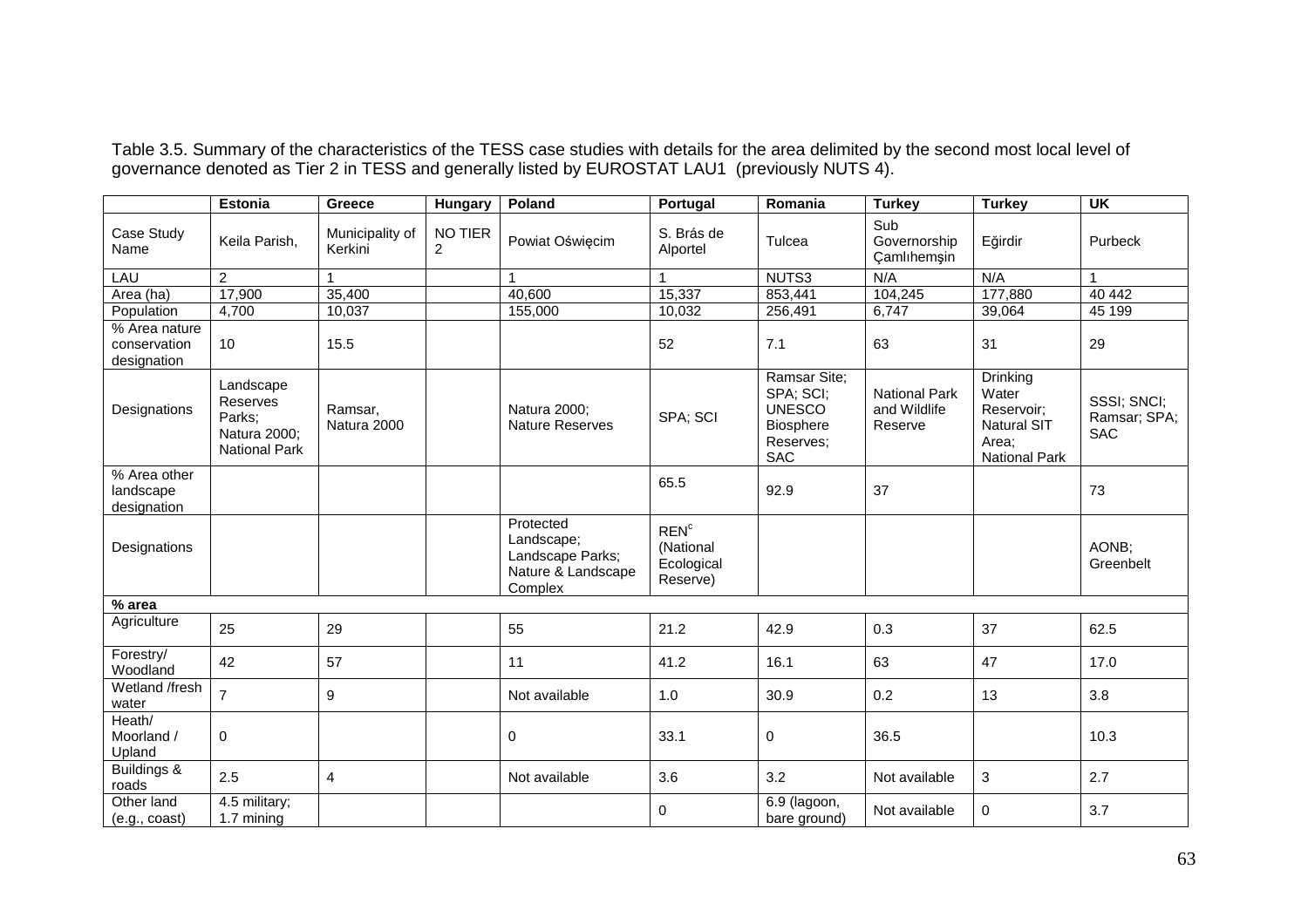|                                              | <b>Estonia</b>                                                          | Greece                     |                           | Poland                                                                       | Portugal                                                | Romania                                                                            | <b>Turkey</b>                                   | <b>Turkey</b>                                                                          | <b>UK</b>                                 |
|----------------------------------------------|-------------------------------------------------------------------------|----------------------------|---------------------------|------------------------------------------------------------------------------|---------------------------------------------------------|------------------------------------------------------------------------------------|-------------------------------------------------|----------------------------------------------------------------------------------------|-------------------------------------------|
|                                              |                                                                         |                            | Hungary                   |                                                                              |                                                         |                                                                                    |                                                 |                                                                                        |                                           |
| Case Study<br>Name                           | Keila Parish,                                                           | Municipality of<br>Kerkini | NO TIER<br>$\overline{2}$ | Powiat Oświęcim                                                              | S. Brás de<br>Alportel                                  | Tulcea                                                                             | Sub<br>Governorship<br>Camlıhemşin              | Eğirdir                                                                                | Purbeck                                   |
| LAU                                          | $\overline{2}$                                                          |                            |                           |                                                                              | 1                                                       | NUTS3                                                                              | N/A                                             | N/A                                                                                    | $\mathbf{1}$                              |
| Area (ha)                                    | 17,900                                                                  | 35,400                     |                           | 40,600                                                                       | 15,337                                                  | 853,441                                                                            | 104,245                                         | 177,880                                                                                | 40 442                                    |
| Population                                   | 4,700                                                                   | 10,037                     |                           | 155,000                                                                      | 10,032                                                  | 256,491                                                                            | 6,747                                           | 39,064                                                                                 | 45 199                                    |
| % Area nature<br>conservation<br>designation | 10                                                                      | 15.5                       |                           |                                                                              | 52                                                      | 7.1                                                                                | 63                                              | 31                                                                                     | 29                                        |
| Designations                                 | Landscape<br>Reserves<br>Parks;<br>Natura 2000;<br><b>National Park</b> | Ramsar,<br>Natura 2000     |                           | Natura 2000;<br><b>Nature Reserves</b>                                       | SPA; SCI                                                | Ramsar Site:<br>SPA; SCI;<br><b>UNESCO</b><br>Biosphere<br>Reserves;<br><b>SAC</b> | <b>National Park</b><br>and Wildlife<br>Reserve | Drinking<br>Water<br>Reservoir;<br><b>Natural SIT</b><br>Area;<br><b>National Park</b> | SSSI; SNCI;<br>Ramsar; SPA;<br><b>SAC</b> |
| % Area other<br>landscape<br>designation     |                                                                         |                            |                           |                                                                              | 65.5                                                    | 92.9                                                                               | 37                                              |                                                                                        | 73                                        |
| Designations                                 |                                                                         |                            |                           | Protected<br>Landscape;<br>Landscape Parks;<br>Nature & Landscape<br>Complex | REN <sup>c</sup><br>(National<br>Ecological<br>Reserve) |                                                                                    |                                                 |                                                                                        | AONB;<br>Greenbelt                        |
| % area                                       |                                                                         |                            |                           |                                                                              |                                                         |                                                                                    |                                                 |                                                                                        |                                           |
| Agriculture                                  | 25                                                                      | 29                         |                           | 55                                                                           | 21.2                                                    | 42.9                                                                               | 0.3                                             | 37                                                                                     | 62.5                                      |
| Forestry/<br>Woodland                        | 42                                                                      | 57                         |                           | 11                                                                           | 41.2                                                    | 16.1                                                                               | 63                                              | 47                                                                                     | 17.0                                      |
| Wetland /fresh<br>water                      | $\overline{7}$                                                          | 9                          |                           | Not available                                                                | 1.0                                                     | 30.9                                                                               | 0.2                                             | 13                                                                                     | 3.8                                       |
| Heath/<br>Moorland /<br>Upland               | $\mathbf 0$                                                             |                            |                           | 0                                                                            | 33.1                                                    | 0                                                                                  | 36.5                                            |                                                                                        | 10.3                                      |
| Buildings &<br>roads                         | 2.5                                                                     | $\overline{\mathbf{4}}$    |                           | Not available                                                                | 3.6                                                     | 3.2                                                                                | Not available                                   | 3                                                                                      | 2.7                                       |
| Other land<br>(e.g., coast)                  | 4.5 military;<br>1.7 mining                                             |                            |                           |                                                                              | 0                                                       | 6.9 (lagoon,<br>bare ground)                                                       | Not available                                   | 0                                                                                      | 3.7                                       |

Table 3.5. Summary of the characteristics of the TESS case studies with details for the area delimited by the second most local level of<br>governance denoted as Tier 2 in TESS and generally listed by EUROSTAT LAU1 (previous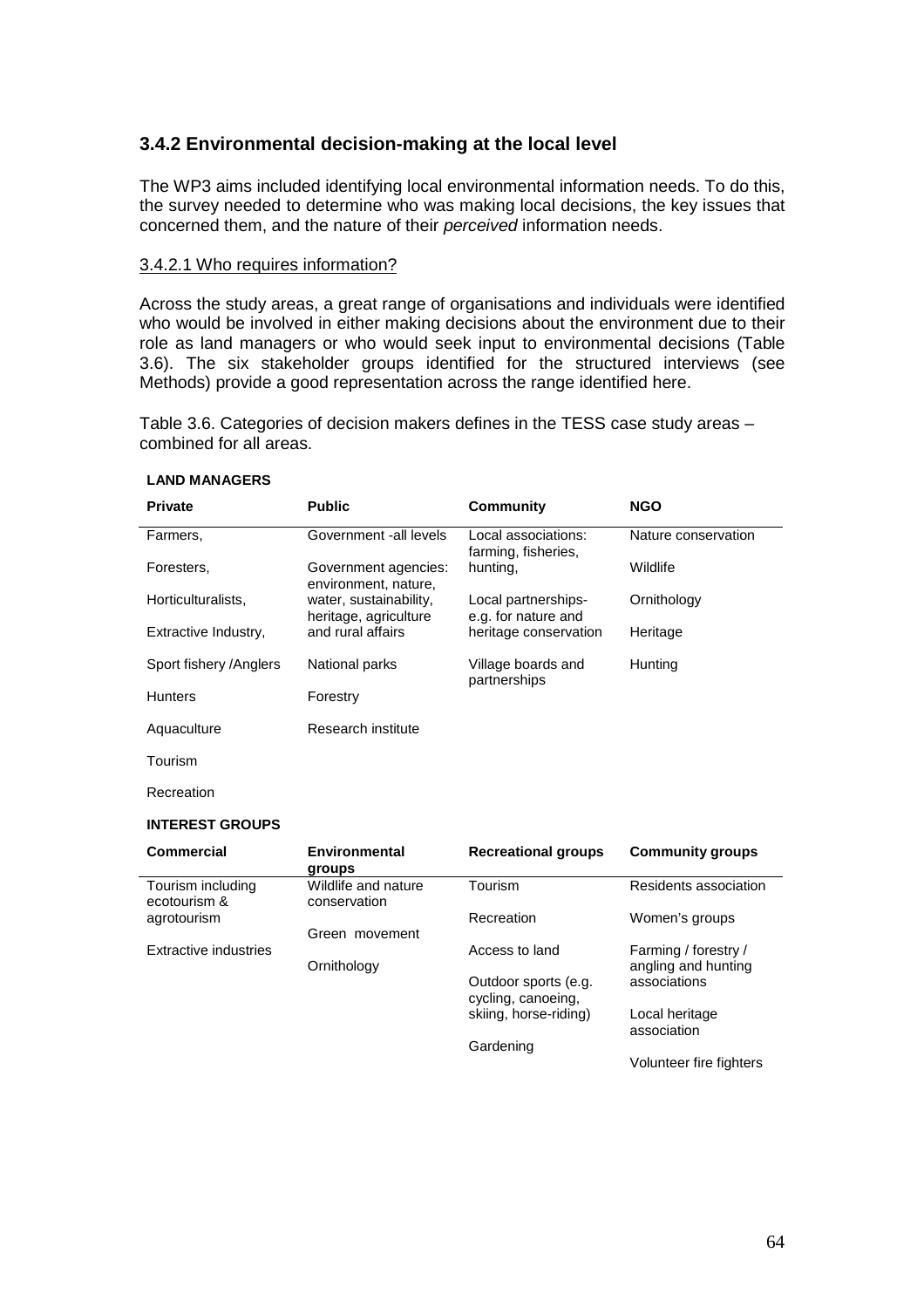# **3.4.2 Environmental decision-making at the local level**

The WP3 aims included identifying local environmental information needs. To do this, the survey needed to determine who was making local decisions, the key issues that concerned them, and the nature of their perceived information needs.

#### 3.4.2.1 Who requires information?

Across the study areas, a great range of organisations and individuals were identified who would be involved in either making decisions about the environment due to their role as land managers or who would seek input to environmental decisions (Table 3.6). The six stakeholder groups identified for the structured interviews (see Methods) provide a good representation across the range identified here.

Table 3.6. Categories of decision makers defines in the TESS case study areas – combined for all areas.

| <b>Private</b>          | <b>Public</b>                                   | <b>Community</b>                           | <b>NGO</b>          |
|-------------------------|-------------------------------------------------|--------------------------------------------|---------------------|
| Farmers,                | Government -all levels                          | Local associations:<br>farming, fisheries, | Nature conservation |
| Foresters,              | Government agencies:<br>environment, nature,    | hunting.                                   | Wildlife            |
| Horticulturalists,      | water, sustainability,<br>heritage, agriculture | Local partnerships-<br>e.g. for nature and | Ornithology         |
| Extractive Industry,    | and rural affairs                               | heritage conservation                      | Heritage            |
| Sport fishery / Anglers | National parks                                  | Village boards and<br>partnerships         | Hunting             |
| <b>Hunters</b>          | Forestry                                        |                                            |                     |
| Aquaculture             | Research institute                              |                                            |                     |
| Tourism                 |                                                 |                                            |                     |

#### **LAND MANAGERS**

Recreation

#### **INTEREST GROUPS**

| Commercial                        | <b>Environmental</b><br>groups      | <b>Recreational groups</b> | <b>Community groups</b>       |
|-----------------------------------|-------------------------------------|----------------------------|-------------------------------|
| Tourism including<br>ecotourism & | Wildlife and nature<br>conservation | Tourism                    | Residents association         |
| agrotourism                       |                                     | Recreation                 | Women's groups                |
|                                   | Green movement                      |                            |                               |
| Extractive industries             |                                     | Access to land             | Farming / forestry /          |
|                                   | Ornithology                         |                            | angling and hunting           |
|                                   |                                     | Outdoor sports (e.g.       | associations                  |
|                                   |                                     | cycling, canoeing,         |                               |
|                                   |                                     | skiing, horse-riding)      | Local heritage<br>association |
|                                   |                                     | Gardening                  |                               |
|                                   |                                     |                            | Volunteer fire fighters       |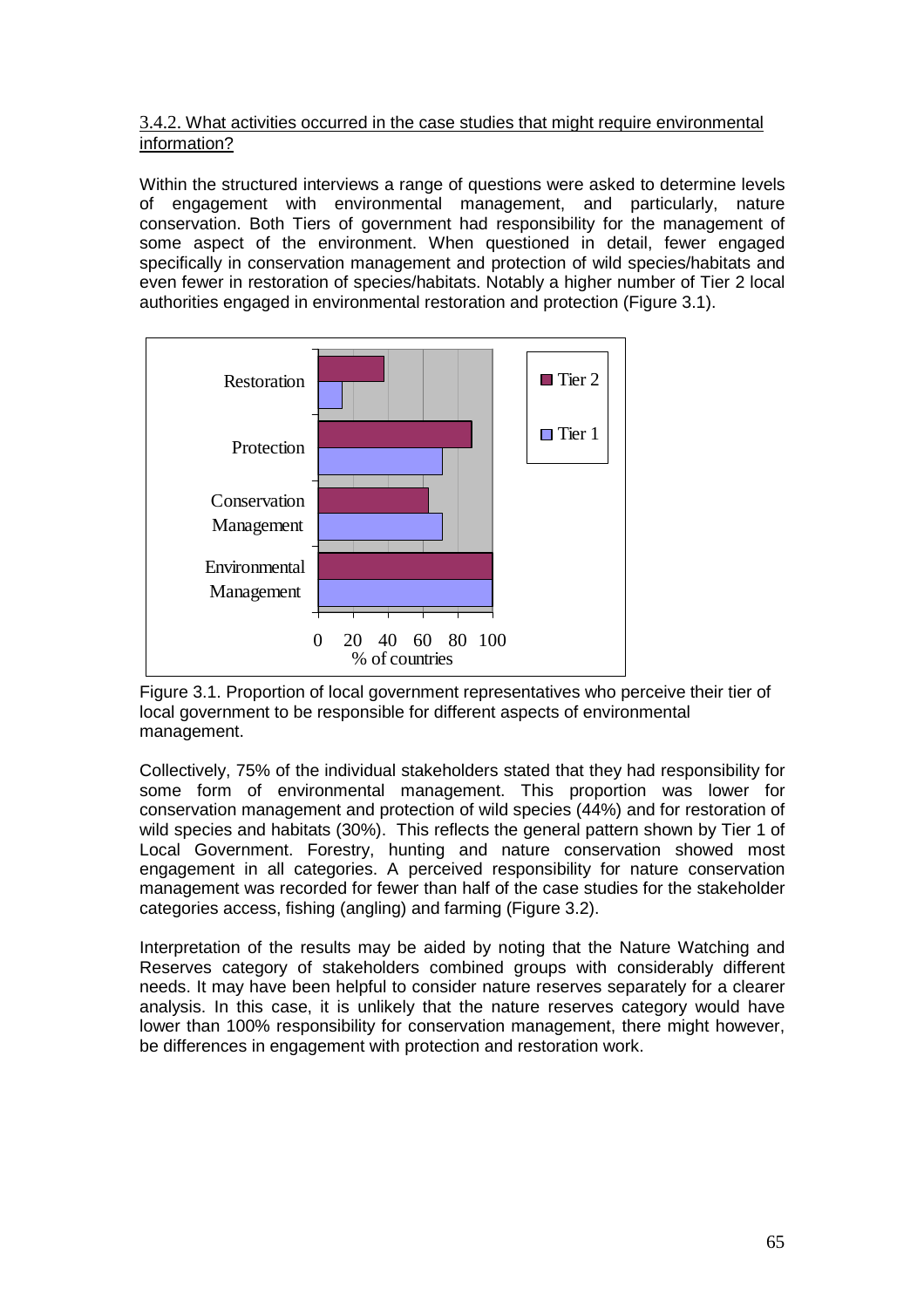# 3.4.2. What activities occurred in the case studies that might require environmental information?

Within the structured interviews a range of questions were asked to determine levels of engagement with environmental management, and particularly, nature conservation. Both Tiers of government had responsibility for the management of some aspect of the environment. When questioned in detail, fewer engaged specifically in conservation management and protection of wild species/habitats and even fewer in restoration of species/habitats. Notably a higher number of Tier 2 local authorities engaged in environmental restoration and protection (Figure 3.1).



Figure 3.1. Proportion of local government representatives who perceive their tier of local government to be responsible for different aspects of environmental management.

Collectively, 75% of the individual stakeholders stated that they had responsibility for some form of environmental management. This proportion was lower for conservation management and protection of wild species (44%) and for restoration of wild species and habitats (30%). This reflects the general pattern shown by Tier 1 of Local Government. Forestry, hunting and nature conservation showed most engagement in all categories. A perceived responsibility for nature conservation management was recorded for fewer than half of the case studies for the stakeholder categories access, fishing (angling) and farming (Figure 3.2).

Interpretation of the results may be aided by noting that the Nature Watching and Reserves category of stakeholders combined groups with considerably different needs. It may have been helpful to consider nature reserves separately for a clearer analysis. In this case, it is unlikely that the nature reserves category would have lower than 100% responsibility for conservation management, there might however, be differences in engagement with protection and restoration work.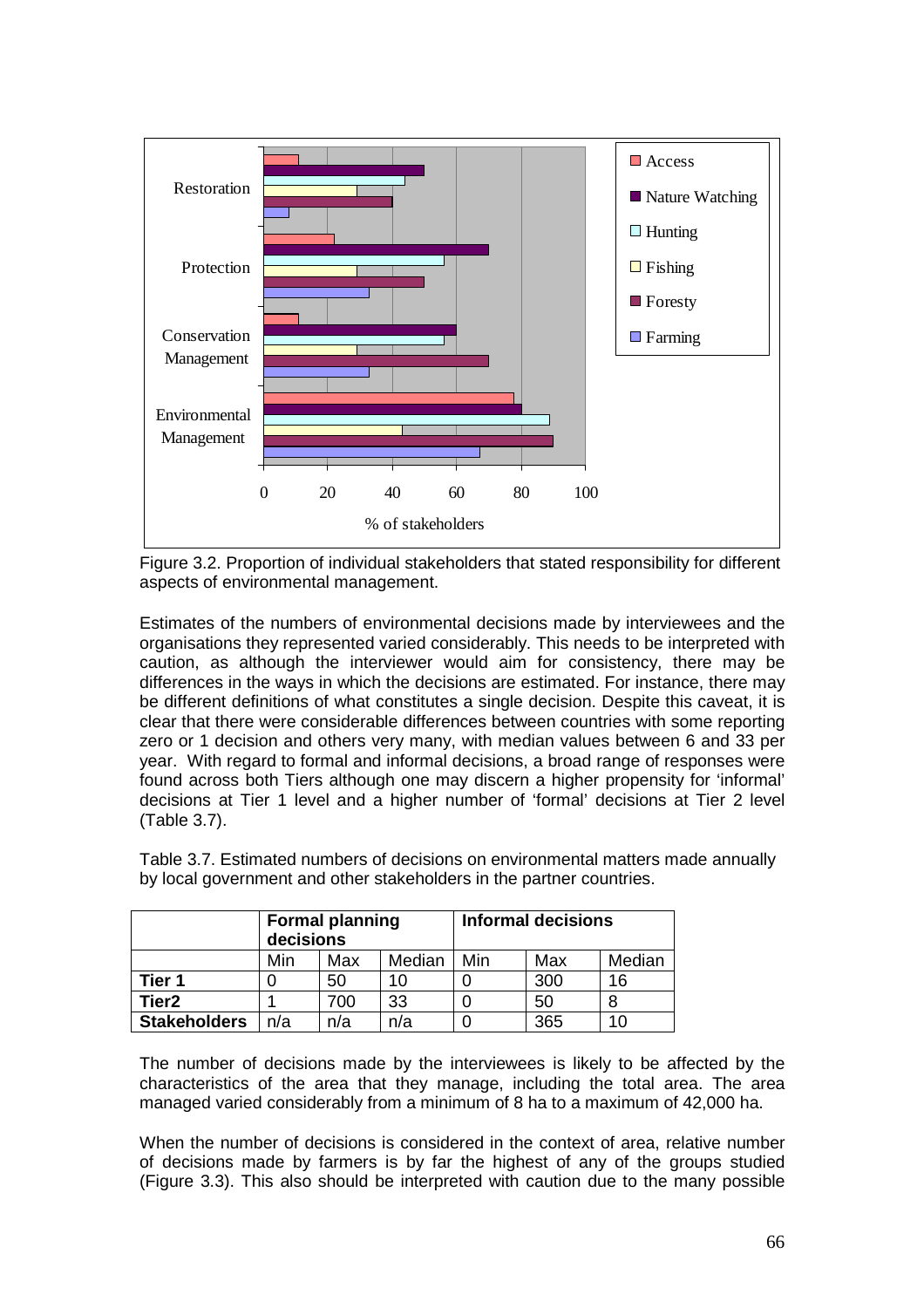

Figure 3.2. Proportion of individual stakeholders that stated responsibility for different aspects of environmental management.

Estimates of the numbers of environmental decisions made by interviewees and the organisations they represented varied considerably. This needs to be interpreted with caution, as although the interviewer would aim for consistency, there may be differences in the ways in which the decisions are estimated. For instance, there may be different definitions of what constitutes a single decision. Despite this caveat, it is clear that there were considerable differences between countries with some reporting zero or 1 decision and others very many, with median values between 6 and 33 per year. With regard to formal and informal decisions, a broad range of responses were found across both Tiers although one may discern a higher propensity for 'informal' decisions at Tier 1 level and a higher number of 'formal' decisions at Tier 2 level (Table 3.7).

|                     | <b>Formal planning</b><br>decisions |     |        | <b>Informal decisions</b> |     |        |
|---------------------|-------------------------------------|-----|--------|---------------------------|-----|--------|
|                     | Min                                 | Max | Median | Min                       | Max | Median |
| Tier 1              |                                     | 50  | 10     |                           | 300 | 16     |
| Tier <sub>2</sub>   |                                     | 700 | 33     |                           | 50  |        |
| <b>Stakeholders</b> | n/a                                 | n/a | n/a    |                           | 365 | 10     |

Table 3.7. Estimated numbers of decisions on environmental matters made annually by local government and other stakeholders in the partner countries.

The number of decisions made by the interviewees is likely to be affected by the characteristics of the area that they manage, including the total area. The area managed varied considerably from a minimum of 8 ha to a maximum of 42,000 ha.

When the number of decisions is considered in the context of area, relative number of decisions made by farmers is by far the highest of any of the groups studied (Figure 3.3). This also should be interpreted with caution due to the many possible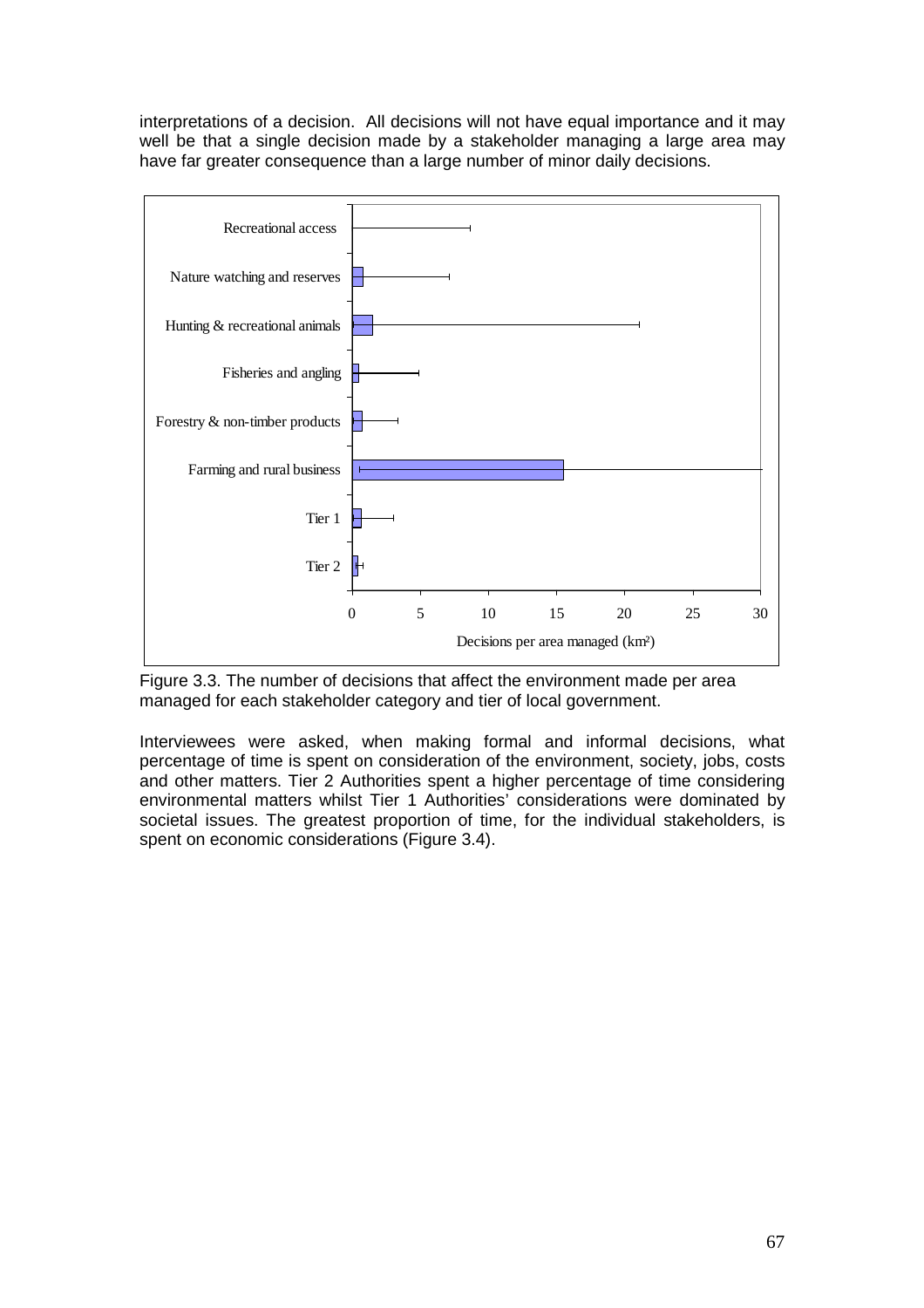interpretations of a decision. All decisions will not have equal importance and it may well be that a single decision made by a stakeholder managing a large area may have far greater consequence than a large number of minor daily decisions.



Figure 3.3. The number of decisions that affect the environment made per area managed for each stakeholder category and tier of local government.

Interviewees were asked, when making formal and informal decisions, what percentage of time is spent on consideration of the environment, society, jobs, costs and other matters. Tier 2 Authorities spent a higher percentage of time considering environmental matters whilst Tier 1 Authorities' considerations were dominated by societal issues. The greatest proportion of time, for the individual stakeholders, is spent on economic considerations (Figure 3.4).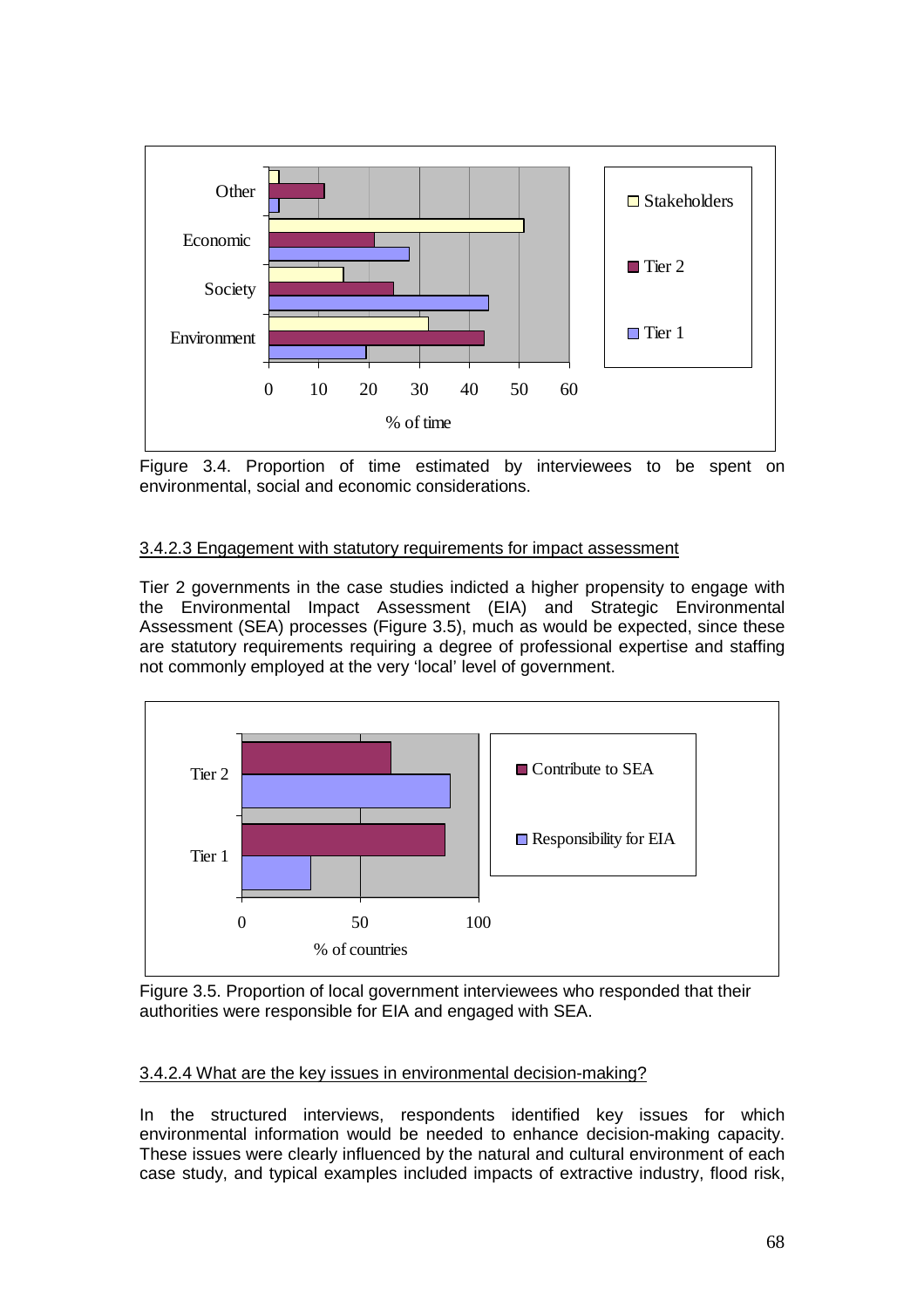

Figure 3.4. Proportion of time estimated by interviewees to be spent on environmental, social and economic considerations.

# 3.4.2.3 Engagement with statutory requirements for impact assessment

Tier 2 governments in the case studies indicted a higher propensity to engage with the Environmental Impact Assessment (EIA) and Strategic Environmental Assessment (SEA) processes (Figure 3.5), much as would be expected, since these are statutory requirements requiring a degree of professional expertise and staffing not commonly employed at the very 'local' level of government.



Figure 3.5. Proportion of local government interviewees who responded that their authorities were responsible for EIA and engaged with SEA.

### 3.4.2.4 What are the key issues in environmental decision-making?

In the structured interviews, respondents identified key issues for which environmental information would be needed to enhance decision-making capacity. These issues were clearly influenced by the natural and cultural environment of each case study, and typical examples included impacts of extractive industry, flood risk,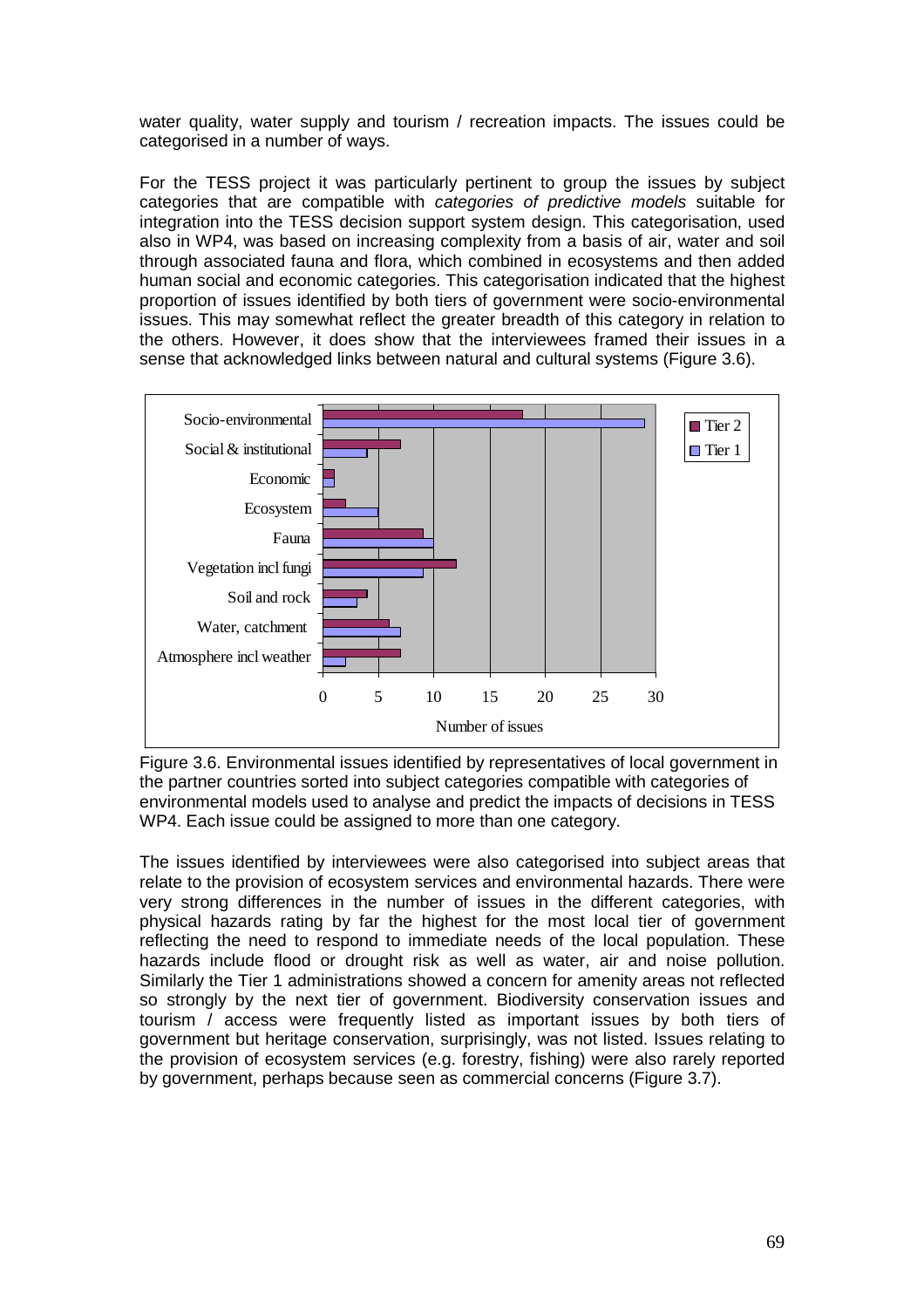water quality, water supply and tourism / recreation impacts. The issues could be categorised in a number of ways.

For the TESS project it was particularly pertinent to group the issues by subject categories that are compatible with categories of predictive models suitable for integration into the TESS decision support system design. This categorisation, used also in WP4, was based on increasing complexity from a basis of air, water and soil through associated fauna and flora, which combined in ecosystems and then added human social and economic categories. This categorisation indicated that the highest proportion of issues identified by both tiers of government were socio-environmental issues. This may somewhat reflect the greater breadth of this category in relation to the others. However, it does show that the interviewees framed their issues in a sense that acknowledged links between natural and cultural systems (Figure 3.6).



Figure 3.6. Environmental issues identified by representatives of local government in the partner countries sorted into subject categories compatible with categories of environmental models used to analyse and predict the impacts of decisions in TESS WP4. Each issue could be assigned to more than one category.

The issues identified by interviewees were also categorised into subject areas that relate to the provision of ecosystem services and environmental hazards. There were very strong differences in the number of issues in the different categories, with physical hazards rating by far the highest for the most local tier of government reflecting the need to respond to immediate needs of the local population. These hazards include flood or drought risk as well as water, air and noise pollution. Similarly the Tier 1 administrations showed a concern for amenity areas not reflected so strongly by the next tier of government. Biodiversity conservation issues and tourism / access were frequently listed as important issues by both tiers of government but heritage conservation, surprisingly, was not listed. Issues relating to the provision of ecosystem services (e.g. forestry, fishing) were also rarely reported by government, perhaps because seen as commercial concerns (Figure 3.7).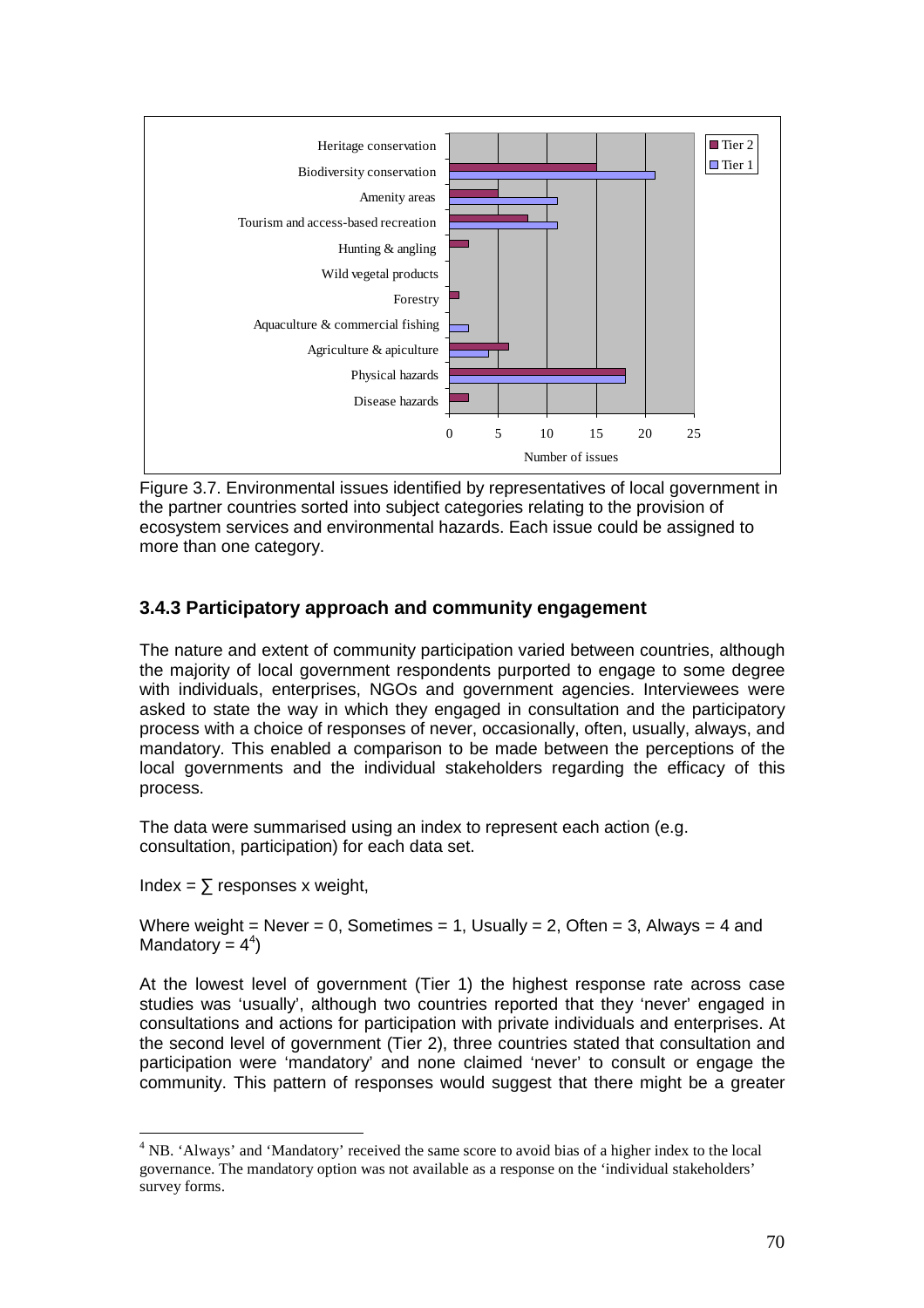

Figure 3.7. Environmental issues identified by representatives of local government in the partner countries sorted into subject categories relating to the provision of ecosystem services and environmental hazards. Each issue could be assigned to more than one category.

# **3.4.3 Participatory approach and community engagement**

The nature and extent of community participation varied between countries, although the majority of local government respondents purported to engage to some degree with individuals, enterprises, NGOs and government agencies. Interviewees were asked to state the way in which they engaged in consultation and the participatory process with a choice of responses of never, occasionally, often, usually, always, and mandatory. This enabled a comparison to be made between the perceptions of the local governments and the individual stakeholders regarding the efficacy of this process.

The data were summarised using an index to represent each action (e.g. consultation, participation) for each data set.

Index =  $\Sigma$  responses x weight,

 $\overline{a}$ 

Where weight = Never = 0, Sometimes = 1, Usually = 2, Often = 3, Always = 4 and Mandatory =  $4^4$ )

At the lowest level of government (Tier 1) the highest response rate across case studies was 'usually', although two countries reported that they 'never' engaged in consultations and actions for participation with private individuals and enterprises. At the second level of government (Tier 2), three countries stated that consultation and participation were 'mandatory' and none claimed 'never' to consult or engage the community. This pattern of responses would suggest that there might be a greater

<sup>&</sup>lt;sup>4</sup> NB. 'Always' and 'Mandatory' received the same score to avoid bias of a higher index to the local governance. The mandatory option was not available as a response on the 'individual stakeholders' survey forms.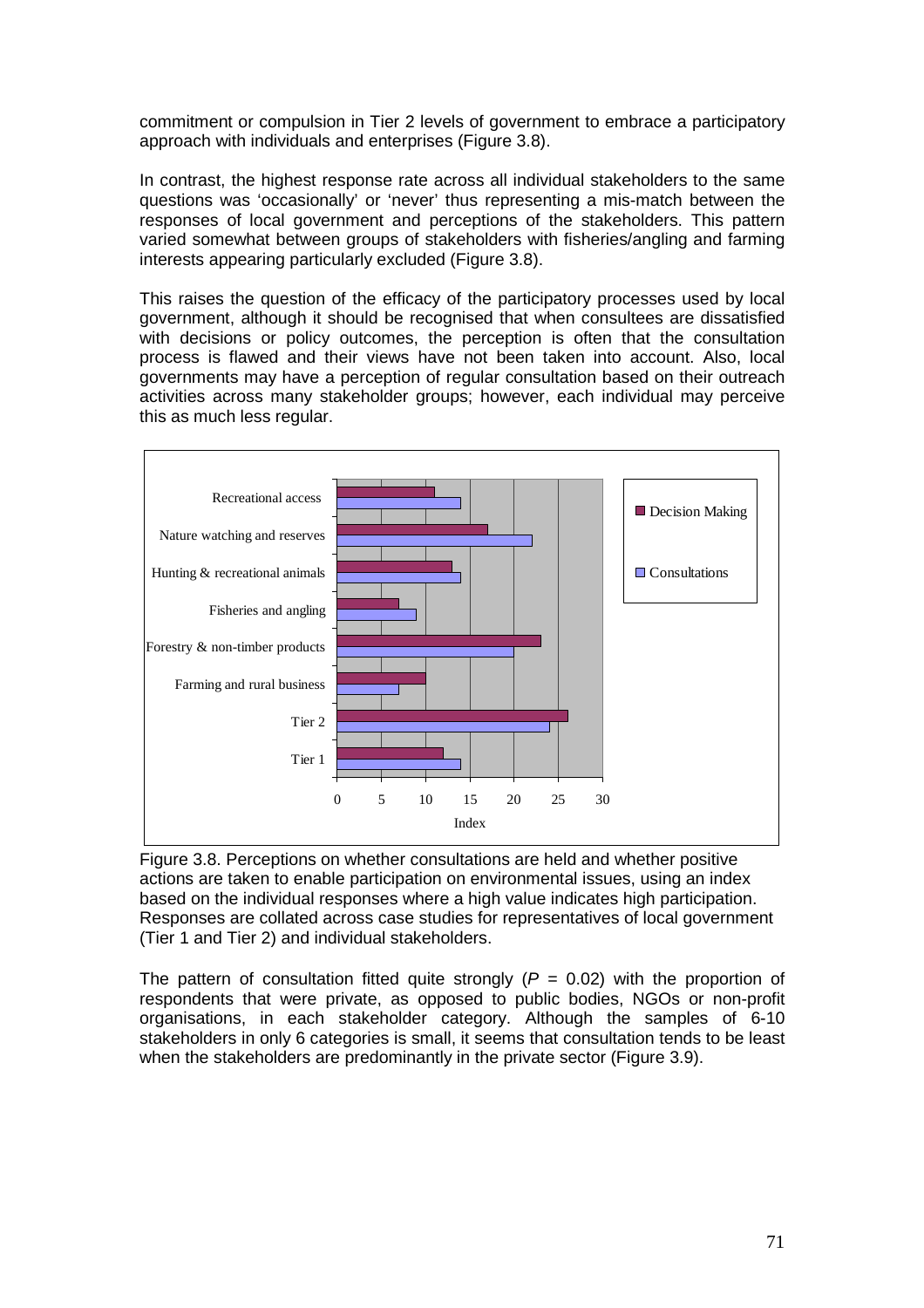commitment or compulsion in Tier 2 levels of government to embrace a participatory approach with individuals and enterprises (Figure 3.8).

In contrast, the highest response rate across all individual stakeholders to the same questions was 'occasionally' or 'never' thus representing a mis-match between the responses of local government and perceptions of the stakeholders. This pattern varied somewhat between groups of stakeholders with fisheries/angling and farming interests appearing particularly excluded (Figure 3.8).

This raises the question of the efficacy of the participatory processes used by local government, although it should be recognised that when consultees are dissatisfied with decisions or policy outcomes, the perception is often that the consultation process is flawed and their views have not been taken into account. Also, local governments may have a perception of regular consultation based on their outreach activities across many stakeholder groups; however, each individual may perceive this as much less regular.



Figure 3.8. Perceptions on whether consultations are held and whether positive actions are taken to enable participation on environmental issues, using an index based on the individual responses where a high value indicates high participation. Responses are collated across case studies for representatives of local government (Tier 1 and Tier 2) and individual stakeholders.

The pattern of consultation fitted quite strongly ( $P = 0.02$ ) with the proportion of respondents that were private, as opposed to public bodies, NGOs or non-profit organisations, in each stakeholder category. Although the samples of 6-10 stakeholders in only 6 categories is small, it seems that consultation tends to be least when the stakeholders are predominantly in the private sector (Figure 3.9).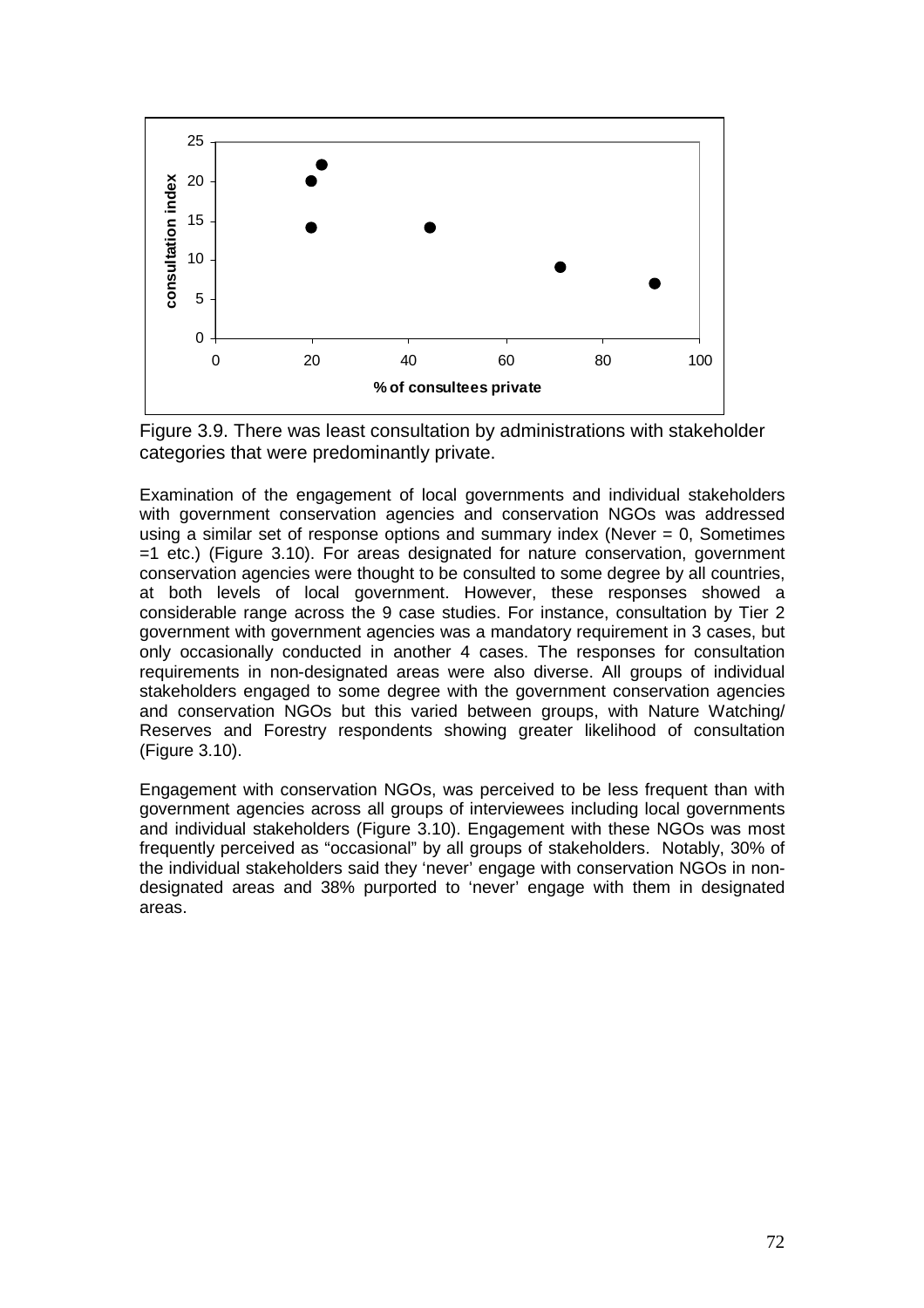

Figure 3.9. There was least consultation by administrations with stakeholder categories that were predominantly private.

Examination of the engagement of local governments and individual stakeholders with government conservation agencies and conservation NGOs was addressed using a similar set of response options and summary index (Never  $= 0$ , Sometimes  $=1$  etc.) (Figure 3.10). For areas designated for nature conservation, government conservation agencies were thought to be consulted to some degree by all countries, at both levels of local government. However, these responses showed a considerable range across the 9 case studies. For instance, consultation by Tier 2 government with government agencies was a mandatory requirement in 3 cases, but only occasionally conducted in another 4 cases. The responses for consultation requirements in non-designated areas were also diverse. All groups of individual stakeholders engaged to some degree with the government conservation agencies and conservation NGOs but this varied between groups, with Nature Watching/ Reserves and Forestry respondents showing greater likelihood of consultation (Figure 3.10).

Engagement with conservation NGOs, was perceived to be less frequent than with government agencies across all groups of interviewees including local governments and individual stakeholders (Figure 3.10). Engagement with these NGOs was most frequently perceived as "occasional" by all groups of stakeholders. Notably, 30% of the individual stakeholders said they 'never' engage with conservation NGOs in nondesignated areas and 38% purported to 'never' engage with them in designated areas.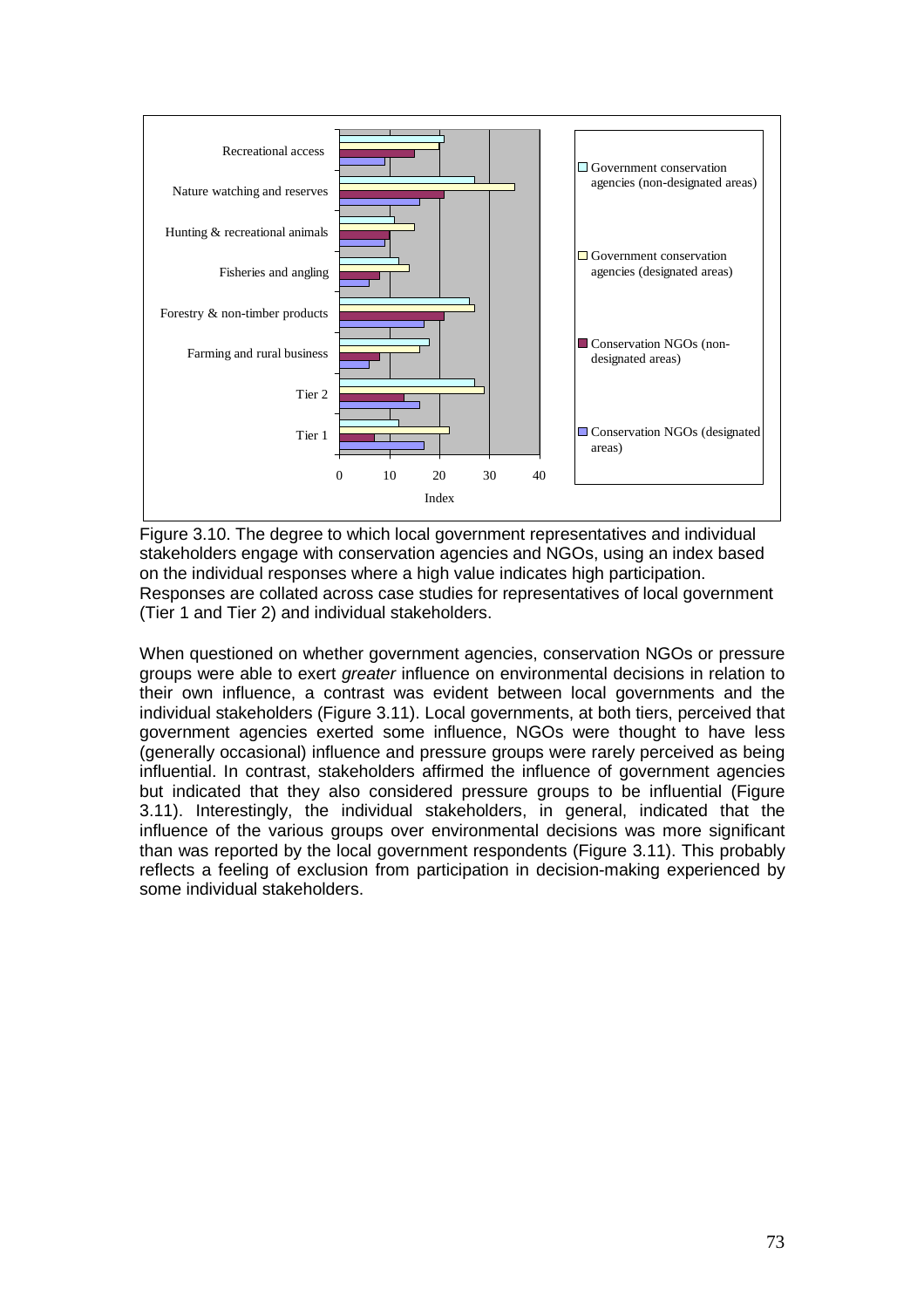

Figure 3.10. The degree to which local government representatives and individual stakeholders engage with conservation agencies and NGOs, using an index based on the individual responses where a high value indicates high participation. Responses are collated across case studies for representatives of local government (Tier 1 and Tier 2) and individual stakeholders.

When questioned on whether government agencies, conservation NGOs or pressure groups were able to exert greater influence on environmental decisions in relation to their own influence, a contrast was evident between local governments and the individual stakeholders (Figure 3.11). Local governments, at both tiers, perceived that government agencies exerted some influence, NGOs were thought to have less (generally occasional) influence and pressure groups were rarely perceived as being influential. In contrast, stakeholders affirmed the influence of government agencies but indicated that they also considered pressure groups to be influential (Figure 3.11). Interestingly, the individual stakeholders, in general, indicated that the influence of the various groups over environmental decisions was more significant than was reported by the local government respondents (Figure 3.11). This probably reflects a feeling of exclusion from participation in decision-making experienced by some individual stakeholders.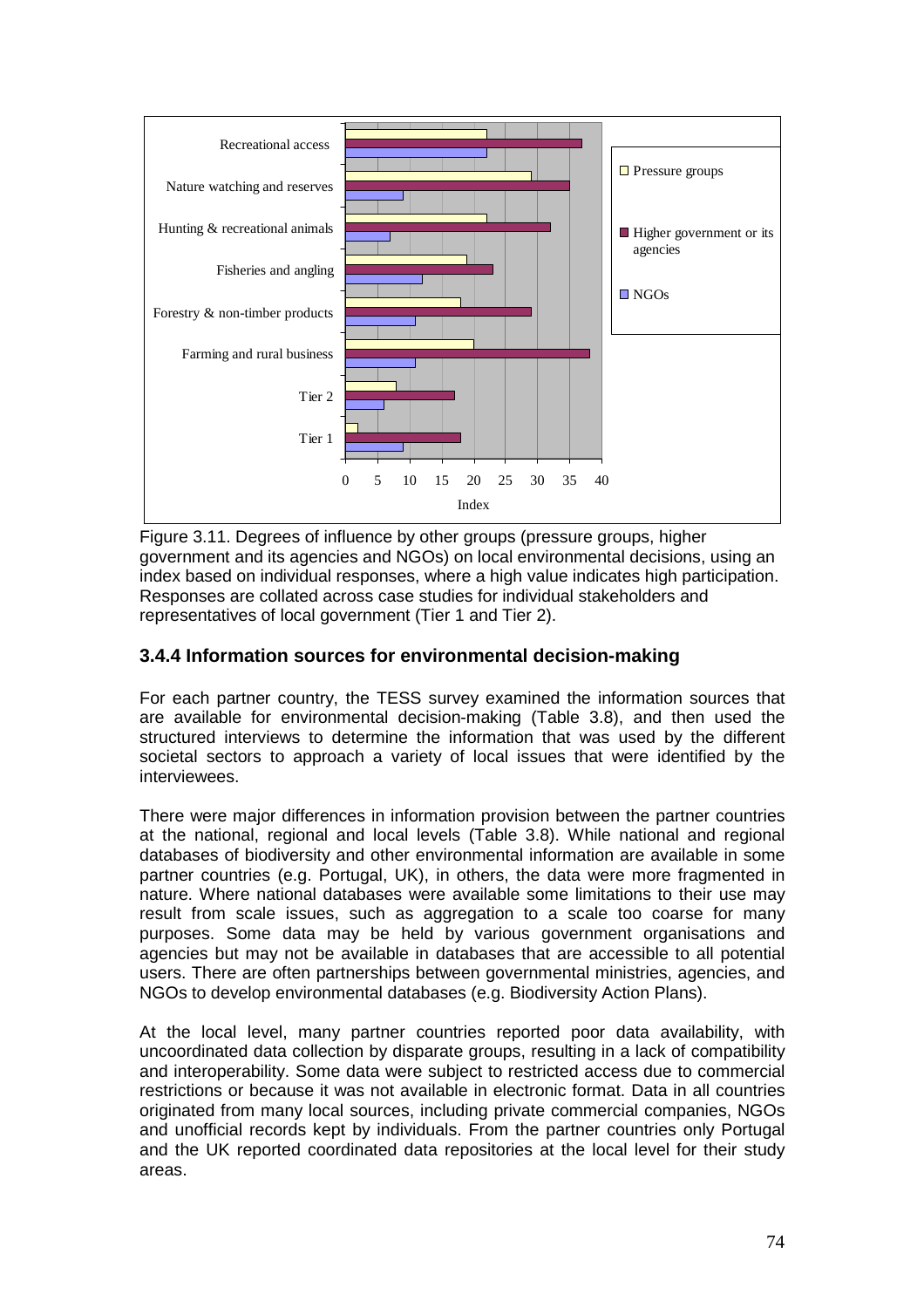

Figure 3.11. Degrees of influence by other groups (pressure groups, higher government and its agencies and NGOs) on local environmental decisions, using an index based on individual responses, where a high value indicates high participation. Responses are collated across case studies for individual stakeholders and representatives of local government (Tier 1 and Tier 2).

### **3.4.4 Information sources for environmental decision-making**

For each partner country, the TESS survey examined the information sources that are available for environmental decision-making (Table 3.8), and then used the structured interviews to determine the information that was used by the different societal sectors to approach a variety of local issues that were identified by the interviewees.

There were major differences in information provision between the partner countries at the national, regional and local levels (Table 3.8). While national and regional databases of biodiversity and other environmental information are available in some partner countries (e.g. Portugal, UK), in others, the data were more fragmented in nature. Where national databases were available some limitations to their use may result from scale issues, such as aggregation to a scale too coarse for many purposes. Some data may be held by various government organisations and agencies but may not be available in databases that are accessible to all potential users. There are often partnerships between governmental ministries, agencies, and NGOs to develop environmental databases (e.g. Biodiversity Action Plans).

At the local level, many partner countries reported poor data availability, with uncoordinated data collection by disparate groups, resulting in a lack of compatibility and interoperability. Some data were subject to restricted access due to commercial restrictions or because it was not available in electronic format. Data in all countries originated from many local sources, including private commercial companies, NGOs and unofficial records kept by individuals. From the partner countries only Portugal and the UK reported coordinated data repositories at the local level for their study areas.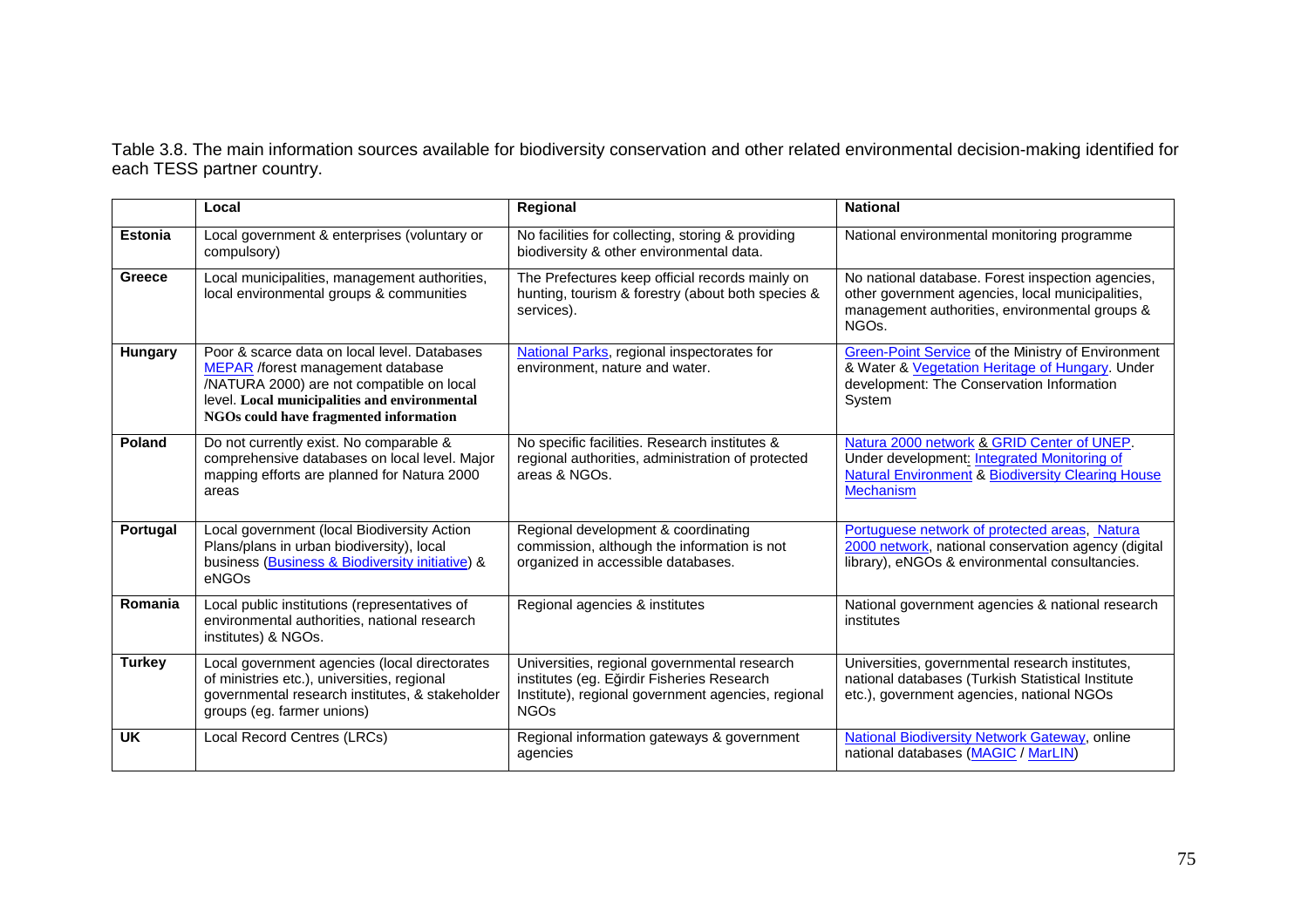Table 3.8. The main information sources available for biodiversity conservation and other related environmental decision-making identified for each TESS partner country.

|                | Local                                                                                                                                                                                                                     | Regional                                                                                                                                                        | <b>National</b>                                                                                                                                                             |
|----------------|---------------------------------------------------------------------------------------------------------------------------------------------------------------------------------------------------------------------------|-----------------------------------------------------------------------------------------------------------------------------------------------------------------|-----------------------------------------------------------------------------------------------------------------------------------------------------------------------------|
| <b>Estonia</b> | Local government & enterprises (voluntary or<br>compulsory)                                                                                                                                                               | No facilities for collecting, storing & providing<br>biodiversity & other environmental data.                                                                   | National environmental monitoring programme                                                                                                                                 |
| Greece         | Local municipalities, management authorities,<br>local environmental groups & communities                                                                                                                                 | The Prefectures keep official records mainly on<br>hunting, tourism & forestry (about both species &<br>services).                                              | No national database. Forest inspection agencies,<br>other government agencies, local municipalities,<br>management authorities, environmental groups &<br>NGO <sub>s</sub> |
| <b>Hungary</b> | Poor & scarce data on local level. Databases<br>MEPAR /forest management database<br>/NATURA 2000) are not compatible on local<br>level. Local municipalities and environmental<br>NGOs could have fragmented information | National Parks, regional inspectorates for<br>environment, nature and water.                                                                                    | Green-Point Service of the Ministry of Environment<br>& Water & Vegetation Heritage of Hungary. Under<br>development: The Conservation Information<br>System                |
| Poland         | Do not currently exist. No comparable &<br>comprehensive databases on local level. Major<br>mapping efforts are planned for Natura 2000<br>areas                                                                          | No specific facilities. Research institutes &<br>regional authorities, administration of protected<br>areas & NGOs.                                             | Natura 2000 network & GRID Center of UNEP.<br>Under development: Integrated Monitoring of<br><b>Natural Environment &amp; Biodiversity Clearing House</b><br>Mechanism      |
| Portugal       | Local government (local Biodiversity Action<br>Plans/plans in urban biodiversity), local<br>business (Business & Biodiversity initiative) &<br>eNGOs                                                                      | Regional development & coordinating<br>commission, although the information is not<br>organized in accessible databases.                                        | Portuguese network of protected areas, Natura<br>2000 network, national conservation agency (digital<br>library), eNGOs & environmental consultancies.                      |
| Romania        | Local public institutions (representatives of<br>environmental authorities, national research<br>institutes) & NGOs.                                                                                                      | Regional agencies & institutes                                                                                                                                  | National government agencies & national research<br>institutes                                                                                                              |
| <b>Turkey</b>  | Local government agencies (local directorates<br>of ministries etc.), universities, regional<br>governmental research institutes, & stakeholder<br>groups (eg. farmer unions)                                             | Universities, regional governmental research<br>institutes (eg. Eğirdir Fisheries Research<br>Institute), regional government agencies, regional<br><b>NGOs</b> | Universities, governmental research institutes,<br>national databases (Turkish Statistical Institute<br>etc.), government agencies, national NGOs                           |
| <b>UK</b>      | Local Record Centres (LRCs)                                                                                                                                                                                               | Regional information gateways & government<br>agencies                                                                                                          | National Biodiversity Network Gateway, online<br>national databases (MAGIC / MarLIN)                                                                                        |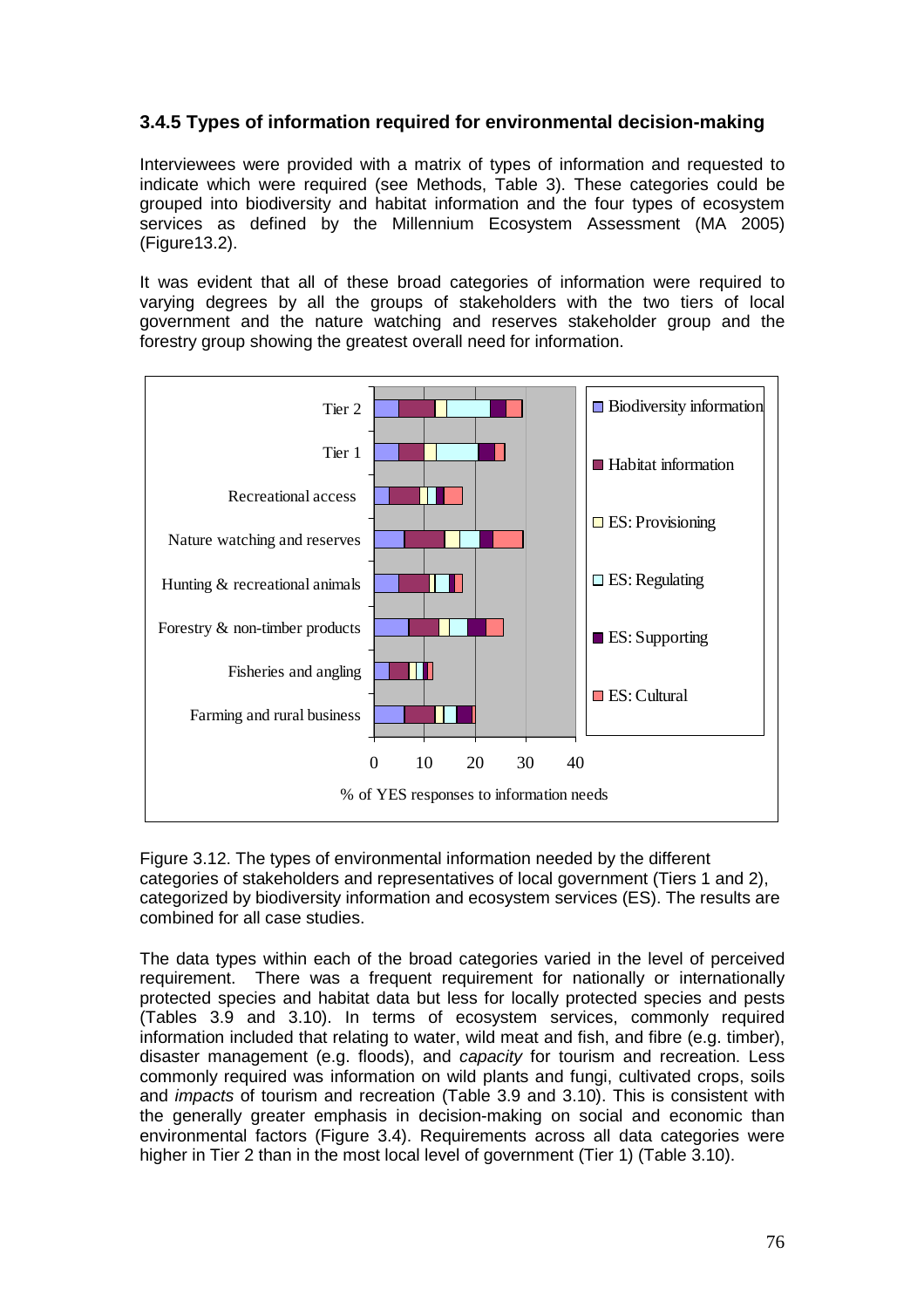# **3.4.5 Types of information required for environmental decision-making**

Interviewees were provided with a matrix of types of information and requested to indicate which were required (see Methods, Table 3). These categories could be grouped into biodiversity and habitat information and the four types of ecosystem services as defined by the Millennium Ecosystem Assessment (MA 2005) (Figure13.2).

It was evident that all of these broad categories of information were required to varying degrees by all the groups of stakeholders with the two tiers of local government and the nature watching and reserves stakeholder group and the forestry group showing the greatest overall need for information.



Figure 3.12. The types of environmental information needed by the different categories of stakeholders and representatives of local government (Tiers 1 and 2), categorized by biodiversity information and ecosystem services (ES). The results are combined for all case studies.

The data types within each of the broad categories varied in the level of perceived requirement. There was a frequent requirement for nationally or internationally protected species and habitat data but less for locally protected species and pests (Tables 3.9 and 3.10). In terms of ecosystem services, commonly required information included that relating to water, wild meat and fish, and fibre (e.g. timber), disaster management (e.g. floods), and capacity for tourism and recreation. Less commonly required was information on wild plants and fungi, cultivated crops, soils and impacts of tourism and recreation (Table 3.9 and 3.10). This is consistent with the generally greater emphasis in decision-making on social and economic than environmental factors (Figure 3.4). Requirements across all data categories were higher in Tier 2 than in the most local level of government (Tier 1) (Table 3.10).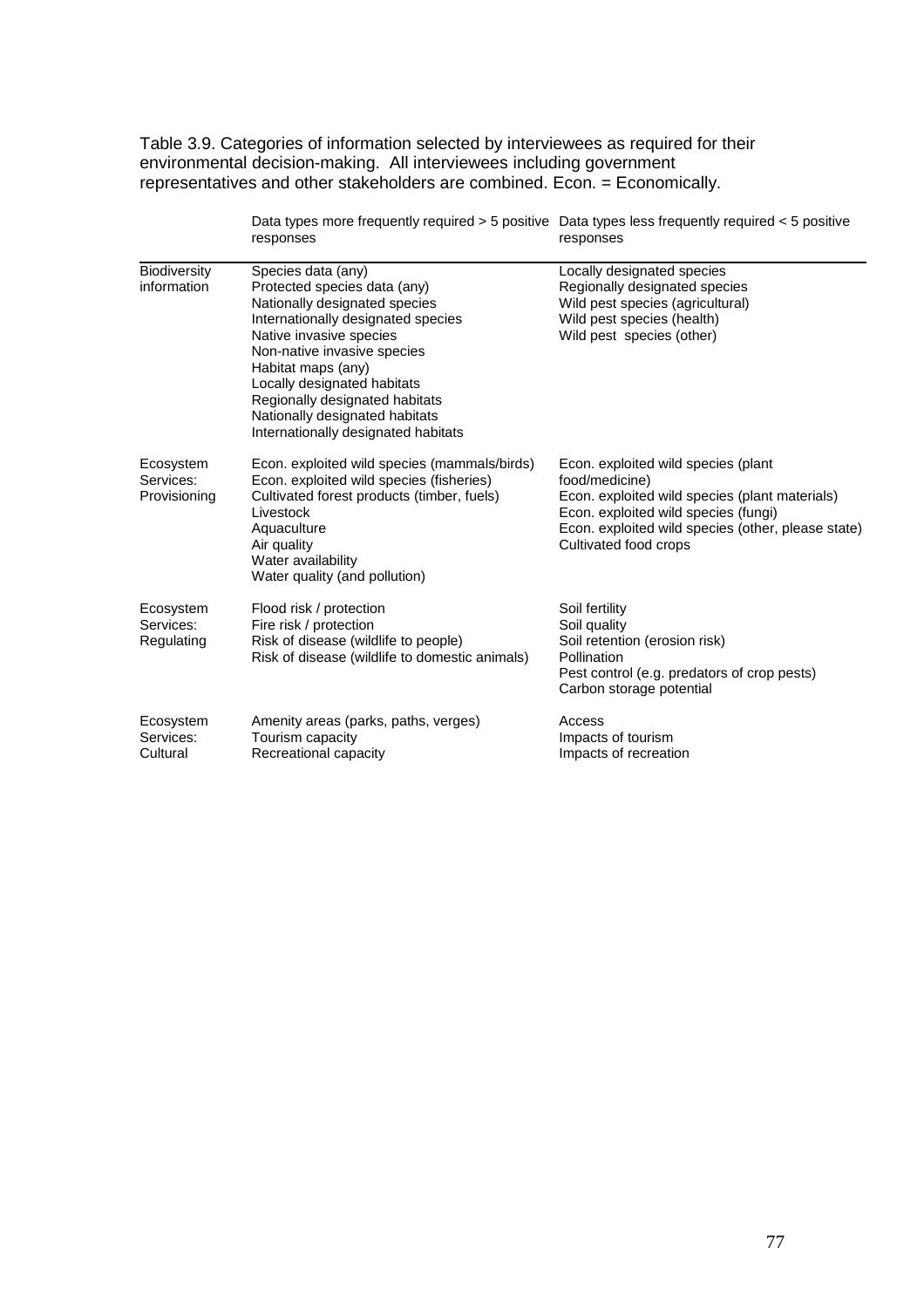Table 3.9. Categories of information selected by interviewees as required for their environmental decision-making. All interviewees including government representatives and other stakeholders are combined. Econ. = Economically.

 Data types more frequently required > 5 positive responses Data types less frequently required < 5 positive responses

| <b>Biodiversity</b><br>information     | Species data (any)<br>Protected species data (any)<br>Nationally designated species<br>Internationally designated species<br>Native invasive species<br>Non-native invasive species<br>Habitat maps (any)<br>Locally designated habitats<br>Regionally designated habitats<br>Nationally designated habitats<br>Internationally designated habitats | Locally designated species<br>Regionally designated species<br>Wild pest species (agricultural)<br>Wild pest species (health)<br>Wild pest species (other)                                                                     |
|----------------------------------------|-----------------------------------------------------------------------------------------------------------------------------------------------------------------------------------------------------------------------------------------------------------------------------------------------------------------------------------------------------|--------------------------------------------------------------------------------------------------------------------------------------------------------------------------------------------------------------------------------|
| Ecosystem<br>Services:<br>Provisioning | Econ. exploited wild species (mammals/birds)<br>Econ. exploited wild species (fisheries)<br>Cultivated forest products (timber, fuels)<br>Livestock<br>Aquaculture<br>Air quality<br>Water availability<br>Water quality (and pollution)                                                                                                            | Econ. exploited wild species (plant<br>food/medicine)<br>Econ. exploited wild species (plant materials)<br>Econ. exploited wild species (fungi)<br>Econ. exploited wild species (other, please state)<br>Cultivated food crops |
| Ecosystem<br>Services:<br>Regulating   | Flood risk / protection<br>Fire risk / protection<br>Risk of disease (wildlife to people)<br>Risk of disease (wildlife to domestic animals)                                                                                                                                                                                                         | Soil fertility<br>Soil quality<br>Soil retention (erosion risk)<br>Pollination<br>Pest control (e.g. predators of crop pests)<br>Carbon storage potential                                                                      |
| Ecosystem<br>Services:<br>Cultural     | Amenity areas (parks, paths, verges)<br>Tourism capacity<br>Recreational capacity                                                                                                                                                                                                                                                                   | Access<br>Impacts of tourism<br>Impacts of recreation                                                                                                                                                                          |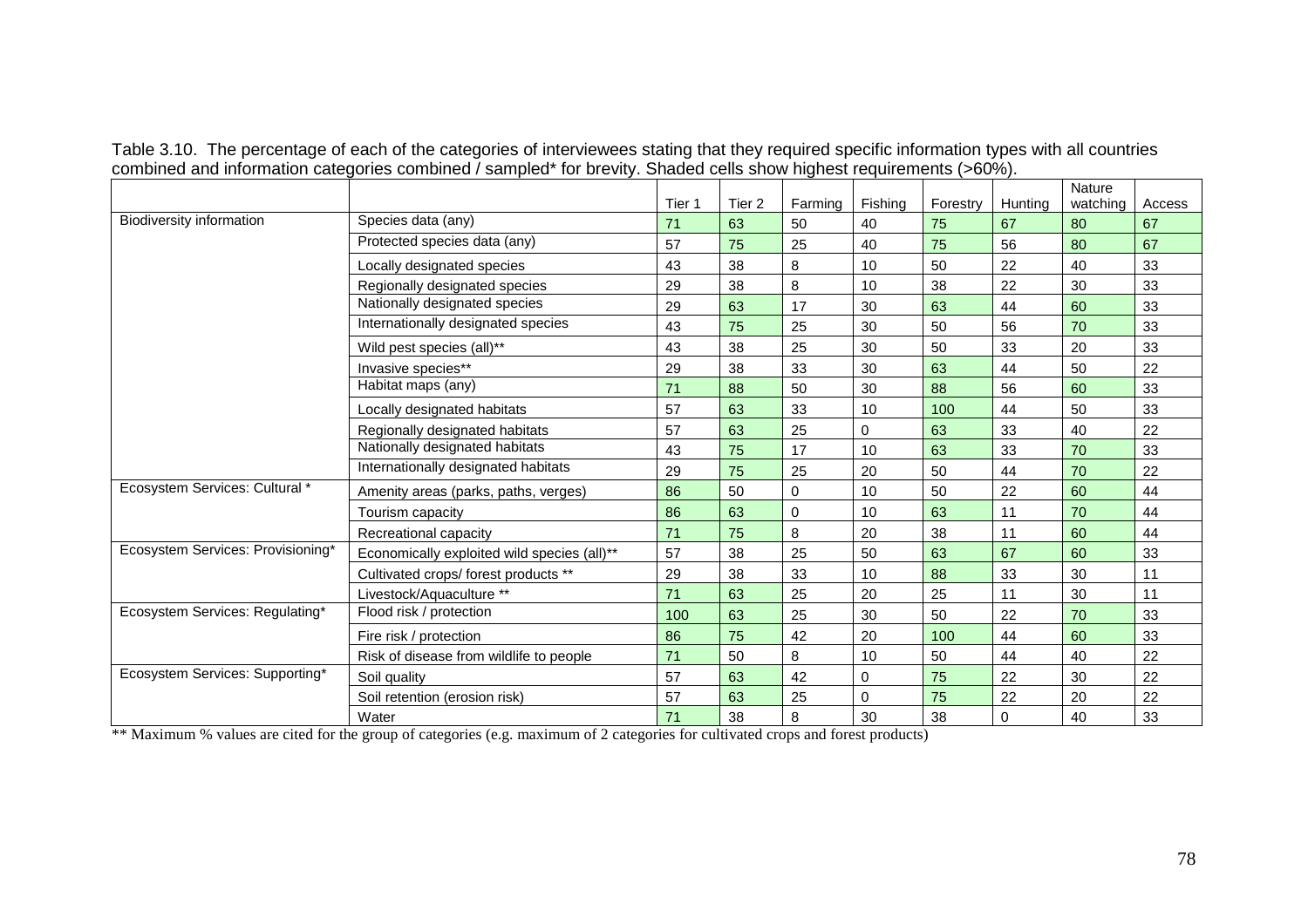|  |                                                                                                                     |  |  | Table 3.10. The percentage of each of the categories of interviewees stating that they required specific information types with all countries |
|--|---------------------------------------------------------------------------------------------------------------------|--|--|-----------------------------------------------------------------------------------------------------------------------------------------------|
|  | combined and information categories combined / sampled* for brevity. Shaded cells show highest requirements (>60%). |  |  |                                                                                                                                               |

|                                   |                                             |        |        |          |         |          |          | Nature   |        |
|-----------------------------------|---------------------------------------------|--------|--------|----------|---------|----------|----------|----------|--------|
|                                   |                                             | Tier 1 | Tier 2 | Farming  | Fishing | Forestry | Hunting  | watching | Access |
| <b>Biodiversity information</b>   | Species data (any)                          | 71     | 63     | 50       | 40      | 75       | 67       | 80       | 67     |
|                                   | Protected species data (any)                | 57     | 75     | 25       | 40      | 75       | 56       | 80       | 67     |
|                                   | Locally designated species                  | 43     | 38     | 8        | 10      | 50       | 22       | 40       | 33     |
|                                   | Regionally designated species               | 29     | 38     | 8        | 10      | 38       | 22       | 30       | 33     |
|                                   | Nationally designated species               | 29     | 63     | 17       | 30      | 63       | 44       | 60       | 33     |
|                                   | Internationally designated species          | 43     | 75     | 25       | 30      | 50       | 56       | 70       | 33     |
|                                   | Wild pest species (all)**                   | 43     | 38     | 25       | 30      | 50       | 33       | 20       | 33     |
|                                   | Invasive species**                          | 29     | 38     | 33       | 30      | 63       | 44       | 50       | 22     |
|                                   | Habitat maps (any)                          | 71     | 88     | 50       | 30      | 88       | 56       | 60       | 33     |
|                                   | Locally designated habitats                 | 57     | 63     | 33       | 10      | 100      | 44       | 50       | 33     |
|                                   | Regionally designated habitats              | 57     | 63     | 25       | 0       | 63       | 33       | 40       | 22     |
|                                   | Nationally designated habitats              | 43     | 75     | 17       | 10      | 63       | 33       | 70       | 33     |
|                                   | Internationally designated habitats         | 29     | 75     | 25       | 20      | 50       | 44       | 70       | 22     |
| Ecosystem Services: Cultural *    | Amenity areas (parks, paths, verges)        | 86     | 50     | $\Omega$ | 10      | 50       | 22       | 60       | 44     |
|                                   | Tourism capacity                            | 86     | 63     | $\Omega$ | 10      | 63       | 11       | 70       | 44     |
|                                   | Recreational capacity                       | 71     | 75     | 8        | 20      | 38       | 11       | 60       | 44     |
| Ecosystem Services: Provisioning* | Economically exploited wild species (all)** | 57     | 38     | 25       | 50      | 63       | 67       | 60       | 33     |
|                                   | Cultivated crops/forest products **         | 29     | 38     | 33       | 10      | 88       | 33       | 30       | 11     |
|                                   | Livestock/Aquaculture **                    | 71     | 63     | 25       | 20      | 25       | 11       | 30       | 11     |
| Ecosystem Services: Regulating*   | Flood risk / protection                     | 100    | 63     | 25       | 30      | 50       | 22       | 70       | 33     |
|                                   | Fire risk / protection                      | 86     | 75     | 42       | 20      | 100      | 44       | 60       | 33     |
|                                   | Risk of disease from wildlife to people     | 71     | 50     | 8        | 10      | 50       | 44       | 40       | 22     |
| Ecosystem Services: Supporting*   | Soil quality                                | 57     | 63     | 42       | 0       | 75       | 22       | 30       | 22     |
|                                   | Soil retention (erosion risk)               | 57     | 63     | 25       | 0       | 75       | 22       | 20       | 22     |
|                                   | Water                                       | 71     | 38     | 8        | 30      | 38       | $\Omega$ | 40       | 33     |

\*\* Maximum % values are cited for the group of categories (e.g. maximum of 2 categories for cultivated crops and forest products)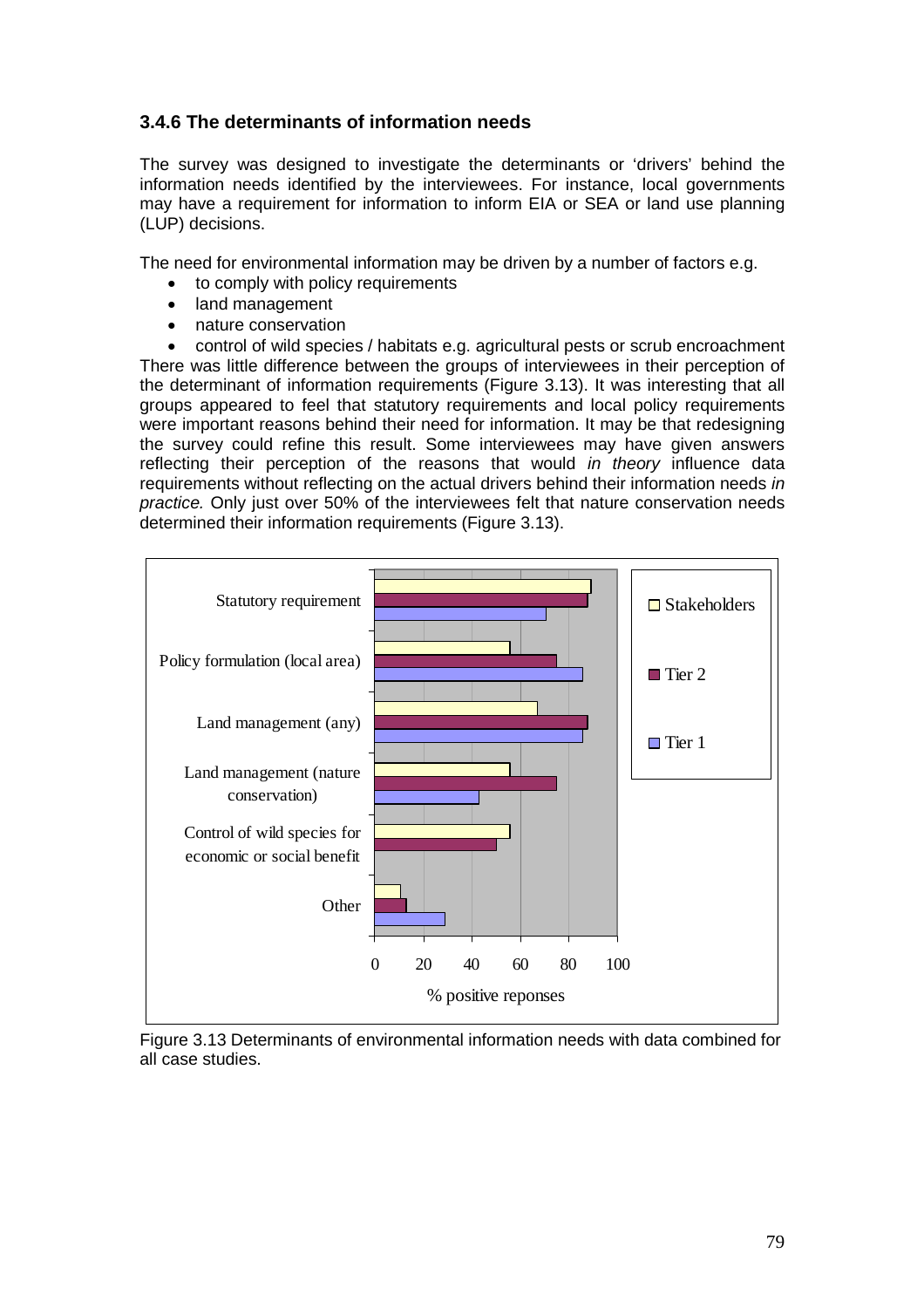# **3.4.6 The determinants of information needs**

The survey was designed to investigate the determinants or 'drivers' behind the information needs identified by the interviewees. For instance, local governments may have a requirement for information to inform EIA or SEA or land use planning (LUP) decisions.

The need for environmental information may be driven by a number of factors e.g.

- to comply with policy requirements
- land management
- nature conservation

• control of wild species / habitats e.g. agricultural pests or scrub encroachment There was little difference between the groups of interviewees in their perception of the determinant of information requirements (Figure 3.13). It was interesting that all groups appeared to feel that statutory requirements and local policy requirements were important reasons behind their need for information. It may be that redesigning the survey could refine this result. Some interviewees may have given answers reflecting their perception of the reasons that would in theory influence data requirements without reflecting on the actual drivers behind their information needs in practice. Only just over 50% of the interviewees felt that nature conservation needs determined their information requirements (Figure 3.13).



Figure 3.13 Determinants of environmental information needs with data combined for all case studies.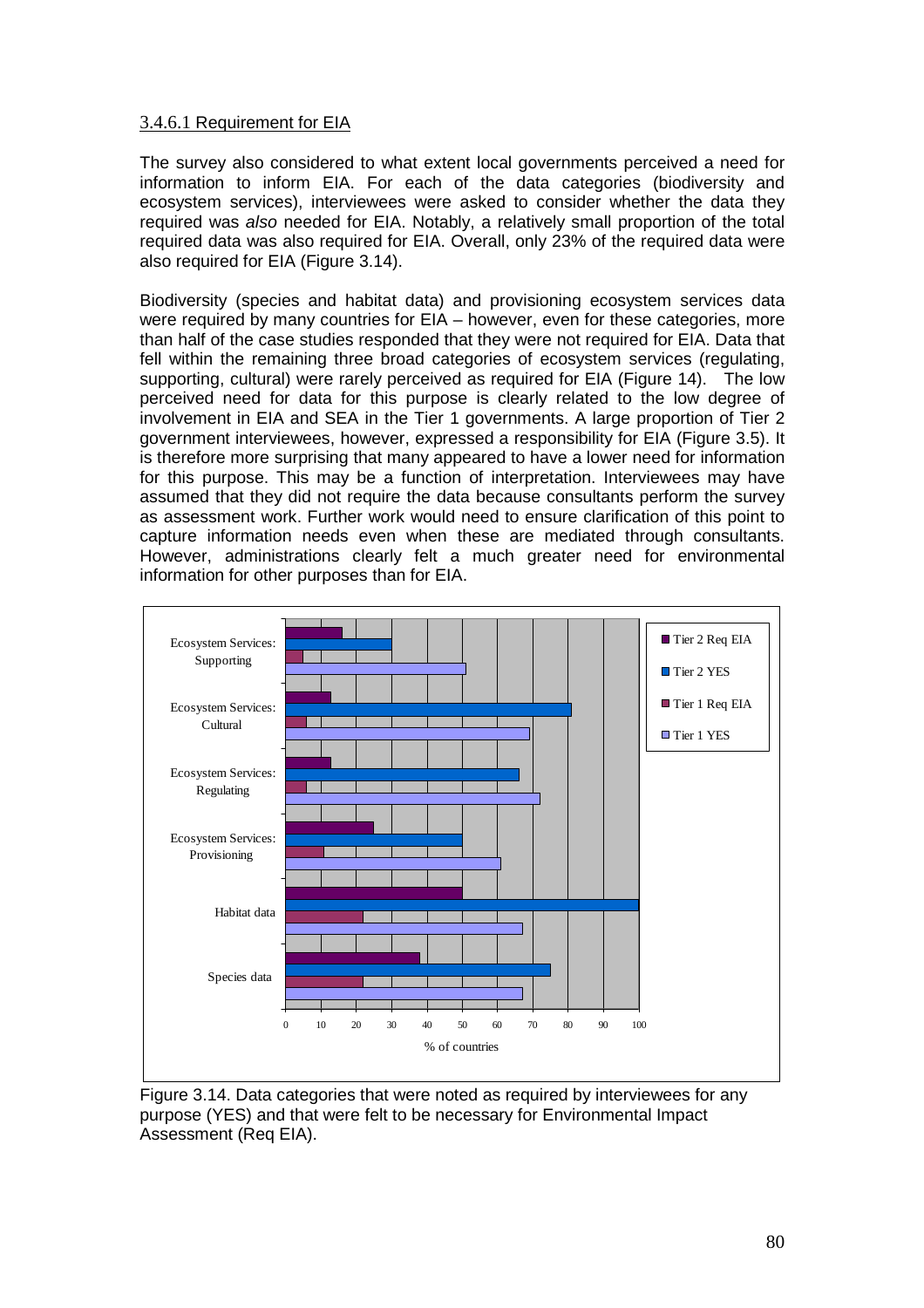#### 3.4.6.1 Requirement for EIA

The survey also considered to what extent local governments perceived a need for information to inform EIA. For each of the data categories (biodiversity and ecosystem services), interviewees were asked to consider whether the data they required was also needed for EIA. Notably, a relatively small proportion of the total required data was also required for EIA. Overall, only 23% of the required data were also required for EIA (Figure 3.14).

Biodiversity (species and habitat data) and provisioning ecosystem services data were required by many countries for EIA – however, even for these categories, more than half of the case studies responded that they were not required for EIA. Data that fell within the remaining three broad categories of ecosystem services (regulating, supporting, cultural) were rarely perceived as required for EIA (Figure 14). The low perceived need for data for this purpose is clearly related to the low degree of involvement in EIA and SEA in the Tier 1 governments. A large proportion of Tier 2 government interviewees, however, expressed a responsibility for EIA (Figure 3.5). It is therefore more surprising that many appeared to have a lower need for information for this purpose. This may be a function of interpretation. Interviewees may have assumed that they did not require the data because consultants perform the survey as assessment work. Further work would need to ensure clarification of this point to capture information needs even when these are mediated through consultants. However, administrations clearly felt a much greater need for environmental information for other purposes than for EIA.



Figure 3.14. Data categories that were noted as required by interviewees for any purpose (YES) and that were felt to be necessary for Environmental Impact Assessment (Req EIA).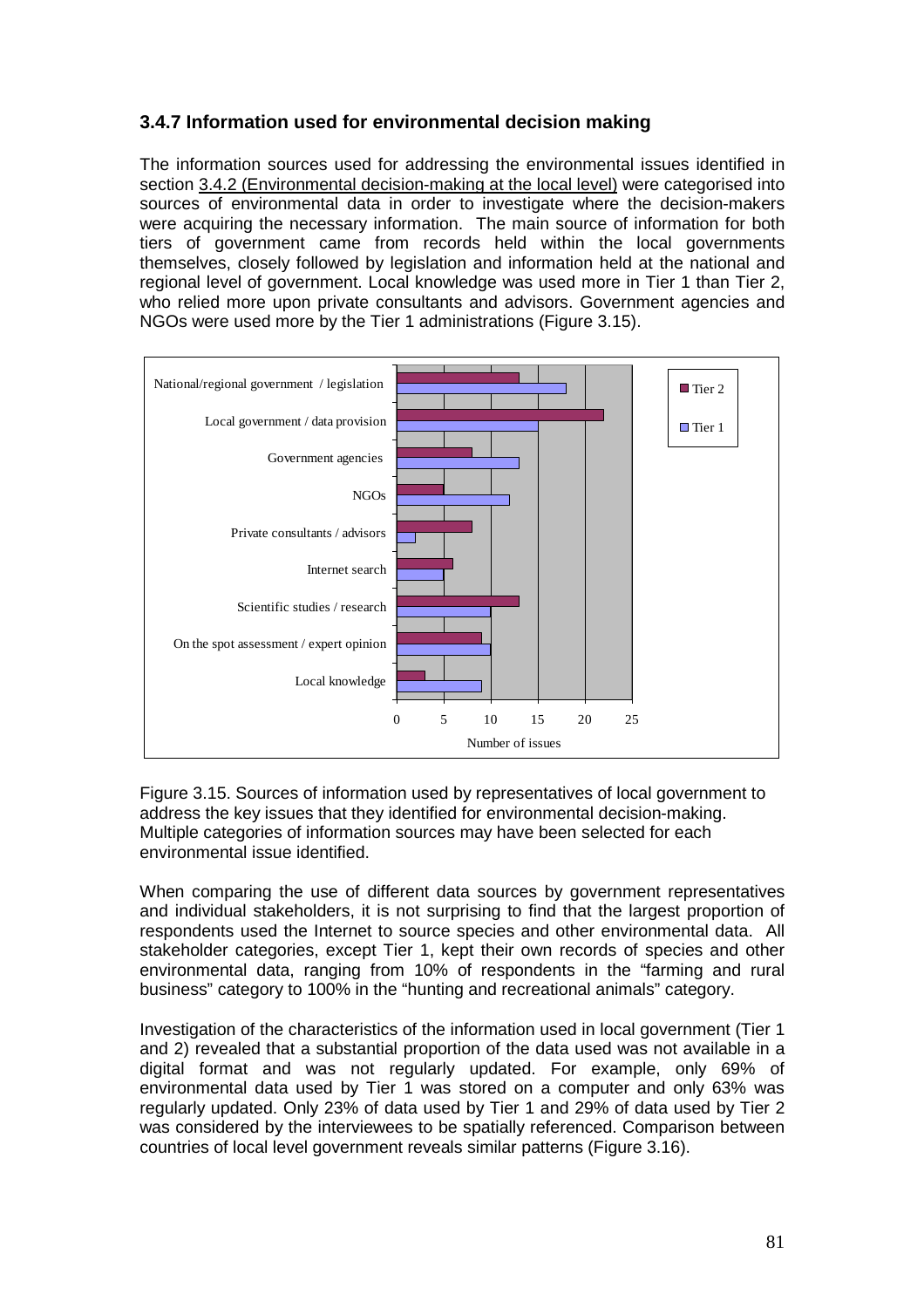# **3.4.7 Information used for environmental decision making**

The information sources used for addressing the environmental issues identified in section 3.4.2 (Environmental decision-making at the local level) were categorised into sources of environmental data in order to investigate where the decision-makers were acquiring the necessary information. The main source of information for both tiers of government came from records held within the local governments themselves, closely followed by legislation and information held at the national and regional level of government. Local knowledge was used more in Tier 1 than Tier 2, who relied more upon private consultants and advisors. Government agencies and NGOs were used more by the Tier 1 administrations (Figure 3.15).



Figure 3.15. Sources of information used by representatives of local government to address the key issues that they identified for environmental decision-making. Multiple categories of information sources may have been selected for each environmental issue identified.

When comparing the use of different data sources by government representatives and individual stakeholders, it is not surprising to find that the largest proportion of respondents used the Internet to source species and other environmental data. All stakeholder categories, except Tier 1, kept their own records of species and other environmental data, ranging from 10% of respondents in the "farming and rural business" category to 100% in the "hunting and recreational animals" category.

Investigation of the characteristics of the information used in local government (Tier 1 and 2) revealed that a substantial proportion of the data used was not available in a digital format and was not regularly updated. For example, only 69% of environmental data used by Tier 1 was stored on a computer and only 63% was regularly updated. Only 23% of data used by Tier 1 and 29% of data used by Tier 2 was considered by the interviewees to be spatially referenced. Comparison between countries of local level government reveals similar patterns (Figure 3.16).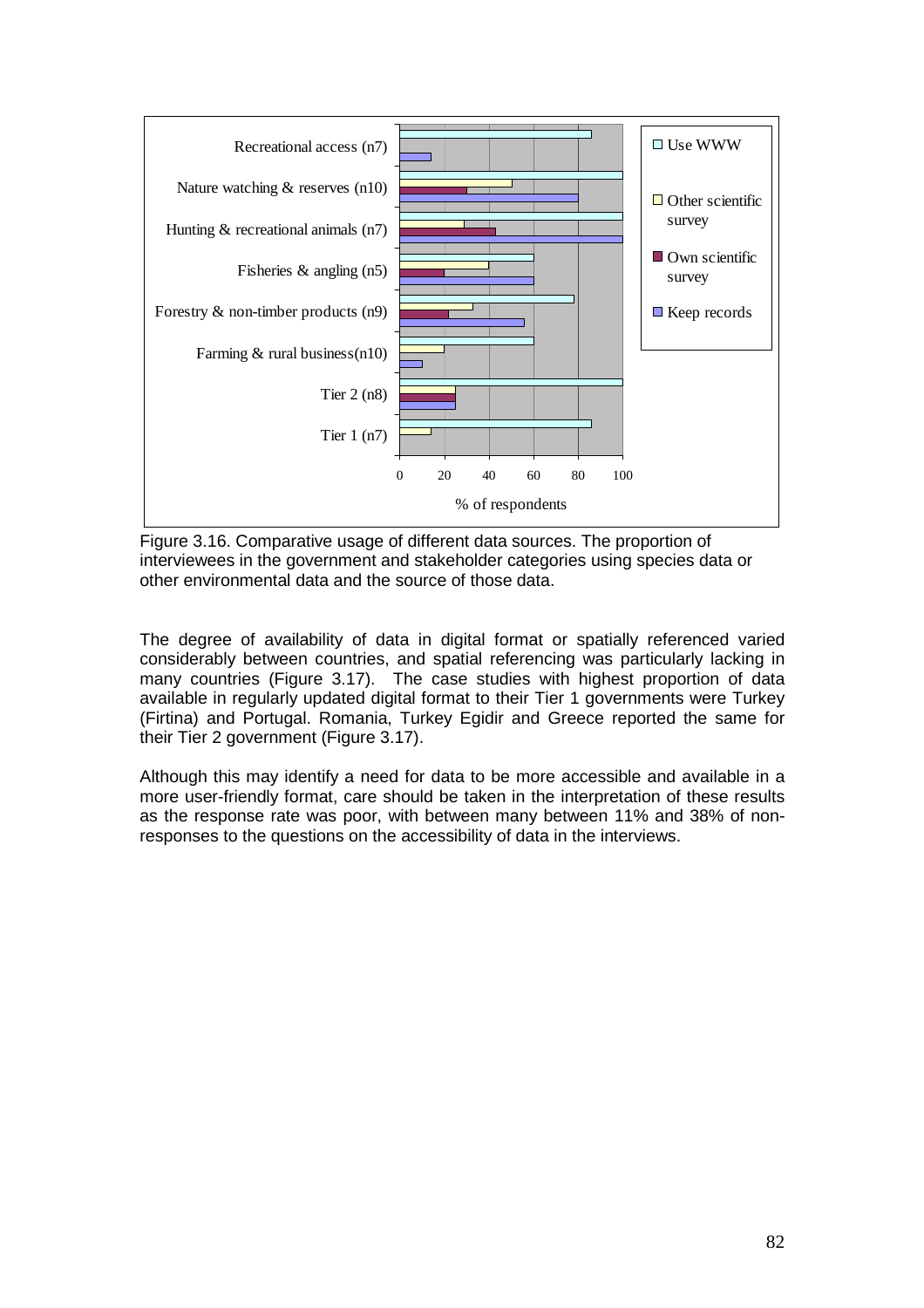

Figure 3.16. Comparative usage of different data sources. The proportion of interviewees in the government and stakeholder categories using species data or other environmental data and the source of those data.

The degree of availability of data in digital format or spatially referenced varied considerably between countries, and spatial referencing was particularly lacking in many countries (Figure 3.17). The case studies with highest proportion of data available in regularly updated digital format to their Tier 1 governments were Turkey (Firtina) and Portugal. Romania, Turkey Egidir and Greece reported the same for their Tier 2 government (Figure 3.17).

Although this may identify a need for data to be more accessible and available in a more user-friendly format, care should be taken in the interpretation of these results as the response rate was poor, with between many between 11% and 38% of nonresponses to the questions on the accessibility of data in the interviews.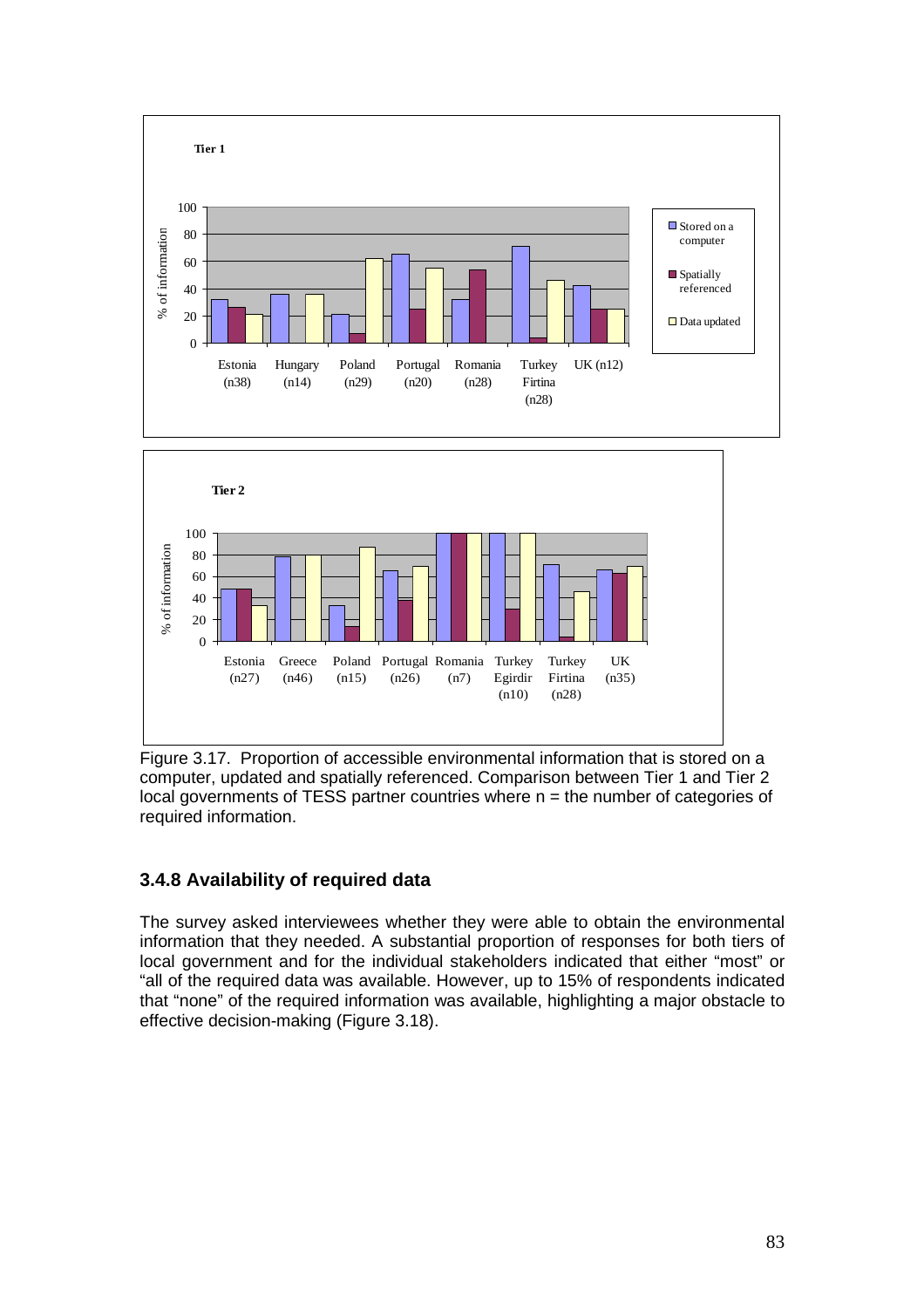

Figure 3.17. Proportion of accessible environmental information that is stored on a computer, updated and spatially referenced. Comparison between Tier 1 and Tier 2 local governments of TESS partner countries where  $n =$  the number of categories of required information.

# **3.4.8 Availability of required data**

The survey asked interviewees whether they were able to obtain the environmental information that they needed. A substantial proportion of responses for both tiers of local government and for the individual stakeholders indicated that either "most" or "all of the required data was available. However, up to 15% of respondents indicated that "none" of the required information was available, highlighting a major obstacle to effective decision-making (Figure 3.18).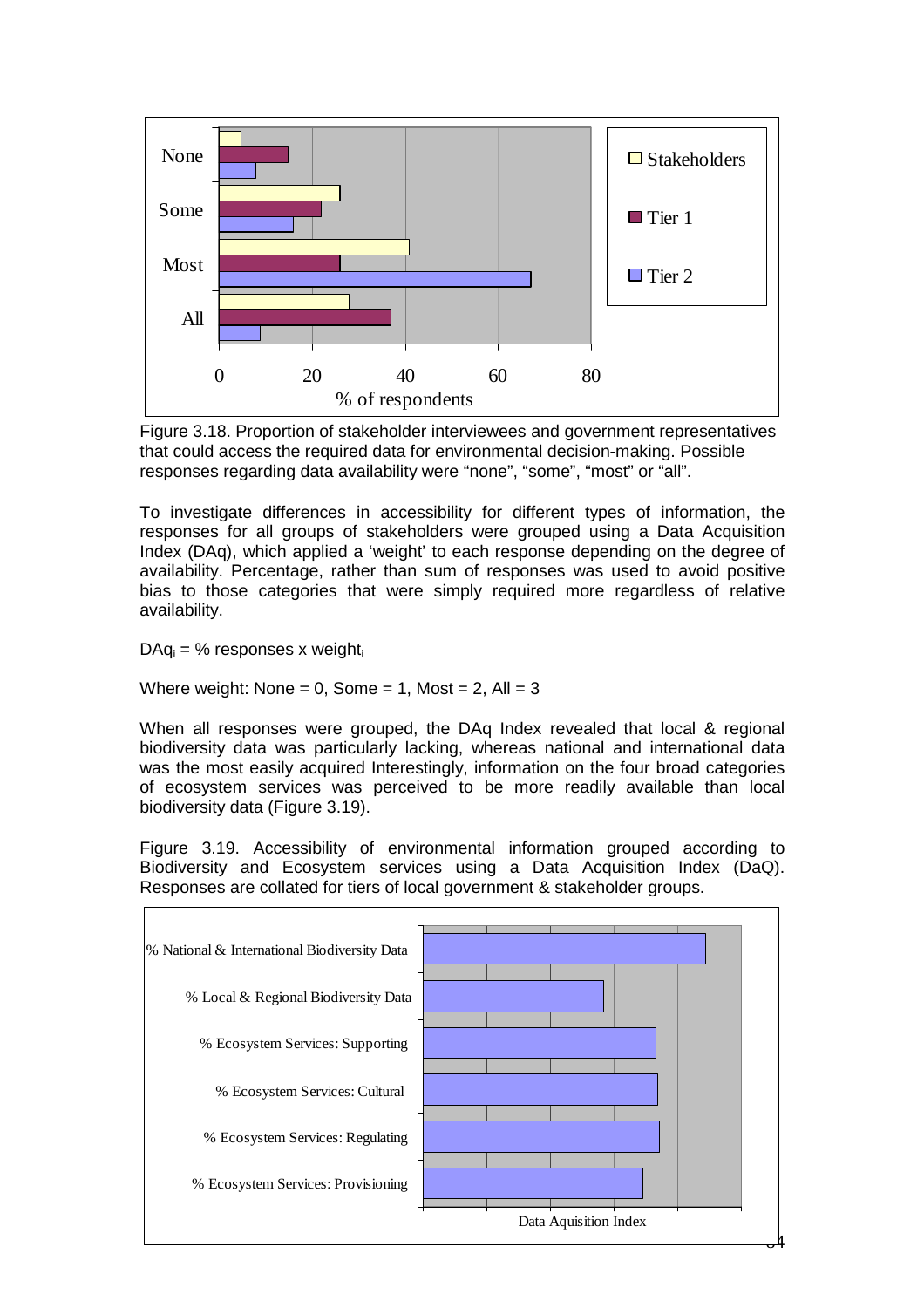

Figure 3.18. Proportion of stakeholder interviewees and government representatives that could access the required data for environmental decision-making. Possible responses regarding data availability were "none", "some", "most" or "all".

To investigate differences in accessibility for different types of information, the responses for all groups of stakeholders were grouped using a Data Acquisition Index (DAq), which applied a 'weight' to each response depending on the degree of availability. Percentage, rather than sum of responses was used to avoid positive bias to those categories that were simply required more regardless of relative availability.

 $DAq_i = %$  responses x weight<sub>i</sub>

Where weight: None =  $0$ , Some =  $1$ , Most =  $2$ , All =  $3$ 

When all responses were grouped, the DA<sub>q</sub> Index revealed that local & regional biodiversity data was particularly lacking, whereas national and international data was the most easily acquired Interestingly, information on the four broad categories of ecosystem services was perceived to be more readily available than local biodiversity data (Figure 3.19).

Figure 3.19. Accessibility of environmental information grouped according to Biodiversity and Ecosystem services using a Data Acquisition Index (DaQ). Responses are collated for tiers of local government & stakeholder groups.

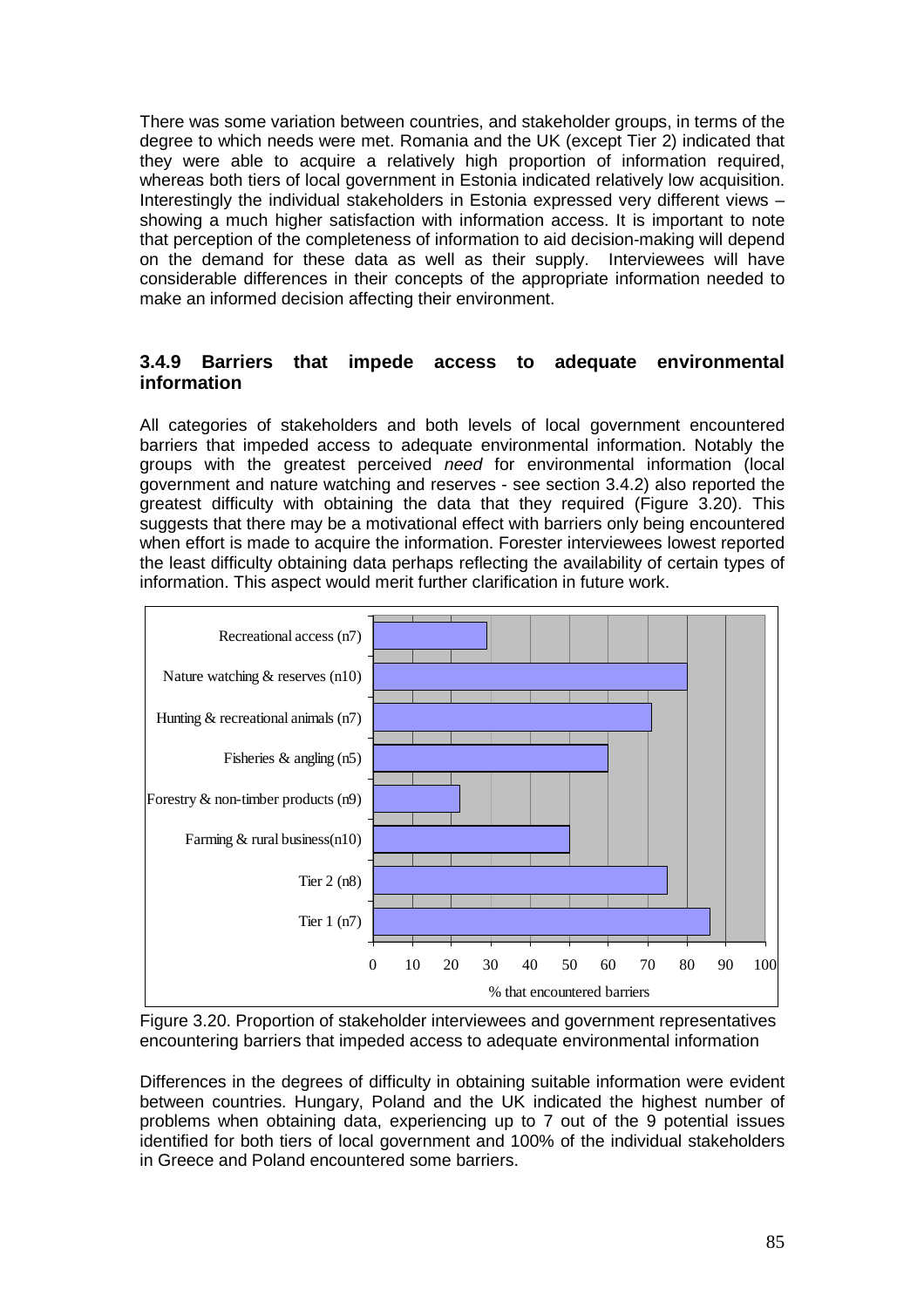There was some variation between countries, and stakeholder groups, in terms of the degree to which needs were met. Romania and the UK (except Tier 2) indicated that they were able to acquire a relatively high proportion of information required, whereas both tiers of local government in Estonia indicated relatively low acquisition. Interestingly the individual stakeholders in Estonia expressed very different views – showing a much higher satisfaction with information access. It is important to note that perception of the completeness of information to aid decision-making will depend on the demand for these data as well as their supply. Interviewees will have considerable differences in their concepts of the appropriate information needed to make an informed decision affecting their environment.

### **3.4.9 Barriers that impede access to adequate environmental information**

All categories of stakeholders and both levels of local government encountered barriers that impeded access to adequate environmental information. Notably the groups with the greatest perceived need for environmental information (local government and nature watching and reserves - see section 3.4.2) also reported the greatest difficulty with obtaining the data that they required (Figure 3.20). This suggests that there may be a motivational effect with barriers only being encountered when effort is made to acquire the information. Forester interviewees lowest reported the least difficulty obtaining data perhaps reflecting the availability of certain types of information. This aspect would merit further clarification in future work.



Figure 3.20. Proportion of stakeholder interviewees and government representatives encountering barriers that impeded access to adequate environmental information

Differences in the degrees of difficulty in obtaining suitable information were evident between countries. Hungary, Poland and the UK indicated the highest number of problems when obtaining data, experiencing up to 7 out of the 9 potential issues identified for both tiers of local government and 100% of the individual stakeholders in Greece and Poland encountered some barriers.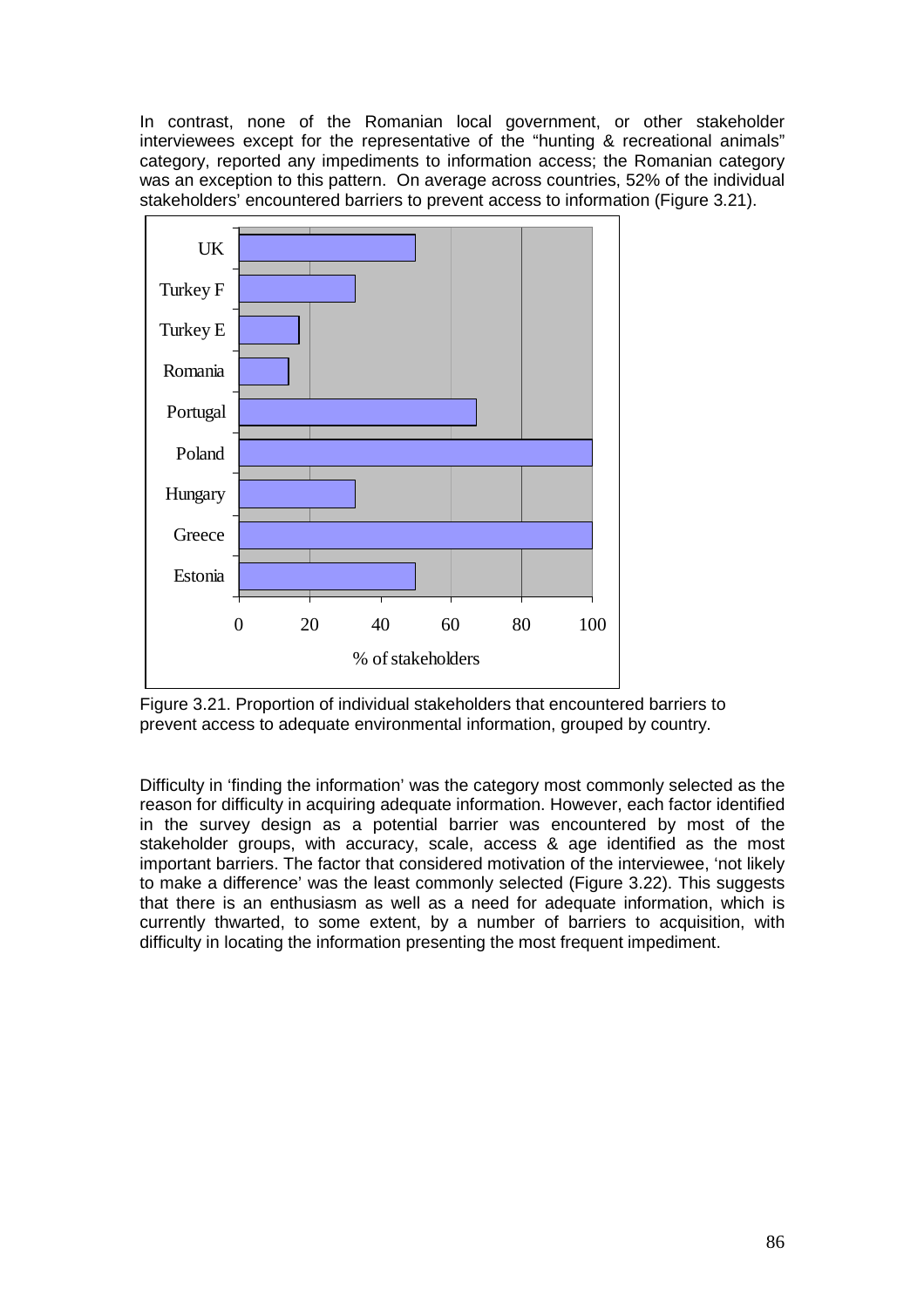In contrast, none of the Romanian local government, or other stakeholder interviewees except for the representative of the "hunting & recreational animals" category, reported any impediments to information access; the Romanian category was an exception to this pattern. On average across countries, 52% of the individual stakeholders' encountered barriers to prevent access to information (Figure 3.21).



Figure 3.21. Proportion of individual stakeholders that encountered barriers to prevent access to adequate environmental information, grouped by country.

Difficulty in 'finding the information' was the category most commonly selected as the reason for difficulty in acquiring adequate information. However, each factor identified in the survey design as a potential barrier was encountered by most of the stakeholder groups, with accuracy, scale, access & age identified as the most important barriers. The factor that considered motivation of the interviewee, 'not likely to make a difference' was the least commonly selected (Figure 3.22). This suggests that there is an enthusiasm as well as a need for adequate information, which is currently thwarted, to some extent, by a number of barriers to acquisition, with difficulty in locating the information presenting the most frequent impediment.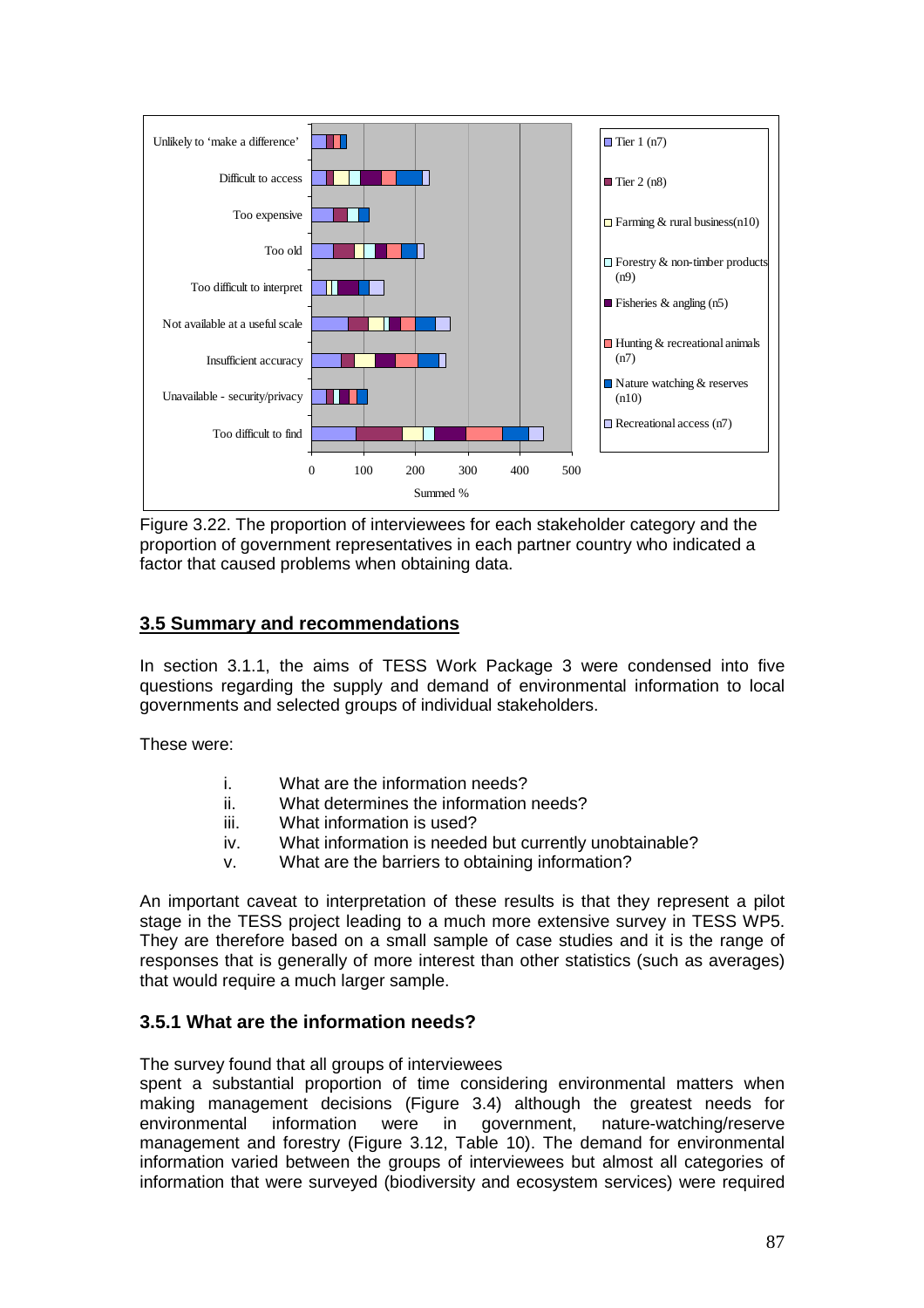

Figure 3.22. The proportion of interviewees for each stakeholder category and the proportion of government representatives in each partner country who indicated a factor that caused problems when obtaining data.

### **3.5 Summary and recommendations**

In section 3.1.1, the aims of TESS Work Package 3 were condensed into five questions regarding the supply and demand of environmental information to local governments and selected groups of individual stakeholders.

These were:

- i. What are the information needs?
- ii. What determines the information needs?
- iii. What information is used?
- iv. What information is needed but currently unobtainable?
- v. What are the barriers to obtaining information?

An important caveat to interpretation of these results is that they represent a pilot stage in the TESS project leading to a much more extensive survey in TESS WP5. They are therefore based on a small sample of case studies and it is the range of responses that is generally of more interest than other statistics (such as averages) that would require a much larger sample.

### **3.5.1 What are the information needs?**

The survey found that all groups of interviewees

spent a substantial proportion of time considering environmental matters when making management decisions (Figure 3.4) although the greatest needs for environmental information were in government, nature-watching/reserve management and forestry (Figure 3.12, Table 10). The demand for environmental information varied between the groups of interviewees but almost all categories of information that were surveyed (biodiversity and ecosystem services) were required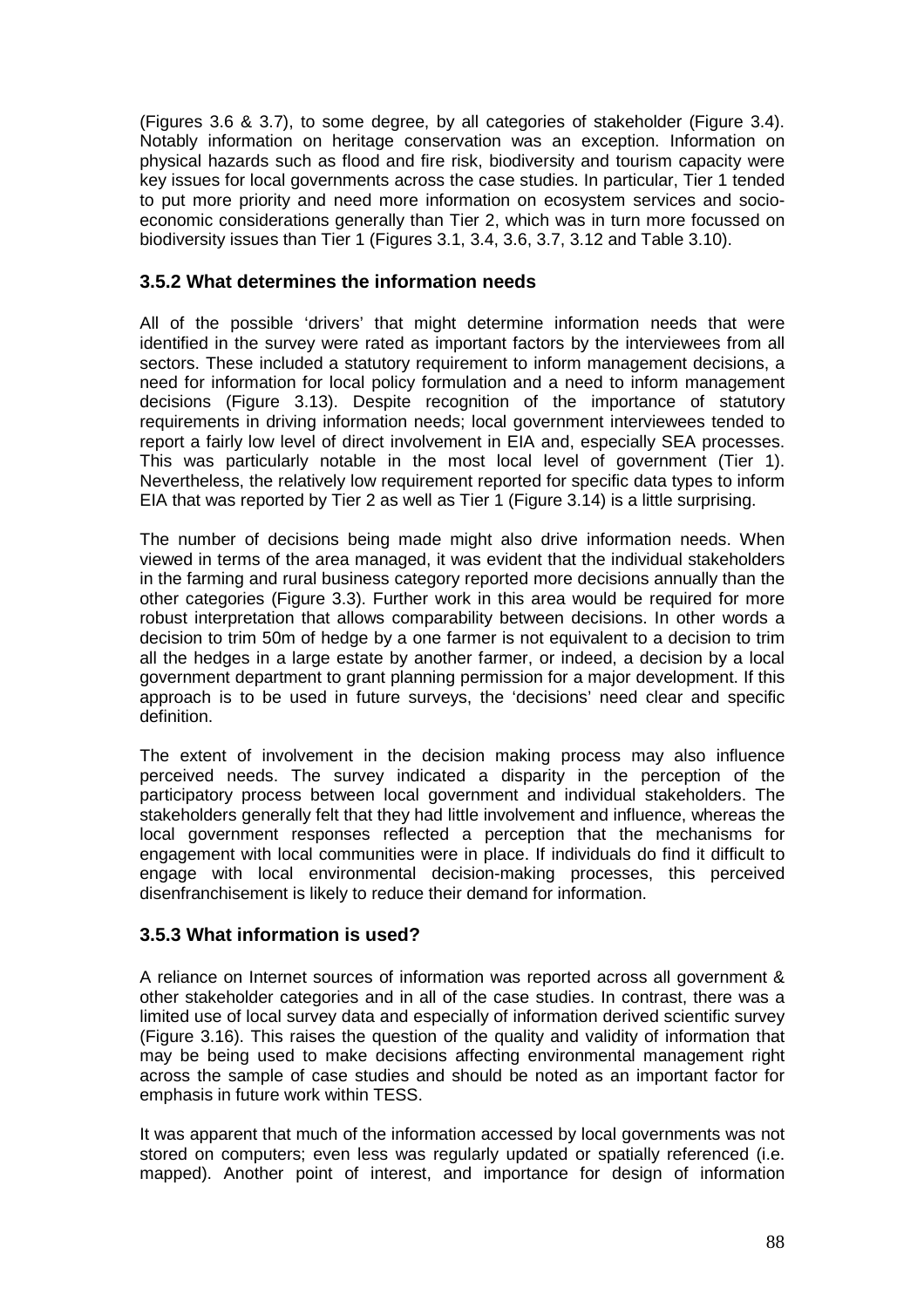(Figures 3.6 & 3.7), to some degree, by all categories of stakeholder (Figure 3.4). Notably information on heritage conservation was an exception. Information on physical hazards such as flood and fire risk, biodiversity and tourism capacity were key issues for local governments across the case studies. In particular, Tier 1 tended to put more priority and need more information on ecosystem services and socioeconomic considerations generally than Tier 2, which was in turn more focussed on biodiversity issues than Tier 1 (Figures 3.1, 3.4, 3.6, 3.7, 3.12 and Table 3.10).

#### **3.5.2 What determines the information needs**

All of the possible 'drivers' that might determine information needs that were identified in the survey were rated as important factors by the interviewees from all sectors. These included a statutory requirement to inform management decisions, a need for information for local policy formulation and a need to inform management decisions (Figure 3.13). Despite recognition of the importance of statutory requirements in driving information needs; local government interviewees tended to report a fairly low level of direct involvement in EIA and, especially SEA processes. This was particularly notable in the most local level of government (Tier 1). Nevertheless, the relatively low requirement reported for specific data types to inform EIA that was reported by Tier 2 as well as Tier 1 (Figure 3.14) is a little surprising.

The number of decisions being made might also drive information needs. When viewed in terms of the area managed, it was evident that the individual stakeholders in the farming and rural business category reported more decisions annually than the other categories (Figure 3.3). Further work in this area would be required for more robust interpretation that allows comparability between decisions. In other words a decision to trim 50m of hedge by a one farmer is not equivalent to a decision to trim all the hedges in a large estate by another farmer, or indeed, a decision by a local government department to grant planning permission for a major development. If this approach is to be used in future surveys, the 'decisions' need clear and specific definition.

The extent of involvement in the decision making process may also influence perceived needs. The survey indicated a disparity in the perception of the participatory process between local government and individual stakeholders. The stakeholders generally felt that they had little involvement and influence, whereas the local government responses reflected a perception that the mechanisms for engagement with local communities were in place. If individuals do find it difficult to engage with local environmental decision-making processes, this perceived disenfranchisement is likely to reduce their demand for information.

### **3.5.3 What information is used?**

A reliance on Internet sources of information was reported across all government & other stakeholder categories and in all of the case studies. In contrast, there was a limited use of local survey data and especially of information derived scientific survey (Figure 3.16). This raises the question of the quality and validity of information that may be being used to make decisions affecting environmental management right across the sample of case studies and should be noted as an important factor for emphasis in future work within TESS.

It was apparent that much of the information accessed by local governments was not stored on computers; even less was regularly updated or spatially referenced (i.e. mapped). Another point of interest, and importance for design of information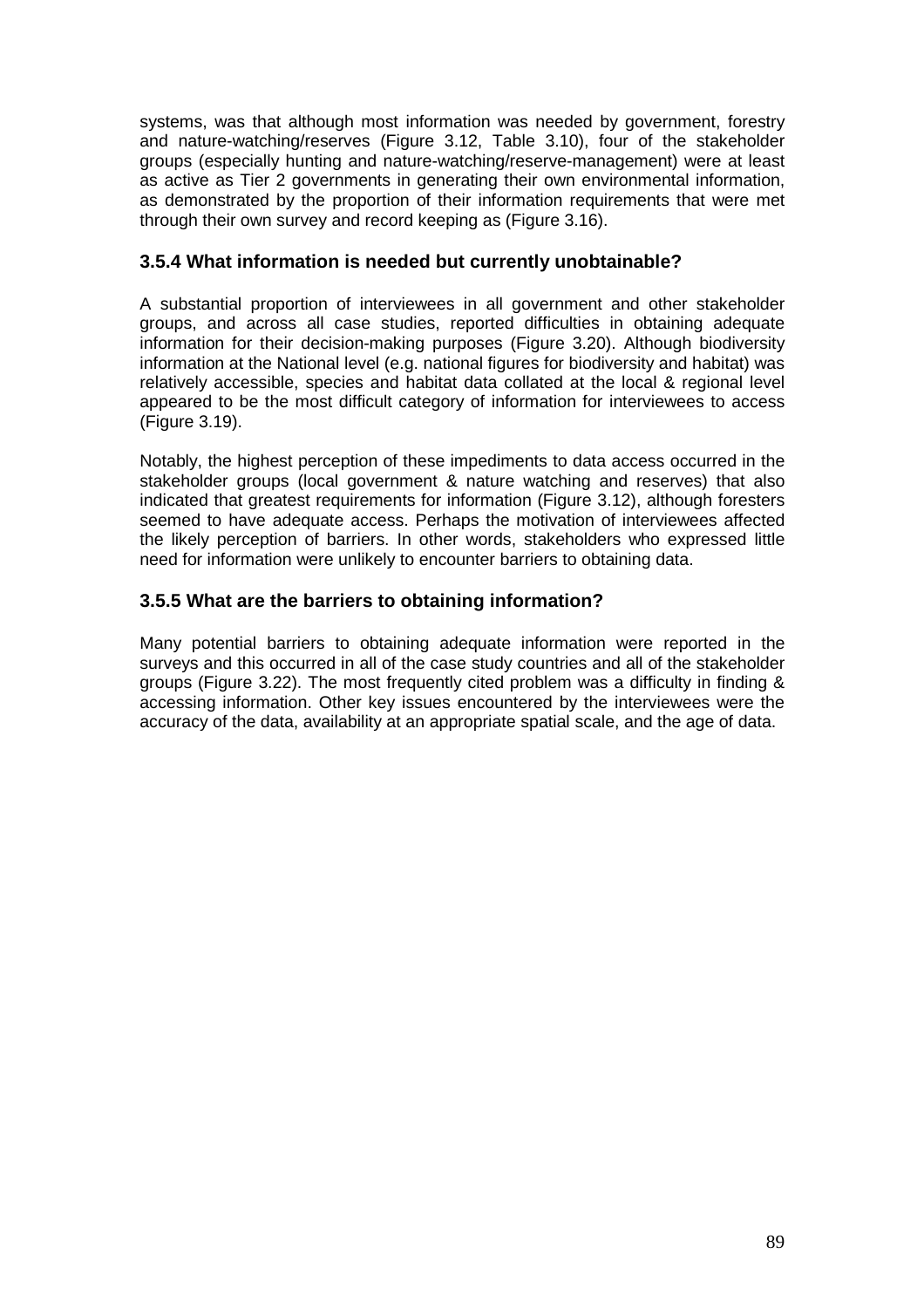systems, was that although most information was needed by government, forestry and nature-watching/reserves (Figure 3.12, Table 3.10), four of the stakeholder groups (especially hunting and nature-watching/reserve-management) were at least as active as Tier 2 governments in generating their own environmental information, as demonstrated by the proportion of their information requirements that were met through their own survey and record keeping as (Figure 3.16).

### **3.5.4 What information is needed but currently unobtainable?**

A substantial proportion of interviewees in all government and other stakeholder groups, and across all case studies, reported difficulties in obtaining adequate information for their decision-making purposes (Figure 3.20). Although biodiversity information at the National level (e.g. national figures for biodiversity and habitat) was relatively accessible, species and habitat data collated at the local & regional level appeared to be the most difficult category of information for interviewees to access (Figure 3.19).

Notably, the highest perception of these impediments to data access occurred in the stakeholder groups (local government & nature watching and reserves) that also indicated that greatest requirements for information (Figure 3.12), although foresters seemed to have adequate access. Perhaps the motivation of interviewees affected the likely perception of barriers. In other words, stakeholders who expressed little need for information were unlikely to encounter barriers to obtaining data.

### **3.5.5 What are the barriers to obtaining information?**

Many potential barriers to obtaining adequate information were reported in the surveys and this occurred in all of the case study countries and all of the stakeholder groups (Figure 3.22). The most frequently cited problem was a difficulty in finding & accessing information. Other key issues encountered by the interviewees were the accuracy of the data, availability at an appropriate spatial scale, and the age of data.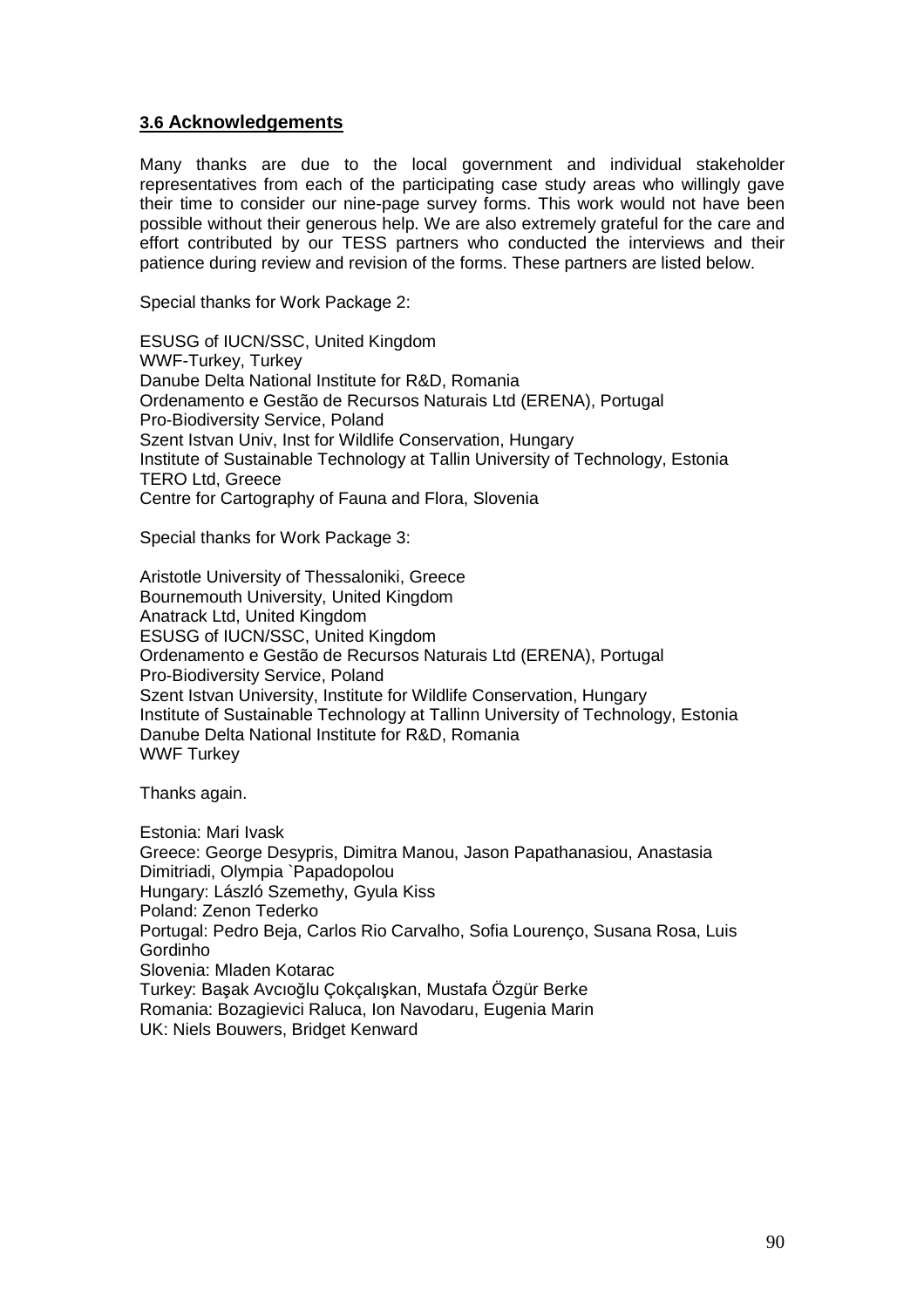#### **3.6 Acknowledgements**

Many thanks are due to the local government and individual stakeholder representatives from each of the participating case study areas who willingly gave their time to consider our nine-page survey forms. This work would not have been possible without their generous help. We are also extremely grateful for the care and effort contributed by our TESS partners who conducted the interviews and their patience during review and revision of the forms. These partners are listed below.

Special thanks for Work Package 2:

ESUSG of IUCN/SSC, United Kingdom WWF-Turkey, Turkey Danube Delta National Institute for R&D, Romania Ordenamento e Gestão de Recursos Naturais Ltd (ERENA), Portugal Pro-Biodiversity Service, Poland Szent Istvan Univ, Inst for Wildlife Conservation, Hungary Institute of Sustainable Technology at Tallin University of Technology, Estonia TERO Ltd, Greece Centre for Cartography of Fauna and Flora, Slovenia

Special thanks for Work Package 3:

Aristotle University of Thessaloniki, Greece Bournemouth University, United Kingdom Anatrack Ltd, United Kingdom ESUSG of IUCN/SSC, United Kingdom Ordenamento e Gestão de Recursos Naturais Ltd (ERENA), Portugal Pro-Biodiversity Service, Poland Szent Istvan University, Institute for Wildlife Conservation, Hungary Institute of Sustainable Technology at Tallinn University of Technology, Estonia Danube Delta National Institute for R&D, Romania WWF Turkey

Thanks again.

Estonia: Mari Ivask Greece: George Desypris, Dimitra Manou, Jason Papathanasiou, Anastasia Dimitriadi, Olympia `Papadopolou Hungary: László Szemethy, Gyula Kiss Poland: Zenon Tederko Portugal: Pedro Beja, Carlos Rio Carvalho, Sofia Lourenço, Susana Rosa, Luis Gordinho Slovenia: Mladen Kotarac Turkey: Başak Avcıoğlu Çokçalışkan, Mustafa Özgür Berke Romania: Bozagievici Raluca, Ion Navodaru, Eugenia Marin UK: Niels Bouwers, Bridget Kenward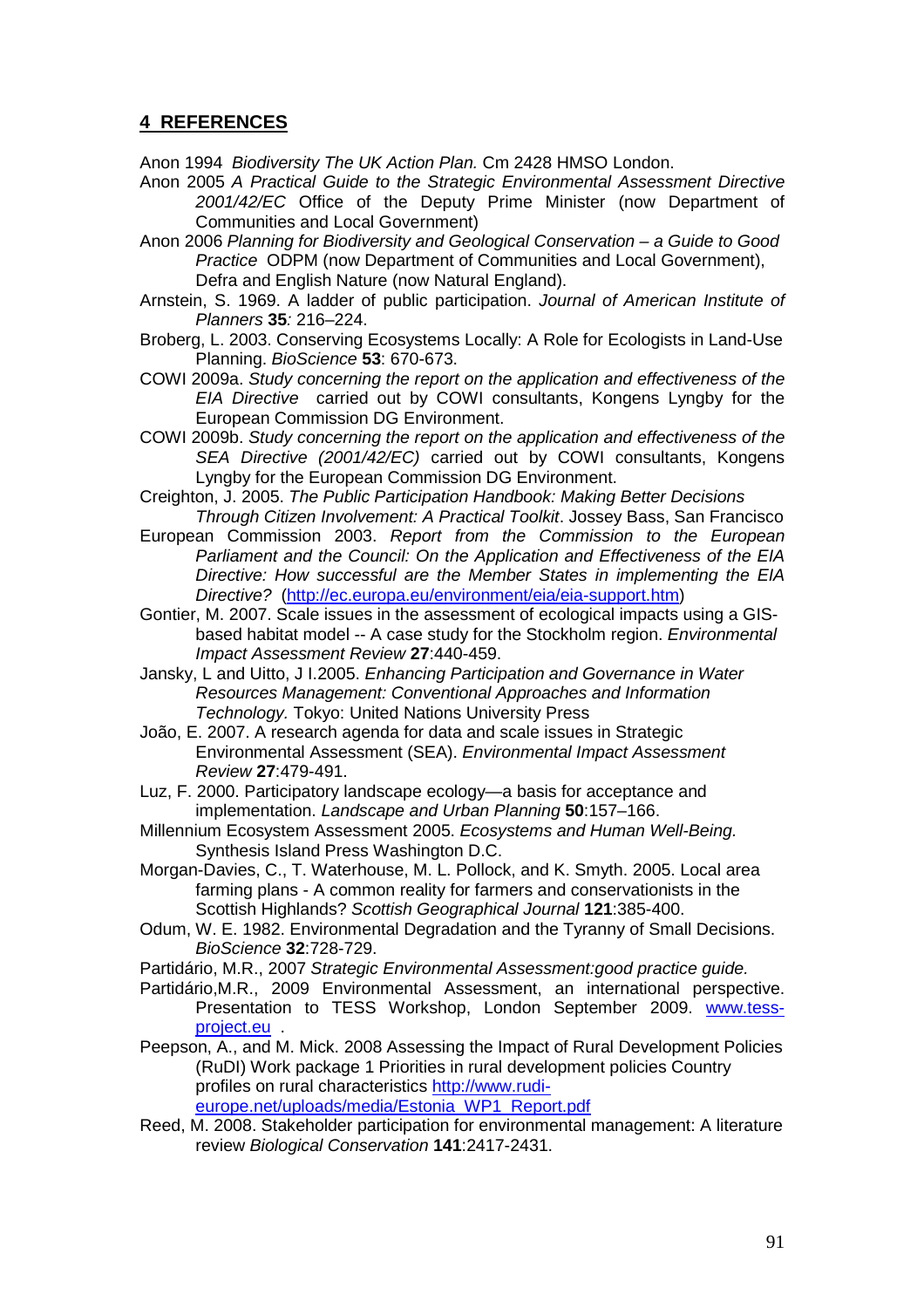### **4 REFERENCES**

Anon 1994 Biodiversity The UK Action Plan. Cm 2428 HMSO London.

- Anon 2005 A Practical Guide to the Strategic Environmental Assessment Directive 2001/42/EC Office of the Deputy Prime Minister (now Department of Communities and Local Government)
- Anon 2006 Planning for Biodiversity and Geological Conservation a Guide to Good Practice ODPM (now Department of Communities and Local Government), Defra and English Nature (now Natural England).
- Arnstein, S. 1969. A ladder of public participation. Journal of American Institute of Planners **35**: 216–224.
- Broberg, L. 2003. Conserving Ecosystems Locally: A Role for Ecologists in Land-Use Planning. BioScience **53**: 670-673.
- COWI 2009a. Study concerning the report on the application and effectiveness of the EIA Directive carried out by COWI consultants, Kongens Lyngby for the European Commission DG Environment.
- COWI 2009b. Study concerning the report on the application and effectiveness of the SEA Directive (2001/42/EC) carried out by COWI consultants, Kongens Lyngby for the European Commission DG Environment.
- Creighton, J. 2005. The Public Participation Handbook: Making Better Decisions Through Citizen Involvement: A Practical Toolkit. Jossey Bass, San Francisco
- European Commission 2003. Report from the Commission to the European Parliament and the Council: On the Application and Effectiveness of the EIA Directive: How successful are the Member States in implementing the EIA Directive? (http://ec.europa.eu/environment/eia/eia-support.htm)
- Gontier, M. 2007. Scale issues in the assessment of ecological impacts using a GISbased habitat model -- A case study for the Stockholm region. Environmental Impact Assessment Review **27**:440-459.
- Jansky, L and Uitto, J I.2005. Enhancing Participation and Governance in Water Resources Management: Conventional Approaches and Information Technology. Tokyo: United Nations University Press
- João, E. 2007. A research agenda for data and scale issues in Strategic Environmental Assessment (SEA). Environmental Impact Assessment Review **27**:479-491.
- Luz, F. 2000. Participatory landscape ecology—a basis for acceptance and implementation. Landscape and Urban Planning **50**:157–166.
- Millennium Ecosystem Assessment 2005. Ecosystems and Human Well-Being. Synthesis Island Press Washington D.C.
- Morgan-Davies, C., T. Waterhouse, M. L. Pollock, and K. Smyth. 2005. Local area farming plans - A common reality for farmers and conservationists in the Scottish Highlands? Scottish Geographical Journal **121**:385-400.
- Odum, W. E. 1982. Environmental Degradation and the Tyranny of Small Decisions. BioScience **32**:728-729.
- Partidário, M.R., 2007 Strategic Environmental Assessment:good practice guide.
- Partidário,M.R., 2009 Environmental Assessment, an international perspective. Presentation to TESS Workshop, London September 2009. www.tessproject.eu .
- Peepson, A., and M. Mick. 2008 Assessing the Impact of Rural Development Policies (RuDI) Work package 1 Priorities in rural development policies Country profiles on rural characteristics http://www.rudieurope.net/uploads/media/Estonia\_WP1\_Report.pdf
- Reed, M. 2008. Stakeholder participation for environmental management: A literature review Biological Conservation **141**:2417-2431.